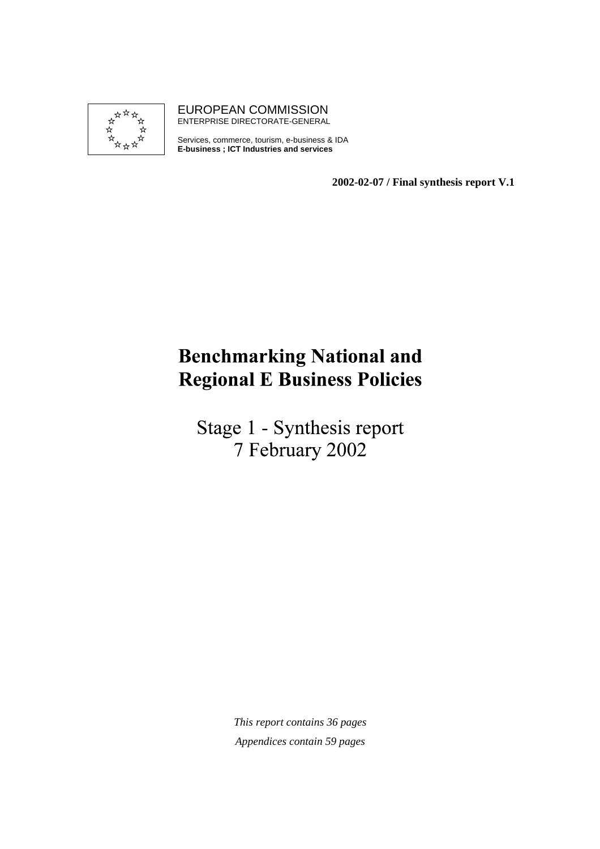

EUROPEAN COMMISSION ENTERPRISE DIRECTORATE-GENERAL

Services, commerce, tourism, e-business & IDA **E-business ; ICT Industries and services**

**2002-02-07 / Final synthesis report V.1**

# **Benchmarking National and Regional E Business Policies**

Stage 1 - Synthesis report 7 February 2002

> *This report contains 36 pages Appendices contain 59 pages*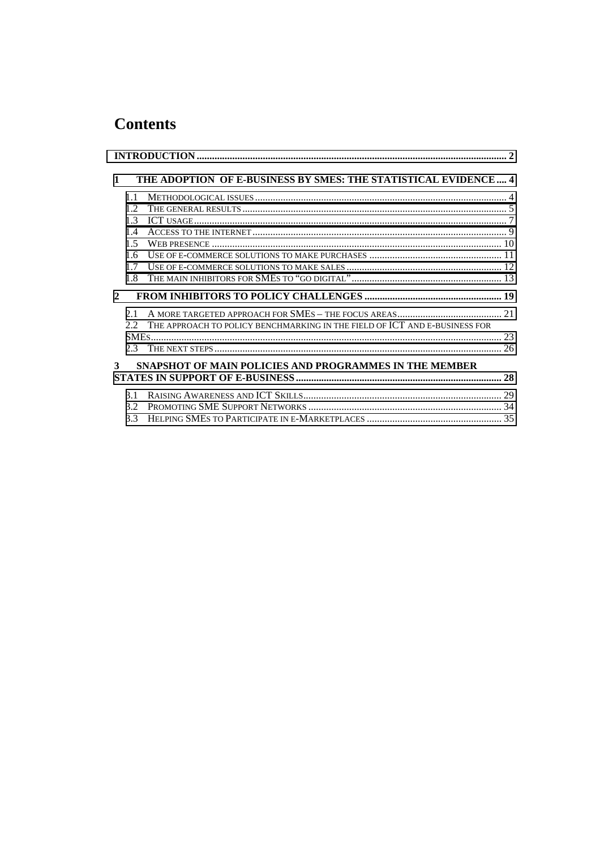# **Contents**

| $\mathbf{1}$ |                              | THE ADOPTION OF E-BUSINESS BY SMES: THE STATISTICAL EVIDENCE  4            |  |
|--------------|------------------------------|----------------------------------------------------------------------------|--|
|              | 1.1<br>12<br>13<br>14<br>1.5 |                                                                            |  |
|              | 1.6<br>1.7<br>1.8            |                                                                            |  |
| $\mathbf{2}$ | 2.1                          |                                                                            |  |
|              | 2.2<br>2.3                   | THE APPROACH TO POLICY BENCHMARKING IN THE FIELD OF ICT AND E-BUSINESS FOR |  |
| 3            |                              | <b>SNAPSHOT OF MAIN POLICIES AND PROGRAMMES IN THE MEMBER</b>              |  |
|              | 3.1                          |                                                                            |  |
|              | 3.2<br>3.3                   |                                                                            |  |
|              |                              |                                                                            |  |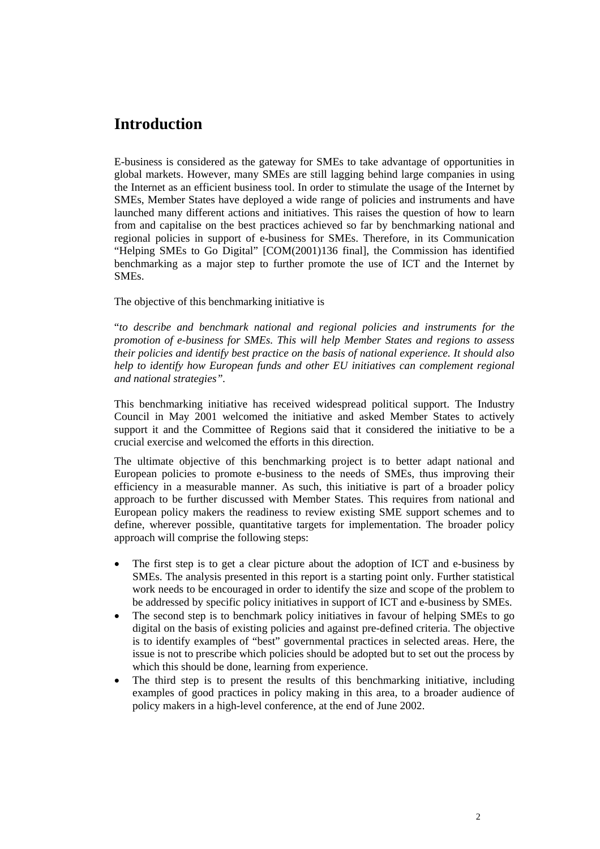# <span id="page-2-0"></span>**Introduction**

E-business is considered as the gateway for SMEs to take advantage of opportunities in global markets. However, many SMEs are still lagging behind large companies in using the Internet as an efficient business tool. In order to stimulate the usage of the Internet by SMEs, Member States have deployed a wide range of policies and instruments and have launched many different actions and initiatives. This raises the question of how to learn from and capitalise on the best practices achieved so far by benchmarking national and regional policies in support of e-business for SMEs. Therefore, in its Communication "Helping SMEs to Go Digital" [COM(2001)136 final], the Commission has identified benchmarking as a major step to further promote the use of ICT and the Internet by SMEs.

The objective of this benchmarking initiative is

"*to describe and benchmark national and regional policies and instruments for the promotion of e-business for SMEs. This will help Member States and regions to assess their policies and identify best practice on the basis of national experience. It should also help to identify how European funds and other EU initiatives can complement regional and national strategies".*

This benchmarking initiative has received widespread political support. The Industry Council in May 2001 welcomed the initiative and asked Member States to actively support it and the Committee of Regions said that it considered the initiative to be a crucial exercise and welcomed the efforts in this direction.

The ultimate objective of this benchmarking project is to better adapt national and European policies to promote e-business to the needs of SMEs, thus improving their efficiency in a measurable manner. As such, this initiative is part of a broader policy approach to be further discussed with Member States. This requires from national and European policy makers the readiness to review existing SME support schemes and to define, wherever possible, quantitative targets for implementation. The broader policy approach will comprise the following steps:

- The first step is to get a clear picture about the adoption of ICT and e-business by SMEs. The analysis presented in this report is a starting point only. Further statistical work needs to be encouraged in order to identify the size and scope of the problem to be addressed by specific policy initiatives in support of ICT and e-business by SMEs.
- The second step is to benchmark policy initiatives in favour of helping SMEs to go digital on the basis of existing policies and against pre-defined criteria. The objective is to identify examples of "best" governmental practices in selected areas. Here, the issue is not to prescribe which policies should be adopted but to set out the process by which this should be done, learning from experience.
- The third step is to present the results of this benchmarking initiative, including examples of good practices in policy making in this area, to a broader audience of policy makers in a high-level conference, at the end of June 2002.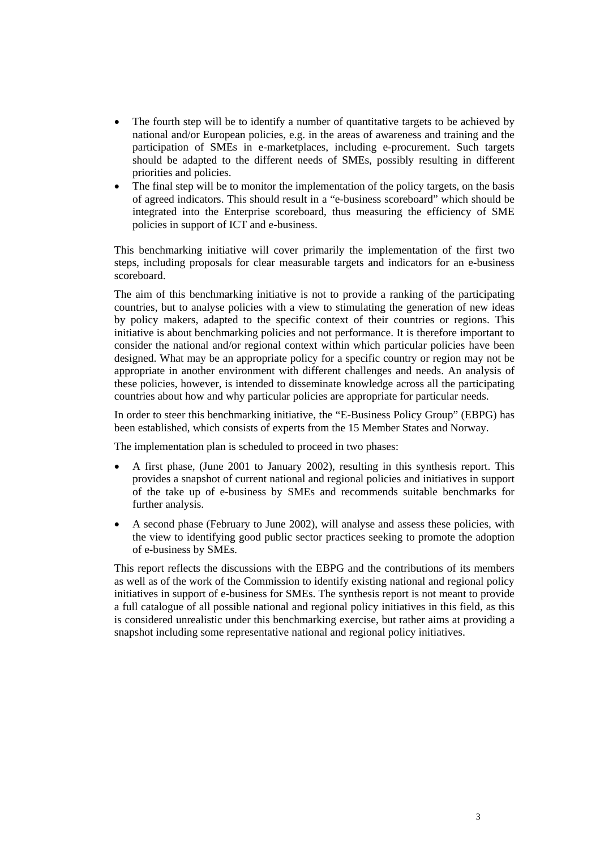- The fourth step will be to identify a number of quantitative targets to be achieved by national and/or European policies, e.g. in the areas of awareness and training and the participation of SMEs in e-marketplaces, including e-procurement. Such targets should be adapted to the different needs of SMEs, possibly resulting in different priorities and policies.
- The final step will be to monitor the implementation of the policy targets, on the basis of agreed indicators. This should result in a "e-business scoreboard" which should be integrated into the Enterprise scoreboard, thus measuring the efficiency of SME policies in support of ICT and e-business.

This benchmarking initiative will cover primarily the implementation of the first two steps, including proposals for clear measurable targets and indicators for an e-business scoreboard.

The aim of this benchmarking initiative is not to provide a ranking of the participating countries, but to analyse policies with a view to stimulating the generation of new ideas by policy makers, adapted to the specific context of their countries or regions. This initiative is about benchmarking policies and not performance. It is therefore important to consider the national and/or regional context within which particular policies have been designed. What may be an appropriate policy for a specific country or region may not be appropriate in another environment with different challenges and needs. An analysis of these policies, however, is intended to disseminate knowledge across all the participating countries about how and why particular policies are appropriate for particular needs.

In order to steer this benchmarking initiative, the "E-Business Policy Group" (EBPG) has been established, which consists of experts from the 15 Member States and Norway.

The implementation plan is scheduled to proceed in two phases:

- A first phase, (June 2001 to January 2002), resulting in this synthesis report. This provides a snapshot of current national and regional policies and initiatives in support of the take up of e-business by SMEs and recommends suitable benchmarks for further analysis.
- A second phase (February to June 2002), will analyse and assess these policies, with the view to identifying good public sector practices seeking to promote the adoption of e-business by SMEs.

This report reflects the discussions with the EBPG and the contributions of its members as well as of the work of the Commission to identify existing national and regional policy initiatives in support of e-business for SMEs. The synthesis report is not meant to provide a full catalogue of all possible national and regional policy initiatives in this field, as this is considered unrealistic under this benchmarking exercise, but rather aims at providing a snapshot including some representative national and regional policy initiatives.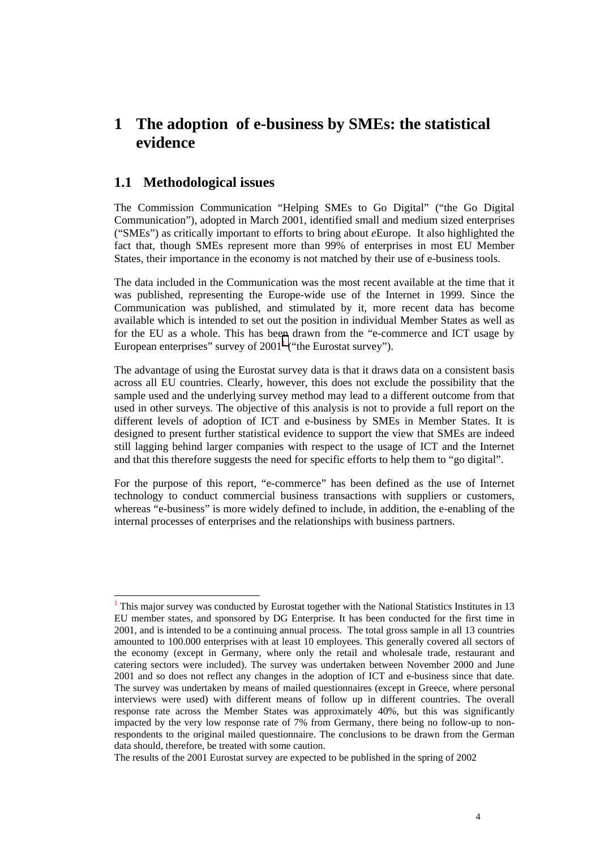# <span id="page-4-0"></span>**1 The adoption of e-business by SMEs: the statistical evidence**

#### **1.1 Methodological issues**

l

The Commission Communication "Helping SMEs to Go Digital" ("the Go Digital Communication"), adopted in March 2001, identified small and medium sized enterprises ("SMEs") as critically important to efforts to bring about *e*Europe. It also highlighted the fact that, though SMEs represent more than 99% of enterprises in most EU Member States, their importance in the economy is not matched by their use of e-business tools.

The data included in the Communication was the most recent available at the time that it was published, representing the Europe-wide use of the Internet in 1999. Since the Communication was published, and stimulated by it, more recent data has become available which is intended to set out the position in individual Member States as well as for the EU as a whole. This has been drawn from the "e-commerce and ICT usage by European enterprises" survey of  $2001<sup>1</sup>$  ("the Eurostat survey").

The advantage of using the Eurostat survey data is that it draws data on a consistent basis across all EU countries. Clearly, however, this does not exclude the possibility that the sample used and the underlying survey method may lead to a different outcome from that used in other surveys. The objective of this analysis is not to provide a full report on the different levels of adoption of ICT and e-business by SMEs in Member States. It is designed to present further statistical evidence to support the view that SMEs are indeed still lagging behind larger companies with respect to the usage of ICT and the Internet and that this therefore suggests the need for specific efforts to help them to "go digital".

For the purpose of this report, "e-commerce" has been defined as the use of Internet technology to conduct commercial business transactions with suppliers or customers, whereas "e-business" is more widely defined to include, in addition, the e-enabling of the internal processes of enterprises and the relationships with business partners.

<sup>&</sup>lt;sup>1</sup> This major survey was conducted by Eurostat together with the National Statistics Institutes in 13 EU member states, and sponsored by DG Enterprise. It has been conducted for the first time in 2001, and is intended to be a continuing annual process. The total gross sample in all 13 countries amounted to 100.000 enterprises with at least 10 employees. This generally covered all sectors of the economy (except in Germany, where only the retail and wholesale trade, restaurant and catering sectors were included). The survey was undertaken between November 2000 and June 2001 and so does not reflect any changes in the adoption of ICT and e-business since that date. The survey was undertaken by means of mailed questionnaires (except in Greece, where personal interviews were used) with different means of follow up in different countries. The overall response rate across the Member States was approximately 40%, but this was significantly impacted by the very low response rate of 7% from Germany, there being no follow-up to nonrespondents to the original mailed questionnaire. The conclusions to be drawn from the German data should, therefore, be treated with some caution.

The results of the 2001 Eurostat survey are expected to be published in the spring of 2002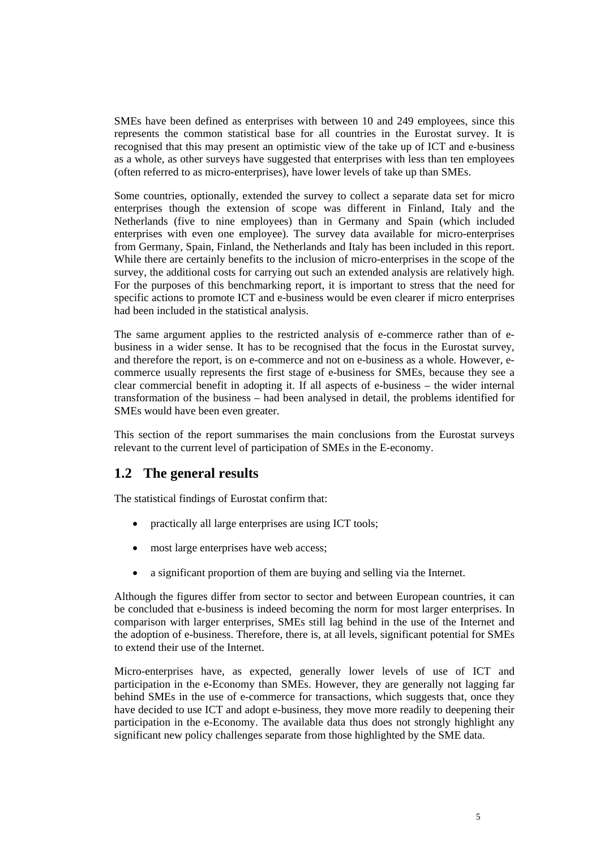<span id="page-5-0"></span>SMEs have been defined as enterprises with between 10 and 249 employees, since this represents the common statistical base for all countries in the Eurostat survey. It is recognised that this may present an optimistic view of the take up of ICT and e-business as a whole, as other surveys have suggested that enterprises with less than ten employees (often referred to as micro-enterprises), have lower levels of take up than SMEs.

Some countries, optionally, extended the survey to collect a separate data set for micro enterprises though the extension of scope was different in Finland, Italy and the Netherlands (five to nine employees) than in Germany and Spain (which included enterprises with even one employee). The survey data available for micro-enterprises from Germany, Spain, Finland, the Netherlands and Italy has been included in this report. While there are certainly benefits to the inclusion of micro-enterprises in the scope of the survey, the additional costs for carrying out such an extended analysis are relatively high. For the purposes of this benchmarking report, it is important to stress that the need for specific actions to promote ICT and e-business would be even clearer if micro enterprises had been included in the statistical analysis.

The same argument applies to the restricted analysis of e-commerce rather than of ebusiness in a wider sense. It has to be recognised that the focus in the Eurostat survey, and therefore the report, is on e-commerce and not on e-business as a whole. However, ecommerce usually represents the first stage of e-business for SMEs, because they see a clear commercial benefit in adopting it. If all aspects of e-business – the wider internal transformation of the business – had been analysed in detail, the problems identified for SMEs would have been even greater.

This section of the report summarises the main conclusions from the Eurostat surveys relevant to the current level of participation of SMEs in the E-economy.

## **1.2 The general results**

The statistical findings of Eurostat confirm that:

- practically all large enterprises are using ICT tools;
- most large enterprises have web access;
- a significant proportion of them are buying and selling via the Internet.

Although the figures differ from sector to sector and between European countries, it can be concluded that e-business is indeed becoming the norm for most larger enterprises. In comparison with larger enterprises, SMEs still lag behind in the use of the Internet and the adoption of e-business. Therefore, there is, at all levels, significant potential for SMEs to extend their use of the Internet.

Micro-enterprises have, as expected, generally lower levels of use of ICT and participation in the e-Economy than SMEs. However, they are generally not lagging far behind SMEs in the use of e-commerce for transactions, which suggests that, once they have decided to use ICT and adopt e-business, they move more readily to deepening their participation in the e-Economy. The available data thus does not strongly highlight any significant new policy challenges separate from those highlighted by the SME data.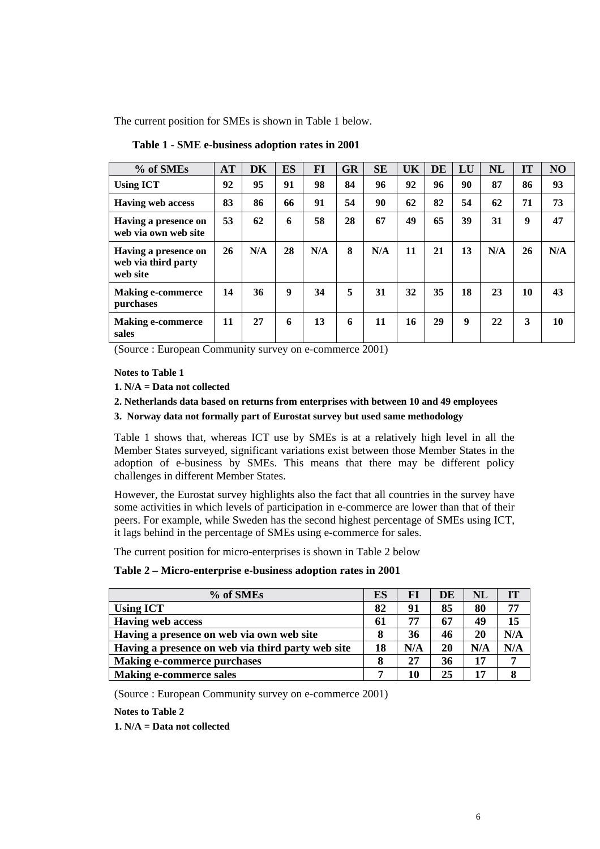The current position for SMEs is shown in Table 1 below.

| % of SMEs                                               | <b>AT</b> | <b>DK</b> | <b>ES</b> | FI  | <b>GR</b> | <b>SE</b> | UK | <b>DE</b> | LU | <b>NL</b> | IT | NO  |
|---------------------------------------------------------|-----------|-----------|-----------|-----|-----------|-----------|----|-----------|----|-----------|----|-----|
| <b>Using ICT</b>                                        | 92        | 95        | 91        | 98  | 84        | 96        | 92 | 96        | 90 | 87        | 86 | 93  |
| <b>Having web access</b>                                | 83        | 86        | 66        | 91  | 54        | 90        | 62 | 82        | 54 | 62        | 71 | 73  |
| Having a presence on<br>web via own web site            | 53        | 62        | 6         | 58  | 28        | 67        | 49 | 65        | 39 | 31        | 9  | 47  |
| Having a presence on<br>web via third party<br>web site | 26        | N/A       | 28        | N/A | 8         | N/A       | 11 | 21        | 13 | N/A       | 26 | N/A |
| <b>Making e-commerce</b><br>purchases                   | 14        | 36        | 9         | 34  | 5         | 31        | 32 | 35        | 18 | 23        | 10 | 43  |
| <b>Making e-commerce</b><br>sales                       | 11        | 27        | 6         | 13  | 6         | 11        | 16 | 29        | 9  | 22        | 3  | 10  |

**Table 1 - SME e-business adoption rates in 2001**

(Source : European Community survey on e-commerce 2001)

#### **Notes to Table 1**

- **1. N/A = Data not collected**
- **2. Netherlands data based on returns from enterprises with between 10 and 49 employees**
- **3. Norway data not formally part of Eurostat survey but used same methodology**

Table 1 shows that, whereas ICT use by SMEs is at a relatively high level in all the Member States surveyed, significant variations exist between those Member States in the adoption of e-business by SMEs. This means that there may be different policy challenges in different Member States.

However, the Eurostat survey highlights also the fact that all countries in the survey have some activities in which levels of participation in e-commerce are lower than that of their peers. For example, while Sweden has the second highest percentage of SMEs using ICT, it lags behind in the percentage of SMEs using e-commerce for sales.

The current position for micro-enterprises is shown in Table 2 below

**Table 2 – Micro-enterprise e-business adoption rates in 2001**

| % of SMEs                                         | ES | FI  | DE | NL  | IT  |
|---------------------------------------------------|----|-----|----|-----|-----|
| <b>Using ICT</b>                                  | 82 | 91  | 85 | 80  | 77  |
| <b>Having web access</b>                          | 61 | 77  | 67 | 49  | 15  |
| Having a presence on web via own web site         | 8  | 36  | 46 | 20  | N/A |
| Having a presence on web via third party web site | 18 | N/A | 20 | N/A | N/A |
| <b>Making e-commerce purchases</b>                | 8  | 27  | 36 | 17  | 7   |
| <b>Making e-commerce sales</b>                    | 7  | 10  | 25 | 17  | 8   |

(Source : European Community survey on e-commerce 2001)

**Notes to Table 2**

**1. N/A = Data not collected**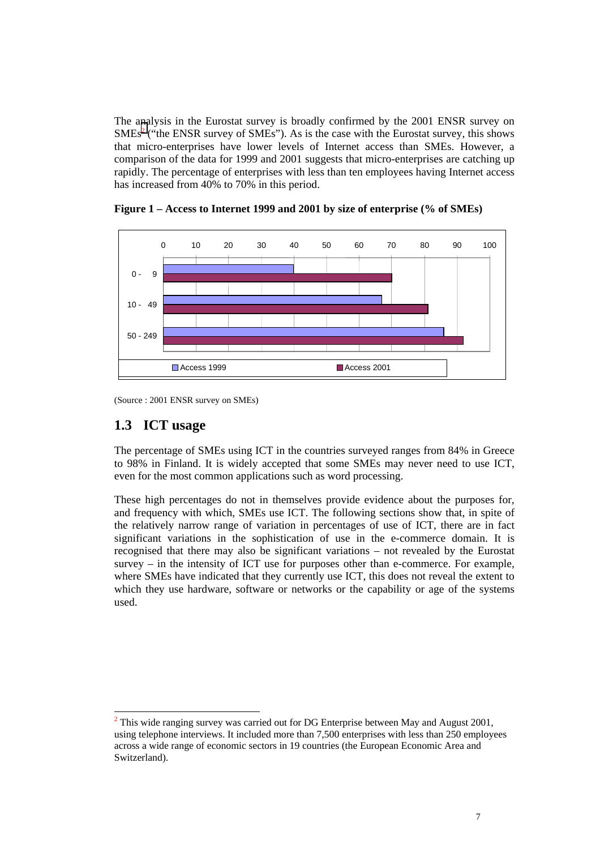<span id="page-7-0"></span>The analysis in the Eurostat survey is broadly confirmed by the 2001 ENSR survey on  $SMEs<sup>2</sup>$  ("the ENSR survey of SMEs"). As is the case with the Eurostat survey, this shows that micro-enterprises have lower levels of Internet access than SMEs. However, a comparison of the data for 1999 and 2001 suggests that micro-enterprises are catching up rapidly. The percentage of enterprises with less than ten employees having Internet access has increased from 40% to 70% in this period.



**Figure 1 – Access to Internet 1999 and 2001 by size of enterprise (% of SMEs)**

(Source : 2001 ENSR survey on SMEs)

## **1.3 ICT usage**

The percentage of SMEs using ICT in the countries surveyed ranges from 84% in Greece to 98% in Finland. It is widely accepted that some SMEs may never need to use ICT, even for the most common applications such as word processing.

These high percentages do not in themselves provide evidence about the purposes for, and frequency with which, SMEs use ICT. The following sections show that, in spite of the relatively narrow range of variation in percentages of use of ICT, there are in fact significant variations in the sophistication of use in the e-commerce domain. It is recognised that there may also be significant variations – not revealed by the Eurostat  $survey - in$  the intensity of ICT use for purposes other than e-commerce. For example, where SMEs have indicated that they currently use ICT, this does not reveal the extent to which they use hardware, software or networks or the capability or age of the systems used.

l  $2$  This wide ranging survey was carried out for DG Enterprise between May and August 2001, using telephone interviews. It included more than 7,500 enterprises with less than 250 employees across a wide range of economic sectors in 19 countries (the European Economic Area and Switzerland).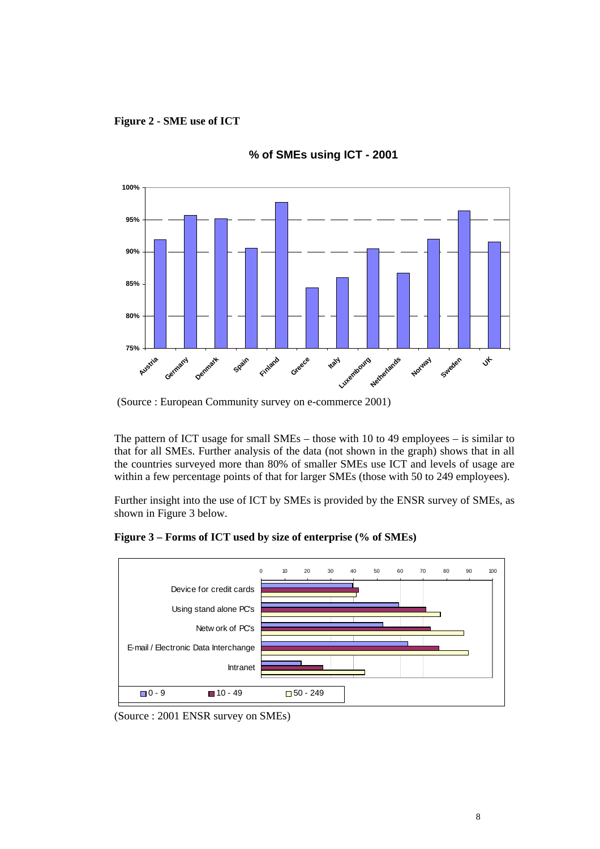**Figure 2 - SME use of ICT**



**% of SMEs using ICT - 2001**

The pattern of ICT usage for small SMEs – those with 10 to 49 employees – is similar to that for all SMEs. Further analysis of the data (not shown in the graph) shows that in all the countries surveyed more than 80% of smaller SMEs use ICT and levels of usage are within a few percentage points of that for larger SMEs (those with 50 to 249 employees).

Further insight into the use of ICT by SMEs is provided by the ENSR survey of SMEs, as shown in Figure 3 below.



**Figure 3 – Forms of ICT used by size of enterprise (% of SMEs)**

 <sup>(</sup>Source : European Community survey on e-commerce 2001)

<sup>(</sup>Source : 2001 ENSR survey on SMEs)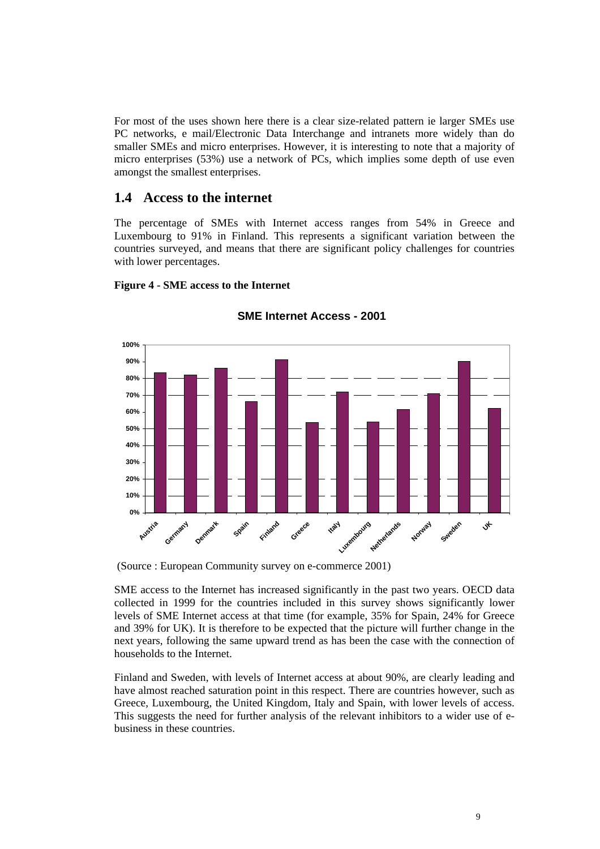<span id="page-9-0"></span>For most of the uses shown here there is a clear size-related pattern ie larger SMEs use PC networks, e mail/Electronic Data Interchange and intranets more widely than do smaller SMEs and micro enterprises. However, it is interesting to note that a majority of micro enterprises (53%) use a network of PCs, which implies some depth of use even amongst the smallest enterprises.

#### **1.4 Access to the internet**

The percentage of SMEs with Internet access ranges from 54% in Greece and Luxembourg to 91% in Finland. This represents a significant variation between the countries surveyed, and means that there are significant policy challenges for countries with lower percentages.

#### **Figure 4 - SME access to the Internet**



#### **SME Internet Access - 2001**

(Source : European Community survey on e-commerce 2001)

SME access to the Internet has increased significantly in the past two years. OECD data collected in 1999 for the countries included in this survey shows significantly lower levels of SME Internet access at that time (for example, 35% for Spain, 24% for Greece and 39% for UK). It is therefore to be expected that the picture will further change in the next years, following the same upward trend as has been the case with the connection of households to the Internet.

Finland and Sweden, with levels of Internet access at about 90%, are clearly leading and have almost reached saturation point in this respect. There are countries however, such as Greece, Luxembourg, the United Kingdom, Italy and Spain, with lower levels of access. This suggests the need for further analysis of the relevant inhibitors to a wider use of ebusiness in these countries.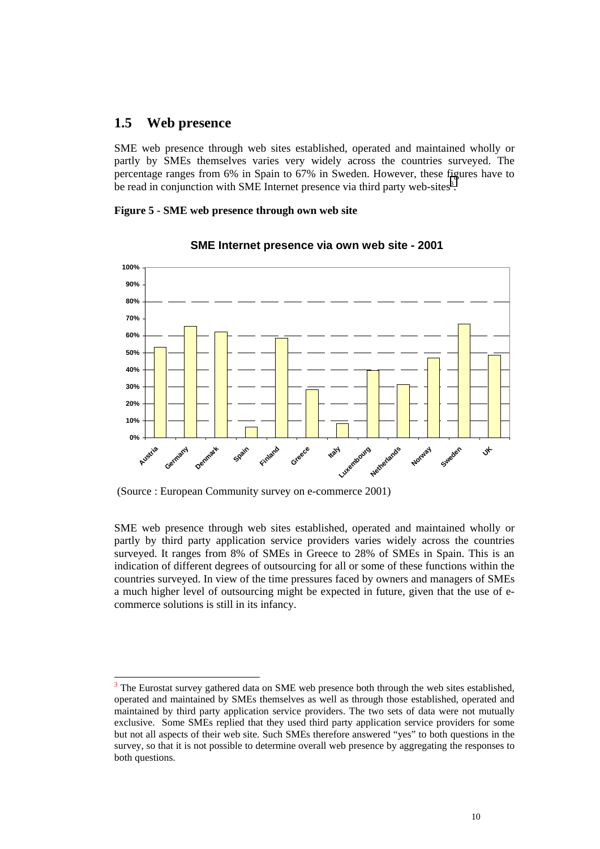#### <span id="page-10-0"></span>**1.5 Web presence**

l

SME web presence through web sites established, operated and maintained wholly or partly by SMEs themselves varies very widely across the countries surveyed. The percentage ranges from 6% in Spain to 67% in Sweden. However, these figures have to be read in conjunction with SME Internet presence via third party web-sites<sup>3</sup>.

**Figure 5 - SME web presence through own web site**



#### **SME Internet presence via own web site - 2001**

(Source : European Community survey on e-commerce 2001)

SME web presence through web sites established, operated and maintained wholly or partly by third party application service providers varies widely across the countries surveyed. It ranges from 8% of SMEs in Greece to 28% of SMEs in Spain. This is an indication of different degrees of outsourcing for all or some of these functions within the countries surveyed. In view of the time pressures faced by owners and managers of SMEs a much higher level of outsourcing might be expected in future, given that the use of ecommerce solutions is still in its infancy.

 $3$  The Eurostat survey gathered data on SME web presence both through the web sites established, operated and maintained by SMEs themselves as well as through those established, operated and maintained by third party application service providers. The two sets of data were not mutually exclusive. Some SMEs replied that they used third party application service providers for some but not all aspects of their web site. Such SMEs therefore answered "yes" to both questions in the survey, so that it is not possible to determine overall web presence by aggregating the responses to both questions.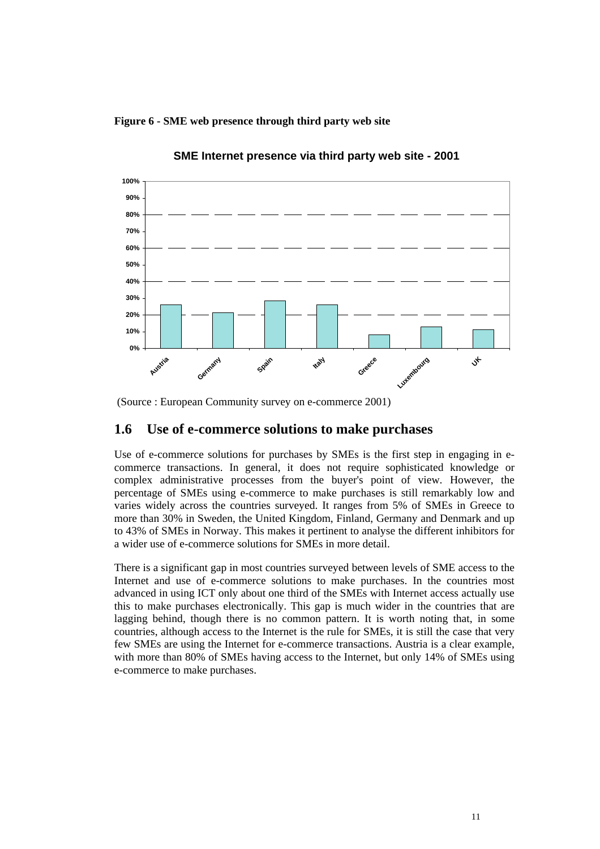<span id="page-11-0"></span>**Figure 6 - SME web presence through third party web site**



**SME Internet presence via third party web site - 2001**

(Source : European Community survey on e-commerce 2001)

### **1.6 Use of e-commerce solutions to make purchases**

Use of e-commerce solutions for purchases by SMEs is the first step in engaging in ecommerce transactions. In general, it does not require sophisticated knowledge or complex administrative processes from the buyer's point of view. However, the percentage of SMEs using e-commerce to make purchases is still remarkably low and varies widely across the countries surveyed. It ranges from 5% of SMEs in Greece to more than 30% in Sweden, the United Kingdom, Finland, Germany and Denmark and up to 43% of SMEs in Norway. This makes it pertinent to analyse the different inhibitors for a wider use of e-commerce solutions for SMEs in more detail.

There is a significant gap in most countries surveyed between levels of SME access to the Internet and use of e-commerce solutions to make purchases. In the countries most advanced in using ICT only about one third of the SMEs with Internet access actually use this to make purchases electronically. This gap is much wider in the countries that are lagging behind, though there is no common pattern. It is worth noting that, in some countries, although access to the Internet is the rule for SMEs, it is still the case that very few SMEs are using the Internet for e-commerce transactions. Austria is a clear example, with more than 80% of SMEs having access to the Internet, but only 14% of SMEs using e-commerce to make purchases.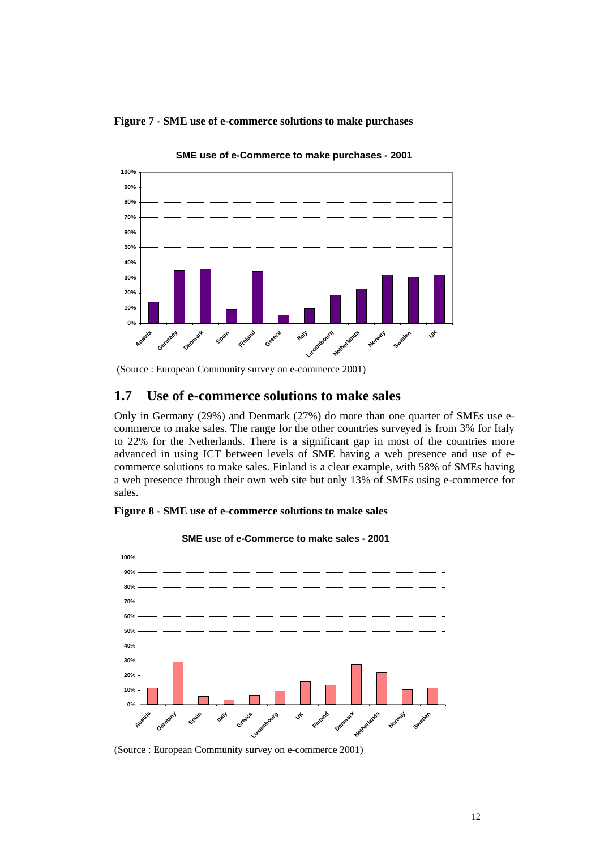<span id="page-12-0"></span>



**SME use of e-Commerce to make purchases - 2001**

### **1.7 Use of e-commerce solutions to make sales**

Only in Germany (29%) and Denmark (27%) do more than one quarter of SMEs use ecommerce to make sales. The range for the other countries surveyed is from 3% for Italy to 22% for the Netherlands. There is a significant gap in most of the countries more advanced in using ICT between levels of SME having a web presence and use of ecommerce solutions to make sales. Finland is a clear example, with 58% of SMEs having a web presence through their own web site but only 13% of SMEs using e-commerce for sales.





**SME use of e-Commerce to make sales - 2001**

(Source : European Community survey on e-commerce 2001)

 <sup>(</sup>Source : European Community survey on e-commerce 2001)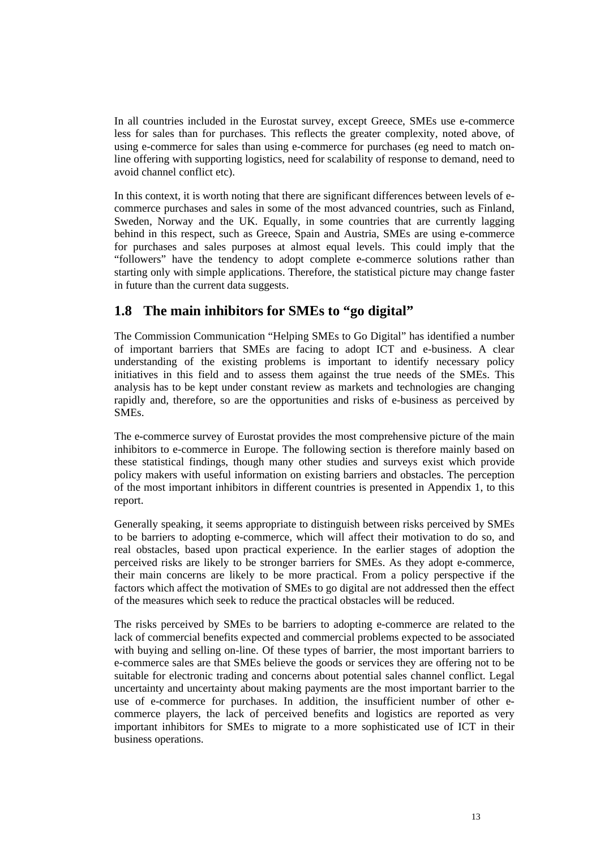<span id="page-13-0"></span>In all countries included in the Eurostat survey, except Greece, SMEs use e-commerce less for sales than for purchases. This reflects the greater complexity, noted above, of using e-commerce for sales than using e-commerce for purchases (eg need to match online offering with supporting logistics, need for scalability of response to demand, need to avoid channel conflict etc).

In this context, it is worth noting that there are significant differences between levels of ecommerce purchases and sales in some of the most advanced countries, such as Finland, Sweden, Norway and the UK. Equally, in some countries that are currently lagging behind in this respect, such as Greece, Spain and Austria, SMEs are using e-commerce for purchases and sales purposes at almost equal levels. This could imply that the "followers" have the tendency to adopt complete e-commerce solutions rather than starting only with simple applications. Therefore, the statistical picture may change faster in future than the current data suggests.

# **1.8 The main inhibitors for SMEs to "go digital"**

The Commission Communication "Helping SMEs to Go Digital" has identified a number of important barriers that SMEs are facing to adopt ICT and e-business. A clear understanding of the existing problems is important to identify necessary policy initiatives in this field and to assess them against the true needs of the SMEs. This analysis has to be kept under constant review as markets and technologies are changing rapidly and, therefore, so are the opportunities and risks of e-business as perceived by SMEs.

The e-commerce survey of Eurostat provides the most comprehensive picture of the main inhibitors to e-commerce in Europe. The following section is therefore mainly based on these statistical findings, though many other studies and surveys exist which provide policy makers with useful information on existing barriers and obstacles. The perception of the most important inhibitors in different countries is presented in Appendix 1, to this report.

Generally speaking, it seems appropriate to distinguish between risks perceived by SMEs to be barriers to adopting e-commerce, which will affect their motivation to do so, and real obstacles, based upon practical experience. In the earlier stages of adoption the perceived risks are likely to be stronger barriers for SMEs. As they adopt e-commerce, their main concerns are likely to be more practical. From a policy perspective if the factors which affect the motivation of SMEs to go digital are not addressed then the effect of the measures which seek to reduce the practical obstacles will be reduced.

The risks perceived by SMEs to be barriers to adopting e-commerce are related to the lack of commercial benefits expected and commercial problems expected to be associated with buying and selling on-line. Of these types of barrier, the most important barriers to e-commerce sales are that SMEs believe the goods or services they are offering not to be suitable for electronic trading and concerns about potential sales channel conflict. Legal uncertainty and uncertainty about making payments are the most important barrier to the use of e-commerce for purchases. In addition, the insufficient number of other ecommerce players, the lack of perceived benefits and logistics are reported as very important inhibitors for SMEs to migrate to a more sophisticated use of ICT in their business operations.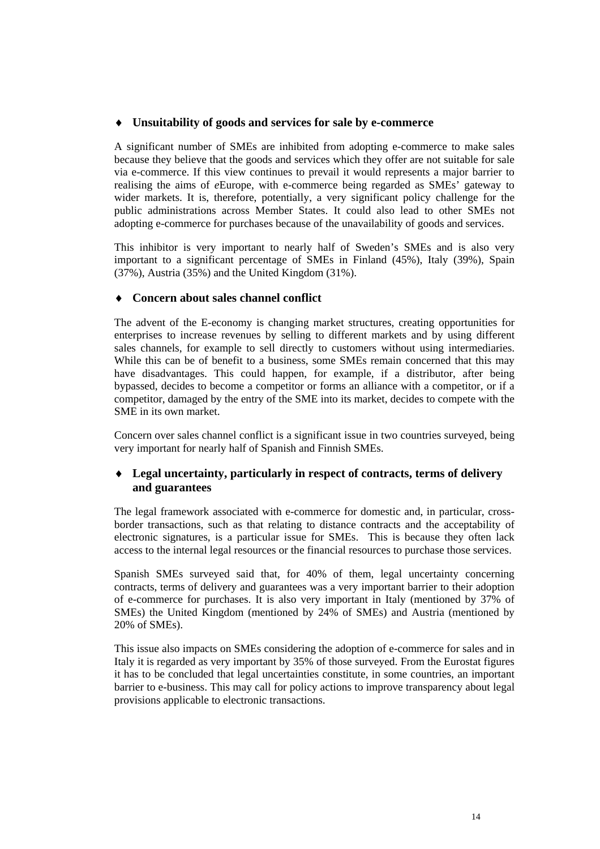#### **Unsuitability of goods and services for sale by e-commerce**

A significant number of SMEs are inhibited from adopting e-commerce to make sales because they believe that the goods and services which they offer are not suitable for sale via e-commerce. If this view continues to prevail it would represents a major barrier to realising the aims of *e*Europe, with e-commerce being regarded as SMEs' gateway to wider markets. It is, therefore, potentially, a very significant policy challenge for the public administrations across Member States. It could also lead to other SMEs not adopting e-commerce for purchases because of the unavailability of goods and services.

This inhibitor is very important to nearly half of Sweden's SMEs and is also very important to a significant percentage of SMEs in Finland (45%), Italy (39%), Spain (37%), Austria (35%) and the United Kingdom (31%).

#### **Concern about sales channel conflict**

The advent of the E-economy is changing market structures, creating opportunities for enterprises to increase revenues by selling to different markets and by using different sales channels, for example to sell directly to customers without using intermediaries. While this can be of benefit to a business, some SMEs remain concerned that this may have disadvantages. This could happen, for example, if a distributor, after being bypassed, decides to become a competitor or forms an alliance with a competitor, or if a competitor, damaged by the entry of the SME into its market, decides to compete with the SME in its own market.

Concern over sales channel conflict is a significant issue in two countries surveyed, being very important for nearly half of Spanish and Finnish SMEs.

#### **Legal uncertainty, particularly in respect of contracts, terms of delivery and guarantees**

The legal framework associated with e-commerce for domestic and, in particular, crossborder transactions, such as that relating to distance contracts and the acceptability of electronic signatures, is a particular issue for SMEs. This is because they often lack access to the internal legal resources or the financial resources to purchase those services.

Spanish SMEs surveyed said that, for 40% of them, legal uncertainty concerning contracts, terms of delivery and guarantees was a very important barrier to their adoption of e-commerce for purchases. It is also very important in Italy (mentioned by 37% of SMEs) the United Kingdom (mentioned by 24% of SMEs) and Austria (mentioned by 20% of SMEs).

This issue also impacts on SMEs considering the adoption of e-commerce for sales and in Italy it is regarded as very important by 35% of those surveyed. From the Eurostat figures it has to be concluded that legal uncertainties constitute, in some countries, an important barrier to e-business. This may call for policy actions to improve transparency about legal provisions applicable to electronic transactions.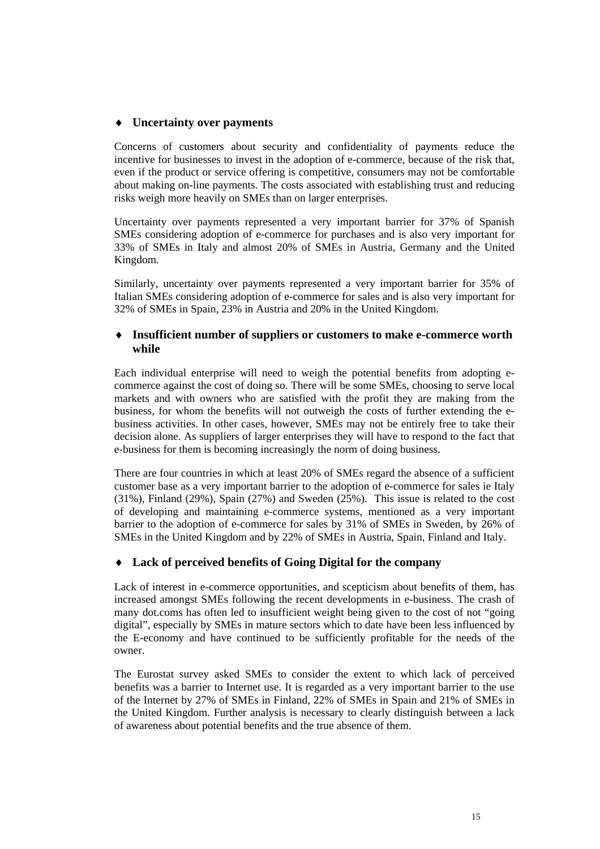#### **Uncertainty over payments**

Concerns of customers about security and confidentiality of payments reduce the incentive for businesses to invest in the adoption of e-commerce, because of the risk that, even if the product or service offering is competitive, consumers may not be comfortable about making on-line payments. The costs associated with establishing trust and reducing risks weigh more heavily on SMEs than on larger enterprises.

Uncertainty over payments represented a very important barrier for 37% of Spanish SMEs considering adoption of e-commerce for purchases and is also very important for 33% of SMEs in Italy and almost 20% of SMEs in Austria, Germany and the United Kingdom.

Similarly, uncertainty over payments represented a very important barrier for 35% of Italian SMEs considering adoption of e-commerce for sales and is also very important for 32% of SMEs in Spain, 23% in Austria and 20% in the United Kingdom.

#### **Insufficient number of suppliers or customers to make e-commerce worth while**

Each individual enterprise will need to weigh the potential benefits from adopting ecommerce against the cost of doing so. There will be some SMEs, choosing to serve local markets and with owners who are satisfied with the profit they are making from the business, for whom the benefits will not outweigh the costs of further extending the ebusiness activities. In other cases, however, SMEs may not be entirely free to take their decision alone. As suppliers of larger enterprises they will have to respond to the fact that e-business for them is becoming increasingly the norm of doing business.

There are four countries in which at least 20% of SMEs regard the absence of a sufficient customer base as a very important barrier to the adoption of e-commerce for sales ie Italy (31%), Finland (29%), Spain (27%) and Sweden (25%). This issue is related to the cost of developing and maintaining e-commerce systems, mentioned as a very important barrier to the adoption of e-commerce for sales by 31% of SMEs in Sweden, by 26% of SMEs in the United Kingdom and by 22% of SMEs in Austria, Spain, Finland and Italy.

#### **Lack of perceived benefits of Going Digital for the company**

Lack of interest in e-commerce opportunities, and scepticism about benefits of them, has increased amongst SMEs following the recent developments in e-business. The crash of many dot.coms has often led to insufficient weight being given to the cost of not "going digital", especially by SMEs in mature sectors which to date have been less influenced by the E-economy and have continued to be sufficiently profitable for the needs of the owner.

The Eurostat survey asked SMEs to consider the extent to which lack of perceived benefits was a barrier to Internet use. It is regarded as a very important barrier to the use of the Internet by 27% of SMEs in Finland, 22% of SMEs in Spain and 21% of SMEs in the United Kingdom. Further analysis is necessary to clearly distinguish between a lack of awareness about potential benefits and the true absence of them.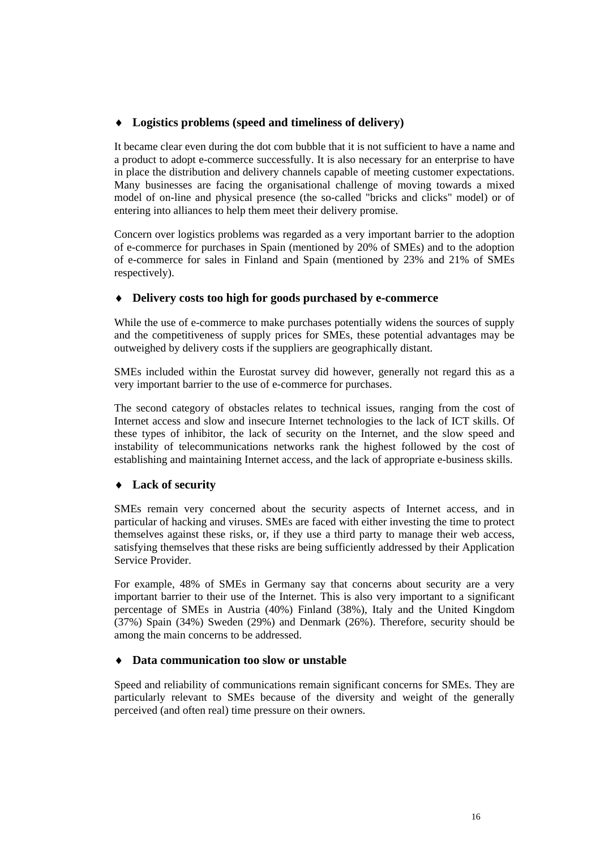#### **Logistics problems (speed and timeliness of delivery)**

It became clear even during the dot com bubble that it is not sufficient to have a name and a product to adopt e-commerce successfully. It is also necessary for an enterprise to have in place the distribution and delivery channels capable of meeting customer expectations. Many businesses are facing the organisational challenge of moving towards a mixed model of on-line and physical presence (the so-called "bricks and clicks" model) or of entering into alliances to help them meet their delivery promise.

Concern over logistics problems was regarded as a very important barrier to the adoption of e-commerce for purchases in Spain (mentioned by 20% of SMEs) and to the adoption of e-commerce for sales in Finland and Spain (mentioned by 23% and 21% of SMEs respectively).

#### **Delivery costs too high for goods purchased by e-commerce**

While the use of e-commerce to make purchases potentially widens the sources of supply and the competitiveness of supply prices for SMEs, these potential advantages may be outweighed by delivery costs if the suppliers are geographically distant.

SMEs included within the Eurostat survey did however, generally not regard this as a very important barrier to the use of e-commerce for purchases.

The second category of obstacles relates to technical issues, ranging from the cost of Internet access and slow and insecure Internet technologies to the lack of ICT skills. Of these types of inhibitor, the lack of security on the Internet, and the slow speed and instability of telecommunications networks rank the highest followed by the cost of establishing and maintaining Internet access, and the lack of appropriate e-business skills.

#### **Lack of security**

SMEs remain very concerned about the security aspects of Internet access, and in particular of hacking and viruses. SMEs are faced with either investing the time to protect themselves against these risks, or, if they use a third party to manage their web access, satisfying themselves that these risks are being sufficiently addressed by their Application Service Provider.

For example, 48% of SMEs in Germany say that concerns about security are a very important barrier to their use of the Internet. This is also very important to a significant percentage of SMEs in Austria (40%) Finland (38%), Italy and the United Kingdom (37%) Spain (34%) Sweden (29%) and Denmark (26%). Therefore, security should be among the main concerns to be addressed.

#### **Data communication too slow or unstable**

Speed and reliability of communications remain significant concerns for SMEs. They are particularly relevant to SMEs because of the diversity and weight of the generally perceived (and often real) time pressure on their owners.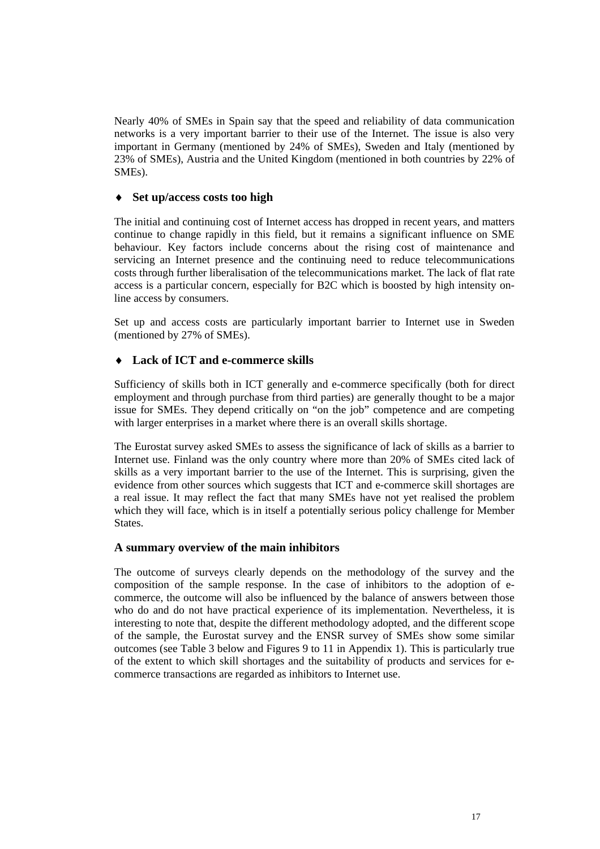Nearly 40% of SMEs in Spain say that the speed and reliability of data communication networks is a very important barrier to their use of the Internet. The issue is also very important in Germany (mentioned by 24% of SMEs), Sweden and Italy (mentioned by 23% of SMEs), Austria and the United Kingdom (mentioned in both countries by 22% of SMEs).

#### **Set up/access costs too high**

The initial and continuing cost of Internet access has dropped in recent years, and matters continue to change rapidly in this field, but it remains a significant influence on SME behaviour. Key factors include concerns about the rising cost of maintenance and servicing an Internet presence and the continuing need to reduce telecommunications costs through further liberalisation of the telecommunications market. The lack of flat rate access is a particular concern, especially for B2C which is boosted by high intensity online access by consumers.

Set up and access costs are particularly important barrier to Internet use in Sweden (mentioned by 27% of SMEs).

#### **Lack of ICT and e-commerce skills**

Sufficiency of skills both in ICT generally and e-commerce specifically (both for direct employment and through purchase from third parties) are generally thought to be a major issue for SMEs. They depend critically on "on the job" competence and are competing with larger enterprises in a market where there is an overall skills shortage.

The Eurostat survey asked SMEs to assess the significance of lack of skills as a barrier to Internet use. Finland was the only country where more than 20% of SMEs cited lack of skills as a very important barrier to the use of the Internet. This is surprising, given the evidence from other sources which suggests that ICT and e-commerce skill shortages are a real issue. It may reflect the fact that many SMEs have not yet realised the problem which they will face, which is in itself a potentially serious policy challenge for Member States.

#### **A summary overview of the main inhibitors**

The outcome of surveys clearly depends on the methodology of the survey and the composition of the sample response. In the case of inhibitors to the adoption of ecommerce, the outcome will also be influenced by the balance of answers between those who do and do not have practical experience of its implementation. Nevertheless, it is interesting to note that, despite the different methodology adopted, and the different scope of the sample, the Eurostat survey and the ENSR survey of SMEs show some similar outcomes (see Table 3 below and Figures 9 to 11 in Appendix 1). This is particularly true of the extent to which skill shortages and the suitability of products and services for ecommerce transactions are regarded as inhibitors to Internet use.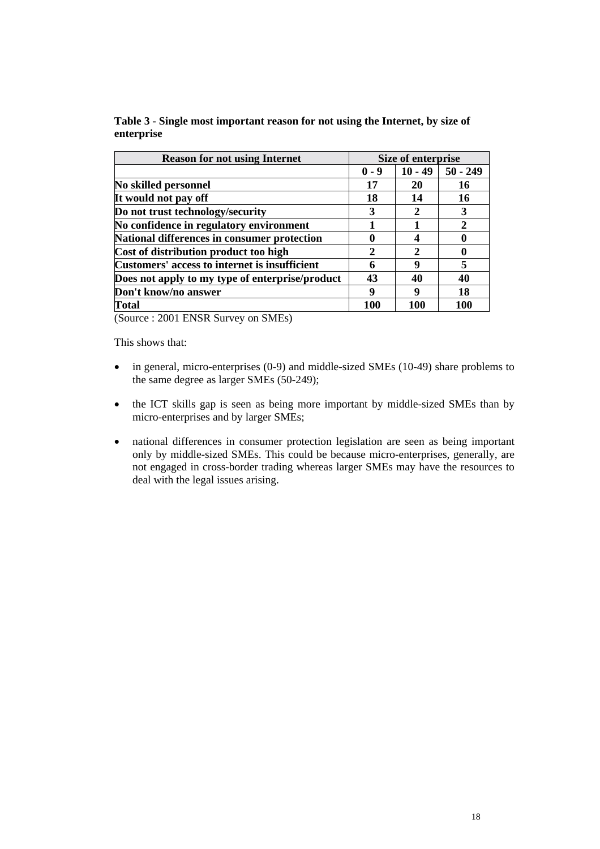| Table 3 - Single most important reason for not using the Internet, by size of |  |
|-------------------------------------------------------------------------------|--|
| enterprise                                                                    |  |

| <b>Reason for not using Internet</b>            | Size of enterprise          |               |            |  |
|-------------------------------------------------|-----------------------------|---------------|------------|--|
|                                                 | $0 - 9$                     | $10 - 49$     | $50 - 249$ |  |
| No skilled personnel                            | 17                          | 20            | 16         |  |
| It would not pay off                            | 18                          | 14            | 16         |  |
| Do not trust technology/security                | 3                           | 2             | 3          |  |
| No confidence in regulatory environment         |                             |               | 2          |  |
| National differences in consumer protection     | $\mathbf 0$                 | 4             | O          |  |
| Cost of distribution product too high           | $\mathcal{D}_{\mathcal{L}}$ | $\mathcal{D}$ | O          |  |
| Customers' access to internet is insufficient   | 6                           | 9             | 5          |  |
| Does not apply to my type of enterprise/product | 43                          | 40            | 40         |  |
| Don't know/no answer                            | 9                           | q             | 18         |  |
| <b>Total</b>                                    | 100                         | 100           | 100        |  |
|                                                 |                             |               |            |  |

(Source : 2001 ENSR Survey on SMEs)

This shows that:

- in general, micro-enterprises (0-9) and middle-sized SMEs (10-49) share problems to the same degree as larger SMEs (50-249);
- the ICT skills gap is seen as being more important by middle-sized SMEs than by micro-enterprises and by larger SMEs;
- national differences in consumer protection legislation are seen as being important only by middle-sized SMEs. This could be because micro-enterprises, generally, are not engaged in cross-border trading whereas larger SMEs may have the resources to deal with the legal issues arising.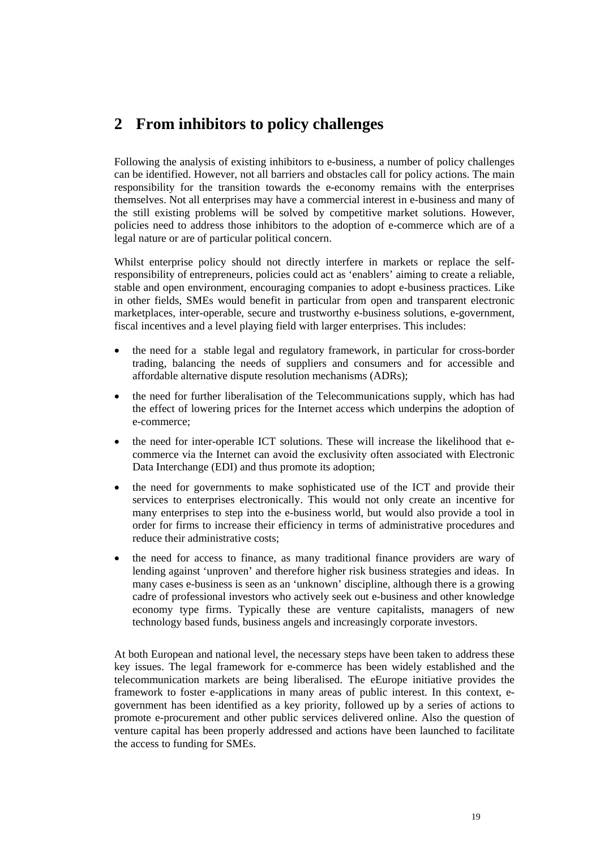# <span id="page-19-0"></span>**2 From inhibitors to policy challenges**

Following the analysis of existing inhibitors to e-business, a number of policy challenges can be identified. However, not all barriers and obstacles call for policy actions. The main responsibility for the transition towards the e-economy remains with the enterprises themselves. Not all enterprises may have a commercial interest in e-business and many of the still existing problems will be solved by competitive market solutions. However, policies need to address those inhibitors to the adoption of e-commerce which are of a legal nature or are of particular political concern.

Whilst enterprise policy should not directly interfere in markets or replace the selfresponsibility of entrepreneurs, policies could act as 'enablers' aiming to create a reliable, stable and open environment, encouraging companies to adopt e-business practices. Like in other fields, SMEs would benefit in particular from open and transparent electronic marketplaces, inter-operable, secure and trustworthy e-business solutions, e-government, fiscal incentives and a level playing field with larger enterprises. This includes:

- the need for a stable legal and regulatory framework, in particular for cross-border trading, balancing the needs of suppliers and consumers and for accessible and affordable alternative dispute resolution mechanisms (ADRs);
- the need for further liberalisation of the Telecommunications supply, which has had the effect of lowering prices for the Internet access which underpins the adoption of e-commerce;
- the need for inter-operable ICT solutions. These will increase the likelihood that ecommerce via the Internet can avoid the exclusivity often associated with Electronic Data Interchange (EDI) and thus promote its adoption;
- the need for governments to make sophisticated use of the ICT and provide their services to enterprises electronically. This would not only create an incentive for many enterprises to step into the e-business world, but would also provide a tool in order for firms to increase their efficiency in terms of administrative procedures and reduce their administrative costs:
- the need for access to finance, as many traditional finance providers are wary of lending against 'unproven' and therefore higher risk business strategies and ideas. In many cases e-business is seen as an 'unknown' discipline, although there is a growing cadre of professional investors who actively seek out e-business and other knowledge economy type firms. Typically these are venture capitalists, managers of new technology based funds, business angels and increasingly corporate investors.

At both European and national level, the necessary steps have been taken to address these key issues. The legal framework for e-commerce has been widely established and the telecommunication markets are being liberalised. The eEurope initiative provides the framework to foster e-applications in many areas of public interest. In this context, egovernment has been identified as a key priority, followed up by a series of actions to promote e-procurement and other public services delivered online. Also the question of venture capital has been properly addressed and actions have been launched to facilitate the access to funding for SMEs.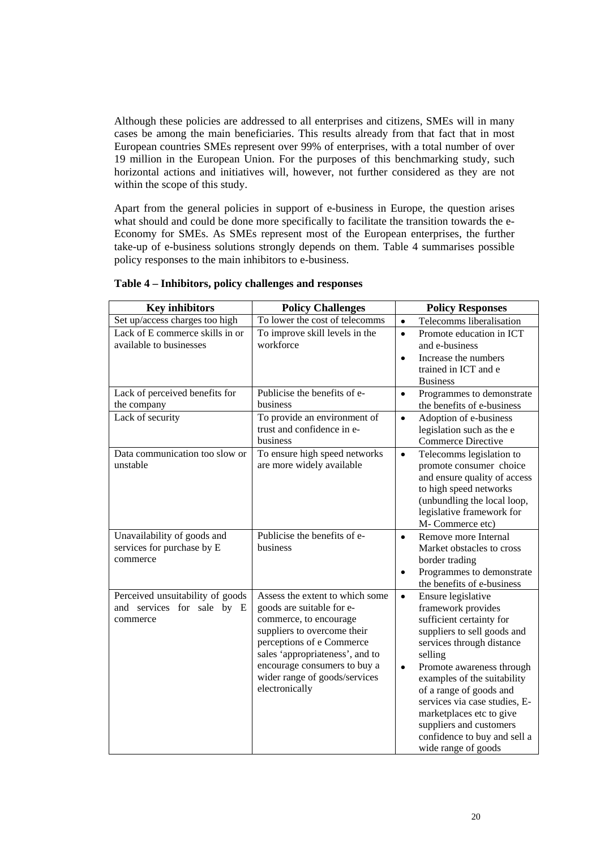Although these policies are addressed to all enterprises and citizens, SMEs will in many cases be among the main beneficiaries. This results already from that fact that in most European countries SMEs represent over 99% of enterprises, with a total number of over 19 million in the European Union. For the purposes of this benchmarking study, such horizontal actions and initiatives will, however, not further considered as they are not within the scope of this study.

Apart from the general policies in support of e-business in Europe, the question arises what should and could be done more specifically to facilitate the transition towards the e-Economy for SMEs. As SMEs represent most of the European enterprises, the further take-up of e-business solutions strongly depends on them. Table 4 summarises possible policy responses to the main inhibitors to e-business.

| <b>Key inhibitors</b>            | <b>Policy Challenges</b>                              | <b>Policy Responses</b>                |
|----------------------------------|-------------------------------------------------------|----------------------------------------|
| Set up/access charges too high   | To lower the cost of telecomms                        | Telecomms liberalisation<br>$\bullet$  |
| Lack of E commerce skills in or  | To improve skill levels in the                        | Promote education in ICT<br>$\bullet$  |
| available to businesses          | workforce                                             | and e-business                         |
|                                  |                                                       | Increase the numbers<br>$\bullet$      |
|                                  |                                                       | trained in ICT and e                   |
|                                  |                                                       | <b>Business</b>                        |
| Lack of perceived benefits for   | Publicise the benefits of e-                          | Programmes to demonstrate<br>$\bullet$ |
| the company                      | business                                              | the benefits of e-business             |
| Lack of security                 | To provide an environment of                          | Adoption of e-business<br>$\bullet$    |
|                                  | trust and confidence in e-                            | legislation such as the e              |
|                                  | business                                              | <b>Commerce Directive</b>              |
| Data communication too slow or   | To ensure high speed networks                         | Telecomms legislation to<br>$\bullet$  |
| unstable                         | are more widely available                             | promote consumer choice                |
|                                  |                                                       | and ensure quality of access           |
|                                  |                                                       | to high speed networks                 |
|                                  |                                                       | (unbundling the local loop,            |
|                                  |                                                       | legislative framework for              |
|                                  |                                                       | M-Commerce etc)                        |
| Unavailability of goods and      | Publicise the benefits of e-                          | Remove more Internal<br>$\bullet$      |
| services for purchase by E       | business                                              | Market obstacles to cross              |
| commerce                         |                                                       | border trading                         |
|                                  |                                                       | Programmes to demonstrate              |
|                                  |                                                       | the benefits of e-business             |
| Perceived unsuitability of goods | Assess the extent to which some                       | Ensure legislative<br>$\bullet$        |
| and services for sale by E       | goods are suitable for e-                             | framework provides                     |
| commerce                         | commerce, to encourage<br>suppliers to overcome their | sufficient certainty for               |
|                                  | perceptions of e Commerce                             | suppliers to sell goods and            |
|                                  | sales 'appropriateness', and to                       | services through distance<br>selling   |
|                                  | encourage consumers to buy a                          | Promote awareness through<br>$\bullet$ |
|                                  | wider range of goods/services                         | examples of the suitability            |
|                                  | electronically                                        | of a range of goods and                |
|                                  |                                                       | services via case studies, E-          |
|                                  |                                                       | marketplaces etc to give               |
|                                  |                                                       | suppliers and customers                |
|                                  |                                                       | confidence to buy and sell a           |
|                                  |                                                       | wide range of goods                    |

#### **Table 4 – Inhibitors, policy challenges and responses**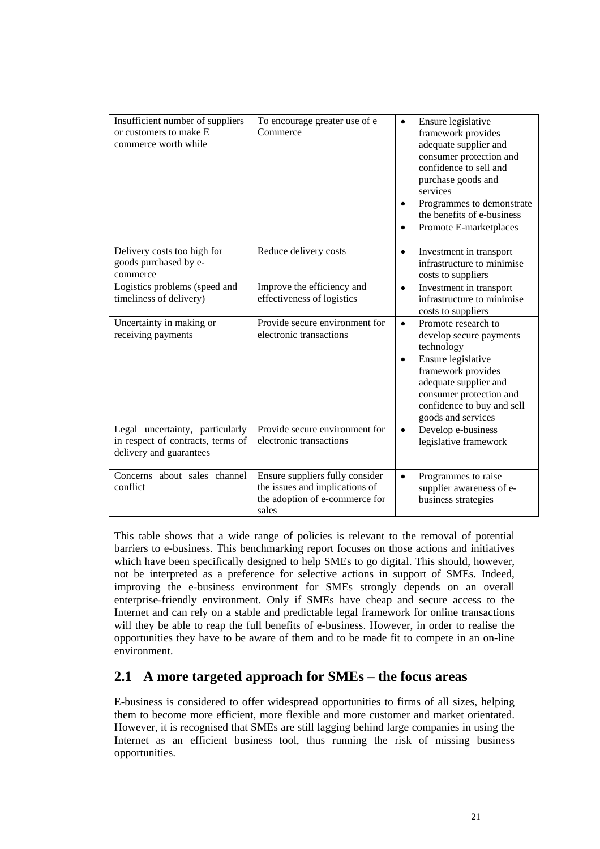<span id="page-21-0"></span>

| Insufficient number of suppliers<br>or customers to make E<br>commerce worth while              | To encourage greater use of e<br>Commerce                                                                    | Ensure legislative<br>$\bullet$<br>framework provides<br>adequate supplier and<br>consumer protection and<br>confidence to sell and<br>purchase goods and<br>services<br>Programmes to demonstrate<br>the benefits of e-business<br>Promote E-marketplaces<br>$\bullet$ |
|-------------------------------------------------------------------------------------------------|--------------------------------------------------------------------------------------------------------------|-------------------------------------------------------------------------------------------------------------------------------------------------------------------------------------------------------------------------------------------------------------------------|
| Delivery costs too high for<br>goods purchased by e-<br>commerce                                | Reduce delivery costs                                                                                        | Investment in transport<br>$\bullet$<br>infrastructure to minimise<br>costs to suppliers                                                                                                                                                                                |
| Logistics problems (speed and<br>timeliness of delivery)                                        | Improve the efficiency and<br>effectiveness of logistics                                                     | Investment in transport<br>$\bullet$<br>infrastructure to minimise<br>costs to suppliers                                                                                                                                                                                |
| Uncertainty in making or<br>receiving payments                                                  | Provide secure environment for<br>electronic transactions                                                    | Promote research to<br>$\bullet$<br>develop secure payments<br>technology<br>Ensure legislative<br>$\bullet$<br>framework provides<br>adequate supplier and<br>consumer protection and<br>confidence to buy and sell<br>goods and services                              |
| Legal uncertainty, particularly<br>in respect of contracts, terms of<br>delivery and guarantees | Provide secure environment for<br>electronic transactions                                                    | Develop e-business<br>$\bullet$<br>legislative framework                                                                                                                                                                                                                |
| Concerns about sales channel<br>conflict                                                        | Ensure suppliers fully consider<br>the issues and implications of<br>the adoption of e-commerce for<br>sales | Programmes to raise<br>$\bullet$<br>supplier awareness of e-<br>business strategies                                                                                                                                                                                     |

This table shows that a wide range of policies is relevant to the removal of potential barriers to e-business. This benchmarking report focuses on those actions and initiatives which have been specifically designed to help SMEs to go digital. This should, however, not be interpreted as a preference for selective actions in support of SMEs. Indeed, improving the e-business environment for SMEs strongly depends on an overall enterprise-friendly environment. Only if SMEs have cheap and secure access to the Internet and can rely on a stable and predictable legal framework for online transactions will they be able to reap the full benefits of e-business. However, in order to realise the opportunities they have to be aware of them and to be made fit to compete in an on-line environment.

## **2.1 A more targeted approach for SMEs – the focus areas**

E-business is considered to offer widespread opportunities to firms of all sizes, helping them to become more efficient, more flexible and more customer and market orientated. However, it is recognised that SMEs are still lagging behind large companies in using the Internet as an efficient business tool, thus running the risk of missing business opportunities.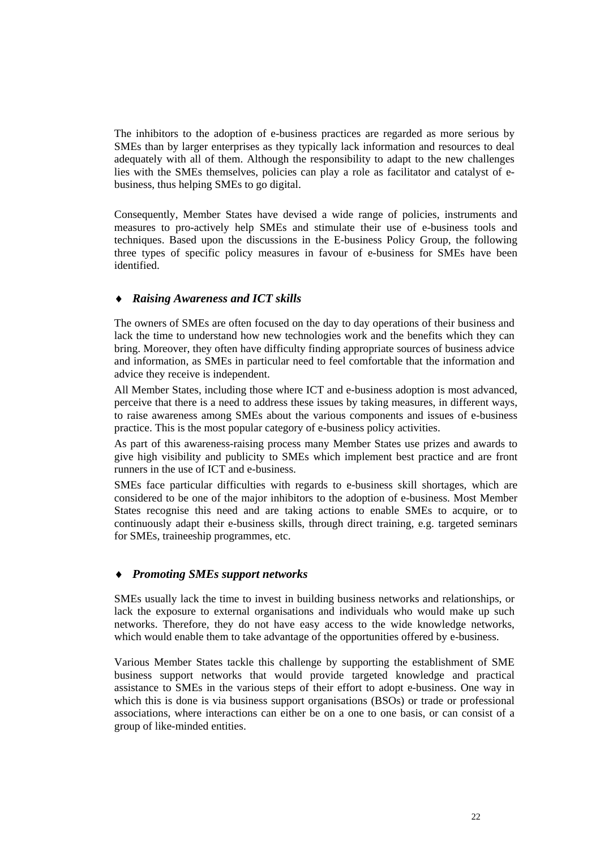The inhibitors to the adoption of e-business practices are regarded as more serious by SMEs than by larger enterprises as they typically lack information and resources to deal adequately with all of them. Although the responsibility to adapt to the new challenges lies with the SMEs themselves, policies can play a role as facilitator and catalyst of ebusiness, thus helping SMEs to go digital.

Consequently, Member States have devised a wide range of policies, instruments and measures to pro-actively help SMEs and stimulate their use of e-business tools and techniques. Based upon the discussions in the E-business Policy Group, the following three types of specific policy measures in favour of e-business for SMEs have been identified.

#### *Raising Awareness and ICT skills*

The owners of SMEs are often focused on the day to day operations of their business and lack the time to understand how new technologies work and the benefits which they can bring. Moreover, they often have difficulty finding appropriate sources of business advice and information, as SMEs in particular need to feel comfortable that the information and advice they receive is independent.

All Member States, including those where ICT and e-business adoption is most advanced, perceive that there is a need to address these issues by taking measures, in different ways, to raise awareness among SMEs about the various components and issues of e-business practice. This is the most popular category of e-business policy activities.

As part of this awareness-raising process many Member States use prizes and awards to give high visibility and publicity to SMEs which implement best practice and are front runners in the use of ICT and e-business.

SMEs face particular difficulties with regards to e-business skill shortages, which are considered to be one of the major inhibitors to the adoption of e-business. Most Member States recognise this need and are taking actions to enable SMEs to acquire, or to continuously adapt their e-business skills, through direct training, e.g. targeted seminars for SMEs, traineeship programmes, etc.

#### *Promoting SMEs support networks*

SMEs usually lack the time to invest in building business networks and relationships, or lack the exposure to external organisations and individuals who would make up such networks. Therefore, they do not have easy access to the wide knowledge networks, which would enable them to take advantage of the opportunities offered by e-business.

Various Member States tackle this challenge by supporting the establishment of SME business support networks that would provide targeted knowledge and practical assistance to SMEs in the various steps of their effort to adopt e-business. One way in which this is done is via business support organisations (BSOs) or trade or professional associations, where interactions can either be on a one to one basis, or can consist of a group of like-minded entities.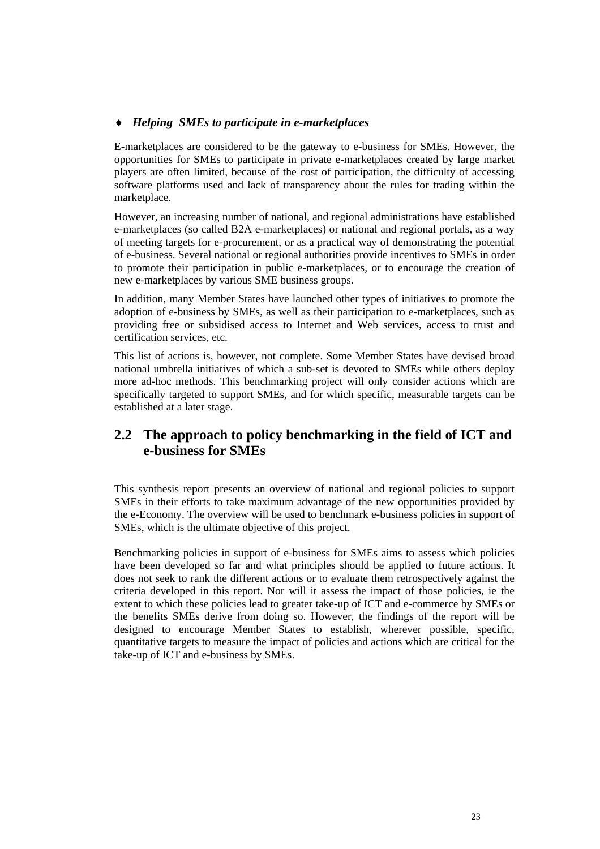#### <span id="page-23-0"></span>*Helping SMEs to participate in e-marketplaces*

E-marketplaces are considered to be the gateway to e-business for SMEs. However, the opportunities for SMEs to participate in private e-marketplaces created by large market players are often limited, because of the cost of participation, the difficulty of accessing software platforms used and lack of transparency about the rules for trading within the marketplace.

However, an increasing number of national, and regional administrations have established e-marketplaces (so called B2A e-marketplaces) or national and regional portals, as a way of meeting targets for e-procurement, or as a practical way of demonstrating the potential of e-business. Several national or regional authorities provide incentives to SMEs in order to promote their participation in public e-marketplaces, or to encourage the creation of new e-marketplaces by various SME business groups.

In addition, many Member States have launched other types of initiatives to promote the adoption of e-business by SMEs, as well as their participation to e-marketplaces, such as providing free or subsidised access to Internet and Web services, access to trust and certification services, etc.

This list of actions is, however, not complete. Some Member States have devised broad national umbrella initiatives of which a sub-set is devoted to SMEs while others deploy more ad-hoc methods. This benchmarking project will only consider actions which are specifically targeted to support SMEs, and for which specific, measurable targets can be established at a later stage.

# **2.2 The approach to policy benchmarking in the field of ICT and e-business for SMEs**

This synthesis report presents an overview of national and regional policies to support SMEs in their efforts to take maximum advantage of the new opportunities provided by the e-Economy. The overview will be used to benchmark e-business policies in support of SMEs, which is the ultimate objective of this project.

Benchmarking policies in support of e-business for SMEs aims to assess which policies have been developed so far and what principles should be applied to future actions. It does not seek to rank the different actions or to evaluate them retrospectively against the criteria developed in this report. Nor will it assess the impact of those policies, ie the extent to which these policies lead to greater take-up of ICT and e-commerce by SMEs or the benefits SMEs derive from doing so. However, the findings of the report will be designed to encourage Member States to establish, wherever possible, specific, quantitative targets to measure the impact of policies and actions which are critical for the take-up of ICT and e-business by SMEs.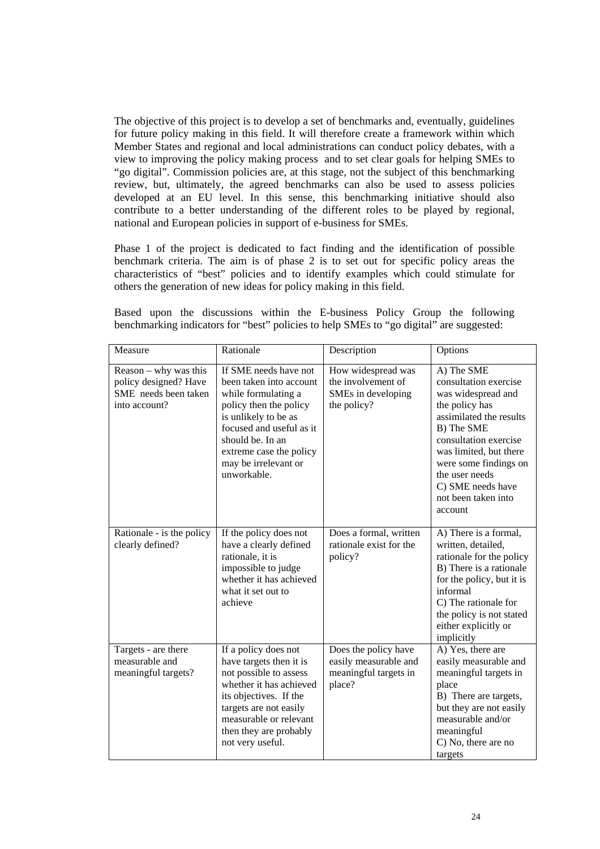The objective of this project is to develop a set of benchmarks and, eventually, guidelines for future policy making in this field. It will therefore create a framework within which Member States and regional and local administrations can conduct policy debates, with a view to improving the policy making process and to set clear goals for helping SMEs to "go digital". Commission policies are, at this stage, not the subject of this benchmarking review, but, ultimately, the agreed benchmarks can also be used to assess policies developed at an EU level. In this sense, this benchmarking initiative should also contribute to a better understanding of the different roles to be played by regional, national and European policies in support of e-business for SMEs.

Phase 1 of the project is dedicated to fact finding and the identification of possible benchmark criteria. The aim is of phase 2 is to set out for specific policy areas the characteristics of "best" policies and to identify examples which could stimulate for others the generation of new ideas for policy making in this field.

Based upon the discussions within the E-business Policy Group the following benchmarking indicators for "best" policies to help SMEs to "go digital" are suggested:

| Measure                                                                                   | Rationale                                                                                                                                                                                                                                   | Description                                                                      | Options                                                                                                                                                                                                                                                                   |
|-------------------------------------------------------------------------------------------|---------------------------------------------------------------------------------------------------------------------------------------------------------------------------------------------------------------------------------------------|----------------------------------------------------------------------------------|---------------------------------------------------------------------------------------------------------------------------------------------------------------------------------------------------------------------------------------------------------------------------|
| $Reason - why was this$<br>policy designed? Have<br>SME needs been taken<br>into account? | If SME needs have not<br>been taken into account<br>while formulating a<br>policy then the policy<br>is unlikely to be as<br>focused and useful as it<br>should be. In an<br>extreme case the policy<br>may be irrelevant or<br>unworkable. | How widespread was<br>the involvement of<br>SMEs in developing<br>the policy?    | A) The SME<br>consultation exercise<br>was widespread and<br>the policy has<br>assimilated the results<br>B) The SME<br>consultation exercise<br>was limited, but there<br>were some findings on<br>the user needs<br>C) SME needs have<br>not been taken into<br>account |
| Rationale - is the policy<br>clearly defined?                                             | If the policy does not<br>have a clearly defined<br>rationale, it is<br>impossible to judge<br>whether it has achieved<br>what it set out to<br>achieve                                                                                     | Does a formal, written<br>rationale exist for the<br>policy?                     | A) There is a formal,<br>written, detailed,<br>rationale for the policy<br>B) There is a rationale<br>for the policy, but it is<br>informal<br>C) The rationale for<br>the policy is not stated<br>either explicitly or<br>implicitly                                     |
| Targets - are there<br>measurable and<br>meaningful targets?                              | If a policy does not<br>have targets then it is<br>not possible to assess<br>whether it has achieved<br>its objectives. If the<br>targets are not easily<br>measurable or relevant<br>then they are probably<br>not very useful.            | Does the policy have<br>easily measurable and<br>meaningful targets in<br>place? | A) Yes, there are<br>easily measurable and<br>meaningful targets in<br>place<br>B) There are targets,<br>but they are not easily<br>measurable and/or<br>meaningful<br>C) No, there are no<br>targets                                                                     |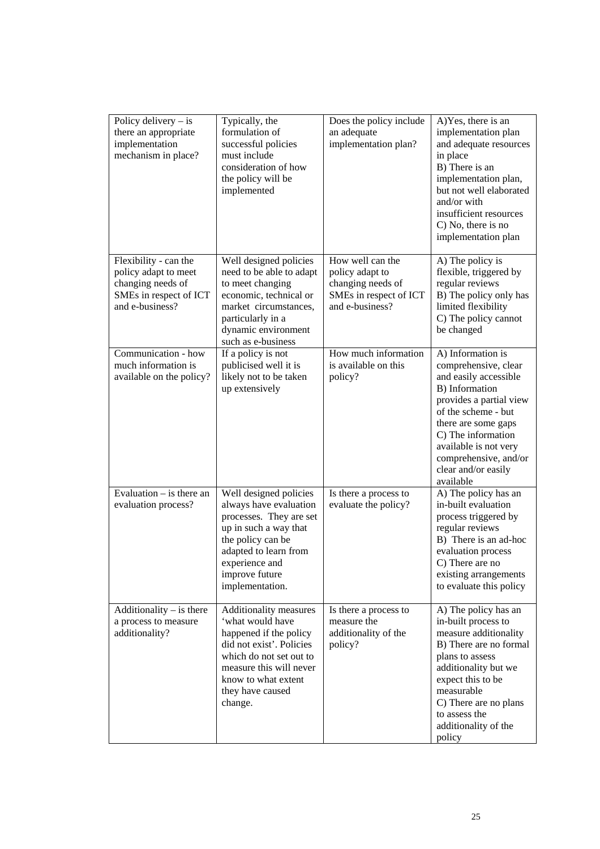| Policy delivery $-$ is<br>there an appropriate<br>implementation<br>mechanism in place?                         | Typically, the<br>formulation of<br>successful policies<br>must include<br>consideration of how<br>the policy will be<br>implemented                                                                         | Does the policy include<br>an adequate<br>implementation plan?                                        | A) Yes, there is an<br>implementation plan<br>and adequate resources<br>in place<br>B) There is an<br>implementation plan,<br>but not well elaborated<br>and/or with<br>insufficient resources<br>C) No, there is no<br>implementation plan                               |
|-----------------------------------------------------------------------------------------------------------------|--------------------------------------------------------------------------------------------------------------------------------------------------------------------------------------------------------------|-------------------------------------------------------------------------------------------------------|---------------------------------------------------------------------------------------------------------------------------------------------------------------------------------------------------------------------------------------------------------------------------|
| Flexibility - can the<br>policy adapt to meet<br>changing needs of<br>SMEs in respect of ICT<br>and e-business? | Well designed policies<br>need to be able to adapt<br>to meet changing<br>economic, technical or<br>market circumstances,<br>particularly in a<br>dynamic environment<br>such as e-business                  | How well can the<br>policy adapt to<br>changing needs of<br>SMEs in respect of ICT<br>and e-business? | A) The policy is<br>flexible, triggered by<br>regular reviews<br>B) The policy only has<br>limited flexibility<br>C) The policy cannot<br>be changed                                                                                                                      |
| Communication - how<br>much information is<br>available on the policy?                                          | If a policy is not<br>publicised well it is<br>likely not to be taken<br>up extensively                                                                                                                      | How much information<br>is available on this<br>policy?                                               | A) Information is<br>comprehensive, clear<br>and easily accessible<br>B) Information<br>provides a partial view<br>of the scheme - but<br>there are some gaps<br>C) The information<br>available is not very<br>comprehensive, and/or<br>clear and/or easily<br>available |
| Evaluation $-$ is there an<br>evaluation process?                                                               | Well designed policies<br>always have evaluation<br>processes. They are set<br>up in such a way that<br>the policy can be<br>adapted to learn from<br>experience and<br>improve future<br>implementation.    | Is there a process to<br>evaluate the policy?                                                         | A) The policy has an<br>in-built evaluation<br>process triggered by<br>regular reviews<br>B) There is an ad-hoc<br>evaluation process<br>C) There are no<br>existing arrangements<br>to evaluate this policy                                                              |
| Additionality $-$ is there<br>a process to measure<br>additionality?                                            | Additionality measures<br>'what would have<br>happened if the policy<br>did not exist'. Policies<br>which do not set out to<br>measure this will never<br>know to what extent<br>they have caused<br>change. | Is there a process to<br>measure the<br>additionality of the<br>policy?                               | A) The policy has an<br>in-built process to<br>measure additionality<br>B) There are no formal<br>plans to assess<br>additionality but we<br>expect this to be<br>measurable<br>C) There are no plans<br>to assess the<br>additionality of the<br>policy                  |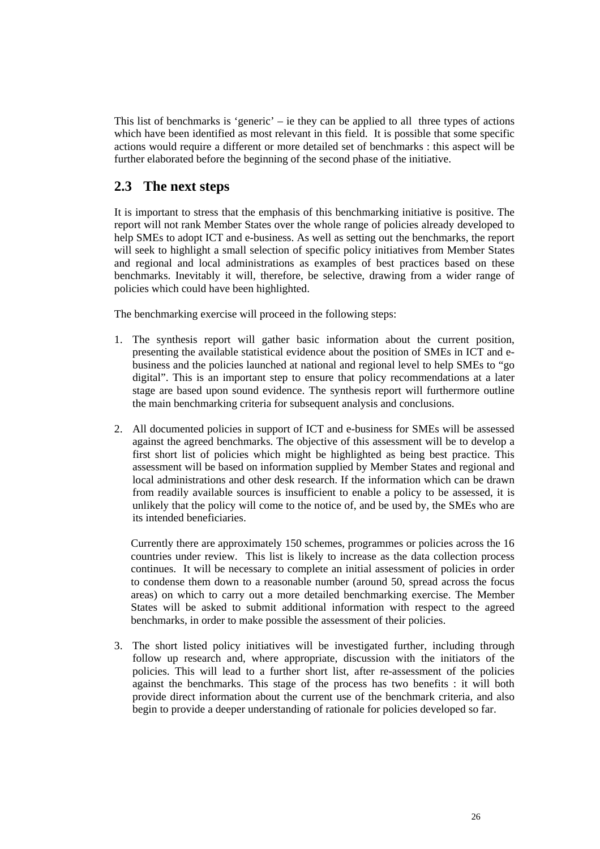<span id="page-26-0"></span>This list of benchmarks is 'generic' – ie they can be applied to all three types of actions which have been identified as most relevant in this field. It is possible that some specific actions would require a different or more detailed set of benchmarks : this aspect will be further elaborated before the beginning of the second phase of the initiative.

# **2.3 The next steps**

It is important to stress that the emphasis of this benchmarking initiative is positive. The report will not rank Member States over the whole range of policies already developed to help SMEs to adopt ICT and e-business. As well as setting out the benchmarks, the report will seek to highlight a small selection of specific policy initiatives from Member States and regional and local administrations as examples of best practices based on these benchmarks. Inevitably it will, therefore, be selective, drawing from a wider range of policies which could have been highlighted.

The benchmarking exercise will proceed in the following steps:

- 1. The synthesis report will gather basic information about the current position, presenting the available statistical evidence about the position of SMEs in ICT and ebusiness and the policies launched at national and regional level to help SMEs to "go digital". This is an important step to ensure that policy recommendations at a later stage are based upon sound evidence. The synthesis report will furthermore outline the main benchmarking criteria for subsequent analysis and conclusions.
- 2. All documented policies in support of ICT and e-business for SMEs will be assessed against the agreed benchmarks. The objective of this assessment will be to develop a first short list of policies which might be highlighted as being best practice. This assessment will be based on information supplied by Member States and regional and local administrations and other desk research. If the information which can be drawn from readily available sources is insufficient to enable a policy to be assessed, it is unlikely that the policy will come to the notice of, and be used by, the SMEs who are its intended beneficiaries.

Currently there are approximately 150 schemes, programmes or policies across the 16 countries under review. This list is likely to increase as the data collection process continues. It will be necessary to complete an initial assessment of policies in order to condense them down to a reasonable number (around 50, spread across the focus areas) on which to carry out a more detailed benchmarking exercise. The Member States will be asked to submit additional information with respect to the agreed benchmarks, in order to make possible the assessment of their policies.

3. The short listed policy initiatives will be investigated further, including through follow up research and, where appropriate, discussion with the initiators of the policies. This will lead to a further short list, after re-assessment of the policies against the benchmarks. This stage of the process has two benefits : it will both provide direct information about the current use of the benchmark criteria, and also begin to provide a deeper understanding of rationale for policies developed so far.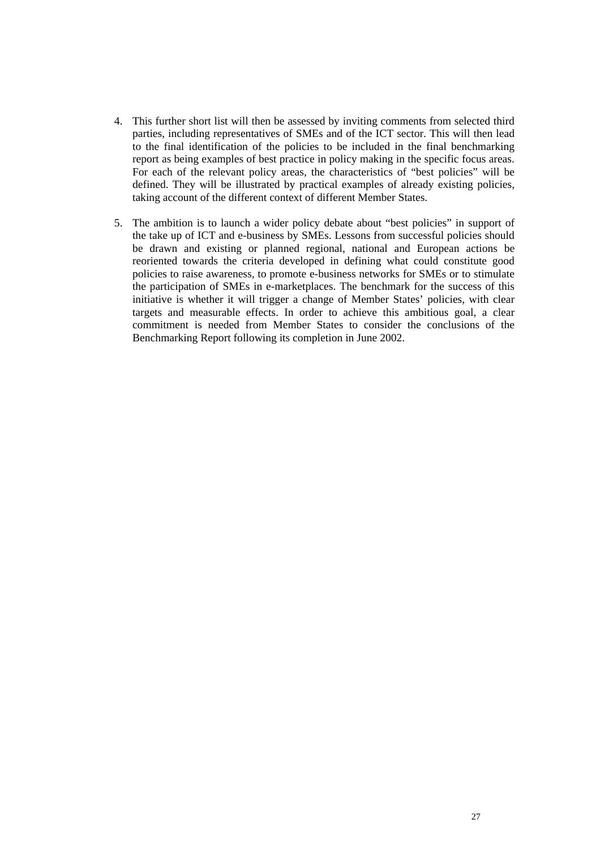- 4. This further short list will then be assessed by inviting comments from selected third parties, including representatives of SMEs and of the ICT sector. This will then lead to the final identification of the policies to be included in the final benchmarking report as being examples of best practice in policy making in the specific focus areas. For each of the relevant policy areas, the characteristics of "best policies" will be defined. They will be illustrated by practical examples of already existing policies, taking account of the different context of different Member States.
- 5. The ambition is to launch a wider policy debate about "best policies" in support of the take up of ICT and e-business by SMEs. Lessons from successful policies should be drawn and existing or planned regional, national and European actions be reoriented towards the criteria developed in defining what could constitute good policies to raise awareness, to promote e-business networks for SMEs or to stimulate the participation of SMEs in e-marketplaces. The benchmark for the success of this initiative is whether it will trigger a change of Member States' policies, with clear targets and measurable effects. In order to achieve this ambitious goal, a clear commitment is needed from Member States to consider the conclusions of the Benchmarking Report following its completion in June 2002.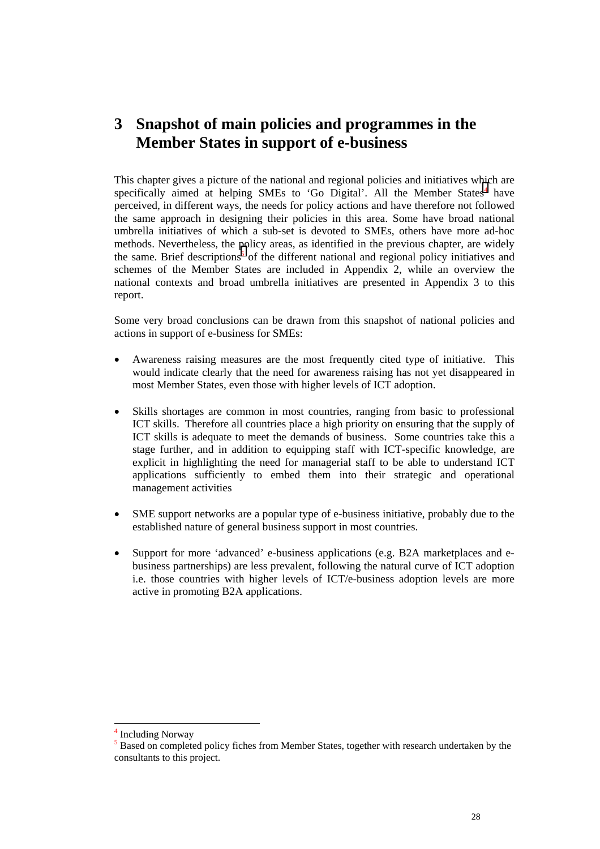# <span id="page-28-0"></span>**3 Snapshot of main policies and programmes in the Member States in support of e-business**

This chapter gives a picture of the national and regional policies and initiatives which are specifically aimed at helping SMEs to 'Go Digital'. All the Member States<sup>4</sup> have perceived, in different ways, the needs for policy actions and have therefore not followed the same approach in designing their policies in this area. Some have broad national umbrella initiatives of which a sub-set is devoted to SMEs, others have more ad-hoc methods. Nevertheless, the policy areas, as identified in the previous chapter, are widely the same. Brief descriptions<sup>5</sup> of the different national and regional policy initiatives and schemes of the Member States are included in Appendix 2, while an overview the national contexts and broad umbrella initiatives are presented in Appendix 3 to this report.

Some very broad conclusions can be drawn from this snapshot of national policies and actions in support of e-business for SMEs:

- Awareness raising measures are the most frequently cited type of initiative. This would indicate clearly that the need for awareness raising has not yet disappeared in most Member States, even those with higher levels of ICT adoption.
- Skills shortages are common in most countries, ranging from basic to professional ICT skills. Therefore all countries place a high priority on ensuring that the supply of ICT skills is adequate to meet the demands of business. Some countries take this a stage further, and in addition to equipping staff with ICT-specific knowledge, are explicit in highlighting the need for managerial staff to be able to understand ICT applications sufficiently to embed them into their strategic and operational management activities
- SME support networks are a popular type of e-business initiative, probably due to the established nature of general business support in most countries.
- Support for more 'advanced' e-business applications (e.g. B2A marketplaces and ebusiness partnerships) are less prevalent, following the natural curve of ICT adoption i.e. those countries with higher levels of ICT/e-business adoption levels are more active in promoting B2A applications.

l

<sup>4</sup> Including Norway

<sup>&</sup>lt;sup>5</sup> Based on completed policy fiches from Member States, together with research undertaken by the consultants to this project.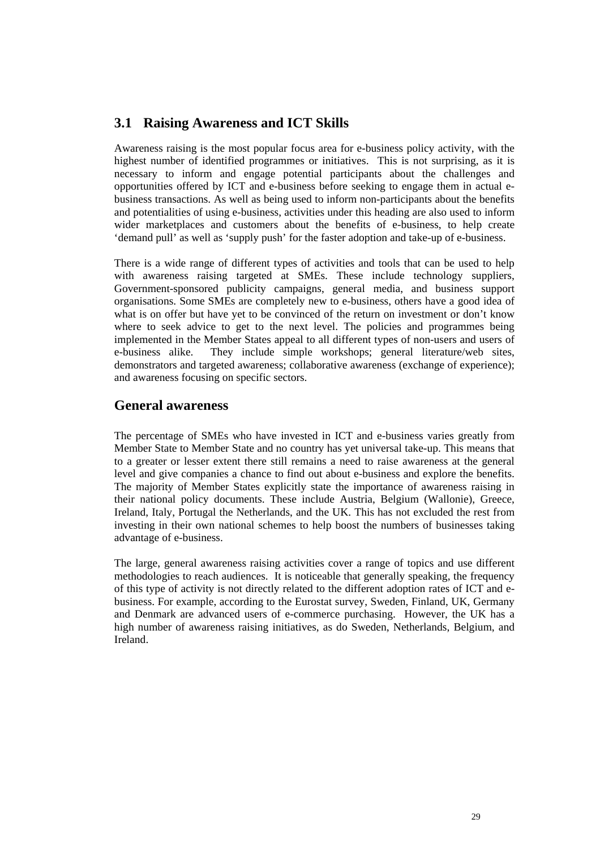# <span id="page-29-0"></span>**3.1 Raising Awareness and ICT Skills**

Awareness raising is the most popular focus area for e-business policy activity, with the highest number of identified programmes or initiatives. This is not surprising, as it is necessary to inform and engage potential participants about the challenges and opportunities offered by ICT and e-business before seeking to engage them in actual ebusiness transactions. As well as being used to inform non-participants about the benefits and potentialities of using e-business, activities under this heading are also used to inform wider marketplaces and customers about the benefits of e-business, to help create 'demand pull' as well as 'supply push' for the faster adoption and take-up of e-business.

There is a wide range of different types of activities and tools that can be used to help with awareness raising targeted at SMEs. These include technology suppliers, Government-sponsored publicity campaigns, general media, and business support organisations. Some SMEs are completely new to e-business, others have a good idea of what is on offer but have yet to be convinced of the return on investment or don't know where to seek advice to get to the next level. The policies and programmes being implemented in the Member States appeal to all different types of non-users and users of e-business alike. They include simple workshops; general literature/web sites, demonstrators and targeted awareness; collaborative awareness (exchange of experience); and awareness focusing on specific sectors.

## **General awareness**

The percentage of SMEs who have invested in ICT and e-business varies greatly from Member State to Member State and no country has yet universal take-up. This means that to a greater or lesser extent there still remains a need to raise awareness at the general level and give companies a chance to find out about e-business and explore the benefits. The majority of Member States explicitly state the importance of awareness raising in their national policy documents. These include Austria, Belgium (Wallonie), Greece, Ireland, Italy, Portugal the Netherlands, and the UK. This has not excluded the rest from investing in their own national schemes to help boost the numbers of businesses taking advantage of e-business.

The large, general awareness raising activities cover a range of topics and use different methodologies to reach audiences. It is noticeable that generally speaking, the frequency of this type of activity is not directly related to the different adoption rates of ICT and ebusiness. For example, according to the Eurostat survey, Sweden, Finland, UK, Germany and Denmark are advanced users of e-commerce purchasing. However, the UK has a high number of awareness raising initiatives, as do Sweden, Netherlands, Belgium, and Ireland.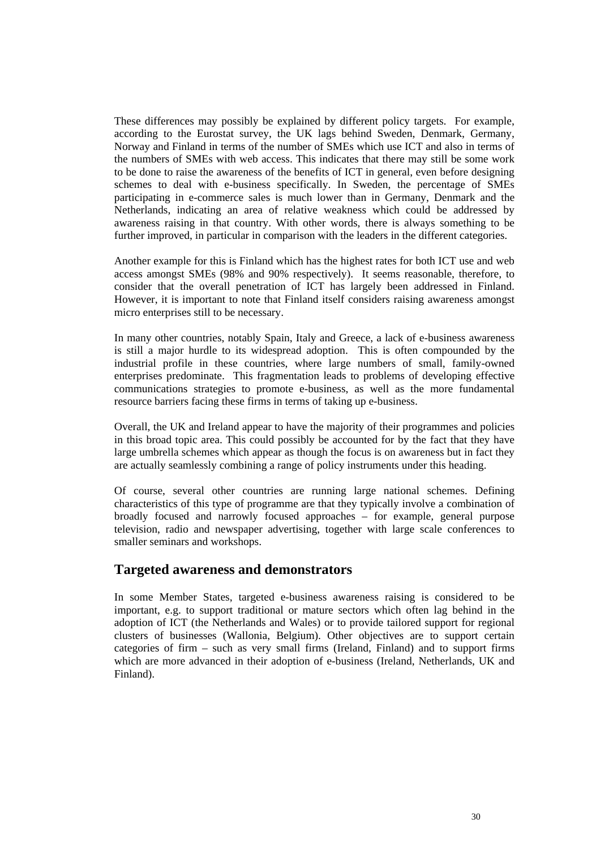These differences may possibly be explained by different policy targets. For example, according to the Eurostat survey, the UK lags behind Sweden, Denmark, Germany, Norway and Finland in terms of the number of SMEs which use ICT and also in terms of the numbers of SMEs with web access. This indicates that there may still be some work to be done to raise the awareness of the benefits of ICT in general, even before designing schemes to deal with e-business specifically. In Sweden, the percentage of SMEs participating in e-commerce sales is much lower than in Germany, Denmark and the Netherlands, indicating an area of relative weakness which could be addressed by awareness raising in that country. With other words, there is always something to be further improved, in particular in comparison with the leaders in the different categories.

Another example for this is Finland which has the highest rates for both ICT use and web access amongst SMEs (98% and 90% respectively). It seems reasonable, therefore, to consider that the overall penetration of ICT has largely been addressed in Finland. However, it is important to note that Finland itself considers raising awareness amongst micro enterprises still to be necessary.

In many other countries, notably Spain, Italy and Greece, a lack of e-business awareness is still a major hurdle to its widespread adoption. This is often compounded by the industrial profile in these countries, where large numbers of small, family-owned enterprises predominate. This fragmentation leads to problems of developing effective communications strategies to promote e-business, as well as the more fundamental resource barriers facing these firms in terms of taking up e-business.

Overall, the UK and Ireland appear to have the majority of their programmes and policies in this broad topic area. This could possibly be accounted for by the fact that they have large umbrella schemes which appear as though the focus is on awareness but in fact they are actually seamlessly combining a range of policy instruments under this heading.

Of course, several other countries are running large national schemes. Defining characteristics of this type of programme are that they typically involve a combination of broadly focused and narrowly focused approaches – for example, general purpose television, radio and newspaper advertising, together with large scale conferences to smaller seminars and workshops.

#### **Targeted awareness and demonstrators**

In some Member States, targeted e-business awareness raising is considered to be important, e.g. to support traditional or mature sectors which often lag behind in the adoption of ICT (the Netherlands and Wales) or to provide tailored support for regional clusters of businesses (Wallonia, Belgium). Other objectives are to support certain categories of firm – such as very small firms (Ireland, Finland) and to support firms which are more advanced in their adoption of e-business (Ireland, Netherlands, UK and Finland).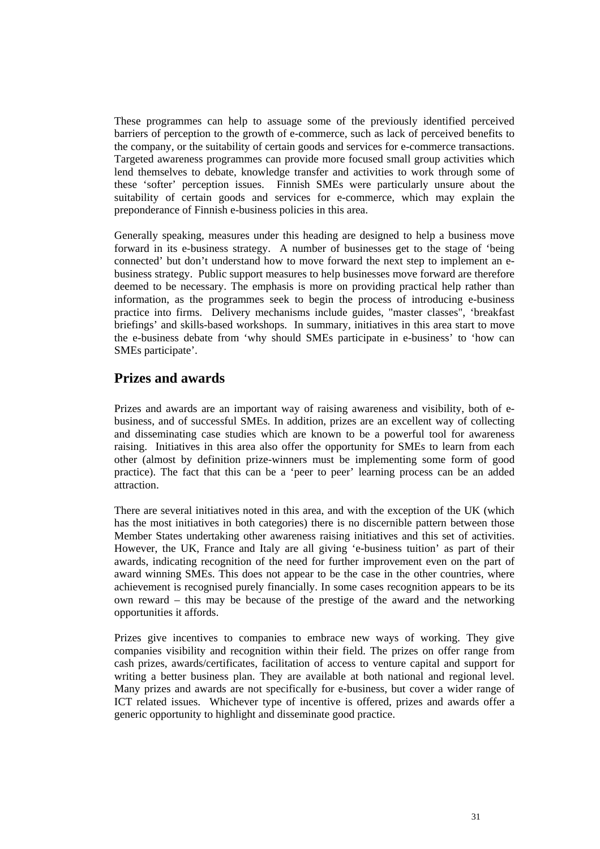These programmes can help to assuage some of the previously identified perceived barriers of perception to the growth of e-commerce, such as lack of perceived benefits to the company, or the suitability of certain goods and services for e-commerce transactions. Targeted awareness programmes can provide more focused small group activities which lend themselves to debate, knowledge transfer and activities to work through some of these 'softer' perception issues. Finnish SMEs were particularly unsure about the suitability of certain goods and services for e-commerce, which may explain the preponderance of Finnish e-business policies in this area.

Generally speaking, measures under this heading are designed to help a business move forward in its e-business strategy. A number of businesses get to the stage of 'being connected' but don't understand how to move forward the next step to implement an ebusiness strategy. Public support measures to help businesses move forward are therefore deemed to be necessary. The emphasis is more on providing practical help rather than information, as the programmes seek to begin the process of introducing e-business practice into firms. Delivery mechanisms include guides, "master classes", 'breakfast briefings' and skills-based workshops. In summary, initiatives in this area start to move the e-business debate from 'why should SMEs participate in e-business' to 'how can SMEs participate'.

# **Prizes and awards**

Prizes and awards are an important way of raising awareness and visibility, both of ebusiness, and of successful SMEs. In addition, prizes are an excellent way of collecting and disseminating case studies which are known to be a powerful tool for awareness raising. Initiatives in this area also offer the opportunity for SMEs to learn from each other (almost by definition prize-winners must be implementing some form of good practice). The fact that this can be a 'peer to peer' learning process can be an added attraction.

There are several initiatives noted in this area, and with the exception of the UK (which has the most initiatives in both categories) there is no discernible pattern between those Member States undertaking other awareness raising initiatives and this set of activities. However, the UK, France and Italy are all giving 'e-business tuition' as part of their awards, indicating recognition of the need for further improvement even on the part of award winning SMEs. This does not appear to be the case in the other countries, where achievement is recognised purely financially. In some cases recognition appears to be its own reward – this may be because of the prestige of the award and the networking opportunities it affords.

Prizes give incentives to companies to embrace new ways of working. They give companies visibility and recognition within their field. The prizes on offer range from cash prizes, awards/certificates, facilitation of access to venture capital and support for writing a better business plan. They are available at both national and regional level. Many prizes and awards are not specifically for e-business, but cover a wider range of ICT related issues. Whichever type of incentive is offered, prizes and awards offer a generic opportunity to highlight and disseminate good practice.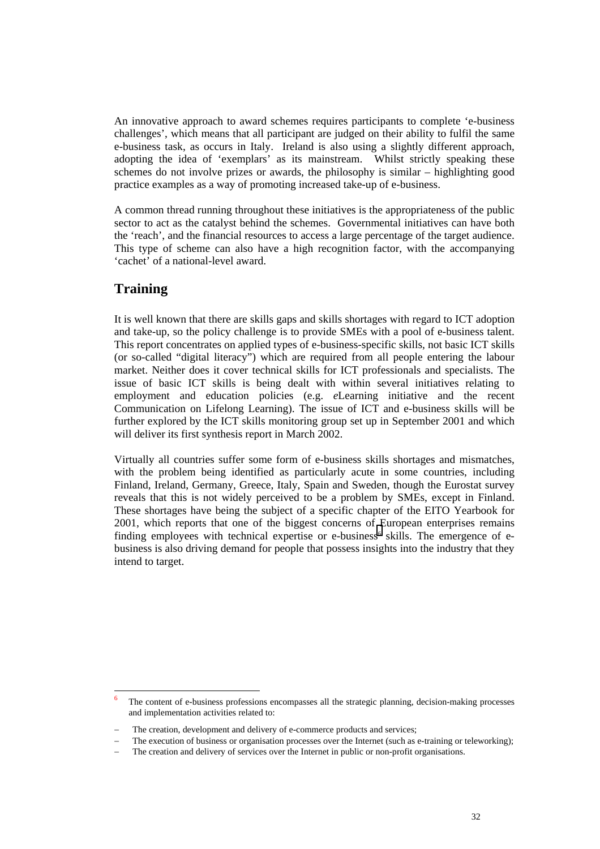An innovative approach to award schemes requires participants to complete 'e-business challenges', which means that all participant are judged on their ability to fulfil the same e-business task, as occurs in Italy. Ireland is also using a slightly different approach, adopting the idea of 'exemplars' as its mainstream. Whilst strictly speaking these schemes do not involve prizes or awards, the philosophy is similar – highlighting good practice examples as a way of promoting increased take-up of e-business.

A common thread running throughout these initiatives is the appropriateness of the public sector to act as the catalyst behind the schemes. Governmental initiatives can have both the 'reach', and the financial resources to access a large percentage of the target audience. This type of scheme can also have a high recognition factor, with the accompanying 'cachet' of a national-level award.

# **Training**

l

It is well known that there are skills gaps and skills shortages with regard to ICT adoption and take-up, so the policy challenge is to provide SMEs with a pool of e-business talent. This report concentrates on applied types of e-business-specific skills, not basic ICT skills (or so-called "digital literacy") which are required from all people entering the labour market. Neither does it cover technical skills for ICT professionals and specialists. The issue of basic ICT skills is being dealt with within several initiatives relating to employment and education policies (e.g. *e*Learning initiative and the recent Communication on Lifelong Learning). The issue of ICT and e-business skills will be further explored by the ICT skills monitoring group set up in September 2001 and which will deliver its first synthesis report in March 2002.

Virtually all countries suffer some form of e-business skills shortages and mismatches, with the problem being identified as particularly acute in some countries, including Finland, Ireland, Germany, Greece, Italy, Spain and Sweden, though the Eurostat survey reveals that this is not widely perceived to be a problem by SMEs, except in Finland. These shortages have being the subject of a specific chapter of the EITO Yearbook for 2001, which reports that one of the biggest concerns of European enterprises remains finding employees with technical expertise or e-business<sup>6</sup> skills. The emergence of ebusiness is also driving demand for people that possess insights into the industry that they intend to target.

The content of e-business professions encompasses all the strategic planning, decision-making processes and implementation activities related to:

The creation, development and delivery of e-commerce products and services;

The execution of business or organisation processes over the Internet (such as e-training or teleworking);

The creation and delivery of services over the Internet in public or non-profit organisations.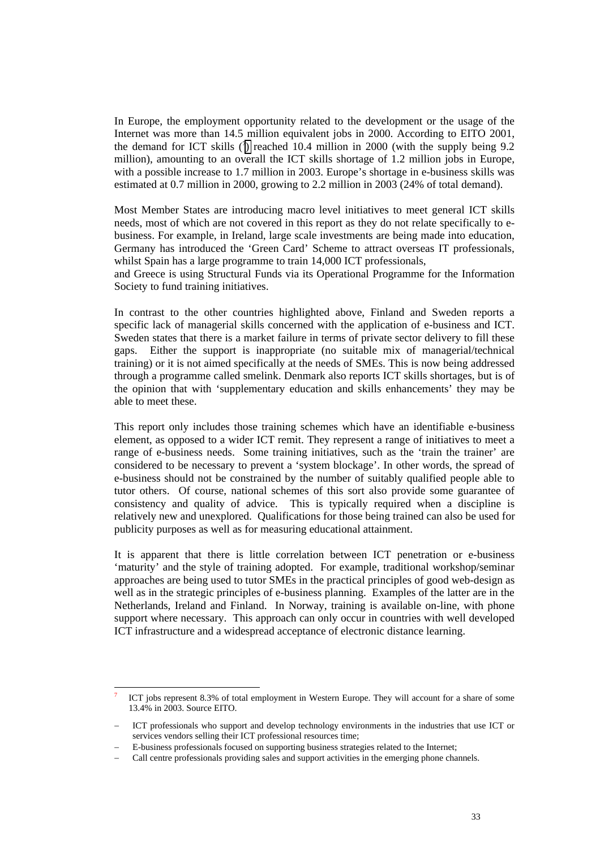In Europe, the employment opportunity related to the development or the usage of the Internet was more than 14.5 million equivalent jobs in 2000. According to EITO 2001, the demand for ICT skills  $(7)$  reached 10.4 million in 2000 (with the supply being 9.2 million), amounting to an overall the ICT skills shortage of 1.2 million jobs in Europe, with a possible increase to 1.7 million in 2003. Europe's shortage in e-business skills was estimated at 0.7 million in 2000, growing to 2.2 million in 2003 (24% of total demand).

Most Member States are introducing macro level initiatives to meet general ICT skills needs, most of which are not covered in this report as they do not relate specifically to ebusiness. For example, in Ireland, large scale investments are being made into education, Germany has introduced the 'Green Card' Scheme to attract overseas IT professionals, whilst Spain has a large programme to train 14,000 ICT professionals.

and Greece is using Structural Funds via its Operational Programme for the Information Society to fund training initiatives.

In contrast to the other countries highlighted above, Finland and Sweden reports a specific lack of managerial skills concerned with the application of e-business and ICT. Sweden states that there is a market failure in terms of private sector delivery to fill these gaps. Either the support is inappropriate (no suitable mix of managerial/technical training) or it is not aimed specifically at the needs of SMEs. This is now being addressed through a programme called smelink. Denmark also reports ICT skills shortages, but is of the opinion that with 'supplementary education and skills enhancements' they may be able to meet these.

This report only includes those training schemes which have an identifiable e-business element, as opposed to a wider ICT remit. They represent a range of initiatives to meet a range of e-business needs. Some training initiatives, such as the 'train the trainer' are considered to be necessary to prevent a 'system blockage'. In other words, the spread of e-business should not be constrained by the number of suitably qualified people able to tutor others. Of course, national schemes of this sort also provide some guarantee of consistency and quality of advice. This is typically required when a discipline is relatively new and unexplored. Qualifications for those being trained can also be used for publicity purposes as well as for measuring educational attainment.

It is apparent that there is little correlation between ICT penetration or e-business 'maturity' and the style of training adopted. For example, traditional workshop/seminar approaches are being used to tutor SMEs in the practical principles of good web-design as well as in the strategic principles of e-business planning. Examples of the latter are in the Netherlands, Ireland and Finland. In Norway, training is available on-line, with phone support where necessary. This approach can only occur in countries with well developed ICT infrastructure and a widespread acceptance of electronic distance learning.

l

<sup>7</sup> ICT jobs represent 8.3% of total employment in Western Europe. They will account for a share of some 13.4% in 2003. Source EITO.

ICT professionals who support and develop technology environments in the industries that use ICT or services vendors selling their ICT professional resources time:

E-business professionals focused on supporting business strategies related to the Internet;

Call centre professionals providing sales and support activities in the emerging phone channels.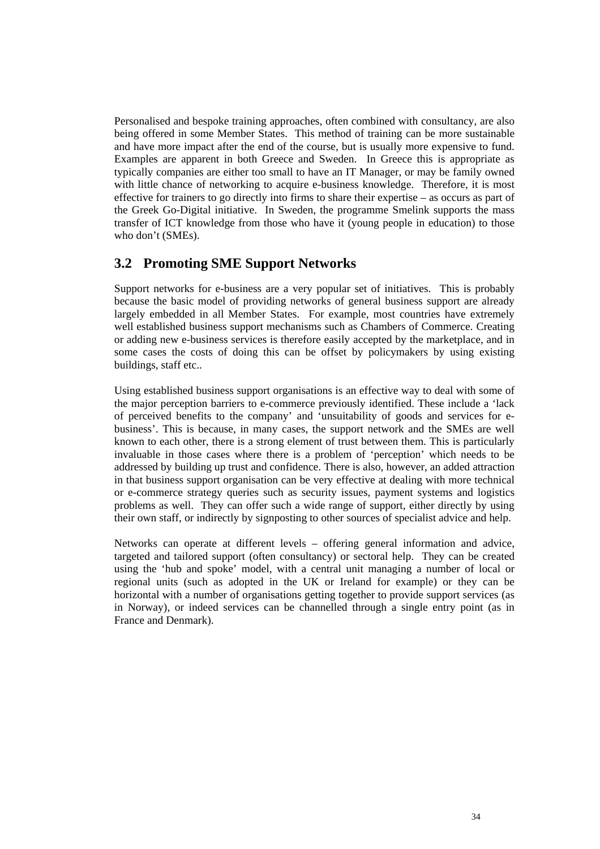<span id="page-34-0"></span>Personalised and bespoke training approaches, often combined with consultancy, are also being offered in some Member States. This method of training can be more sustainable and have more impact after the end of the course, but is usually more expensive to fund. Examples are apparent in both Greece and Sweden. In Greece this is appropriate as typically companies are either too small to have an IT Manager, or may be family owned with little chance of networking to acquire e-business knowledge. Therefore, it is most effective for trainers to go directly into firms to share their expertise – as occurs as part of the Greek Go-Digital initiative. In Sweden, the programme Smelink supports the mass transfer of ICT knowledge from those who have it (young people in education) to those who don't (SMEs).

# **3.2 Promoting SME Support Networks**

Support networks for e-business are a very popular set of initiatives. This is probably because the basic model of providing networks of general business support are already largely embedded in all Member States. For example, most countries have extremely well established business support mechanisms such as Chambers of Commerce. Creating or adding new e-business services is therefore easily accepted by the marketplace, and in some cases the costs of doing this can be offset by policymakers by using existing buildings, staff etc..

Using established business support organisations is an effective way to deal with some of the major perception barriers to e-commerce previously identified. These include a 'lack of perceived benefits to the company' and 'unsuitability of goods and services for ebusiness'. This is because, in many cases, the support network and the SMEs are well known to each other, there is a strong element of trust between them. This is particularly invaluable in those cases where there is a problem of 'perception' which needs to be addressed by building up trust and confidence. There is also, however, an added attraction in that business support organisation can be very effective at dealing with more technical or e-commerce strategy queries such as security issues, payment systems and logistics problems as well. They can offer such a wide range of support, either directly by using their own staff, or indirectly by signposting to other sources of specialist advice and help.

Networks can operate at different levels – offering general information and advice, targeted and tailored support (often consultancy) or sectoral help. They can be created using the 'hub and spoke' model, with a central unit managing a number of local or regional units (such as adopted in the UK or Ireland for example) or they can be horizontal with a number of organisations getting together to provide support services (as in Norway), or indeed services can be channelled through a single entry point (as in France and Denmark).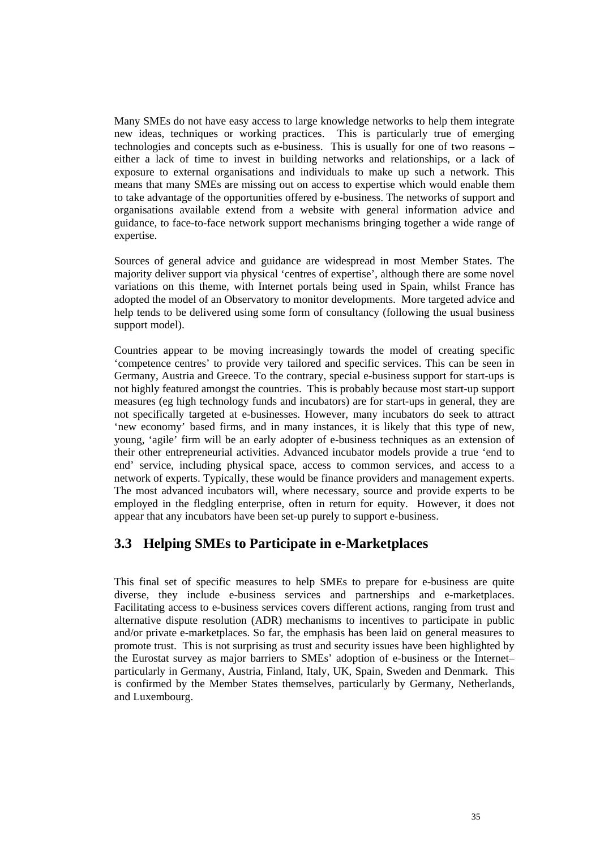<span id="page-35-0"></span>Many SMEs do not have easy access to large knowledge networks to help them integrate new ideas, techniques or working practices. This is particularly true of emerging technologies and concepts such as e-business. This is usually for one of two reasons – either a lack of time to invest in building networks and relationships, or a lack of exposure to external organisations and individuals to make up such a network. This means that many SMEs are missing out on access to expertise which would enable them to take advantage of the opportunities offered by e-business. The networks of support and organisations available extend from a website with general information advice and guidance, to face-to-face network support mechanisms bringing together a wide range of expertise.

Sources of general advice and guidance are widespread in most Member States. The majority deliver support via physical 'centres of expertise', although there are some novel variations on this theme, with Internet portals being used in Spain, whilst France has adopted the model of an Observatory to monitor developments. More targeted advice and help tends to be delivered using some form of consultancy (following the usual business support model).

Countries appear to be moving increasingly towards the model of creating specific 'competence centres' to provide very tailored and specific services. This can be seen in Germany, Austria and Greece. To the contrary, special e-business support for start-ups is not highly featured amongst the countries. This is probably because most start-up support measures (eg high technology funds and incubators) are for start-ups in general, they are not specifically targeted at e-businesses. However, many incubators do seek to attract 'new economy' based firms, and in many instances, it is likely that this type of new, young, 'agile' firm will be an early adopter of e-business techniques as an extension of their other entrepreneurial activities. Advanced incubator models provide a true 'end to end' service, including physical space, access to common services, and access to a network of experts. Typically, these would be finance providers and management experts. The most advanced incubators will, where necessary, source and provide experts to be employed in the fledgling enterprise, often in return for equity. However, it does not appear that any incubators have been set-up purely to support e-business.

# **3.3 Helping SMEs to Participate in e-Marketplaces**

This final set of specific measures to help SMEs to prepare for e-business are quite diverse, they include e-business services and partnerships and e-marketplaces. Facilitating access to e-business services covers different actions, ranging from trust and alternative dispute resolution (ADR) mechanisms to incentives to participate in public and/or private e-marketplaces. So far, the emphasis has been laid on general measures to promote trust. This is not surprising as trust and security issues have been highlighted by the Eurostat survey as major barriers to SMEs' adoption of e-business or the Internet– particularly in Germany, Austria, Finland, Italy, UK, Spain, Sweden and Denmark. This is confirmed by the Member States themselves, particularly by Germany, Netherlands, and Luxembourg.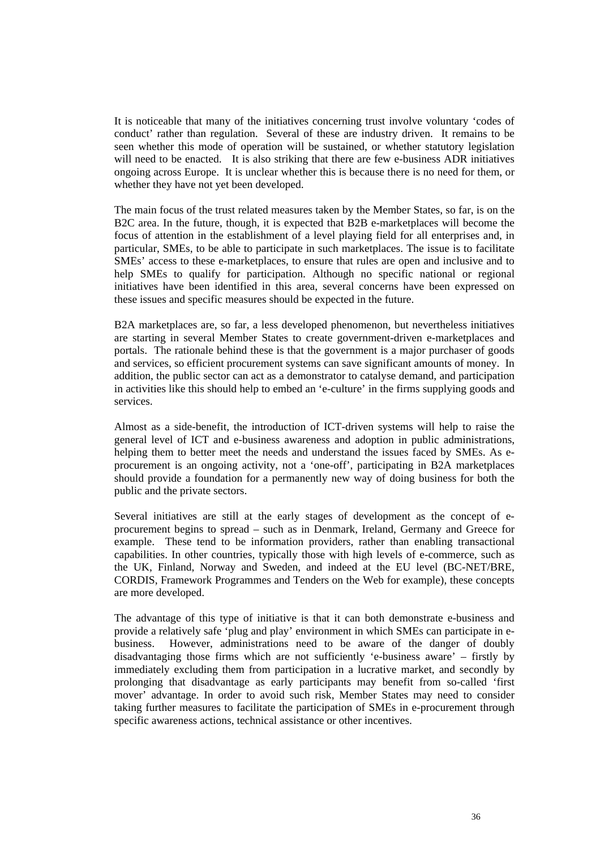It is noticeable that many of the initiatives concerning trust involve voluntary 'codes of conduct' rather than regulation. Several of these are industry driven. It remains to be seen whether this mode of operation will be sustained, or whether statutory legislation will need to be enacted. It is also striking that there are few e-business ADR initiatives ongoing across Europe. It is unclear whether this is because there is no need for them, or whether they have not yet been developed.

The main focus of the trust related measures taken by the Member States, so far, is on the B2C area. In the future, though, it is expected that B2B e-marketplaces will become the focus of attention in the establishment of a level playing field for all enterprises and, in particular, SMEs, to be able to participate in such marketplaces. The issue is to facilitate SMEs' access to these e-marketplaces, to ensure that rules are open and inclusive and to help SMEs to qualify for participation. Although no specific national or regional initiatives have been identified in this area, several concerns have been expressed on these issues and specific measures should be expected in the future.

B2A marketplaces are, so far, a less developed phenomenon, but nevertheless initiatives are starting in several Member States to create government-driven e-marketplaces and portals. The rationale behind these is that the government is a major purchaser of goods and services, so efficient procurement systems can save significant amounts of money. In addition, the public sector can act as a demonstrator to catalyse demand, and participation in activities like this should help to embed an 'e-culture' in the firms supplying goods and services.

Almost as a side-benefit, the introduction of ICT-driven systems will help to raise the general level of ICT and e-business awareness and adoption in public administrations, helping them to better meet the needs and understand the issues faced by SMEs. As eprocurement is an ongoing activity, not a 'one-off', participating in B2A marketplaces should provide a foundation for a permanently new way of doing business for both the public and the private sectors.

Several initiatives are still at the early stages of development as the concept of eprocurement begins to spread – such as in Denmark, Ireland, Germany and Greece for example. These tend to be information providers, rather than enabling transactional capabilities. In other countries, typically those with high levels of e-commerce, such as the UK, Finland, Norway and Sweden, and indeed at the EU level (BC-NET/BRE, CORDIS, Framework Programmes and Tenders on the Web for example), these concepts are more developed.

The advantage of this type of initiative is that it can both demonstrate e-business and provide a relatively safe 'plug and play' environment in which SMEs can participate in ebusiness. However, administrations need to be aware of the danger of doubly disadvantaging those firms which are not sufficiently 'e-business aware' – firstly by immediately excluding them from participation in a lucrative market, and secondly by prolonging that disadvantage as early participants may benefit from so-called 'first mover' advantage. In order to avoid such risk, Member States may need to consider taking further measures to facilitate the participation of SMEs in e-procurement through specific awareness actions, technical assistance or other incentives.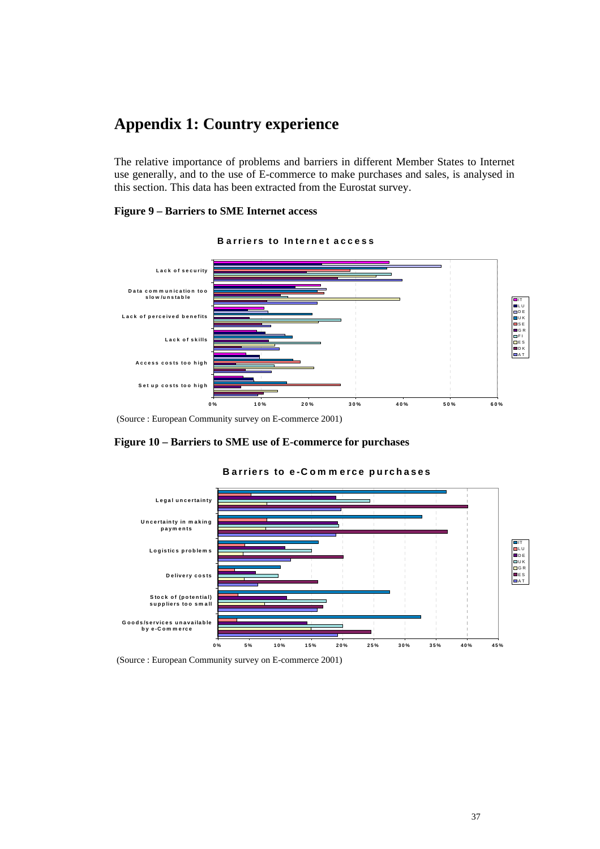# **Appendix 1: Country experience**

The relative importance of problems and barriers in different Member States to Internet use generally, and to the use of E-commerce to make purchases and sales, is analysed in this section. This data has been extracted from the Eurostat survey.

#### **Figure 9 – Barriers to SME Internet access**



#### **B arriers to Internet access**

(Source : European Community survey on E-commerce 2001)

#### **Figure 10 – Barriers to SME use of E-commerce for purchases**



#### **Barriers to e-Com m erce purchases**

(Source : European Community survey on E-commerce 2001)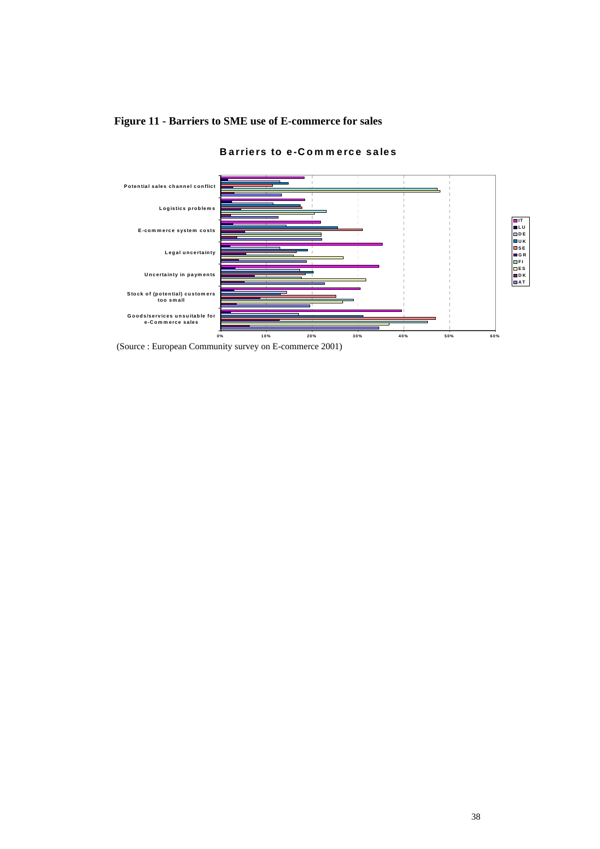

**Barriers to e-Com m erce sales**

# **Figure 11 - Barriers to SME use of E-commerce for sales**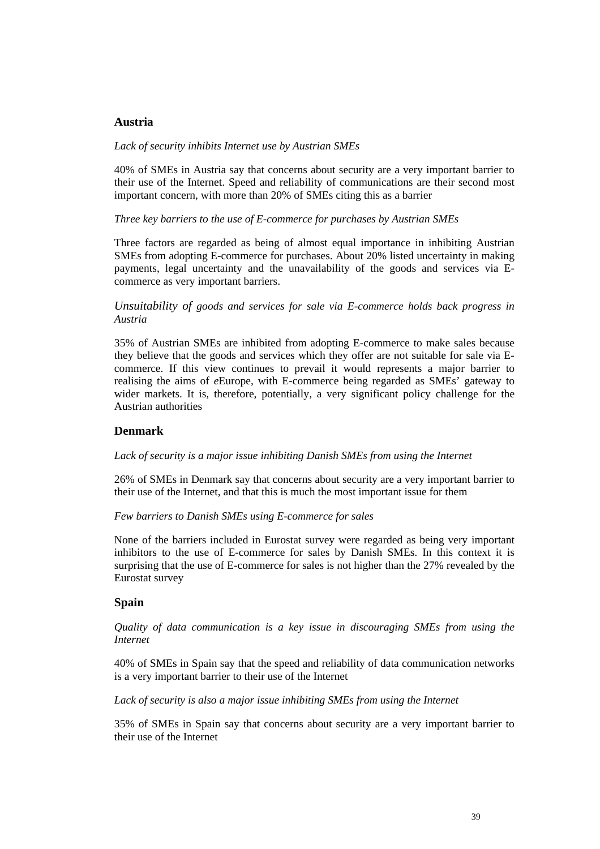# **Austria**

#### *Lack of security inhibits Internet use by Austrian SMEs*

40% of SMEs in Austria say that concerns about security are a very important barrier to their use of the Internet. Speed and reliability of communications are their second most important concern, with more than 20% of SMEs citing this as a barrier

*Three key barriers to the use of E-commerce for purchases by Austrian SMEs*

Three factors are regarded as being of almost equal importance in inhibiting Austrian SMEs from adopting E-commerce for purchases. About 20% listed uncertainty in making payments, legal uncertainty and the unavailability of the goods and services via Ecommerce as very important barriers.

*Unsuitability of goods and services for sale via E-commerce holds back progress in Austria*

35% of Austrian SMEs are inhibited from adopting E-commerce to make sales because they believe that the goods and services which they offer are not suitable for sale via Ecommerce. If this view continues to prevail it would represents a major barrier to realising the aims of *e*Europe, with E-commerce being regarded as SMEs' gateway to wider markets. It is, therefore, potentially, a very significant policy challenge for the Austrian authorities

## **Denmark**

#### *Lack of security is a major issue inhibiting Danish SMEs from using the Internet*

26% of SMEs in Denmark say that concerns about security are a very important barrier to their use of the Internet, and that this is much the most important issue for them

#### *Few barriers to Danish SMEs using E-commerce for sales*

None of the barriers included in Eurostat survey were regarded as being very important inhibitors to the use of E-commerce for sales by Danish SMEs. In this context it is surprising that the use of E-commerce for sales is not higher than the 27% revealed by the Eurostat survey

## **Spain**

*Quality of data communication is a key issue in discouraging SMEs from using the Internet*

40% of SMEs in Spain say that the speed and reliability of data communication networks is a very important barrier to their use of the Internet

*Lack of security is also a major issue inhibiting SMEs from using the Internet*

35% of SMEs in Spain say that concerns about security are a very important barrier to their use of the Internet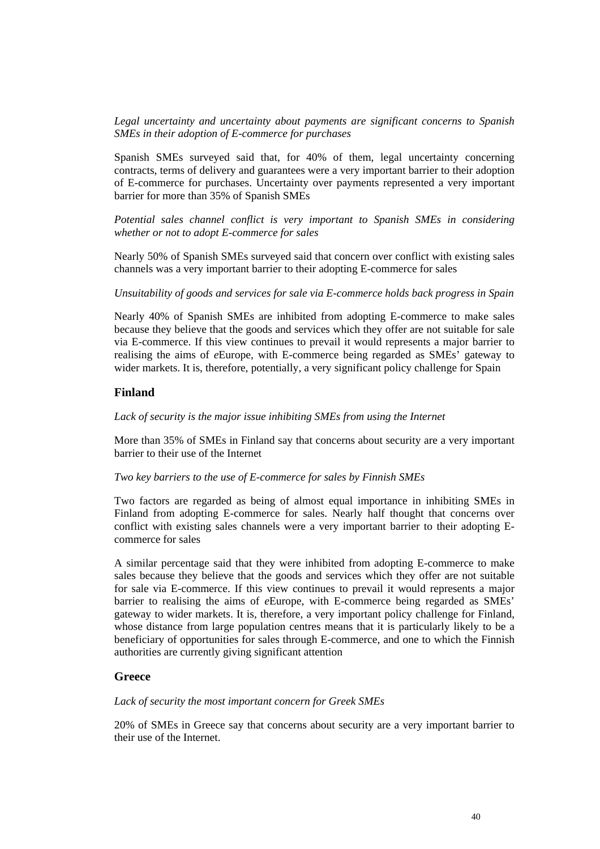*Legal uncertainty and uncertainty about payments are significant concerns to Spanish SMEs in their adoption of E-commerce for purchases*

Spanish SMEs surveyed said that, for 40% of them, legal uncertainty concerning contracts, terms of delivery and guarantees were a very important barrier to their adoption of E-commerce for purchases. Uncertainty over payments represented a very important barrier for more than 35% of Spanish SMEs

*Potential sales channel conflict is very important to Spanish SMEs in considering whether or not to adopt E-commerce for sales*

Nearly 50% of Spanish SMEs surveyed said that concern over conflict with existing sales channels was a very important barrier to their adopting E-commerce for sales

*Unsuitability of goods and services for sale via E-commerce holds back progress in Spain*

Nearly 40% of Spanish SMEs are inhibited from adopting E-commerce to make sales because they believe that the goods and services which they offer are not suitable for sale via E-commerce. If this view continues to prevail it would represents a major barrier to realising the aims of *e*Europe, with E-commerce being regarded as SMEs' gateway to wider markets. It is, therefore, potentially, a very significant policy challenge for Spain

## **Finland**

*Lack of security is the major issue inhibiting SMEs from using the Internet*

More than 35% of SMEs in Finland say that concerns about security are a very important barrier to their use of the Internet

#### *Two key barriers to the use of E-commerce for sales by Finnish SMEs*

Two factors are regarded as being of almost equal importance in inhibiting SMEs in Finland from adopting E-commerce for sales. Nearly half thought that concerns over conflict with existing sales channels were a very important barrier to their adopting Ecommerce for sales

A similar percentage said that they were inhibited from adopting E-commerce to make sales because they believe that the goods and services which they offer are not suitable for sale via E-commerce. If this view continues to prevail it would represents a major barrier to realising the aims of *e*Europe, with E-commerce being regarded as SMEs' gateway to wider markets. It is, therefore, a very important policy challenge for Finland, whose distance from large population centres means that it is particularly likely to be a beneficiary of opportunities for sales through E-commerce, and one to which the Finnish authorities are currently giving significant attention

#### **Greece**

#### *Lack of security the most important concern for Greek SMEs*

20% of SMEs in Greece say that concerns about security are a very important barrier to their use of the Internet.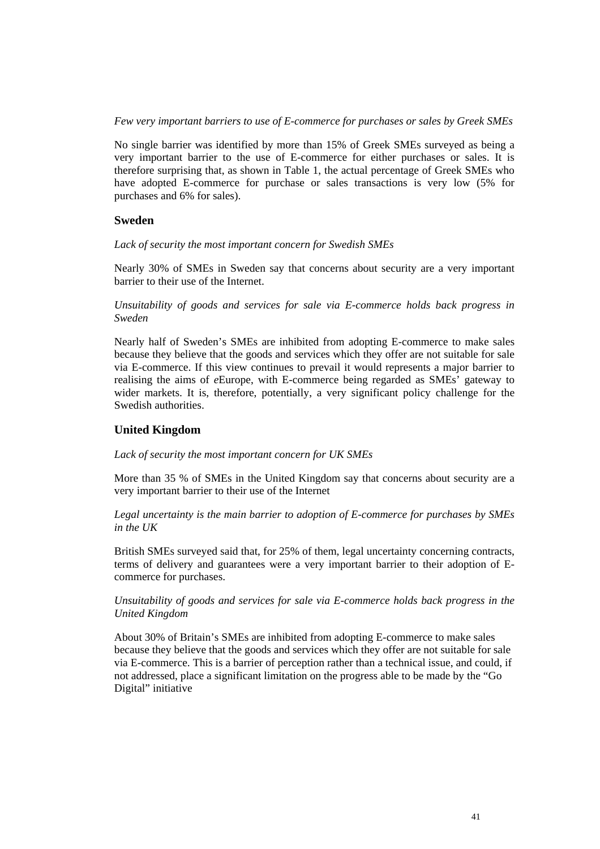*Few very important barriers to use of E-commerce for purchases or sales by Greek SMEs*

No single barrier was identified by more than 15% of Greek SMEs surveyed as being a very important barrier to the use of E-commerce for either purchases or sales. It is therefore surprising that, as shown in Table 1, the actual percentage of Greek SMEs who have adopted E-commerce for purchase or sales transactions is very low (5% for purchases and 6% for sales).

# **Sweden**

*Lack of security the most important concern for Swedish SMEs*

Nearly 30% of SMEs in Sweden say that concerns about security are a very important barrier to their use of the Internet.

*Unsuitability of goods and services for sale via E-commerce holds back progress in Sweden*

Nearly half of Sweden's SMEs are inhibited from adopting E-commerce to make sales because they believe that the goods and services which they offer are not suitable for sale via E-commerce. If this view continues to prevail it would represents a major barrier to realising the aims of *e*Europe, with E-commerce being regarded as SMEs' gateway to wider markets. It is, therefore, potentially, a very significant policy challenge for the Swedish authorities.

# **United Kingdom**

*Lack of security the most important concern for UK SMEs*

More than 35 % of SMEs in the United Kingdom say that concerns about security are a very important barrier to their use of the Internet

*Legal uncertainty is the main barrier to adoption of E-commerce for purchases by SMEs in the UK*

British SMEs surveyed said that, for 25% of them, legal uncertainty concerning contracts, terms of delivery and guarantees were a very important barrier to their adoption of Ecommerce for purchases.

*Unsuitability of goods and services for sale via E-commerce holds back progress in the United Kingdom*

About 30% of Britain's SMEs are inhibited from adopting E-commerce to make sales because they believe that the goods and services which they offer are not suitable for sale via E-commerce. This is a barrier of perception rather than a technical issue, and could, if not addressed, place a significant limitation on the progress able to be made by the "Go Digital" initiative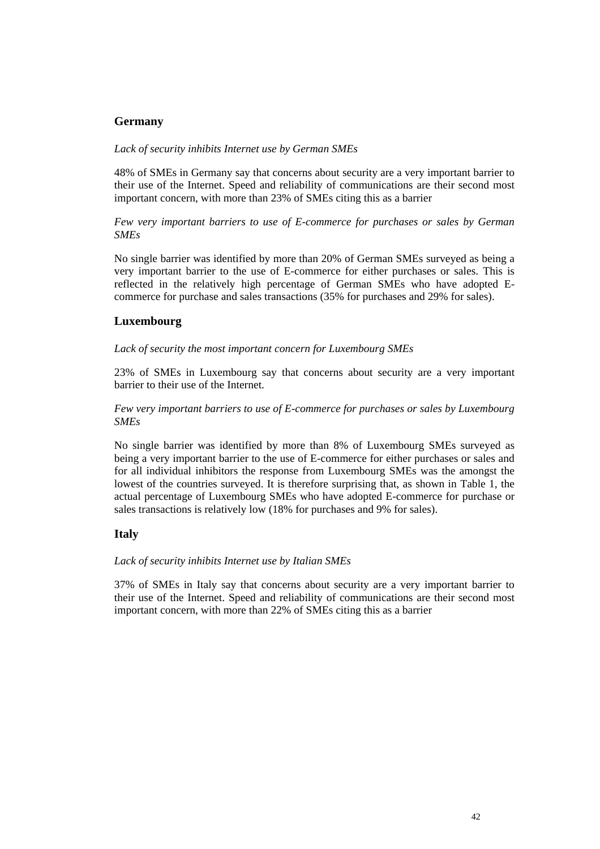# **Germany**

## *Lack of security inhibits Internet use by German SMEs*

48% of SMEs in Germany say that concerns about security are a very important barrier to their use of the Internet. Speed and reliability of communications are their second most important concern, with more than 23% of SMEs citing this as a barrier

*Few very important barriers to use of E-commerce for purchases or sales by German SMEs*

No single barrier was identified by more than 20% of German SMEs surveyed as being a very important barrier to the use of E-commerce for either purchases or sales. This is reflected in the relatively high percentage of German SMEs who have adopted Ecommerce for purchase and sales transactions (35% for purchases and 29% for sales).

## **Luxembourg**

#### *Lack of security the most important concern for Luxembourg SMEs*

23% of SMEs in Luxembourg say that concerns about security are a very important barrier to their use of the Internet.

*Few very important barriers to use of E-commerce for purchases or sales by Luxembourg SMEs*

No single barrier was identified by more than 8% of Luxembourg SMEs surveyed as being a very important barrier to the use of E-commerce for either purchases or sales and for all individual inhibitors the response from Luxembourg SMEs was the amongst the lowest of the countries surveyed. It is therefore surprising that, as shown in Table 1, the actual percentage of Luxembourg SMEs who have adopted E-commerce for purchase or sales transactions is relatively low (18% for purchases and 9% for sales).

# **Italy**

## *Lack of security inhibits Internet use by Italian SMEs*

37% of SMEs in Italy say that concerns about security are a very important barrier to their use of the Internet. Speed and reliability of communications are their second most important concern, with more than 22% of SMEs citing this as a barrier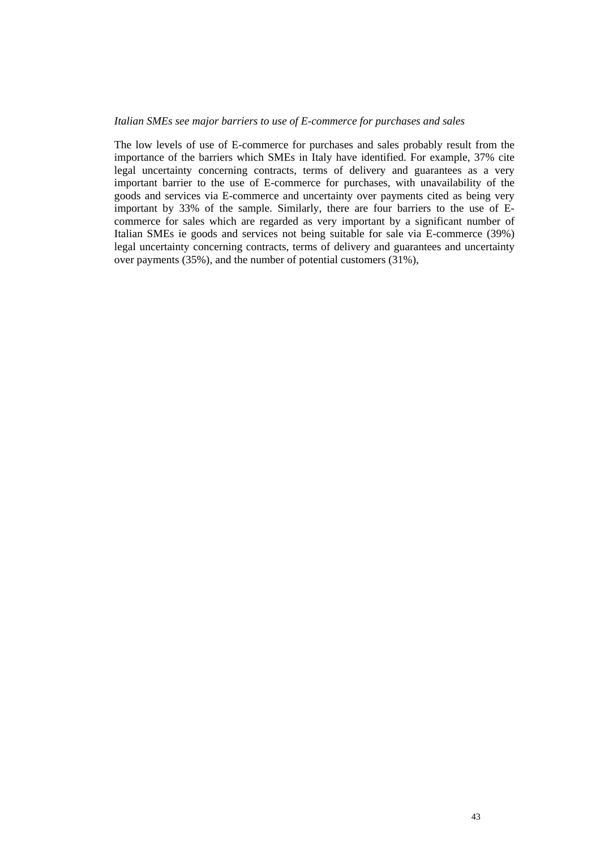#### *Italian SMEs see major barriers to use of E-commerce for purchases and sales*

The low levels of use of E-commerce for purchases and sales probably result from the importance of the barriers which SMEs in Italy have identified. For example, 37% cite legal uncertainty concerning contracts, terms of delivery and guarantees as a very important barrier to the use of E-commerce for purchases, with unavailability of the goods and services via E-commerce and uncertainty over payments cited as being very important by 33% of the sample. Similarly, there are four barriers to the use of Ecommerce for sales which are regarded as very important by a significant number of Italian SMEs ie goods and services not being suitable for sale via E-commerce (39%) legal uncertainty concerning contracts, terms of delivery and guarantees and uncertainty over payments (35%), and the number of potential customers (31%),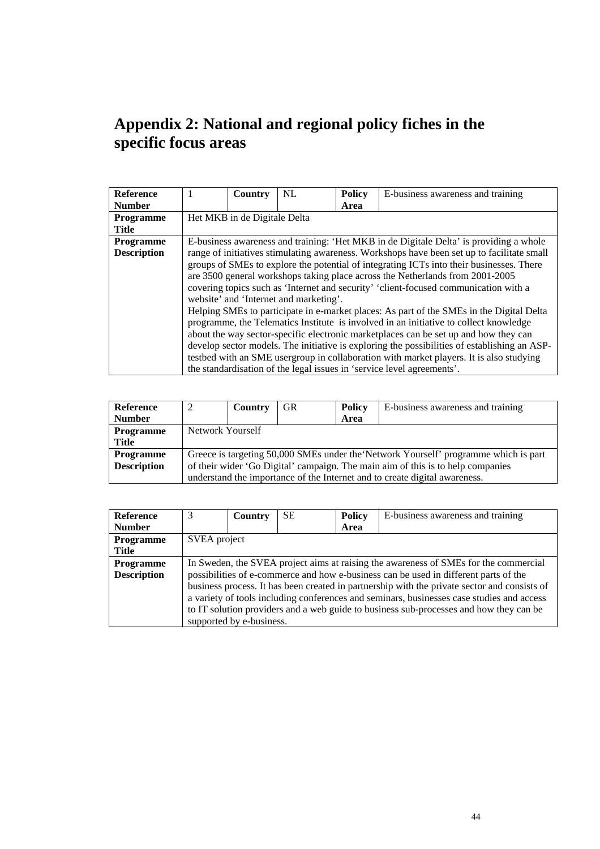# **Appendix 2: National and regional policy fiches in the specific focus areas**

| <b>Reference</b>   |                                                                                            | Country                                                                                      | NL                                     | <b>Policy</b> | E-business awareness and training                                                        |  |  |  |  |
|--------------------|--------------------------------------------------------------------------------------------|----------------------------------------------------------------------------------------------|----------------------------------------|---------------|------------------------------------------------------------------------------------------|--|--|--|--|
| <b>Number</b>      |                                                                                            |                                                                                              |                                        | Area          |                                                                                          |  |  |  |  |
| <b>Programme</b>   |                                                                                            | Het MKB in de Digitale Delta                                                                 |                                        |               |                                                                                          |  |  |  |  |
| <b>Title</b>       |                                                                                            |                                                                                              |                                        |               |                                                                                          |  |  |  |  |
| <b>Programme</b>   | E-business awareness and training: 'Het MKB in de Digitale Delta' is providing a whole     |                                                                                              |                                        |               |                                                                                          |  |  |  |  |
| <b>Description</b> | range of initiatives stimulating awareness. Workshops have been set up to facilitate small |                                                                                              |                                        |               |                                                                                          |  |  |  |  |
|                    | groups of SMEs to explore the potential of integrating ICTs into their businesses. There   |                                                                                              |                                        |               |                                                                                          |  |  |  |  |
|                    | are 3500 general workshops taking place across the Netherlands from 2001-2005              |                                                                                              |                                        |               |                                                                                          |  |  |  |  |
|                    | covering topics such as 'Internet and security' 'client-focused communication with a       |                                                                                              |                                        |               |                                                                                          |  |  |  |  |
|                    |                                                                                            |                                                                                              | website' and 'Internet and marketing'. |               |                                                                                          |  |  |  |  |
|                    |                                                                                            |                                                                                              |                                        |               | Helping SMEs to participate in e-market places: As part of the SMEs in the Digital Delta |  |  |  |  |
|                    |                                                                                            |                                                                                              |                                        |               | programme, the Telematics Institute is involved in an initiative to collect knowledge    |  |  |  |  |
|                    |                                                                                            |                                                                                              |                                        |               | about the way sector-specific electronic marketplaces can be set up and how they can     |  |  |  |  |
|                    |                                                                                            | develop sector models. The initiative is exploring the possibilities of establishing an ASP- |                                        |               |                                                                                          |  |  |  |  |
|                    |                                                                                            |                                                                                              |                                        |               | testbed with an SME usergroup in collaboration with market players. It is also studying  |  |  |  |  |
|                    |                                                                                            |                                                                                              |                                        |               | the standardisation of the legal issues in 'service level agreements'.                   |  |  |  |  |

| Reference          |                                                                                     | Country          | <b>GR</b> | <b>Policy</b> | E-business awareness and training                                          |  |  |  |
|--------------------|-------------------------------------------------------------------------------------|------------------|-----------|---------------|----------------------------------------------------------------------------|--|--|--|
| <b>Number</b>      |                                                                                     |                  |           | Area          |                                                                            |  |  |  |
| <b>Programme</b>   |                                                                                     | Network Yourself |           |               |                                                                            |  |  |  |
| Title              |                                                                                     |                  |           |               |                                                                            |  |  |  |
| <b>Programme</b>   | Greece is targeting 50,000 SMEs under the Network Yourself' programme which is part |                  |           |               |                                                                            |  |  |  |
| <b>Description</b> | of their wider 'Go Digital' campaign. The main aim of this is to help companies     |                  |           |               |                                                                            |  |  |  |
|                    |                                                                                     |                  |           |               | understand the importance of the Internet and to create digital awareness. |  |  |  |

| <b>Reference</b>   | 3                                                                                            | Country                  | SЕ | <b>Policy</b> | E-business awareness and training                                                      |  |  |  |
|--------------------|----------------------------------------------------------------------------------------------|--------------------------|----|---------------|----------------------------------------------------------------------------------------|--|--|--|
| <b>Number</b>      |                                                                                              |                          |    | Area          |                                                                                        |  |  |  |
| <b>Programme</b>   |                                                                                              | SVEA project             |    |               |                                                                                        |  |  |  |
| <b>Title</b>       |                                                                                              |                          |    |               |                                                                                        |  |  |  |
| <b>Programme</b>   | In Sweden, the SVEA project aims at raising the awareness of SMEs for the commercial         |                          |    |               |                                                                                        |  |  |  |
| <b>Description</b> |                                                                                              |                          |    |               | possibilities of e-commerce and how e-business can be used in different parts of the   |  |  |  |
|                    | business process. It has been created in partnership with the private sector and consists of |                          |    |               |                                                                                        |  |  |  |
|                    | a variety of tools including conferences and seminars, businesses case studies and access    |                          |    |               |                                                                                        |  |  |  |
|                    |                                                                                              |                          |    |               | to IT solution providers and a web guide to business sub-processes and how they can be |  |  |  |
|                    |                                                                                              | supported by e-business. |    |               |                                                                                        |  |  |  |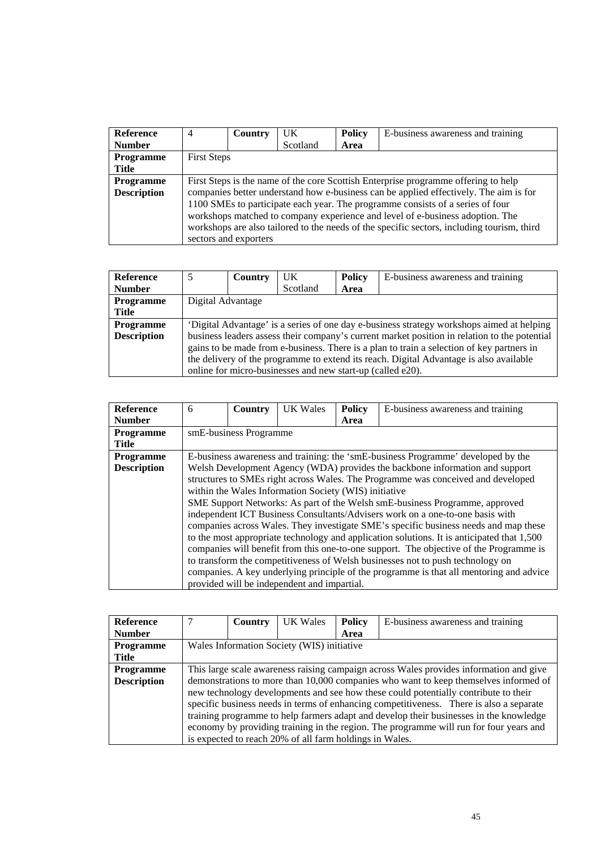| <b>Reference</b>   | $\overline{4}$                                                                     | Country                                                                               | UK.      | <b>Policy</b> | E-business awareness and training                                                          |  |  |  |  |
|--------------------|------------------------------------------------------------------------------------|---------------------------------------------------------------------------------------|----------|---------------|--------------------------------------------------------------------------------------------|--|--|--|--|
| <b>Number</b>      |                                                                                    |                                                                                       | Scotland | Area          |                                                                                            |  |  |  |  |
| Programme          |                                                                                    | <b>First Steps</b>                                                                    |          |               |                                                                                            |  |  |  |  |
| Title              |                                                                                    |                                                                                       |          |               |                                                                                            |  |  |  |  |
| <b>Programme</b>   | First Steps is the name of the core Scottish Enterprise programme offering to help |                                                                                       |          |               |                                                                                            |  |  |  |  |
| <b>Description</b> |                                                                                    | companies better understand how e-business can be applied effectively. The aim is for |          |               |                                                                                            |  |  |  |  |
|                    | 1100 SMEs to participate each year. The programme consists of a series of four     |                                                                                       |          |               |                                                                                            |  |  |  |  |
|                    |                                                                                    |                                                                                       |          |               | workshops matched to company experience and level of e-business adoption. The              |  |  |  |  |
|                    |                                                                                    |                                                                                       |          |               | workshops are also tailored to the needs of the specific sectors, including tourism, third |  |  |  |  |
|                    |                                                                                    | sectors and exporters                                                                 |          |               |                                                                                            |  |  |  |  |

| <b>Reference</b>   |                                                                                              | Country | <b>UK</b>                                                  | <b>Policy</b> | E-business awareness and training |  |  |  |
|--------------------|----------------------------------------------------------------------------------------------|---------|------------------------------------------------------------|---------------|-----------------------------------|--|--|--|
| <b>Number</b>      |                                                                                              |         | Scotland                                                   | Area          |                                   |  |  |  |
| Programme          | Digital Advantage                                                                            |         |                                                            |               |                                   |  |  |  |
| Title              |                                                                                              |         |                                                            |               |                                   |  |  |  |
| <b>Programme</b>   | 'Digital Advantage' is a series of one day e-business strategy workshops aimed at helping    |         |                                                            |               |                                   |  |  |  |
| <b>Description</b> | business leaders assess their company's current market position in relation to the potential |         |                                                            |               |                                   |  |  |  |
|                    | gains to be made from e-business. There is a plan to train a selection of key partners in    |         |                                                            |               |                                   |  |  |  |
|                    | the delivery of the programme to extend its reach. Digital Advantage is also available       |         |                                                            |               |                                   |  |  |  |
|                    |                                                                                              |         | online for micro-businesses and new start-up (called e20). |               |                                   |  |  |  |

| <b>Reference</b>   | 6 | Country                                                                          | <b>UK Wales</b>                             | <b>Policy</b> | E-business awareness and training                                                          |  |  |  |  |
|--------------------|---|----------------------------------------------------------------------------------|---------------------------------------------|---------------|--------------------------------------------------------------------------------------------|--|--|--|--|
| <b>Number</b>      |   |                                                                                  |                                             | Area          |                                                                                            |  |  |  |  |
| Programme          |   | smE-business Programme                                                           |                                             |               |                                                                                            |  |  |  |  |
| Title              |   |                                                                                  |                                             |               |                                                                                            |  |  |  |  |
| <b>Programme</b>   |   | E-business awareness and training: the 'smE-business Programme' developed by the |                                             |               |                                                                                            |  |  |  |  |
| <b>Description</b> |   | Welsh Development Agency (WDA) provides the backbone information and support     |                                             |               |                                                                                            |  |  |  |  |
|                    |   | structures to SMEs right across Wales. The Programme was conceived and developed |                                             |               |                                                                                            |  |  |  |  |
|                    |   | within the Wales Information Society (WIS) initiative                            |                                             |               |                                                                                            |  |  |  |  |
|                    |   |                                                                                  |                                             |               | SME Support Networks: As part of the Welsh smE-business Programme, approved                |  |  |  |  |
|                    |   |                                                                                  |                                             |               | independent ICT Business Consultants/Advisers work on a one-to-one basis with              |  |  |  |  |
|                    |   |                                                                                  |                                             |               | companies across Wales. They investigate SME's specific business needs and map these       |  |  |  |  |
|                    |   |                                                                                  |                                             |               | to the most appropriate technology and application solutions. It is anticipated that 1,500 |  |  |  |  |
|                    |   |                                                                                  |                                             |               | companies will benefit from this one-to-one support. The objective of the Programme is     |  |  |  |  |
|                    |   |                                                                                  |                                             |               | to transform the competitiveness of Welsh businesses not to push technology on             |  |  |  |  |
|                    |   |                                                                                  |                                             |               | companies. A key underlying principle of the programme is that all mentoring and advice    |  |  |  |  |
|                    |   |                                                                                  | provided will be independent and impartial. |               |                                                                                            |  |  |  |  |

| <b>Reference</b>   |                                                                                         | Country                                    | UK Wales                                                | <b>Policy</b> | E-business awareness and training                                                      |  |  |
|--------------------|-----------------------------------------------------------------------------------------|--------------------------------------------|---------------------------------------------------------|---------------|----------------------------------------------------------------------------------------|--|--|
| <b>Number</b>      |                                                                                         |                                            |                                                         | Area          |                                                                                        |  |  |
| <b>Programme</b>   |                                                                                         | Wales Information Society (WIS) initiative |                                                         |               |                                                                                        |  |  |
| <b>Title</b>       |                                                                                         |                                            |                                                         |               |                                                                                        |  |  |
| <b>Programme</b>   | This large scale awareness raising campaign across Wales provides information and give  |                                            |                                                         |               |                                                                                        |  |  |
| <b>Description</b> |                                                                                         |                                            |                                                         |               | demonstrations to more than 10,000 companies who want to keep themselves informed of   |  |  |
|                    | new technology developments and see how these could potentially contribute to their     |                                            |                                                         |               |                                                                                        |  |  |
|                    | specific business needs in terms of enhancing competitiveness. There is also a separate |                                            |                                                         |               |                                                                                        |  |  |
|                    |                                                                                         |                                            |                                                         |               | training programme to help farmers adapt and develop their businesses in the knowledge |  |  |
|                    |                                                                                         |                                            |                                                         |               | economy by providing training in the region. The programme will run for four years and |  |  |
|                    |                                                                                         |                                            | is expected to reach 20% of all farm holdings in Wales. |               |                                                                                        |  |  |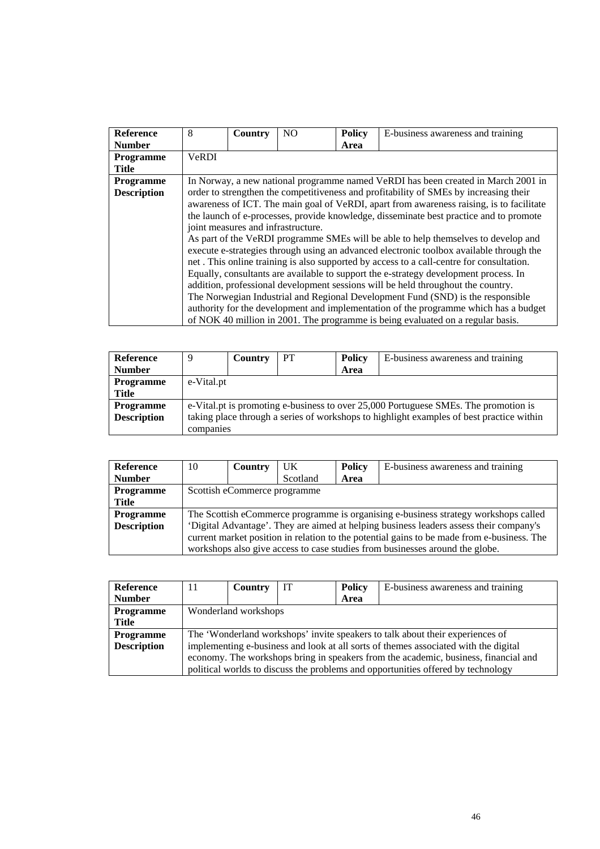| <b>Reference</b>   | 8                                                                                      | Country                                                                                  | N <sub>O</sub> | <b>Policy</b> | E-business awareness and training                                                     |  |  |  |  |
|--------------------|----------------------------------------------------------------------------------------|------------------------------------------------------------------------------------------|----------------|---------------|---------------------------------------------------------------------------------------|--|--|--|--|
| <b>Number</b>      |                                                                                        |                                                                                          |                | Area          |                                                                                       |  |  |  |  |
| <b>Programme</b>   | <b>VeRDI</b>                                                                           |                                                                                          |                |               |                                                                                       |  |  |  |  |
| <b>Title</b>       |                                                                                        |                                                                                          |                |               |                                                                                       |  |  |  |  |
| <b>Programme</b>   |                                                                                        | In Norway, a new national programme named VeRDI has been created in March 2001 in        |                |               |                                                                                       |  |  |  |  |
| <b>Description</b> |                                                                                        |                                                                                          |                |               | order to strengthen the competitiveness and profitability of SMEs by increasing their |  |  |  |  |
|                    |                                                                                        | awareness of ICT. The main goal of VeRDI, apart from awareness raising, is to facilitate |                |               |                                                                                       |  |  |  |  |
|                    | the launch of e-processes, provide knowledge, disseminate best practice and to promote |                                                                                          |                |               |                                                                                       |  |  |  |  |
|                    |                                                                                        | joint measures and infrastructure.                                                       |                |               |                                                                                       |  |  |  |  |
|                    |                                                                                        |                                                                                          |                |               | As part of the VeRDI programme SMEs will be able to help themselves to develop and    |  |  |  |  |
|                    |                                                                                        | execute e-strategies through using an advanced electronic toolbox available through the  |                |               |                                                                                       |  |  |  |  |
|                    |                                                                                        | net. This online training is also supported by access to a call-centre for consultation. |                |               |                                                                                       |  |  |  |  |
|                    |                                                                                        |                                                                                          |                |               | Equally, consultants are available to support the e-strategy development process. In  |  |  |  |  |
|                    |                                                                                        |                                                                                          |                |               | addition, professional development sessions will be held throughout the country.      |  |  |  |  |
|                    |                                                                                        |                                                                                          |                |               | The Norwegian Industrial and Regional Development Fund (SND) is the responsible       |  |  |  |  |
|                    |                                                                                        |                                                                                          |                |               | authority for the development and implementation of the programme which has a budget  |  |  |  |  |
|                    |                                                                                        |                                                                                          |                |               | of NOK 40 million in 2001. The programme is being evaluated on a regular basis.       |  |  |  |  |

| Reference          | 9                                                                                        | Country    | PT | <b>Policy</b> | E-business awareness and training |  |  |  |  |
|--------------------|------------------------------------------------------------------------------------------|------------|----|---------------|-----------------------------------|--|--|--|--|
| <b>Number</b>      |                                                                                          |            |    | Area          |                                   |  |  |  |  |
| <b>Programme</b>   |                                                                                          | e-Vital.pt |    |               |                                   |  |  |  |  |
| <b>Title</b>       |                                                                                          |            |    |               |                                   |  |  |  |  |
| <b>Programme</b>   | e-Vital pt is promoting e-business to over 25,000 Portuguese SMEs. The promotion is      |            |    |               |                                   |  |  |  |  |
| <b>Description</b> | taking place through a series of workshops to highlight examples of best practice within |            |    |               |                                   |  |  |  |  |
|                    | companies                                                                                |            |    |               |                                   |  |  |  |  |

| <b>Reference</b>   | 10                                                                                         | Country | UK.      | <b>Policy</b> | E-business awareness and training                                            |  |  |
|--------------------|--------------------------------------------------------------------------------------------|---------|----------|---------------|------------------------------------------------------------------------------|--|--|
| <b>Number</b>      |                                                                                            |         | Scotland | Area          |                                                                              |  |  |
| Programme          | Scottish eCommerce programme                                                               |         |          |               |                                                                              |  |  |
| Title              |                                                                                            |         |          |               |                                                                              |  |  |
| <b>Programme</b>   | The Scottish eCommerce programme is organising e-business strategy workshops called        |         |          |               |                                                                              |  |  |
| <b>Description</b> | 'Digital Advantage'. They are aimed at helping business leaders assess their company's     |         |          |               |                                                                              |  |  |
|                    | current market position in relation to the potential gains to be made from e-business. The |         |          |               |                                                                              |  |  |
|                    |                                                                                            |         |          |               | workshops also give access to case studies from businesses around the globe. |  |  |

| <b>Reference</b>   | 11                                                                                  | Country              | IT | <b>Policy</b> | E-business awareness and training                                                |  |  |  |
|--------------------|-------------------------------------------------------------------------------------|----------------------|----|---------------|----------------------------------------------------------------------------------|--|--|--|
| <b>Number</b>      |                                                                                     |                      |    | Area          |                                                                                  |  |  |  |
| <b>Programme</b>   |                                                                                     | Wonderland workshops |    |               |                                                                                  |  |  |  |
| Title              |                                                                                     |                      |    |               |                                                                                  |  |  |  |
| <b>Programme</b>   | The 'Wonderland workshops' invite speakers to talk about their experiences of       |                      |    |               |                                                                                  |  |  |  |
| <b>Description</b> | implementing e-business and look at all sorts of themes associated with the digital |                      |    |               |                                                                                  |  |  |  |
|                    | economy. The workshops bring in speakers from the academic, business, financial and |                      |    |               |                                                                                  |  |  |  |
|                    |                                                                                     |                      |    |               | political worlds to discuss the problems and opportunities offered by technology |  |  |  |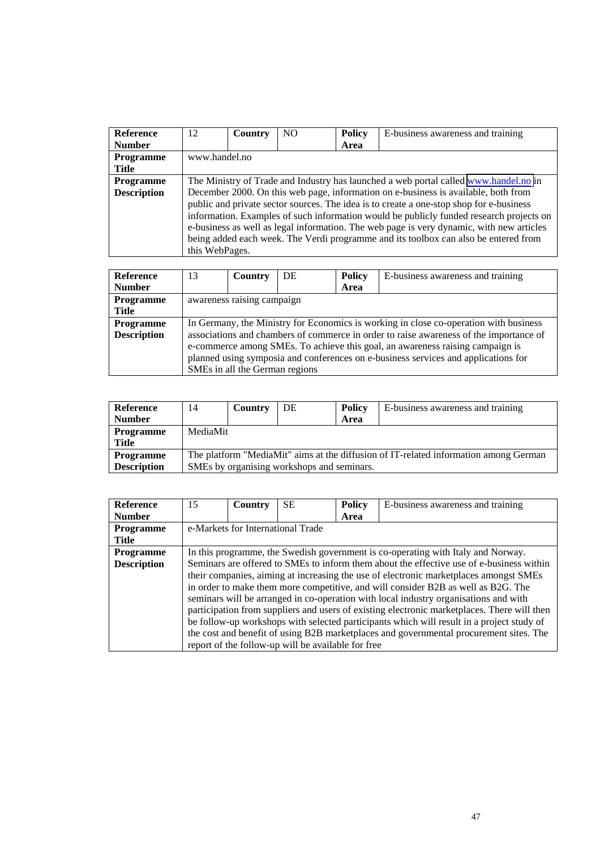| <b>Reference</b>   | 12                                                                                   | <b>Country</b> | N <sub>O</sub> | <b>Policy</b> | E-business awareness and training                                                        |  |  |
|--------------------|--------------------------------------------------------------------------------------|----------------|----------------|---------------|------------------------------------------------------------------------------------------|--|--|
| <b>Number</b>      |                                                                                      |                |                | Area          |                                                                                          |  |  |
| <b>Programme</b>   | www.handel.no                                                                        |                |                |               |                                                                                          |  |  |
| <b>Title</b>       |                                                                                      |                |                |               |                                                                                          |  |  |
| <b>Programme</b>   | The Ministry of Trade and Industry has launched a web portal called www.handel.no in |                |                |               |                                                                                          |  |  |
| <b>Description</b> |                                                                                      |                |                |               | December 2000. On this web page, information on e-business is available, both from       |  |  |
|                    |                                                                                      |                |                |               | public and private sector sources. The idea is to create a one-stop shop for e-business  |  |  |
|                    |                                                                                      |                |                |               | information. Examples of such information would be publicly funded research projects on  |  |  |
|                    |                                                                                      |                |                |               | e-business as well as legal information. The web page is very dynamic, with new articles |  |  |
|                    |                                                                                      |                |                |               | being added each week. The Verdi programme and its toolbox can also be entered from      |  |  |
|                    | this WebPages.                                                                       |                |                |               |                                                                                          |  |  |

| Reference          | 13                                                                                    | Country                        | DE | <b>Policy</b> | E-business awareness and training                                                      |  |  |
|--------------------|---------------------------------------------------------------------------------------|--------------------------------|----|---------------|----------------------------------------------------------------------------------------|--|--|
| <b>Number</b>      |                                                                                       |                                |    | Area          |                                                                                        |  |  |
| Programme          |                                                                                       | awareness raising campaign     |    |               |                                                                                        |  |  |
| Title              |                                                                                       |                                |    |               |                                                                                        |  |  |
| Programme          | In Germany, the Ministry for Economics is working in close co-operation with business |                                |    |               |                                                                                        |  |  |
| <b>Description</b> |                                                                                       |                                |    |               | associations and chambers of commerce in order to raise awareness of the importance of |  |  |
|                    | e-commerce among SMEs. To achieve this goal, an awareness raising campaign is         |                                |    |               |                                                                                        |  |  |
|                    | planned using symposia and conferences on e-business services and applications for    |                                |    |               |                                                                                        |  |  |
|                    |                                                                                       | SMEs in all the German regions |    |               |                                                                                        |  |  |

| Reference          | 14                                                                                   | Country  | DE | Policy | E-business awareness and training |  |  |  |
|--------------------|--------------------------------------------------------------------------------------|----------|----|--------|-----------------------------------|--|--|--|
| <b>Number</b>      |                                                                                      |          |    | Area   |                                   |  |  |  |
| <b>Programme</b>   |                                                                                      | MediaMit |    |        |                                   |  |  |  |
| <b>Title</b>       |                                                                                      |          |    |        |                                   |  |  |  |
| <b>Programme</b>   | The platform "MediaMit" aims at the diffusion of IT-related information among German |          |    |        |                                   |  |  |  |
| <b>Description</b> | SMEs by organising workshops and seminars.                                           |          |    |        |                                   |  |  |  |

| Reference          | 15 | Country                                                                                   | SE.                                                | <b>Policy</b> | E-business awareness and training                                                           |  |  |
|--------------------|----|-------------------------------------------------------------------------------------------|----------------------------------------------------|---------------|---------------------------------------------------------------------------------------------|--|--|
| <b>Number</b>      |    |                                                                                           |                                                    | Area          |                                                                                             |  |  |
| <b>Programme</b>   |    |                                                                                           | e-Markets for International Trade                  |               |                                                                                             |  |  |
| <b>Title</b>       |    |                                                                                           |                                                    |               |                                                                                             |  |  |
| <b>Programme</b>   |    |                                                                                           |                                                    |               | In this programme, the Swedish government is co-operating with Italy and Norway.            |  |  |
| <b>Description</b> |    |                                                                                           |                                                    |               | Seminars are offered to SMEs to inform them about the effective use of e-business within    |  |  |
|                    |    |                                                                                           |                                                    |               | their companies, aiming at increasing the use of electronic marketplaces amongst SMEs       |  |  |
|                    |    |                                                                                           |                                                    |               | in order to make them more competitive, and will consider B2B as well as B2G. The           |  |  |
|                    |    |                                                                                           |                                                    |               | seminars will be arranged in co-operation with local industry organisations and with        |  |  |
|                    |    |                                                                                           |                                                    |               | participation from suppliers and users of existing electronic marketplaces. There will then |  |  |
|                    |    | be follow-up workshops with selected participants which will result in a project study of |                                                    |               |                                                                                             |  |  |
|                    |    |                                                                                           |                                                    |               | the cost and benefit of using B2B marketplaces and governmental procurement sites. The      |  |  |
|                    |    |                                                                                           | report of the follow-up will be available for free |               |                                                                                             |  |  |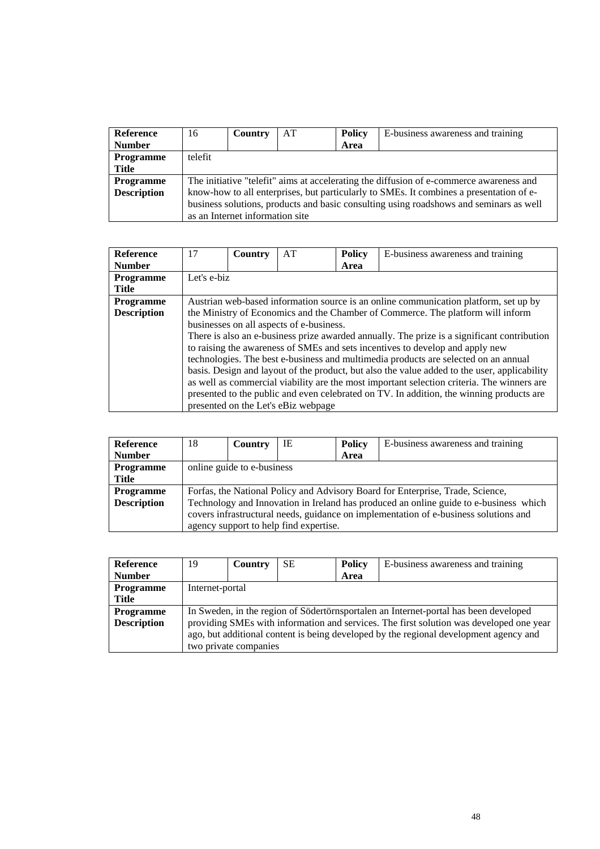| Reference          | 16                                                                                     | <b>Country</b>                                                                          | AT | <b>Policy</b> | E-business awareness and training                                                       |  |  |  |  |
|--------------------|----------------------------------------------------------------------------------------|-----------------------------------------------------------------------------------------|----|---------------|-----------------------------------------------------------------------------------------|--|--|--|--|
| <b>Number</b>      |                                                                                        |                                                                                         |    | Area          |                                                                                         |  |  |  |  |
| Programme          | telefit                                                                                |                                                                                         |    |               |                                                                                         |  |  |  |  |
| Title              |                                                                                        |                                                                                         |    |               |                                                                                         |  |  |  |  |
| <b>Programme</b>   |                                                                                        | The initiative "telefit" aims at accelerating the diffusion of e-commerce awareness and |    |               |                                                                                         |  |  |  |  |
| <b>Description</b> |                                                                                        |                                                                                         |    |               | know-how to all enterprises, but particularly to SMEs. It combines a presentation of e- |  |  |  |  |
|                    | business solutions, products and basic consulting using roadshows and seminars as well |                                                                                         |    |               |                                                                                         |  |  |  |  |
|                    |                                                                                        | as an Internet information site                                                         |    |               |                                                                                         |  |  |  |  |

| <b>Reference</b>   | 17          | Country | AT                                       | <b>Policy</b> | E-business awareness and training                                                            |
|--------------------|-------------|---------|------------------------------------------|---------------|----------------------------------------------------------------------------------------------|
| <b>Number</b>      |             |         |                                          | Area          |                                                                                              |
| Programme          | Let's e-biz |         |                                          |               |                                                                                              |
| Title              |             |         |                                          |               |                                                                                              |
| <b>Programme</b>   |             |         |                                          |               | Austrian web-based information source is an online communication platform, set up by         |
| <b>Description</b> |             |         |                                          |               | the Ministry of Economics and the Chamber of Commerce. The platform will inform              |
|                    |             |         | businesses on all aspects of e-business. |               |                                                                                              |
|                    |             |         |                                          |               | There is also an e-business prize awarded annually. The prize is a significant contribution  |
|                    |             |         |                                          |               | to raising the awareness of SMEs and sets incentives to develop and apply new                |
|                    |             |         |                                          |               | technologies. The best e-business and multimedia products are selected on an annual          |
|                    |             |         |                                          |               | basis. Design and layout of the product, but also the value added to the user, applicability |
|                    |             |         |                                          |               | as well as commercial viability are the most important selection criteria. The winners are   |
|                    |             |         |                                          |               | presented to the public and even celebrated on TV. In addition, the winning products are     |
|                    |             |         | presented on the Let's eBiz webpage      |               |                                                                                              |

| Reference          | 18                                                                                   | Country                    | IE                                     | <b>Policy</b> | E-business awareness and training                                                     |  |
|--------------------|--------------------------------------------------------------------------------------|----------------------------|----------------------------------------|---------------|---------------------------------------------------------------------------------------|--|
| <b>Number</b>      |                                                                                      |                            |                                        | Area          |                                                                                       |  |
| <b>Programme</b>   |                                                                                      | online guide to e-business |                                        |               |                                                                                       |  |
| Title              |                                                                                      |                            |                                        |               |                                                                                       |  |
| <b>Programme</b>   |                                                                                      |                            |                                        |               | Forfas, the National Policy and Advisory Board for Enterprise, Trade, Science,        |  |
| <b>Description</b> |                                                                                      |                            |                                        |               | Technology and Innovation in Ireland has produced an online guide to e-business which |  |
|                    | covers infrastructural needs, guidance on implementation of e-business solutions and |                            |                                        |               |                                                                                       |  |
|                    |                                                                                      |                            | agency support to help find expertise. |               |                                                                                       |  |

| <b>Reference</b>   | 19                                                                                      | <b>Country</b>        | <b>SE</b> | <b>Policy</b> | E-business awareness and training                                                    |  |
|--------------------|-----------------------------------------------------------------------------------------|-----------------------|-----------|---------------|--------------------------------------------------------------------------------------|--|
| <b>Number</b>      |                                                                                         |                       |           | Area          |                                                                                      |  |
| <b>Programme</b>   | Internet-portal                                                                         |                       |           |               |                                                                                      |  |
| Title              |                                                                                         |                       |           |               |                                                                                      |  |
| <b>Programme</b>   |                                                                                         |                       |           |               | In Sweden, in the region of Södertörnsportalen an Internet-portal has been developed |  |
| <b>Description</b> | providing SMEs with information and services. The first solution was developed one year |                       |           |               |                                                                                      |  |
|                    | ago, but additional content is being developed by the regional development agency and   |                       |           |               |                                                                                      |  |
|                    |                                                                                         | two private companies |           |               |                                                                                      |  |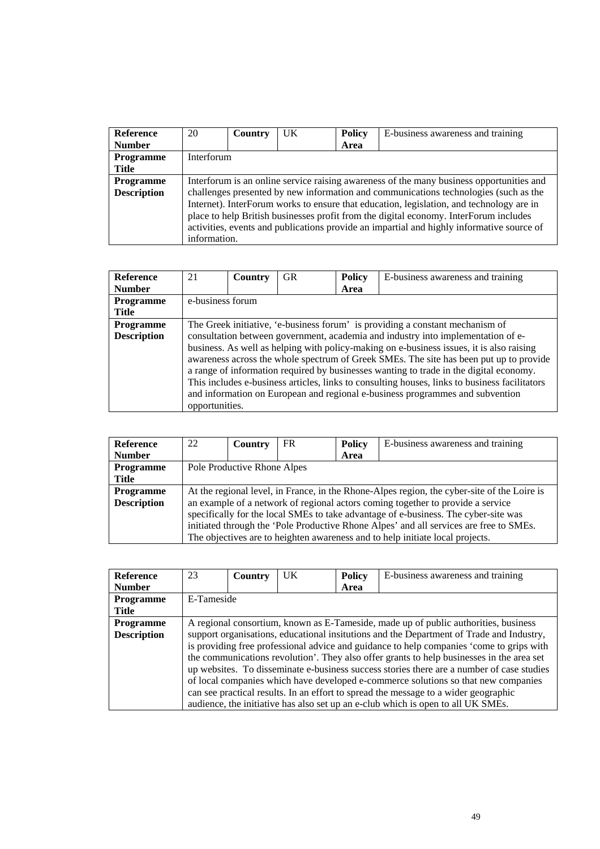| <b>Reference</b>   | 20                                                                                        | Country | <b>UK</b> | <b>Policy</b> | E-business awareness and training                                                        |  |  |
|--------------------|-------------------------------------------------------------------------------------------|---------|-----------|---------------|------------------------------------------------------------------------------------------|--|--|
| <b>Number</b>      |                                                                                           |         |           | Area          |                                                                                          |  |  |
| Programme          | Interforum                                                                                |         |           |               |                                                                                          |  |  |
| Title              |                                                                                           |         |           |               |                                                                                          |  |  |
| Programme          | Interforum is an online service raising awareness of the many business opportunities and  |         |           |               |                                                                                          |  |  |
| <b>Description</b> |                                                                                           |         |           |               | challenges presented by new information and communications technologies (such as the     |  |  |
|                    |                                                                                           |         |           |               | Internet). InterForum works to ensure that education, legislation, and technology are in |  |  |
|                    | place to help British businesses profit from the digital economy. InterForum includes     |         |           |               |                                                                                          |  |  |
|                    | activities, events and publications provide an impartial and highly informative source of |         |           |               |                                                                                          |  |  |
|                    | information.                                                                              |         |           |               |                                                                                          |  |  |

| <b>Reference</b>   | 21               | Country | <b>GR</b> | <b>Policy</b> | E-business awareness and training                                                             |
|--------------------|------------------|---------|-----------|---------------|-----------------------------------------------------------------------------------------------|
| <b>Number</b>      |                  |         |           | Area          |                                                                                               |
| Programme          | e-business forum |         |           |               |                                                                                               |
| <b>Title</b>       |                  |         |           |               |                                                                                               |
| <b>Programme</b>   |                  |         |           |               | The Greek initiative, 'e-business forum' is providing a constant mechanism of                 |
| <b>Description</b> |                  |         |           |               | consultation between government, academia and industry into implementation of e-              |
|                    |                  |         |           |               | business. As well as helping with policy-making on e-business issues, it is also raising      |
|                    |                  |         |           |               | awareness across the whole spectrum of Greek SMEs. The site has been put up to provide        |
|                    |                  |         |           |               | a range of information required by businesses wanting to trade in the digital economy.        |
|                    |                  |         |           |               | This includes e-business articles, links to consulting houses, links to business facilitators |
|                    |                  |         |           |               | and information on European and regional e-business programmes and subvention                 |
|                    | opportunities.   |         |           |               |                                                                                               |

| <b>Reference</b>   | 22                                                                                  | Country                     | FR | <b>Policy</b> | E-business awareness and training                                                           |  |
|--------------------|-------------------------------------------------------------------------------------|-----------------------------|----|---------------|---------------------------------------------------------------------------------------------|--|
| <b>Number</b>      |                                                                                     |                             |    | Area          |                                                                                             |  |
| <b>Programme</b>   |                                                                                     | Pole Productive Rhone Alpes |    |               |                                                                                             |  |
| Title              |                                                                                     |                             |    |               |                                                                                             |  |
| <b>Programme</b>   |                                                                                     |                             |    |               | At the regional level, in France, in the Rhone-Alpes region, the cyber-site of the Loire is |  |
| <b>Description</b> |                                                                                     |                             |    |               | an example of a network of regional actors coming together to provide a service             |  |
|                    | specifically for the local SMEs to take advantage of e-business. The cyber-site was |                             |    |               |                                                                                             |  |
|                    |                                                                                     |                             |    |               | initiated through the 'Pole Productive Rhone Alpes' and all services are free to SMEs.      |  |
|                    |                                                                                     |                             |    |               | The objectives are to heighten awareness and to help initiate local projects.               |  |

| <b>Reference</b>   | 23         | Country | UK | <b>Policy</b> | E-business awareness and training                                                         |  |
|--------------------|------------|---------|----|---------------|-------------------------------------------------------------------------------------------|--|
| <b>Number</b>      |            |         |    | Area          |                                                                                           |  |
| Programme          | E-Tameside |         |    |               |                                                                                           |  |
| <b>Title</b>       |            |         |    |               |                                                                                           |  |
| <b>Programme</b>   |            |         |    |               | A regional consortium, known as E-Tameside, made up of public authorities, business       |  |
| <b>Description</b> |            |         |    |               | support organisations, educational insitutions and the Department of Trade and Industry,  |  |
|                    |            |         |    |               | is providing free professional advice and guidance to help companies 'come to grips with  |  |
|                    |            |         |    |               | the communications revolution'. They also offer grants to help businesses in the area set |  |
|                    |            |         |    |               | up websites. To disseminate e-business success stories there are a number of case studies |  |
|                    |            |         |    |               | of local companies which have developed e-commerce solutions so that new companies        |  |
|                    |            |         |    |               | can see practical results. In an effort to spread the message to a wider geographic       |  |
|                    |            |         |    |               | audience, the initiative has also set up an e-club which is open to all UK SMEs.          |  |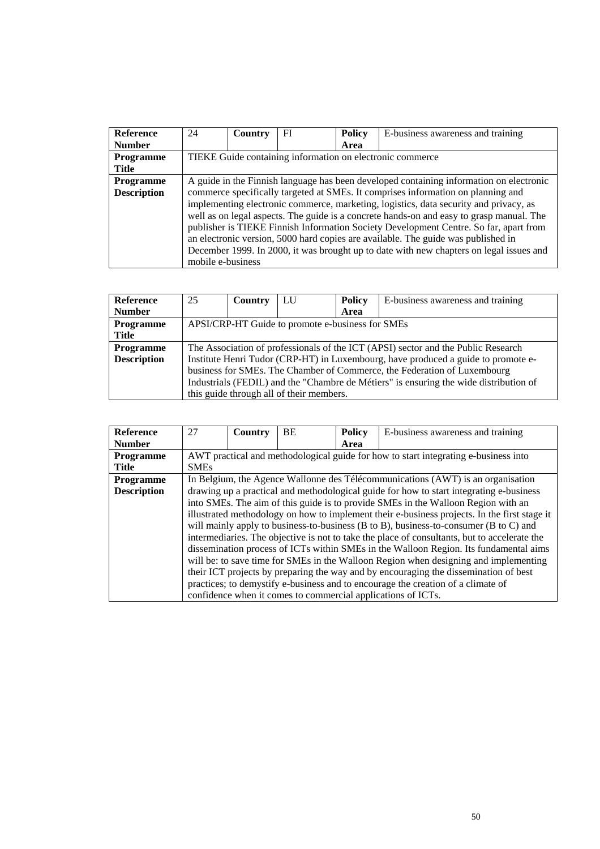| <b>Reference</b>   | 24                | Country | FI | <b>Policy</b> | E-business awareness and training                                                        |
|--------------------|-------------------|---------|----|---------------|------------------------------------------------------------------------------------------|
| <b>Number</b>      |                   |         |    | Area          |                                                                                          |
| <b>Programme</b>   |                   |         |    |               | TIEKE Guide containing information on electronic commerce                                |
| Title              |                   |         |    |               |                                                                                          |
| <b>Programme</b>   |                   |         |    |               | A guide in the Finnish language has been developed containing information on electronic  |
| <b>Description</b> |                   |         |    |               | commerce specifically targeted at SMEs. It comprises information on planning and         |
|                    |                   |         |    |               | implementing electronic commerce, marketing, logistics, data security and privacy, as    |
|                    |                   |         |    |               | well as on legal aspects. The guide is a concrete hands-on and easy to grasp manual. The |
|                    |                   |         |    |               | publisher is TIEKE Finnish Information Society Development Centre. So far, apart from    |
|                    |                   |         |    |               | an electronic version, 5000 hard copies are available. The guide was published in        |
|                    |                   |         |    |               | December 1999. In 2000, it was brought up to date with new chapters on legal issues and  |
|                    | mobile e-business |         |    |               |                                                                                          |

| Reference          | 25                                                                                    | Country | LU                                       | <b>Policy</b> | E-business awareness and training |  |
|--------------------|---------------------------------------------------------------------------------------|---------|------------------------------------------|---------------|-----------------------------------|--|
| <b>Number</b>      |                                                                                       |         |                                          | Area          |                                   |  |
| <b>Programme</b>   | APSI/CRP-HT Guide to promote e-business for SMEs                                      |         |                                          |               |                                   |  |
| Title              |                                                                                       |         |                                          |               |                                   |  |
| <b>Programme</b>   | The Association of professionals of the ICT (APSI) sector and the Public Research     |         |                                          |               |                                   |  |
| <b>Description</b> | Institute Henri Tudor (CRP-HT) in Luxembourg, have produced a guide to promote e-     |         |                                          |               |                                   |  |
|                    | business for SMEs. The Chamber of Commerce, the Federation of Luxembourg              |         |                                          |               |                                   |  |
|                    | Industrials (FEDIL) and the "Chambre de Métiers" is ensuring the wide distribution of |         |                                          |               |                                   |  |
|                    |                                                                                       |         | this guide through all of their members. |               |                                   |  |

| <b>Reference</b>   | 27                                                                                | Country | <b>BE</b> | <b>Policy</b> | E-business awareness and training                                                            |  |
|--------------------|-----------------------------------------------------------------------------------|---------|-----------|---------------|----------------------------------------------------------------------------------------------|--|
| <b>Number</b>      |                                                                                   |         |           | Area          |                                                                                              |  |
| <b>Programme</b>   |                                                                                   |         |           |               | AWT practical and methodological guide for how to start integrating e-business into          |  |
| <b>Title</b>       | <b>SMEs</b>                                                                       |         |           |               |                                                                                              |  |
| <b>Programme</b>   |                                                                                   |         |           |               | In Belgium, the Agence Wallonne des Télécommunications (AWT) is an organisation              |  |
| <b>Description</b> |                                                                                   |         |           |               | drawing up a practical and methodological guide for how to start integrating e-business      |  |
|                    | into SMEs. The aim of this guide is to provide SMEs in the Walloon Region with an |         |           |               |                                                                                              |  |
|                    |                                                                                   |         |           |               | illustrated methodology on how to implement their e-business projects. In the first stage it |  |
|                    |                                                                                   |         |           |               | will mainly apply to business-to-business (B to B), business-to-consumer (B to C) and        |  |
|                    |                                                                                   |         |           |               | intermediaries. The objective is not to take the place of consultants, but to accelerate the |  |
|                    |                                                                                   |         |           |               | dissemination process of ICTs within SMEs in the Walloon Region. Its fundamental aims        |  |
|                    |                                                                                   |         |           |               | will be: to save time for SMEs in the Walloon Region when designing and implementing         |  |
|                    |                                                                                   |         |           |               | their ICT projects by preparing the way and by encouraging the dissemination of best         |  |
|                    |                                                                                   |         |           |               | practices; to demystify e-business and to encourage the creation of a climate of             |  |
|                    |                                                                                   |         |           |               | confidence when it comes to commercial applications of ICTs.                                 |  |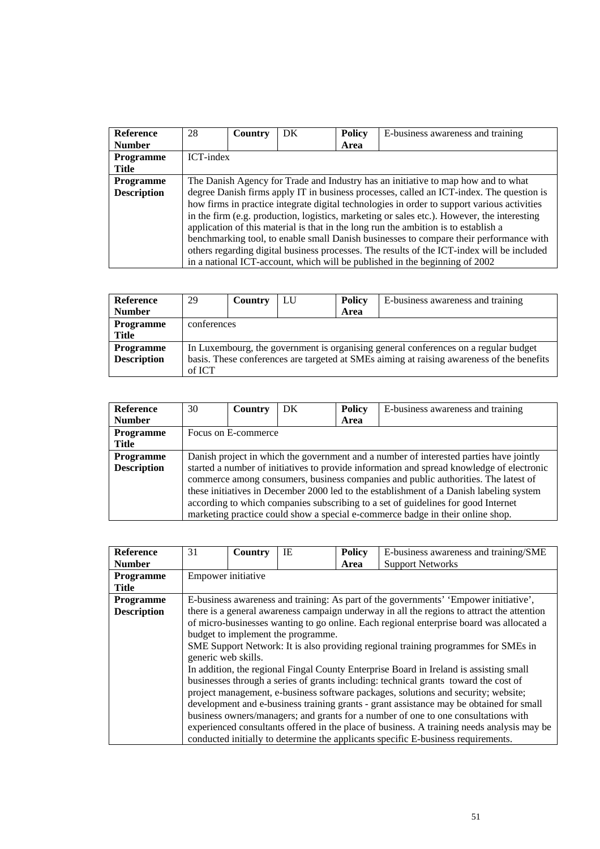| <b>Reference</b>   | 28                                                                                          | Country   | DK | <b>Policy</b> | E-business awareness and training                                                          |  |  |  |
|--------------------|---------------------------------------------------------------------------------------------|-----------|----|---------------|--------------------------------------------------------------------------------------------|--|--|--|
| <b>Number</b>      |                                                                                             |           |    | Area          |                                                                                            |  |  |  |
| <b>Programme</b>   |                                                                                             | ICT-index |    |               |                                                                                            |  |  |  |
| Title              |                                                                                             |           |    |               |                                                                                            |  |  |  |
| <b>Programme</b>   | The Danish Agency for Trade and Industry has an initiative to map how and to what           |           |    |               |                                                                                            |  |  |  |
| <b>Description</b> | degree Danish firms apply IT in business processes, called an ICT-index. The question is    |           |    |               |                                                                                            |  |  |  |
|                    | how firms in practice integrate digital technologies in order to support various activities |           |    |               |                                                                                            |  |  |  |
|                    | in the firm (e.g. production, logistics, marketing or sales etc.). However, the interesting |           |    |               |                                                                                            |  |  |  |
|                    |                                                                                             |           |    |               | application of this material is that in the long run the ambition is to establish a        |  |  |  |
|                    |                                                                                             |           |    |               | benchmarking tool, to enable small Danish businesses to compare their performance with     |  |  |  |
|                    |                                                                                             |           |    |               | others regarding digital business processes. The results of the ICT-index will be included |  |  |  |
|                    |                                                                                             |           |    |               | in a national ICT-account, which will be published in the beginning of 2002                |  |  |  |

| <b>Reference</b>   | 29          | Country                                                                                   | LU | <b>Policy</b> | E-business awareness and training |  |  |  |  |
|--------------------|-------------|-------------------------------------------------------------------------------------------|----|---------------|-----------------------------------|--|--|--|--|
| <b>Number</b>      |             |                                                                                           |    | Area          |                                   |  |  |  |  |
| <b>Programme</b>   | conferences |                                                                                           |    |               |                                   |  |  |  |  |
| Title              |             |                                                                                           |    |               |                                   |  |  |  |  |
| <b>Programme</b>   |             | In Luxembourg, the government is organising general conferences on a regular budget       |    |               |                                   |  |  |  |  |
| <b>Description</b> |             | basis. These conferences are targeted at SMEs aiming at raising awareness of the benefits |    |               |                                   |  |  |  |  |
|                    | of ICT      |                                                                                           |    |               |                                   |  |  |  |  |

| <b>Reference</b>   | 30                                                                                     | Country             | DK | <b>Policy</b> | E-business awareness and training                                                                                                                                                                                                                                                                                                                                                                                                                 |  |  |
|--------------------|----------------------------------------------------------------------------------------|---------------------|----|---------------|---------------------------------------------------------------------------------------------------------------------------------------------------------------------------------------------------------------------------------------------------------------------------------------------------------------------------------------------------------------------------------------------------------------------------------------------------|--|--|
| <b>Number</b>      |                                                                                        |                     |    | Area          |                                                                                                                                                                                                                                                                                                                                                                                                                                                   |  |  |
| <b>Programme</b>   |                                                                                        | Focus on E-commerce |    |               |                                                                                                                                                                                                                                                                                                                                                                                                                                                   |  |  |
| <b>Title</b>       |                                                                                        |                     |    |               |                                                                                                                                                                                                                                                                                                                                                                                                                                                   |  |  |
| <b>Programme</b>   | Danish project in which the government and a number of interested parties have jointly |                     |    |               |                                                                                                                                                                                                                                                                                                                                                                                                                                                   |  |  |
| <b>Description</b> |                                                                                        |                     |    |               | started a number of initiatives to provide information and spread knowledge of electronic<br>commerce among consumers, business companies and public authorities. The latest of<br>these initiatives in December 2000 led to the establishment of a Danish labeling system<br>according to which companies subscribing to a set of guidelines for good Internet<br>marketing practice could show a special e-commerce badge in their online shop. |  |  |

| <b>Reference</b>   | 31                                                                                         | Country                                                                              | ΙE                                 | <b>Policy</b> | E-business awareness and training/SME                                                      |  |  |  |
|--------------------|--------------------------------------------------------------------------------------------|--------------------------------------------------------------------------------------|------------------------------------|---------------|--------------------------------------------------------------------------------------------|--|--|--|
| <b>Number</b>      |                                                                                            |                                                                                      |                                    | Area          | <b>Support Networks</b>                                                                    |  |  |  |
| <b>Programme</b>   | Empower initiative                                                                         |                                                                                      |                                    |               |                                                                                            |  |  |  |
| <b>Title</b>       |                                                                                            |                                                                                      |                                    |               |                                                                                            |  |  |  |
| <b>Programme</b>   |                                                                                            | E-business awareness and training: As part of the governments' 'Empower initiative', |                                    |               |                                                                                            |  |  |  |
| <b>Description</b> | there is a general awareness campaign underway in all the regions to attract the attention |                                                                                      |                                    |               |                                                                                            |  |  |  |
|                    |                                                                                            |                                                                                      |                                    |               | of micro-businesses wanting to go online. Each regional enterprise board was allocated a   |  |  |  |
|                    |                                                                                            |                                                                                      | budget to implement the programme. |               |                                                                                            |  |  |  |
|                    |                                                                                            |                                                                                      |                                    |               | SME Support Network: It is also providing regional training programmes for SMEs in         |  |  |  |
|                    | generic web skills.                                                                        |                                                                                      |                                    |               |                                                                                            |  |  |  |
|                    |                                                                                            |                                                                                      |                                    |               | In addition, the regional Fingal County Enterprise Board in Ireland is assisting small     |  |  |  |
|                    |                                                                                            |                                                                                      |                                    |               | businesses through a series of grants including: technical grants toward the cost of       |  |  |  |
|                    |                                                                                            |                                                                                      |                                    |               | project management, e-business software packages, solutions and security; website;         |  |  |  |
|                    |                                                                                            |                                                                                      |                                    |               | development and e-business training grants - grant assistance may be obtained for small    |  |  |  |
|                    |                                                                                            |                                                                                      |                                    |               | business owners/managers; and grants for a number of one to one consultations with         |  |  |  |
|                    |                                                                                            |                                                                                      |                                    |               | experienced consultants offered in the place of business. A training needs analysis may be |  |  |  |
|                    |                                                                                            |                                                                                      |                                    |               | conducted initially to determine the applicants specific E-business requirements.          |  |  |  |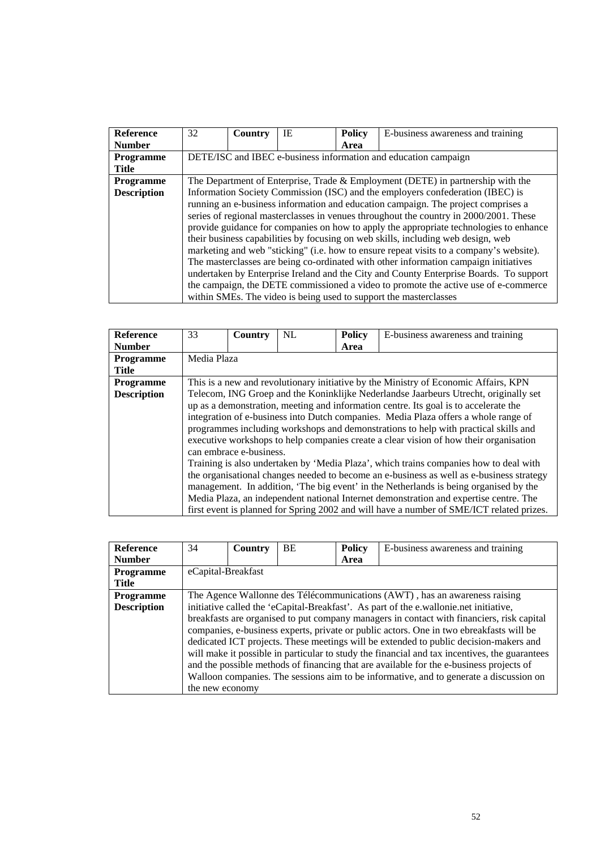| <b>Reference</b>   | 32 | Country                                                                           | IE | <b>Policy</b> | E-business awareness and training                                                       |  |  |  |  |
|--------------------|----|-----------------------------------------------------------------------------------|----|---------------|-----------------------------------------------------------------------------------------|--|--|--|--|
| <b>Number</b>      |    |                                                                                   |    | Area          |                                                                                         |  |  |  |  |
| <b>Programme</b>   |    | DETE/ISC and IBEC e-business information and education campaign                   |    |               |                                                                                         |  |  |  |  |
| <b>Title</b>       |    |                                                                                   |    |               |                                                                                         |  |  |  |  |
| <b>Programme</b>   |    | The Department of Enterprise, Trade $&$ Employment (DETE) in partnership with the |    |               |                                                                                         |  |  |  |  |
| <b>Description</b> |    |                                                                                   |    |               | Information Society Commission (ISC) and the employers confederation (IBEC) is          |  |  |  |  |
|                    |    |                                                                                   |    |               | running an e-business information and education campaign. The project comprises a       |  |  |  |  |
|                    |    |                                                                                   |    |               | series of regional masterclasses in venues throughout the country in 2000/2001. These   |  |  |  |  |
|                    |    |                                                                                   |    |               | provide guidance for companies on how to apply the appropriate technologies to enhance  |  |  |  |  |
|                    |    |                                                                                   |    |               | their business capabilities by focusing on web skills, including web design, web        |  |  |  |  |
|                    |    |                                                                                   |    |               | marketing and web "sticking" (i.e. how to ensure repeat visits to a company's website). |  |  |  |  |
|                    |    |                                                                                   |    |               | The masterclasses are being co-ordinated with other information campaign initiatives    |  |  |  |  |
|                    |    |                                                                                   |    |               | undertaken by Enterprise Ireland and the City and County Enterprise Boards. To support  |  |  |  |  |
|                    |    |                                                                                   |    |               | the campaign, the DETE commissioned a video to promote the active use of e-commerce     |  |  |  |  |
|                    |    |                                                                                   |    |               | within SMEs. The video is being used to support the master classes                      |  |  |  |  |

| <b>Reference</b>   | 33          | Country                 | NL | <b>Policy</b> | E-business awareness and training                                                        |  |  |  |  |
|--------------------|-------------|-------------------------|----|---------------|------------------------------------------------------------------------------------------|--|--|--|--|
| <b>Number</b>      |             |                         |    | Area          |                                                                                          |  |  |  |  |
| <b>Programme</b>   | Media Plaza |                         |    |               |                                                                                          |  |  |  |  |
| <b>Title</b>       |             |                         |    |               |                                                                                          |  |  |  |  |
| <b>Programme</b>   |             |                         |    |               | This is a new and revolutionary initiative by the Ministry of Economic Affairs, KPN      |  |  |  |  |
| <b>Description</b> |             |                         |    |               | Telecom, ING Groep and the Koninklijke Nederlandse Jaarbeurs Utrecht, originally set     |  |  |  |  |
|                    |             |                         |    |               | up as a demonstration, meeting and information centre. Its goal is to accelerate the     |  |  |  |  |
|                    |             |                         |    |               | integration of e-business into Dutch companies. Media Plaza offers a whole range of      |  |  |  |  |
|                    |             |                         |    |               | programmes including workshops and demonstrations to help with practical skills and      |  |  |  |  |
|                    |             |                         |    |               | executive workshops to help companies create a clear vision of how their organisation    |  |  |  |  |
|                    |             | can embrace e-business. |    |               |                                                                                          |  |  |  |  |
|                    |             |                         |    |               | Training is also undertaken by 'Media Plaza', which trains companies how to deal with    |  |  |  |  |
|                    |             |                         |    |               | the organisational changes needed to become an e-business as well as e-business strategy |  |  |  |  |
|                    |             |                         |    |               | management. In addition, 'The big event' in the Netherlands is being organised by the    |  |  |  |  |
|                    |             |                         |    |               | Media Plaza, an independent national Internet demonstration and expertise centre. The    |  |  |  |  |
|                    |             |                         |    |               | first event is planned for Spring 2002 and will have a number of SME/ICT related prizes. |  |  |  |  |

| Reference          | 34                 | Country                                                                    | <b>BE</b> | <b>Policy</b> | E-business awareness and training                                                                                                                                                                                                                                                                                                                                                                                                                                                                                                                                   |  |  |  |  |
|--------------------|--------------------|----------------------------------------------------------------------------|-----------|---------------|---------------------------------------------------------------------------------------------------------------------------------------------------------------------------------------------------------------------------------------------------------------------------------------------------------------------------------------------------------------------------------------------------------------------------------------------------------------------------------------------------------------------------------------------------------------------|--|--|--|--|
| <b>Number</b>      |                    |                                                                            |           | Area          |                                                                                                                                                                                                                                                                                                                                                                                                                                                                                                                                                                     |  |  |  |  |
| <b>Programme</b>   | eCapital-Breakfast |                                                                            |           |               |                                                                                                                                                                                                                                                                                                                                                                                                                                                                                                                                                                     |  |  |  |  |
| Title              |                    |                                                                            |           |               |                                                                                                                                                                                                                                                                                                                                                                                                                                                                                                                                                                     |  |  |  |  |
| <b>Programme</b>   |                    | The Agence Wallonne des Télécommunications (AWT), has an awareness raising |           |               |                                                                                                                                                                                                                                                                                                                                                                                                                                                                                                                                                                     |  |  |  |  |
| <b>Description</b> |                    |                                                                            |           |               | initiative called the 'eCapital-Breakfast'. As part of the e.wallonie.net initiative,                                                                                                                                                                                                                                                                                                                                                                                                                                                                               |  |  |  |  |
|                    | the new economy    |                                                                            |           |               | breakfasts are organised to put company managers in contact with financiers, risk capital<br>companies, e-business experts, private or public actors. One in two ebreakfasts will be<br>dedicated ICT projects. These meetings will be extended to public decision-makers and<br>will make it possible in particular to study the financial and tax incentives, the guarantees<br>and the possible methods of financing that are available for the e-business projects of<br>Walloon companies. The sessions aim to be informative, and to generate a discussion on |  |  |  |  |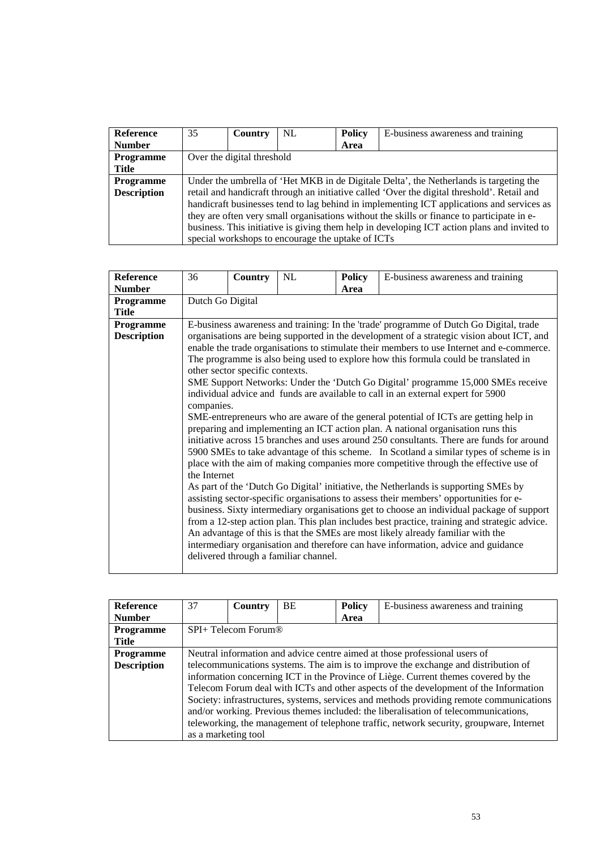| <b>Reference</b>   | 35                                                                                        | Country                    | NL.                                               | <b>Policy</b> | E-business awareness and training                                                           |  |  |
|--------------------|-------------------------------------------------------------------------------------------|----------------------------|---------------------------------------------------|---------------|---------------------------------------------------------------------------------------------|--|--|
| <b>Number</b>      |                                                                                           |                            |                                                   | Area          |                                                                                             |  |  |
| Programme          |                                                                                           | Over the digital threshold |                                                   |               |                                                                                             |  |  |
| Title              |                                                                                           |                            |                                                   |               |                                                                                             |  |  |
| <b>Programme</b>   | Under the umbrella of 'Het MKB in de Digitale Delta', the Netherlands is targeting the    |                            |                                                   |               |                                                                                             |  |  |
| <b>Description</b> |                                                                                           |                            |                                                   |               | retail and handicraft through an initiative called 'Over the digital threshold'. Retail and |  |  |
|                    | handicraft businesses tend to lag behind in implementing ICT applications and services as |                            |                                                   |               |                                                                                             |  |  |
|                    |                                                                                           |                            |                                                   |               | they are often very small organisations without the skills or finance to participate in e-  |  |  |
|                    |                                                                                           |                            |                                                   |               | business. This initiative is giving them help in developing ICT action plans and invited to |  |  |
|                    |                                                                                           |                            | special workshops to encourage the uptake of ICTs |               |                                                                                             |  |  |

| <b>Reference</b>   | 36                                                                                     | <b>Country</b>                                                                            | NL                                    | <b>Policy</b> | E-business awareness and training                                                            |  |  |  |  |  |
|--------------------|----------------------------------------------------------------------------------------|-------------------------------------------------------------------------------------------|---------------------------------------|---------------|----------------------------------------------------------------------------------------------|--|--|--|--|--|
| <b>Number</b>      |                                                                                        |                                                                                           |                                       | Area          |                                                                                              |  |  |  |  |  |
| <b>Programme</b>   |                                                                                        | Dutch Go Digital                                                                          |                                       |               |                                                                                              |  |  |  |  |  |
| <b>Title</b>       |                                                                                        |                                                                                           |                                       |               |                                                                                              |  |  |  |  |  |
| <b>Programme</b>   | E-business awareness and training: In the 'trade' programme of Dutch Go Digital, trade |                                                                                           |                                       |               |                                                                                              |  |  |  |  |  |
| <b>Description</b> |                                                                                        | organisations are being supported in the development of a strategic vision about ICT, and |                                       |               |                                                                                              |  |  |  |  |  |
|                    |                                                                                        | enable the trade organisations to stimulate their members to use Internet and e-commerce. |                                       |               |                                                                                              |  |  |  |  |  |
|                    |                                                                                        |                                                                                           |                                       |               | The programme is also being used to explore how this formula could be translated in          |  |  |  |  |  |
|                    |                                                                                        | other sector specific contexts.                                                           |                                       |               |                                                                                              |  |  |  |  |  |
|                    |                                                                                        |                                                                                           |                                       |               | SME Support Networks: Under the 'Dutch Go Digital' programme 15,000 SMEs receive             |  |  |  |  |  |
|                    |                                                                                        |                                                                                           |                                       |               | individual advice and funds are available to call in an external expert for 5900             |  |  |  |  |  |
|                    | companies.                                                                             |                                                                                           |                                       |               |                                                                                              |  |  |  |  |  |
|                    |                                                                                        |                                                                                           |                                       |               | SME-entrepreneurs who are aware of the general potential of ICTs are getting help in         |  |  |  |  |  |
|                    |                                                                                        |                                                                                           |                                       |               | preparing and implementing an ICT action plan. A national organisation runs this             |  |  |  |  |  |
|                    |                                                                                        |                                                                                           |                                       |               | initiative across 15 branches and uses around 250 consultants. There are funds for around    |  |  |  |  |  |
|                    |                                                                                        |                                                                                           |                                       |               | 5900 SMEs to take advantage of this scheme. In Scotland a similar types of scheme is in      |  |  |  |  |  |
|                    |                                                                                        |                                                                                           |                                       |               | place with the aim of making companies more competitive through the effective use of         |  |  |  |  |  |
|                    | the Internet                                                                           |                                                                                           |                                       |               |                                                                                              |  |  |  |  |  |
|                    |                                                                                        |                                                                                           |                                       |               | As part of the 'Dutch Go Digital' initiative, the Netherlands is supporting SMEs by          |  |  |  |  |  |
|                    |                                                                                        |                                                                                           |                                       |               | assisting sector-specific organisations to assess their members' opportunities for e-        |  |  |  |  |  |
|                    |                                                                                        |                                                                                           |                                       |               | business. Sixty intermediary organisations get to choose an individual package of support    |  |  |  |  |  |
|                    |                                                                                        |                                                                                           |                                       |               | from a 12-step action plan. This plan includes best practice, training and strategic advice. |  |  |  |  |  |
|                    |                                                                                        |                                                                                           |                                       |               | An advantage of this is that the SMEs are most likely already familiar with the              |  |  |  |  |  |
|                    |                                                                                        |                                                                                           |                                       |               | intermediary organisation and therefore can have information, advice and guidance            |  |  |  |  |  |
|                    |                                                                                        |                                                                                           | delivered through a familiar channel. |               |                                                                                              |  |  |  |  |  |
|                    |                                                                                        |                                                                                           |                                       |               |                                                                                              |  |  |  |  |  |

| <b>Reference</b>   | 37                  | Country | <b>BE</b> | <b>Policy</b> | E-business awareness and training                                                       |  |
|--------------------|---------------------|---------|-----------|---------------|-----------------------------------------------------------------------------------------|--|
| <b>Number</b>      |                     |         |           | Area          |                                                                                         |  |
| <b>Programme</b>   | SPI+ Telecom Forum® |         |           |               |                                                                                         |  |
| Title              |                     |         |           |               |                                                                                         |  |
| <b>Programme</b>   |                     |         |           |               | Neutral information and advice centre aimed at those professional users of              |  |
| <b>Description</b> |                     |         |           |               | telecommunications systems. The aim is to improve the exchange and distribution of      |  |
|                    |                     |         |           |               | information concerning ICT in the Province of Liège. Current themes covered by the      |  |
|                    |                     |         |           |               | Telecom Forum deal with ICTs and other aspects of the development of the Information    |  |
|                    |                     |         |           |               | Society: infrastructures, systems, services and methods providing remote communications |  |
|                    |                     |         |           |               | and/or working. Previous themes included: the liberalisation of telecommunications,     |  |
|                    |                     |         |           |               | teleworking, the management of telephone traffic, network security, groupware, Internet |  |
|                    | as a marketing tool |         |           |               |                                                                                         |  |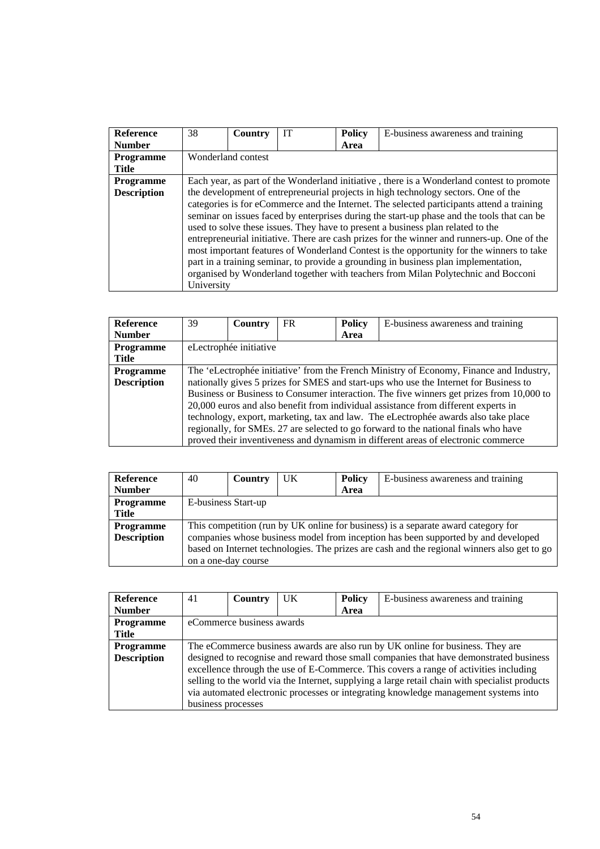| <b>Reference</b>   | 38         | Country            | <b>IT</b> | <b>Policy</b> | E-business awareness and training                                                                                                                                                                                                                                                                                                                                                                                                                                                                                                                                                                                                                                                                                                       |
|--------------------|------------|--------------------|-----------|---------------|-----------------------------------------------------------------------------------------------------------------------------------------------------------------------------------------------------------------------------------------------------------------------------------------------------------------------------------------------------------------------------------------------------------------------------------------------------------------------------------------------------------------------------------------------------------------------------------------------------------------------------------------------------------------------------------------------------------------------------------------|
| <b>Number</b>      |            |                    |           | Area          |                                                                                                                                                                                                                                                                                                                                                                                                                                                                                                                                                                                                                                                                                                                                         |
| <b>Programme</b>   |            | Wonderland contest |           |               |                                                                                                                                                                                                                                                                                                                                                                                                                                                                                                                                                                                                                                                                                                                                         |
| Title              |            |                    |           |               |                                                                                                                                                                                                                                                                                                                                                                                                                                                                                                                                                                                                                                                                                                                                         |
| <b>Programme</b>   |            |                    |           |               | Each year, as part of the Wonderland initiative, there is a Wonderland contest to promote                                                                                                                                                                                                                                                                                                                                                                                                                                                                                                                                                                                                                                               |
| <b>Description</b> | University |                    |           |               | the development of entrepreneurial projects in high technology sectors. One of the<br>categories is for eCommerce and the Internet. The selected participants attend a training<br>seminar on issues faced by enterprises during the start-up phase and the tools that can be<br>used to solve these issues. They have to present a business plan related to the<br>entrepreneurial initiative. There are cash prizes for the winner and runners-up. One of the<br>most important features of Wonderland Contest is the opportunity for the winners to take<br>part in a training seminar, to provide a grounding in business plan implementation,<br>organised by Wonderland together with teachers from Milan Polytechnic and Bocconi |

| <b>Reference</b>   | 39                                                                                      | Country                | FR | <b>Policy</b> | E-business awareness and training                                                        |  |  |
|--------------------|-----------------------------------------------------------------------------------------|------------------------|----|---------------|------------------------------------------------------------------------------------------|--|--|
| <b>Number</b>      |                                                                                         |                        |    | Area          |                                                                                          |  |  |
| Programme          |                                                                                         | eLectrophée initiative |    |               |                                                                                          |  |  |
| <b>Title</b>       |                                                                                         |                        |    |               |                                                                                          |  |  |
| <b>Programme</b>   | The 'eLectrophée initiative' from the French Ministry of Economy, Finance and Industry, |                        |    |               |                                                                                          |  |  |
| <b>Description</b> |                                                                                         |                        |    |               | nationally gives 5 prizes for SMES and start-ups who use the Internet for Business to    |  |  |
|                    |                                                                                         |                        |    |               | Business or Business to Consumer interaction. The five winners get prizes from 10,000 to |  |  |
|                    |                                                                                         |                        |    |               | 20,000 euros and also benefit from individual assistance from different experts in       |  |  |
|                    |                                                                                         |                        |    |               | technology, export, marketing, tax and law. The eLectrophée awards also take place       |  |  |
|                    |                                                                                         |                        |    |               | regionally, for SMEs. 27 are selected to go forward to the national finals who have      |  |  |
|                    |                                                                                         |                        |    |               | proved their inventiveness and dynamism in different areas of electronic commerce        |  |  |

| Reference          | 40                                                                                          | Country             | UK | Policy | E-business awareness and training                                                 |  |  |  |
|--------------------|---------------------------------------------------------------------------------------------|---------------------|----|--------|-----------------------------------------------------------------------------------|--|--|--|
| <b>Number</b>      |                                                                                             |                     |    | Area   |                                                                                   |  |  |  |
| Programme          |                                                                                             | E-business Start-up |    |        |                                                                                   |  |  |  |
| Title              |                                                                                             |                     |    |        |                                                                                   |  |  |  |
| <b>Programme</b>   |                                                                                             |                     |    |        | This competition (run by UK online for business) is a separate award category for |  |  |  |
| <b>Description</b> |                                                                                             |                     |    |        | companies whose business model from inception has been supported by and developed |  |  |  |
|                    | based on Internet technologies. The prizes are cash and the regional winners also get to go |                     |    |        |                                                                                   |  |  |  |
|                    |                                                                                             | on a one-day course |    |        |                                                                                   |  |  |  |

| <b>Reference</b>   | 41                                                                             | Country                   | UK | <b>Policy</b> | E-business awareness and training                                                                                                                                                                                                                                                                                                                                        |  |  |
|--------------------|--------------------------------------------------------------------------------|---------------------------|----|---------------|--------------------------------------------------------------------------------------------------------------------------------------------------------------------------------------------------------------------------------------------------------------------------------------------------------------------------------------------------------------------------|--|--|
| <b>Number</b>      |                                                                                |                           |    | Area          |                                                                                                                                                                                                                                                                                                                                                                          |  |  |
| Programme          |                                                                                | eCommerce business awards |    |               |                                                                                                                                                                                                                                                                                                                                                                          |  |  |
| Title              |                                                                                |                           |    |               |                                                                                                                                                                                                                                                                                                                                                                          |  |  |
| <b>Programme</b>   | The eCommerce business awards are also run by UK online for business. They are |                           |    |               |                                                                                                                                                                                                                                                                                                                                                                          |  |  |
| <b>Description</b> | business processes                                                             |                           |    |               | designed to recognise and reward those small companies that have demonstrated business<br>excellence through the use of E-Commerce. This covers a range of activities including<br>selling to the world via the Internet, supplying a large retail chain with specialist products<br>via automated electronic processes or integrating knowledge management systems into |  |  |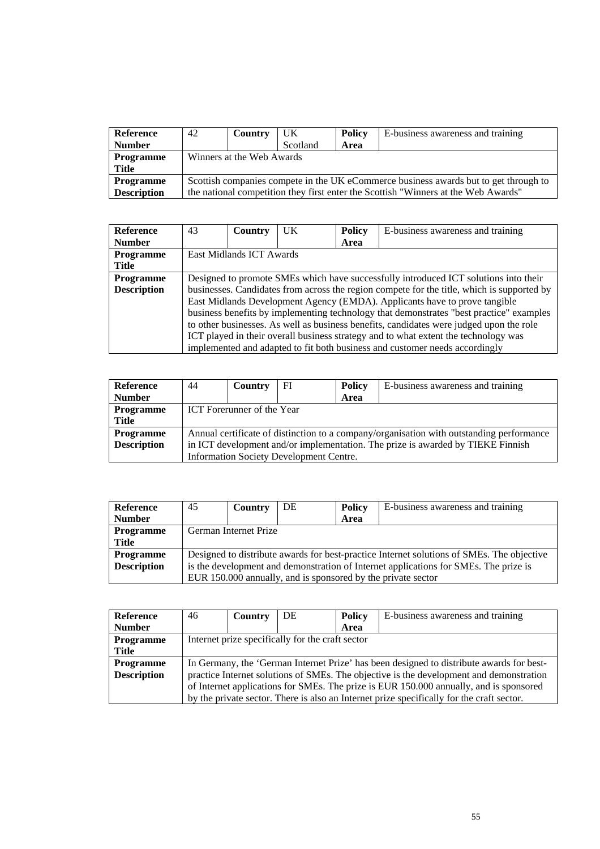| Reference          | 42                                                                                   | Country | <b>UK</b> | <b>Policy</b> | E-business awareness and training                                                  |  |
|--------------------|--------------------------------------------------------------------------------------|---------|-----------|---------------|------------------------------------------------------------------------------------|--|
| <b>Number</b>      |                                                                                      |         | Scotland  | Area          |                                                                                    |  |
| <b>Programme</b>   | Winners at the Web Awards                                                            |         |           |               |                                                                                    |  |
| <b>Title</b>       |                                                                                      |         |           |               |                                                                                    |  |
| <b>Programme</b>   | Scottish companies compete in the UK eCommerce business awards but to get through to |         |           |               |                                                                                    |  |
| <b>Description</b> |                                                                                      |         |           |               | the national competition they first enter the Scottish "Winners at the Web Awards" |  |

| <b>Reference</b>   | 43                       | Country | <b>UK</b> | <b>Policy</b> | E-business awareness and training                                                          |  |
|--------------------|--------------------------|---------|-----------|---------------|--------------------------------------------------------------------------------------------|--|
| <b>Number</b>      |                          |         |           | Area          |                                                                                            |  |
| Programme          | East Midlands ICT Awards |         |           |               |                                                                                            |  |
| <b>Title</b>       |                          |         |           |               |                                                                                            |  |
| <b>Programme</b>   |                          |         |           |               | Designed to promote SMEs which have successfully introduced ICT solutions into their       |  |
| <b>Description</b> |                          |         |           |               | businesses. Candidates from across the region compete for the title, which is supported by |  |
|                    |                          |         |           |               | East Midlands Development Agency (EMDA). Applicants have to prove tangible                 |  |
|                    |                          |         |           |               | business benefits by implementing technology that demonstrates "best practice" examples    |  |
|                    |                          |         |           |               | to other businesses. As well as business benefits, candidates were judged upon the role    |  |
|                    |                          |         |           |               | ICT played in their overall business strategy and to what extent the technology was        |  |
|                    |                          |         |           |               | implemented and adapted to fit both business and customer needs accordingly                |  |

| Reference          | 44                                                                              | Country                    | FI                                             | <b>Policy</b> | E-business awareness and training                                                        |  |  |  |
|--------------------|---------------------------------------------------------------------------------|----------------------------|------------------------------------------------|---------------|------------------------------------------------------------------------------------------|--|--|--|
| <b>Number</b>      |                                                                                 |                            |                                                | Area          |                                                                                          |  |  |  |
| Programme          |                                                                                 | ICT Forerunner of the Year |                                                |               |                                                                                          |  |  |  |
| Title              |                                                                                 |                            |                                                |               |                                                                                          |  |  |  |
| <b>Programme</b>   |                                                                                 |                            |                                                |               | Annual certificate of distinction to a company/organisation with outstanding performance |  |  |  |
| <b>Description</b> | in ICT development and/or implementation. The prize is awarded by TIEKE Finnish |                            |                                                |               |                                                                                          |  |  |  |
|                    |                                                                                 |                            | <b>Information Society Development Centre.</b> |               |                                                                                          |  |  |  |

| Reference          | 45                                                                                   | Country               | DE | <b>Policy</b> | E-business awareness and training                                                         |  |
|--------------------|--------------------------------------------------------------------------------------|-----------------------|----|---------------|-------------------------------------------------------------------------------------------|--|
| <b>Number</b>      |                                                                                      |                       |    | Area          |                                                                                           |  |
| <b>Programme</b>   |                                                                                      | German Internet Prize |    |               |                                                                                           |  |
| <b>Title</b>       |                                                                                      |                       |    |               |                                                                                           |  |
| <b>Programme</b>   |                                                                                      |                       |    |               | Designed to distribute awards for best-practice Internet solutions of SMEs. The objective |  |
| <b>Description</b> | is the development and demonstration of Internet applications for SMEs. The prize is |                       |    |               |                                                                                           |  |
|                    |                                                                                      |                       |    |               | EUR 150.000 annually, and is sponsored by the private sector                              |  |

| <b>Reference</b>   | 46                                                                                     | Country | DE | <b>Policy</b> | E-business awareness and training                                                         |  |
|--------------------|----------------------------------------------------------------------------------------|---------|----|---------------|-------------------------------------------------------------------------------------------|--|
| <b>Number</b>      |                                                                                        |         |    | Area          |                                                                                           |  |
| Programme          | Internet prize specifically for the craft sector                                       |         |    |               |                                                                                           |  |
| <b>Title</b>       |                                                                                        |         |    |               |                                                                                           |  |
| <b>Programme</b>   |                                                                                        |         |    |               | In Germany, the 'German Internet Prize' has been designed to distribute awards for best-  |  |
| <b>Description</b> |                                                                                        |         |    |               | practice Internet solutions of SMEs. The objective is the development and demonstration   |  |
|                    | of Internet applications for SMEs. The prize is EUR 150.000 annually, and is sponsored |         |    |               |                                                                                           |  |
|                    |                                                                                        |         |    |               | by the private sector. There is also an Internet prize specifically for the craft sector. |  |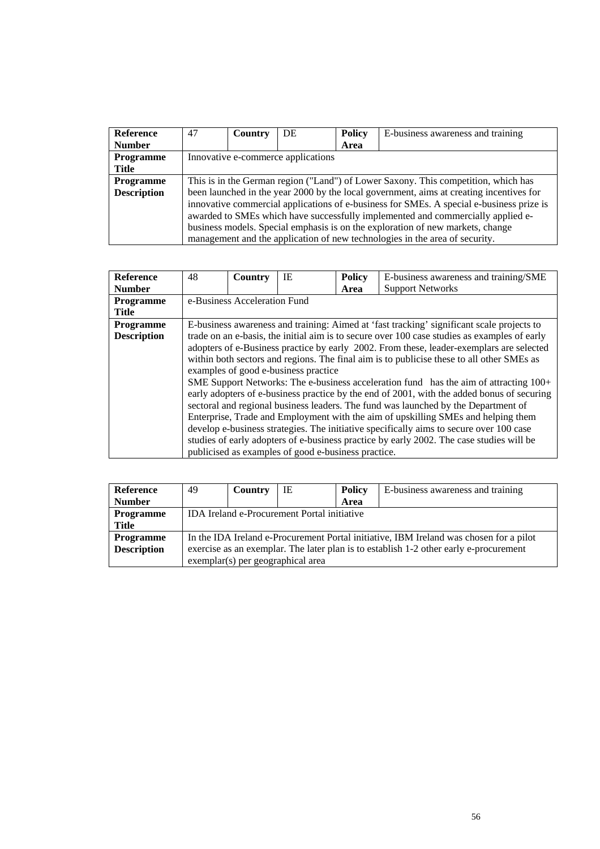| <b>Reference</b>   | 47                                                                                 | Country | DE                                 | <b>Policy</b> | E-business awareness and training                                                        |  |  |
|--------------------|------------------------------------------------------------------------------------|---------|------------------------------------|---------------|------------------------------------------------------------------------------------------|--|--|
| <b>Number</b>      |                                                                                    |         |                                    | Area          |                                                                                          |  |  |
| Programme          |                                                                                    |         | Innovative e-commerce applications |               |                                                                                          |  |  |
| Title              |                                                                                    |         |                                    |               |                                                                                          |  |  |
| <b>Programme</b>   | This is in the German region ("Land") of Lower Saxony. This competition, which has |         |                                    |               |                                                                                          |  |  |
| <b>Description</b> |                                                                                    |         |                                    |               | been launched in the year 2000 by the local government, aims at creating incentives for  |  |  |
|                    |                                                                                    |         |                                    |               | innovative commercial applications of e-business for SMEs. A special e-business prize is |  |  |
|                    | awarded to SMEs which have successfully implemented and commercially applied e-    |         |                                    |               |                                                                                          |  |  |
|                    |                                                                                    |         |                                    |               | business models. Special emphasis is on the exploration of new markets, change           |  |  |
|                    |                                                                                    |         |                                    |               | management and the application of new technologies in the area of security.              |  |  |

| <b>Reference</b>   | 48 | Country                      | IE                                                  | <b>Policy</b> | E-business awareness and training/SME                                                        |
|--------------------|----|------------------------------|-----------------------------------------------------|---------------|----------------------------------------------------------------------------------------------|
| <b>Number</b>      |    |                              |                                                     | Area          | <b>Support Networks</b>                                                                      |
| <b>Programme</b>   |    | e-Business Acceleration Fund |                                                     |               |                                                                                              |
| <b>Title</b>       |    |                              |                                                     |               |                                                                                              |
| <b>Programme</b>   |    |                              |                                                     |               | E-business awareness and training: Aimed at 'fast tracking' significant scale projects to    |
| <b>Description</b> |    |                              |                                                     |               | trade on an e-basis, the initial aim is to secure over 100 case studies as examples of early |
|                    |    |                              |                                                     |               | adopters of e-Business practice by early 2002. From these, leader-exemplars are selected     |
|                    |    |                              |                                                     |               | within both sectors and regions. The final aim is to publicise these to all other SMEs as    |
|                    |    |                              | examples of good e-business practice                |               |                                                                                              |
|                    |    |                              |                                                     |               | SME Support Networks: The e-business acceleration fund has the aim of attracting 100+        |
|                    |    |                              |                                                     |               | early adopters of e-business practice by the end of 2001, with the added bonus of securing   |
|                    |    |                              |                                                     |               | sectoral and regional business leaders. The fund was launched by the Department of           |
|                    |    |                              |                                                     |               | Enterprise, Trade and Employment with the aim of upskilling SMEs and helping them            |
|                    |    |                              |                                                     |               | develop e-business strategies. The initiative specifically aims to secure over 100 case      |
|                    |    |                              |                                                     |               | studies of early adopters of e-business practice by early 2002. The case studies will be     |
|                    |    |                              | publicised as examples of good e-business practice. |               |                                                                                              |

| <b>Reference</b>   | 49                                                                                    | Country | IE                                | <b>Policy</b> | E-business awareness and training                                                      |  |
|--------------------|---------------------------------------------------------------------------------------|---------|-----------------------------------|---------------|----------------------------------------------------------------------------------------|--|
| <b>Number</b>      |                                                                                       |         |                                   | Area          |                                                                                        |  |
| <b>Programme</b>   | IDA Ireland e-Procurement Portal initiative                                           |         |                                   |               |                                                                                        |  |
| Title              |                                                                                       |         |                                   |               |                                                                                        |  |
| <b>Programme</b>   |                                                                                       |         |                                   |               | In the IDA Ireland e-Procurement Portal initiative, IBM Ireland was chosen for a pilot |  |
| <b>Description</b> | exercise as an exemplar. The later plan is to establish 1-2 other early e-procurement |         |                                   |               |                                                                                        |  |
|                    |                                                                                       |         | exemplar(s) per geographical area |               |                                                                                        |  |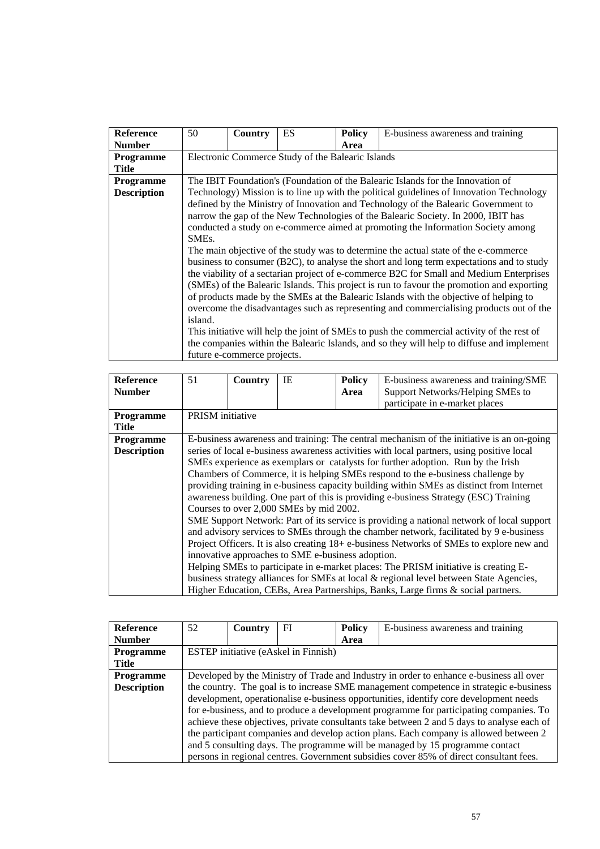| Reference          | 50                 | Country                     | ES                                                | <b>Policy</b> | E-business awareness and training                                                          |
|--------------------|--------------------|-----------------------------|---------------------------------------------------|---------------|--------------------------------------------------------------------------------------------|
| <b>Number</b>      |                    |                             |                                                   | Area          |                                                                                            |
| <b>Programme</b>   |                    |                             | Electronic Commerce Study of the Balearic Islands |               |                                                                                            |
| <b>Title</b>       |                    |                             |                                                   |               |                                                                                            |
| <b>Programme</b>   |                    |                             |                                                   |               | The IBIT Foundation's (Foundation of the Balearic Islands for the Innovation of            |
| <b>Description</b> |                    |                             |                                                   |               | Technology) Mission is to line up with the political guidelines of Innovation Technology   |
|                    |                    |                             |                                                   |               | defined by the Ministry of Innovation and Technology of the Balearic Government to         |
|                    |                    |                             |                                                   |               | narrow the gap of the New Technologies of the Balearic Society. In 2000, IBIT has          |
|                    |                    |                             |                                                   |               | conducted a study on e-commerce aimed at promoting the Information Society among           |
|                    | SME <sub>s</sub> . |                             |                                                   |               |                                                                                            |
|                    |                    |                             |                                                   |               | The main objective of the study was to determine the actual state of the e-commerce        |
|                    |                    |                             |                                                   |               | business to consumer (B2C), to analyse the short and long term expectations and to study   |
|                    |                    |                             |                                                   |               | the viability of a sectarian project of e-commerce B2C for Small and Medium Enterprises    |
|                    |                    |                             |                                                   |               | (SMEs) of the Balearic Islands. This project is run to favour the promotion and exporting  |
|                    |                    |                             |                                                   |               | of products made by the SMEs at the Balearic Islands with the objective of helping to      |
|                    |                    |                             |                                                   |               | overcome the disadvantages such as representing and commercialising products out of the    |
|                    | island.            |                             |                                                   |               |                                                                                            |
|                    |                    |                             |                                                   |               | This initiative will help the joint of SMEs to push the commercial activity of the rest of |
|                    |                    |                             |                                                   |               | the companies within the Balearic Islands, and so they will help to diffuse and implement  |
|                    |                    | future e-commerce projects. |                                                   |               |                                                                                            |

| <b>Reference</b>   | 51               | Country                                           | IE                                      | <b>Policy</b> | E-business awareness and training/SME                                                     |  |  |
|--------------------|------------------|---------------------------------------------------|-----------------------------------------|---------------|-------------------------------------------------------------------------------------------|--|--|
| <b>Number</b>      |                  |                                                   |                                         | Area          | Support Networks/Helping SMEs to                                                          |  |  |
|                    |                  |                                                   |                                         |               | participate in e-market places                                                            |  |  |
| <b>Programme</b>   | PRISM initiative |                                                   |                                         |               |                                                                                           |  |  |
| <b>Title</b>       |                  |                                                   |                                         |               |                                                                                           |  |  |
| Programme          |                  |                                                   |                                         |               | E-business awareness and training: The central mechanism of the initiative is an on-going |  |  |
| <b>Description</b> |                  |                                                   |                                         |               | series of local e-business awareness activities with local partners, using positive local |  |  |
|                    |                  |                                                   |                                         |               | SMEs experience as exemplars or catalysts for further adoption. Run by the Irish          |  |  |
|                    |                  |                                                   |                                         |               | Chambers of Commerce, it is helping SMEs respond to the e-business challenge by           |  |  |
|                    |                  |                                                   |                                         |               | providing training in e-business capacity building within SMEs as distinct from Internet  |  |  |
|                    |                  |                                                   |                                         |               | awareness building. One part of this is providing e-business Strategy (ESC) Training      |  |  |
|                    |                  |                                                   | Courses to over 2,000 SMEs by mid 2002. |               |                                                                                           |  |  |
|                    |                  |                                                   |                                         |               | SME Support Network: Part of its service is providing a national network of local support |  |  |
|                    |                  |                                                   |                                         |               | and advisory services to SMEs through the chamber network, facilitated by 9 e-business    |  |  |
|                    |                  |                                                   |                                         |               | Project Officers. It is also creating 18+ e-business Networks of SMEs to explore new and  |  |  |
|                    |                  | innovative approaches to SME e-business adoption. |                                         |               |                                                                                           |  |  |
|                    |                  |                                                   |                                         |               | Helping SMEs to participate in e-market places: The PRISM initiative is creating E-       |  |  |
|                    |                  |                                                   |                                         |               | business strategy alliances for SMEs at local & regional level between State Agencies,    |  |  |
|                    |                  |                                                   |                                         |               | Higher Education, CEBs, Area Partnerships, Banks, Large firms & social partners.          |  |  |

| <b>Reference</b>   | 52                                                                                      | Country | FI | <b>Policy</b> | E-business awareness and training                                                          |  |  |
|--------------------|-----------------------------------------------------------------------------------------|---------|----|---------------|--------------------------------------------------------------------------------------------|--|--|
| <b>Number</b>      |                                                                                         |         |    | Area          |                                                                                            |  |  |
| <b>Programme</b>   | <b>ESTEP</b> initiative (eAskel in Finnish)                                             |         |    |               |                                                                                            |  |  |
| Title              |                                                                                         |         |    |               |                                                                                            |  |  |
| <b>Programme</b>   | Developed by the Ministry of Trade and Industry in order to enhance e-business all over |         |    |               |                                                                                            |  |  |
| <b>Description</b> | the country. The goal is to increase SME management competence in strategic e-business  |         |    |               |                                                                                            |  |  |
|                    |                                                                                         |         |    |               | development, operationalise e-business opportunities, identify core development needs      |  |  |
|                    |                                                                                         |         |    |               | for e-business, and to produce a development programme for participating companies. To     |  |  |
|                    |                                                                                         |         |    |               | achieve these objectives, private consultants take between 2 and 5 days to analyse each of |  |  |
|                    |                                                                                         |         |    |               | the participant companies and develop action plans. Each company is allowed between 2      |  |  |
|                    |                                                                                         |         |    |               | and 5 consulting days. The programme will be managed by 15 programme contact               |  |  |
|                    |                                                                                         |         |    |               | persons in regional centres. Government subsidies cover 85% of direct consultant fees.     |  |  |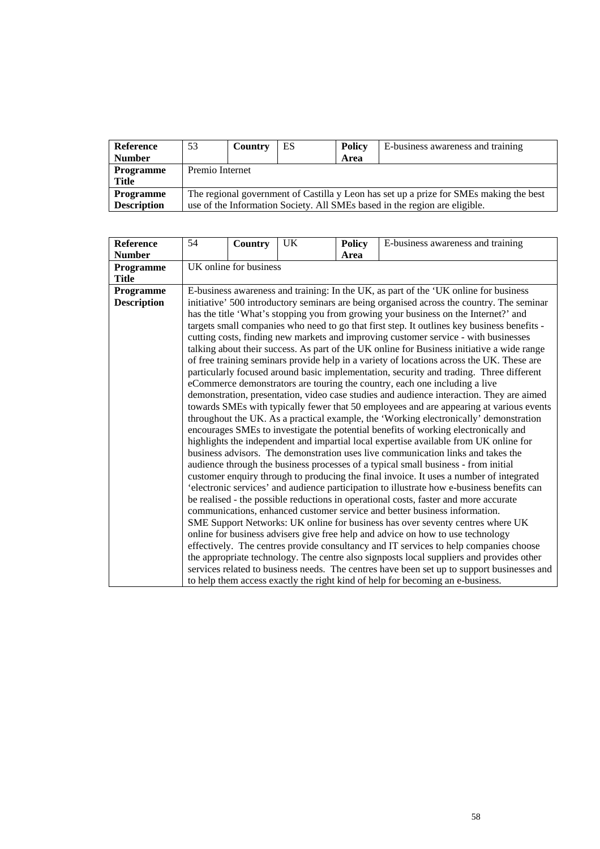| <b>Reference</b>   | 53                                                                                     | Country | ES | <b>Policy</b> | E-business awareness and training                                          |  |  |  |
|--------------------|----------------------------------------------------------------------------------------|---------|----|---------------|----------------------------------------------------------------------------|--|--|--|
| <b>Number</b>      |                                                                                        |         |    | Area          |                                                                            |  |  |  |
| <b>Programme</b>   | Premio Internet                                                                        |         |    |               |                                                                            |  |  |  |
| <b>Title</b>       |                                                                                        |         |    |               |                                                                            |  |  |  |
| <b>Programme</b>   | The regional government of Castilla y Leon has set up a prize for SMEs making the best |         |    |               |                                                                            |  |  |  |
| <b>Description</b> |                                                                                        |         |    |               | use of the Information Society. All SMEs based in the region are eligible. |  |  |  |

| <b>Reference</b>   | 54                                                                                          | <b>Country</b>                                                                            | <b>UK</b> | <b>Policy</b> | E-business awareness and training                                                          |  |  |  |  |
|--------------------|---------------------------------------------------------------------------------------------|-------------------------------------------------------------------------------------------|-----------|---------------|--------------------------------------------------------------------------------------------|--|--|--|--|
| <b>Number</b>      |                                                                                             |                                                                                           |           | Area          |                                                                                            |  |  |  |  |
| Programme          | UK online for business                                                                      |                                                                                           |           |               |                                                                                            |  |  |  |  |
| <b>Title</b>       |                                                                                             |                                                                                           |           |               |                                                                                            |  |  |  |  |
| Programme          | E-business awareness and training: In the UK, as part of the 'UK online for business        |                                                                                           |           |               |                                                                                            |  |  |  |  |
| <b>Description</b> |                                                                                             | initiative' 500 introductory seminars are being organised across the country. The seminar |           |               |                                                                                            |  |  |  |  |
|                    | has the title 'What's stopping you from growing your business on the Internet?' and         |                                                                                           |           |               |                                                                                            |  |  |  |  |
|                    | targets small companies who need to go that first step. It outlines key business benefits - |                                                                                           |           |               |                                                                                            |  |  |  |  |
|                    |                                                                                             | cutting costs, finding new markets and improving customer service - with businesses       |           |               |                                                                                            |  |  |  |  |
|                    |                                                                                             |                                                                                           |           |               | talking about their success. As part of the UK online for Business initiative a wide range |  |  |  |  |
|                    |                                                                                             |                                                                                           |           |               | of free training seminars provide help in a variety of locations across the UK. These are  |  |  |  |  |
|                    |                                                                                             |                                                                                           |           |               | particularly focused around basic implementation, security and trading. Three different    |  |  |  |  |
|                    |                                                                                             |                                                                                           |           |               | eCommerce demonstrators are touring the country, each one including a live                 |  |  |  |  |
|                    |                                                                                             |                                                                                           |           |               | demonstration, presentation, video case studies and audience interaction. They are aimed   |  |  |  |  |
|                    |                                                                                             |                                                                                           |           |               | towards SMEs with typically fewer that 50 employees and are appearing at various events    |  |  |  |  |
|                    |                                                                                             |                                                                                           |           |               | throughout the UK. As a practical example, the 'Working electronically' demonstration      |  |  |  |  |
|                    |                                                                                             |                                                                                           |           |               | encourages SMEs to investigate the potential benefits of working electronically and        |  |  |  |  |
|                    |                                                                                             |                                                                                           |           |               | highlights the independent and impartial local expertise available from UK online for      |  |  |  |  |
|                    |                                                                                             |                                                                                           |           |               | business advisors. The demonstration uses live communication links and takes the           |  |  |  |  |
|                    |                                                                                             |                                                                                           |           |               | audience through the business processes of a typical small business - from initial         |  |  |  |  |
|                    |                                                                                             |                                                                                           |           |               | customer enquiry through to producing the final invoice. It uses a number of integrated    |  |  |  |  |
|                    |                                                                                             |                                                                                           |           |               | 'electronic services' and audience participation to illustrate how e-business benefits can |  |  |  |  |
|                    |                                                                                             |                                                                                           |           |               | be realised - the possible reductions in operational costs, faster and more accurate       |  |  |  |  |
|                    |                                                                                             |                                                                                           |           |               | communications, enhanced customer service and better business information.                 |  |  |  |  |
|                    |                                                                                             |                                                                                           |           |               | SME Support Networks: UK online for business has over seventy centres where UK             |  |  |  |  |
|                    |                                                                                             |                                                                                           |           |               | online for business advisers give free help and advice on how to use technology            |  |  |  |  |
|                    |                                                                                             |                                                                                           |           |               | effectively. The centres provide consultancy and IT services to help companies choose      |  |  |  |  |
|                    |                                                                                             |                                                                                           |           |               | the appropriate technology. The centre also signposts local suppliers and provides other   |  |  |  |  |
|                    |                                                                                             |                                                                                           |           |               | services related to business needs. The centres have been set up to support businesses and |  |  |  |  |
|                    |                                                                                             |                                                                                           |           |               | to help them access exactly the right kind of help for becoming an e-business.             |  |  |  |  |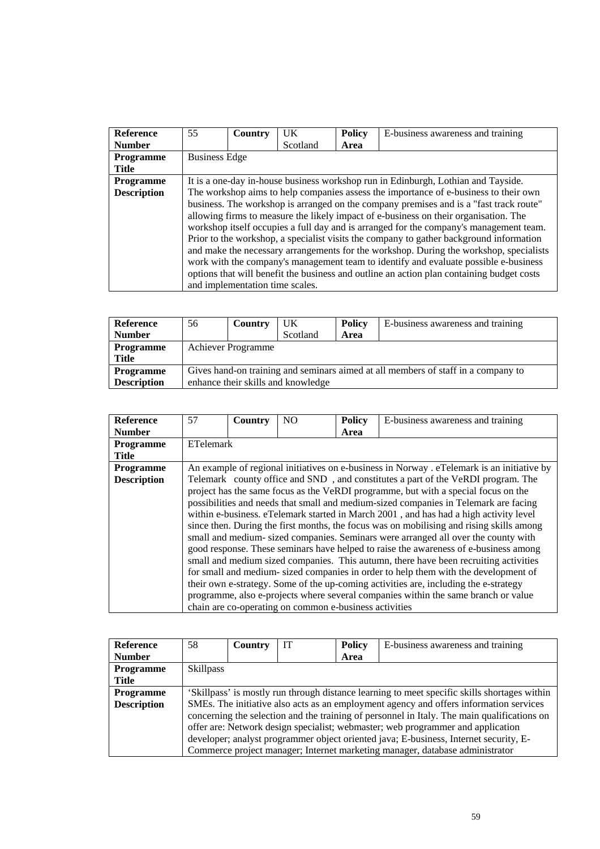| <b>Reference</b>   | 55                   |                                                                                   | $_{\rm{I}IK}$ |               |                                                                                           |  |  |  |  |
|--------------------|----------------------|-----------------------------------------------------------------------------------|---------------|---------------|-------------------------------------------------------------------------------------------|--|--|--|--|
|                    |                      | Country                                                                           |               | <b>Policy</b> | E-business awareness and training                                                         |  |  |  |  |
| <b>Number</b>      |                      |                                                                                   | Scotland      | Area          |                                                                                           |  |  |  |  |
| <b>Programme</b>   | <b>Business Edge</b> |                                                                                   |               |               |                                                                                           |  |  |  |  |
| <b>Title</b>       |                      |                                                                                   |               |               |                                                                                           |  |  |  |  |
| <b>Programme</b>   |                      | It is a one-day in-house business workshop run in Edinburgh, Lothian and Tayside. |               |               |                                                                                           |  |  |  |  |
| <b>Description</b> |                      |                                                                                   |               |               | The workshop aims to help companies assess the importance of e-business to their own      |  |  |  |  |
|                    |                      |                                                                                   |               |               | business. The workshop is arranged on the company premises and is a "fast track route"    |  |  |  |  |
|                    |                      |                                                                                   |               |               | allowing firms to measure the likely impact of e-business on their organisation. The      |  |  |  |  |
|                    |                      |                                                                                   |               |               | workshop itself occupies a full day and is arranged for the company's management team.    |  |  |  |  |
|                    |                      |                                                                                   |               |               | Prior to the workshop, a specialist visits the company to gather background information   |  |  |  |  |
|                    |                      |                                                                                   |               |               | and make the necessary arrangements for the workshop. During the workshop, specialists    |  |  |  |  |
|                    |                      |                                                                                   |               |               | work with the company's management team to identify and evaluate possible e-business      |  |  |  |  |
|                    |                      |                                                                                   |               |               | options that will benefit the business and outline an action plan containing budget costs |  |  |  |  |
|                    |                      | and implementation time scales.                                                   |               |               |                                                                                           |  |  |  |  |

| <b>Reference</b>   | 56                                 | Country                                                                           | UK       | <b>Policy</b> | E-business awareness and training |  |  |  |
|--------------------|------------------------------------|-----------------------------------------------------------------------------------|----------|---------------|-----------------------------------|--|--|--|
| <b>Number</b>      |                                    |                                                                                   | Scotland | Area          |                                   |  |  |  |
| <b>Programme</b>   |                                    | Achiever Programme                                                                |          |               |                                   |  |  |  |
| <b>Title</b>       |                                    |                                                                                   |          |               |                                   |  |  |  |
| <b>Programme</b>   |                                    | Gives hand-on training and seminars aimed at all members of staff in a company to |          |               |                                   |  |  |  |
| <b>Description</b> | enhance their skills and knowledge |                                                                                   |          |               |                                   |  |  |  |

| Reference          | 57               | Country | N <sub>O</sub>                                         | <b>Policy</b> | E-business awareness and training                                                          |
|--------------------|------------------|---------|--------------------------------------------------------|---------------|--------------------------------------------------------------------------------------------|
| <b>Number</b>      |                  |         |                                                        | Area          |                                                                                            |
| <b>Programme</b>   | <b>ETelemark</b> |         |                                                        |               |                                                                                            |
| <b>Title</b>       |                  |         |                                                        |               |                                                                                            |
| <b>Programme</b>   |                  |         |                                                        |               | An example of regional initiatives on e-business in Norway . eTelemark is an initiative by |
| <b>Description</b> |                  |         |                                                        |               | Telemark county office and SND, and constitutes a part of the VeRDI program. The           |
|                    |                  |         |                                                        |               | project has the same focus as the VeRDI programme, but with a special focus on the         |
|                    |                  |         |                                                        |               | possibilities and needs that small and medium-sized companies in Telemark are facing       |
|                    |                  |         |                                                        |               | within e-business. eTelemark started in March 2001, and has had a high activity level      |
|                    |                  |         |                                                        |               | since then. During the first months, the focus was on mobilising and rising skills among   |
|                    |                  |         |                                                        |               | small and medium- sized companies. Seminars were arranged all over the county with         |
|                    |                  |         |                                                        |               | good response. These seminars have helped to raise the awareness of e-business among       |
|                    |                  |         |                                                        |               | small and medium sized companies. This autumn, there have been recruiting activities       |
|                    |                  |         |                                                        |               | for small and medium- sized companies in order to help them with the development of        |
|                    |                  |         |                                                        |               | their own e-strategy. Some of the up-coming activities are, including the e-strategy       |
|                    |                  |         |                                                        |               | programme, also e-projects where several companies within the same branch or value         |
|                    |                  |         | chain are co-operating on common e-business activities |               |                                                                                            |

| <b>Reference</b>   | 58                                                                                           | Country | IТ | <b>Policy</b> | E-business awareness and training                                                           |  |  |
|--------------------|----------------------------------------------------------------------------------------------|---------|----|---------------|---------------------------------------------------------------------------------------------|--|--|
| <b>Number</b>      |                                                                                              |         |    | Area          |                                                                                             |  |  |
| <b>Programme</b>   | <b>Skillpass</b>                                                                             |         |    |               |                                                                                             |  |  |
| Title              |                                                                                              |         |    |               |                                                                                             |  |  |
| <b>Programme</b>   | 'Skillpass' is mostly run through distance learning to meet specific skills shortages within |         |    |               |                                                                                             |  |  |
| <b>Description</b> |                                                                                              |         |    |               | SMEs. The initiative also acts as an employment agency and offers information services      |  |  |
|                    |                                                                                              |         |    |               | concerning the selection and the training of personnel in Italy. The main qualifications on |  |  |
|                    |                                                                                              |         |    |               | offer are: Network design specialist; webmaster; web programmer and application             |  |  |
|                    |                                                                                              |         |    |               | developer; analyst programmer object oriented java; E-business, Internet security, E-       |  |  |
|                    |                                                                                              |         |    |               | Commerce project manager; Internet marketing manager, database administrator                |  |  |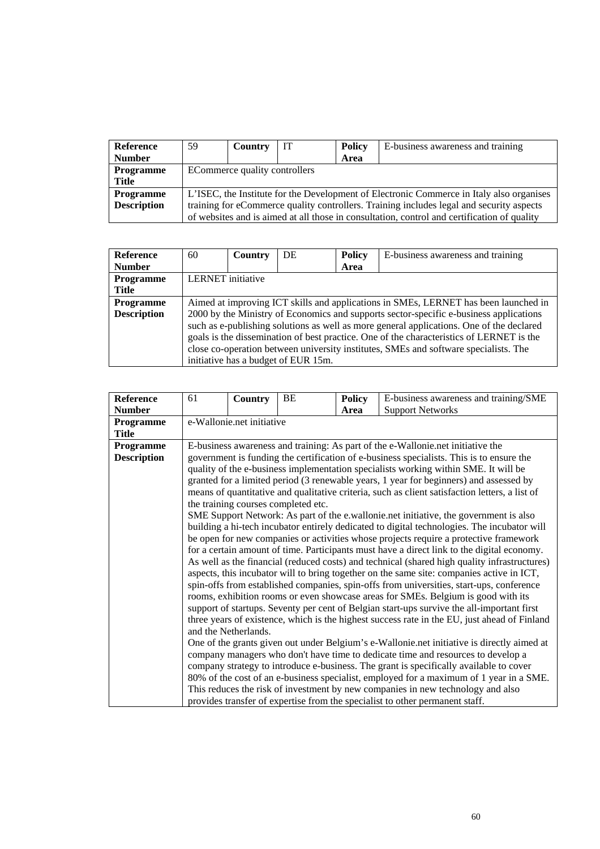| <b>Reference</b>   | 59                                                                                       | Country                                                                                  | IT | <b>Policy</b> | E-business awareness and training                                                           |  |  |  |
|--------------------|------------------------------------------------------------------------------------------|------------------------------------------------------------------------------------------|----|---------------|---------------------------------------------------------------------------------------------|--|--|--|
| <b>Number</b>      |                                                                                          |                                                                                          |    | Area          |                                                                                             |  |  |  |
| <b>Programme</b>   | ECommerce quality controllers                                                            |                                                                                          |    |               |                                                                                             |  |  |  |
| Title              |                                                                                          |                                                                                          |    |               |                                                                                             |  |  |  |
| <b>Programme</b>   |                                                                                          | L'ISEC, the Institute for the Development of Electronic Commerce in Italy also organises |    |               |                                                                                             |  |  |  |
| <b>Description</b> | training for eCommerce quality controllers. Training includes legal and security aspects |                                                                                          |    |               |                                                                                             |  |  |  |
|                    |                                                                                          |                                                                                          |    |               | of websites and is aimed at all those in consultation, control and certification of quality |  |  |  |

| <b>Reference</b>   | 60                                                                                   | Country                  | DE                                  | <b>Policy</b> | E-business awareness and training                                                        |  |  |  |
|--------------------|--------------------------------------------------------------------------------------|--------------------------|-------------------------------------|---------------|------------------------------------------------------------------------------------------|--|--|--|
| <b>Number</b>      |                                                                                      |                          |                                     | Area          |                                                                                          |  |  |  |
| <b>Programme</b>   |                                                                                      | <b>LERNET</b> initiative |                                     |               |                                                                                          |  |  |  |
| Title              |                                                                                      |                          |                                     |               |                                                                                          |  |  |  |
| <b>Programme</b>   | Aimed at improving ICT skills and applications in SMEs, LERNET has been launched in  |                          |                                     |               |                                                                                          |  |  |  |
| <b>Description</b> |                                                                                      |                          |                                     |               | 2000 by the Ministry of Economics and supports sector-specific e-business applications   |  |  |  |
|                    |                                                                                      |                          |                                     |               | such as e-publishing solutions as well as more general applications. One of the declared |  |  |  |
|                    |                                                                                      |                          |                                     |               | goals is the dissemination of best practice. One of the characteristics of LERNET is the |  |  |  |
|                    | close co-operation between university institutes, SMEs and software specialists. The |                          |                                     |               |                                                                                          |  |  |  |
|                    |                                                                                      |                          | initiative has a budget of EUR 15m. |               |                                                                                          |  |  |  |

| Reference          | 61 | <b>Country</b>            | BE                                  | <b>Policy</b> | E-business awareness and training/SME                                                          |  |  |  |  |
|--------------------|----|---------------------------|-------------------------------------|---------------|------------------------------------------------------------------------------------------------|--|--|--|--|
| <b>Number</b>      |    |                           |                                     | Area          | <b>Support Networks</b>                                                                        |  |  |  |  |
| Programme          |    | e-Wallonie.net initiative |                                     |               |                                                                                                |  |  |  |  |
| <b>Title</b>       |    |                           |                                     |               |                                                                                                |  |  |  |  |
| Programme          |    |                           |                                     |               | E-business awareness and training: As part of the e-Wallonie.net initiative the                |  |  |  |  |
| <b>Description</b> |    |                           |                                     |               | government is funding the certification of e-business specialists. This is to ensure the       |  |  |  |  |
|                    |    |                           |                                     |               | quality of the e-business implementation specialists working within SME. It will be            |  |  |  |  |
|                    |    |                           |                                     |               | granted for a limited period (3 renewable years, 1 year for beginners) and assessed by         |  |  |  |  |
|                    |    |                           |                                     |               | means of quantitative and qualitative criteria, such as client satisfaction letters, a list of |  |  |  |  |
|                    |    |                           | the training courses completed etc. |               |                                                                                                |  |  |  |  |
|                    |    |                           |                                     |               | SME Support Network: As part of the e.wallonie.net initiative, the government is also          |  |  |  |  |
|                    |    |                           |                                     |               | building a hi-tech incubator entirely dedicated to digital technologies. The incubator will    |  |  |  |  |
|                    |    |                           |                                     |               | be open for new companies or activities whose projects require a protective framework          |  |  |  |  |
|                    |    |                           |                                     |               | for a certain amount of time. Participants must have a direct link to the digital economy.     |  |  |  |  |
|                    |    |                           |                                     |               | As well as the financial (reduced costs) and technical (shared high quality infrastructures)   |  |  |  |  |
|                    |    |                           |                                     |               | aspects, this incubator will to bring together on the same site: companies active in ICT,      |  |  |  |  |
|                    |    |                           |                                     |               | spin-offs from established companies, spin-offs from universities, start-ups, conference       |  |  |  |  |
|                    |    |                           |                                     |               | rooms, exhibition rooms or even showcase areas for SMEs. Belgium is good with its              |  |  |  |  |
|                    |    |                           |                                     |               | support of startups. Seventy per cent of Belgian start-ups survive the all-important first     |  |  |  |  |
|                    |    |                           |                                     |               | three years of existence, which is the highest success rate in the EU, just ahead of Finland   |  |  |  |  |
|                    |    | and the Netherlands.      |                                     |               |                                                                                                |  |  |  |  |
|                    |    |                           |                                     |               | One of the grants given out under Belgium's e-Wallonie.net initiative is directly aimed at     |  |  |  |  |
|                    |    |                           |                                     |               | company managers who don't have time to dedicate time and resources to develop a               |  |  |  |  |
|                    |    |                           |                                     |               | company strategy to introduce e-business. The grant is specifically available to cover         |  |  |  |  |
|                    |    |                           |                                     |               | 80% of the cost of an e-business specialist, employed for a maximum of 1 year in a SME.        |  |  |  |  |
|                    |    |                           |                                     |               | This reduces the risk of investment by new companies in new technology and also                |  |  |  |  |
|                    |    |                           |                                     |               | provides transfer of expertise from the specialist to other permanent staff.                   |  |  |  |  |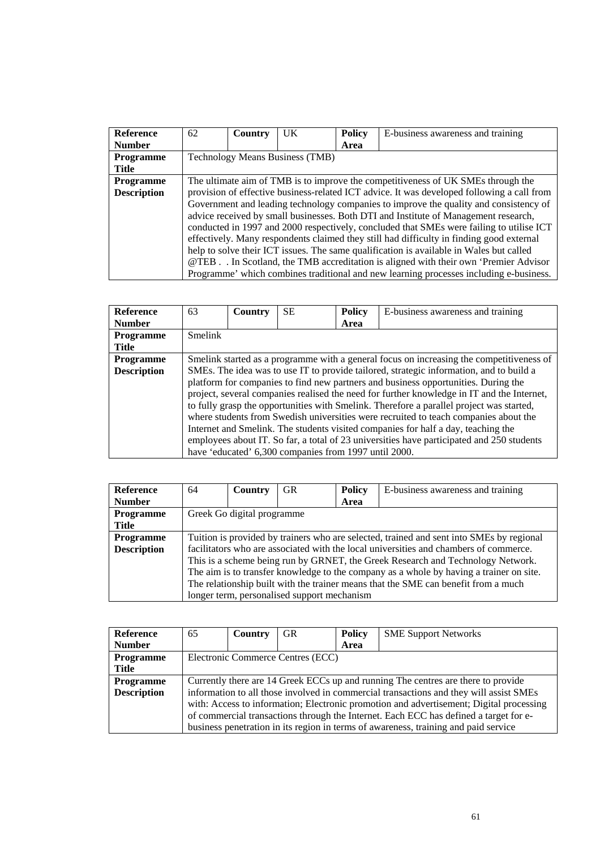| Reference          | 62                                                                                         | <b>Country</b>                                                                           | UK | <b>Policy</b> | E-business awareness and training                                                        |  |  |  |  |
|--------------------|--------------------------------------------------------------------------------------------|------------------------------------------------------------------------------------------|----|---------------|------------------------------------------------------------------------------------------|--|--|--|--|
| <b>Number</b>      |                                                                                            |                                                                                          |    | Area          |                                                                                          |  |  |  |  |
| <b>Programme</b>   | <b>Technology Means Business (TMB)</b>                                                     |                                                                                          |    |               |                                                                                          |  |  |  |  |
| Title              |                                                                                            |                                                                                          |    |               |                                                                                          |  |  |  |  |
| <b>Programme</b>   |                                                                                            | The ultimate aim of TMB is to improve the competitiveness of UK SMEs through the         |    |               |                                                                                          |  |  |  |  |
| <b>Description</b> | provision of effective business-related ICT advice. It was developed following a call from |                                                                                          |    |               |                                                                                          |  |  |  |  |
|                    |                                                                                            |                                                                                          |    |               | Government and leading technology companies to improve the quality and consistency of    |  |  |  |  |
|                    |                                                                                            |                                                                                          |    |               | advice received by small businesses. Both DTI and Institute of Management research,      |  |  |  |  |
|                    |                                                                                            | conducted in 1997 and 2000 respectively, concluded that SMEs were failing to utilise ICT |    |               |                                                                                          |  |  |  |  |
|                    |                                                                                            |                                                                                          |    |               | effectively. Many respondents claimed they still had difficulty in finding good external |  |  |  |  |
|                    |                                                                                            |                                                                                          |    |               | help to solve their ICT issues. The same qualification is available in Wales but called  |  |  |  |  |
|                    |                                                                                            |                                                                                          |    |               | @TEB. . In Scotland, the TMB accreditation is aligned with their own 'Premier Advisor    |  |  |  |  |
|                    |                                                                                            |                                                                                          |    |               | Programme' which combines traditional and new learning processes including e-business.   |  |  |  |  |

| <b>Reference</b>   | 63                                                                                       | <b>Country</b>                                                                           | <b>SE</b>                                             | <b>Policy</b> | E-business awareness and training                                                          |  |  |  |  |
|--------------------|------------------------------------------------------------------------------------------|------------------------------------------------------------------------------------------|-------------------------------------------------------|---------------|--------------------------------------------------------------------------------------------|--|--|--|--|
| <b>Number</b>      |                                                                                          |                                                                                          |                                                       | Area          |                                                                                            |  |  |  |  |
| <b>Programme</b>   | <b>Smelink</b>                                                                           |                                                                                          |                                                       |               |                                                                                            |  |  |  |  |
| Title              |                                                                                          |                                                                                          |                                                       |               |                                                                                            |  |  |  |  |
| <b>Programme</b>   |                                                                                          | Smelink started as a programme with a general focus on increasing the competitiveness of |                                                       |               |                                                                                            |  |  |  |  |
| <b>Description</b> | SMEs. The idea was to use IT to provide tailored, strategic information, and to build a  |                                                                                          |                                                       |               |                                                                                            |  |  |  |  |
|                    |                                                                                          |                                                                                          |                                                       |               | platform for companies to find new partners and business opportunities. During the         |  |  |  |  |
|                    |                                                                                          |                                                                                          |                                                       |               | project, several companies realised the need for further knowledge in IT and the Internet, |  |  |  |  |
|                    | to fully grasp the opportunities with Smelink. Therefore a parallel project was started, |                                                                                          |                                                       |               |                                                                                            |  |  |  |  |
|                    |                                                                                          |                                                                                          |                                                       |               | where students from Swedish universities were recruited to teach companies about the       |  |  |  |  |
|                    |                                                                                          |                                                                                          |                                                       |               | Internet and Smelink. The students visited companies for half a day, teaching the          |  |  |  |  |
|                    |                                                                                          |                                                                                          |                                                       |               | employees about IT. So far, a total of 23 universities have participated and 250 students  |  |  |  |  |
|                    |                                                                                          |                                                                                          | have 'educated' 6,300 companies from 1997 until 2000. |               |                                                                                            |  |  |  |  |

| Reference          | 64                                                                                       | Country                                                                            | <b>GR</b>                                   | <b>Policy</b> | E-business awareness and training                                                     |  |  |  |
|--------------------|------------------------------------------------------------------------------------------|------------------------------------------------------------------------------------|---------------------------------------------|---------------|---------------------------------------------------------------------------------------|--|--|--|
| <b>Number</b>      |                                                                                          |                                                                                    |                                             | Area          |                                                                                       |  |  |  |
| <b>Programme</b>   |                                                                                          | Greek Go digital programme                                                         |                                             |               |                                                                                       |  |  |  |
| Title              |                                                                                          |                                                                                    |                                             |               |                                                                                       |  |  |  |
| <b>Programme</b>   | Tuition is provided by trainers who are selected, trained and sent into SMEs by regional |                                                                                    |                                             |               |                                                                                       |  |  |  |
| <b>Description</b> |                                                                                          |                                                                                    |                                             |               | facilitators who are associated with the local universities and chambers of commerce. |  |  |  |
|                    | This is a scheme being run by GRNET, the Greek Research and Technology Network.          |                                                                                    |                                             |               |                                                                                       |  |  |  |
|                    | The aim is to transfer knowledge to the company as a whole by having a trainer on site.  |                                                                                    |                                             |               |                                                                                       |  |  |  |
|                    |                                                                                          | The relationship built with the trainer means that the SME can benefit from a much |                                             |               |                                                                                       |  |  |  |
|                    |                                                                                          |                                                                                    | longer term, personalised support mechanism |               |                                                                                       |  |  |  |

| <b>Reference</b>   | 65                                                                                      | Country                           | <b>GR</b> | <b>Policy</b> | <b>SME Support Networks</b>                                                         |  |  |
|--------------------|-----------------------------------------------------------------------------------------|-----------------------------------|-----------|---------------|-------------------------------------------------------------------------------------|--|--|
| <b>Number</b>      |                                                                                         |                                   |           | Area          |                                                                                     |  |  |
| <b>Programme</b>   |                                                                                         | Electronic Commerce Centres (ECC) |           |               |                                                                                     |  |  |
| Title              |                                                                                         |                                   |           |               |                                                                                     |  |  |
| <b>Programme</b>   | Currently there are 14 Greek ECCs up and running The centres are there to provide       |                                   |           |               |                                                                                     |  |  |
| <b>Description</b> | information to all those involved in commercial transactions and they will assist SMEs  |                                   |           |               |                                                                                     |  |  |
|                    | with: Access to information; Electronic promotion and advertisement; Digital processing |                                   |           |               |                                                                                     |  |  |
|                    | of commercial transactions through the Internet. Each ECC has defined a target for e-   |                                   |           |               |                                                                                     |  |  |
|                    |                                                                                         |                                   |           |               | business penetration in its region in terms of awareness, training and paid service |  |  |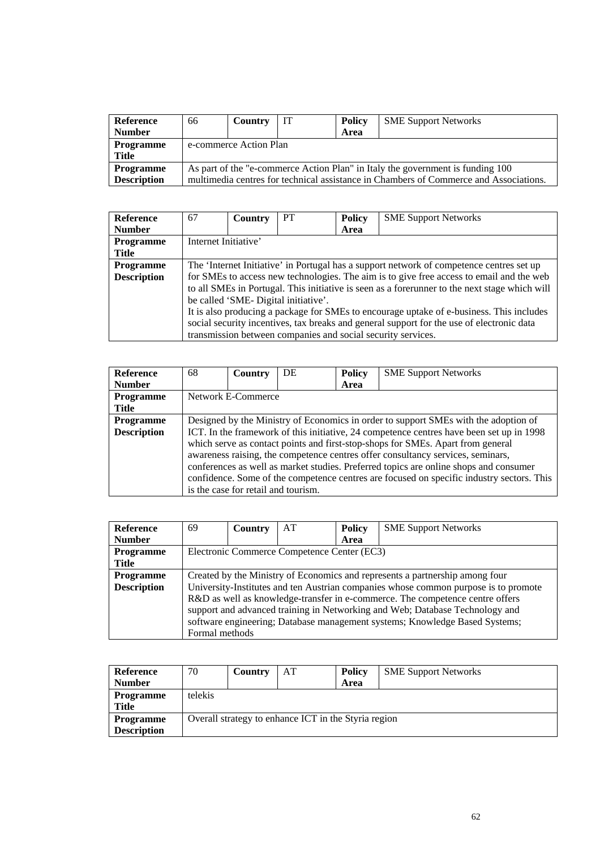| Reference<br><b>Number</b>             | 66 | Country                | IT | <b>Policy</b><br>Area | <b>SME Support Networks</b>                                                                                                                                             |  |  |
|----------------------------------------|----|------------------------|----|-----------------------|-------------------------------------------------------------------------------------------------------------------------------------------------------------------------|--|--|
| <b>Programme</b><br>Title              |    | e-commerce Action Plan |    |                       |                                                                                                                                                                         |  |  |
| <b>Programme</b><br><b>Description</b> |    |                        |    |                       | As part of the "e-commerce Action Plan" in Italy the government is funding 100<br>multimedia centres for technical assistance in Chambers of Commerce and Associations. |  |  |

| <b>Reference</b>   | 67                                                                                       | <b>Country</b> | <b>PT</b>                            | <b>Policy</b> | <b>SME Support Networks</b>                                                                   |  |  |
|--------------------|------------------------------------------------------------------------------------------|----------------|--------------------------------------|---------------|-----------------------------------------------------------------------------------------------|--|--|
| <b>Number</b>      |                                                                                          |                |                                      | Area          |                                                                                               |  |  |
| <b>Programme</b>   | Internet Initiative'                                                                     |                |                                      |               |                                                                                               |  |  |
| <b>Title</b>       |                                                                                          |                |                                      |               |                                                                                               |  |  |
| <b>Programme</b>   | The 'Internet Initiative' in Portugal has a support network of competence centres set up |                |                                      |               |                                                                                               |  |  |
| <b>Description</b> |                                                                                          |                |                                      |               | for SMEs to access new technologies. The aim is to give free access to email and the web      |  |  |
|                    |                                                                                          |                |                                      |               | to all SMEs in Portugal. This initiative is seen as a forerunner to the next stage which will |  |  |
|                    |                                                                                          |                | be called 'SME- Digital initiative'. |               |                                                                                               |  |  |
|                    |                                                                                          |                |                                      |               | It is also producing a package for SMEs to encourage uptake of e-business. This includes      |  |  |
|                    |                                                                                          |                |                                      |               | social security incentives, tax breaks and general support for the use of electronic data     |  |  |
|                    |                                                                                          |                |                                      |               | transmission between companies and social security services.                                  |  |  |

| <b>Reference</b>   | 68                                                                                  | <b>Country</b>                      | DE | <b>Policy</b> | <b>SME Support Networks</b>                                                               |  |  |  |
|--------------------|-------------------------------------------------------------------------------------|-------------------------------------|----|---------------|-------------------------------------------------------------------------------------------|--|--|--|
| <b>Number</b>      |                                                                                     |                                     |    | Area          |                                                                                           |  |  |  |
| <b>Programme</b>   |                                                                                     | Network E-Commerce                  |    |               |                                                                                           |  |  |  |
| <b>Title</b>       |                                                                                     |                                     |    |               |                                                                                           |  |  |  |
| <b>Programme</b>   | Designed by the Ministry of Economics in order to support SMEs with the adoption of |                                     |    |               |                                                                                           |  |  |  |
| <b>Description</b> |                                                                                     |                                     |    |               | ICT. In the framework of this initiative, 24 competence centres have been set up in 1998  |  |  |  |
|                    |                                                                                     |                                     |    |               | which serve as contact points and first-stop-shops for SMEs. Apart from general           |  |  |  |
|                    | awareness raising, the competence centres offer consultancy services, seminars,     |                                     |    |               |                                                                                           |  |  |  |
|                    |                                                                                     |                                     |    |               | conferences as well as market studies. Preferred topics are online shops and consumer     |  |  |  |
|                    |                                                                                     |                                     |    |               | confidence. Some of the competence centres are focused on specific industry sectors. This |  |  |  |
|                    |                                                                                     | is the case for retail and tourism. |    |               |                                                                                           |  |  |  |

| <b>Reference</b>   | 69                                                                           | Country                                     | AT | <b>Policy</b> | <b>SME Support Networks</b>                                                         |  |  |  |
|--------------------|------------------------------------------------------------------------------|---------------------------------------------|----|---------------|-------------------------------------------------------------------------------------|--|--|--|
| <b>Number</b>      |                                                                              |                                             |    | Area          |                                                                                     |  |  |  |
| <b>Programme</b>   |                                                                              | Electronic Commerce Competence Center (EC3) |    |               |                                                                                     |  |  |  |
| <b>Title</b>       |                                                                              |                                             |    |               |                                                                                     |  |  |  |
| <b>Programme</b>   | Created by the Ministry of Economics and represents a partnership among four |                                             |    |               |                                                                                     |  |  |  |
| <b>Description</b> |                                                                              |                                             |    |               | University-Institutes and ten Austrian companies whose common purpose is to promote |  |  |  |
|                    |                                                                              |                                             |    |               | R&D as well as knowledge-transfer in e-commerce. The competence centre offers       |  |  |  |
|                    | support and advanced training in Networking and Web; Database Technology and |                                             |    |               |                                                                                     |  |  |  |
|                    |                                                                              |                                             |    |               | software engineering; Database management systems; Knowledge Based Systems;         |  |  |  |
|                    | Formal methods                                                               |                                             |    |               |                                                                                     |  |  |  |

| Reference          | 70                                                   | Country | AT | Policy | <b>SME Support Networks</b> |  |  |  |
|--------------------|------------------------------------------------------|---------|----|--------|-----------------------------|--|--|--|
| <b>Number</b>      |                                                      |         |    | Area   |                             |  |  |  |
| Programme          | telekis                                              |         |    |        |                             |  |  |  |
| <b>Title</b>       |                                                      |         |    |        |                             |  |  |  |
| <b>Programme</b>   | Overall strategy to enhance ICT in the Styria region |         |    |        |                             |  |  |  |
| <b>Description</b> |                                                      |         |    |        |                             |  |  |  |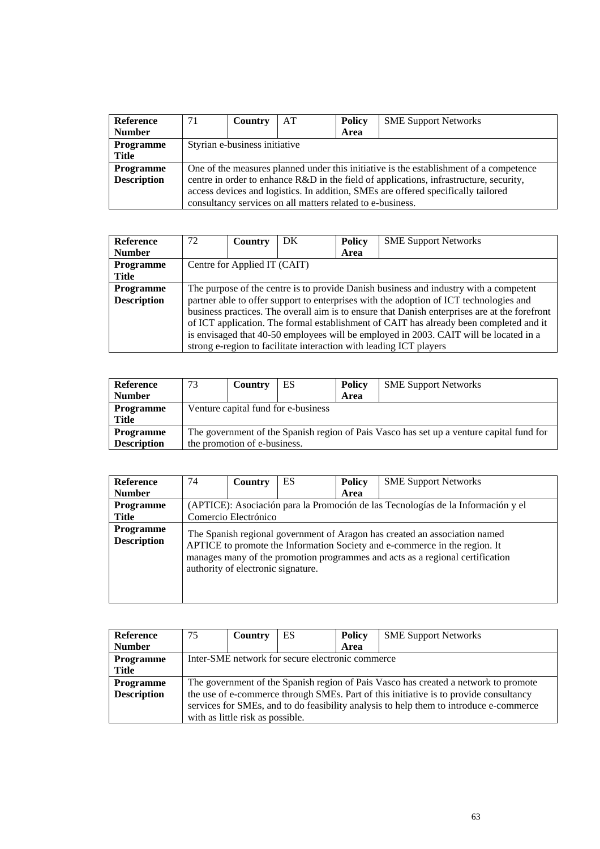| Reference          | 71                                                                                     | Country | AT                                                         | <b>Policy</b> | <b>SME Support Networks</b> |  |  |
|--------------------|----------------------------------------------------------------------------------------|---------|------------------------------------------------------------|---------------|-----------------------------|--|--|
| <b>Number</b>      |                                                                                        |         |                                                            | Area          |                             |  |  |
| <b>Programme</b>   | Styrian e-business initiative                                                          |         |                                                            |               |                             |  |  |
| Title              |                                                                                        |         |                                                            |               |                             |  |  |
| <b>Programme</b>   | One of the measures planned under this initiative is the establishment of a competence |         |                                                            |               |                             |  |  |
| <b>Description</b> | centre in order to enhance R&D in the field of applications, infrastructure, security, |         |                                                            |               |                             |  |  |
|                    | access devices and logistics. In addition, SMEs are offered specifically tailored      |         |                                                            |               |                             |  |  |
|                    |                                                                                        |         | consultancy services on all matters related to e-business. |               |                             |  |  |

| <b>Reference</b>   | 72                                                                                            | Country                      | DK | <b>Policy</b> | <b>SME Support Networks</b>                                                            |  |  |
|--------------------|-----------------------------------------------------------------------------------------------|------------------------------|----|---------------|----------------------------------------------------------------------------------------|--|--|
| <b>Number</b>      |                                                                                               |                              |    | Area          |                                                                                        |  |  |
| <b>Programme</b>   |                                                                                               | Centre for Applied IT (CAIT) |    |               |                                                                                        |  |  |
| Title              |                                                                                               |                              |    |               |                                                                                        |  |  |
| <b>Programme</b>   | The purpose of the centre is to provide Danish business and industry with a competent         |                              |    |               |                                                                                        |  |  |
| <b>Description</b> |                                                                                               |                              |    |               | partner able to offer support to enterprises with the adoption of ICT technologies and |  |  |
|                    | business practices. The overall aim is to ensure that Danish enterprises are at the forefront |                              |    |               |                                                                                        |  |  |
|                    | of ICT application. The formal establishment of CAIT has already been completed and it        |                              |    |               |                                                                                        |  |  |
|                    |                                                                                               |                              |    |               | is envisaged that 40-50 employees will be employed in 2003. CAIT will be located in a  |  |  |
|                    |                                                                                               |                              |    |               | strong e-region to facilitate interaction with leading ICT players                     |  |  |

| Reference          | 73                                                                                       | Country | ES | <b>Policy</b> | <b>SME Support Networks</b> |  |  |
|--------------------|------------------------------------------------------------------------------------------|---------|----|---------------|-----------------------------|--|--|
| <b>Number</b>      |                                                                                          |         |    | Area          |                             |  |  |
| <b>Programme</b>   | Venture capital fund for e-business                                                      |         |    |               |                             |  |  |
| Title              |                                                                                          |         |    |               |                             |  |  |
| <b>Programme</b>   | The government of the Spanish region of Pais Vasco has set up a venture capital fund for |         |    |               |                             |  |  |
| <b>Description</b> | the promotion of e-business.                                                             |         |    |               |                             |  |  |

| <b>Reference</b>                       | 74                                                                               | Country                            | ES | <b>Policy</b> | <b>SME Support Networks</b>                                                                                                                                                                                                               |  |  |
|----------------------------------------|----------------------------------------------------------------------------------|------------------------------------|----|---------------|-------------------------------------------------------------------------------------------------------------------------------------------------------------------------------------------------------------------------------------------|--|--|
| <b>Number</b>                          |                                                                                  |                                    |    | Area          |                                                                                                                                                                                                                                           |  |  |
| <b>Programme</b>                       | (APTICE): Asociación para la Promoción de las Tecnologías de la Información y el |                                    |    |               |                                                                                                                                                                                                                                           |  |  |
| <b>Title</b>                           | Comercio Electrónico                                                             |                                    |    |               |                                                                                                                                                                                                                                           |  |  |
| <b>Programme</b><br><b>Description</b> |                                                                                  | authority of electronic signature. |    |               | The Spanish regional government of Aragon has created an association named<br>APTICE to promote the Information Society and e-commerce in the region. It<br>manages many of the promotion programmes and acts as a regional certification |  |  |

| Reference          | 75                                                                                     | Country                          | ES | <b>Policy</b> | <b>SME Support Networks</b>                                                           |  |  |
|--------------------|----------------------------------------------------------------------------------------|----------------------------------|----|---------------|---------------------------------------------------------------------------------------|--|--|
| <b>Number</b>      |                                                                                        |                                  |    | Area          |                                                                                       |  |  |
| Programme          | Inter-SME network for secure electronic commerce                                       |                                  |    |               |                                                                                       |  |  |
| Title              |                                                                                        |                                  |    |               |                                                                                       |  |  |
| <b>Programme</b>   |                                                                                        |                                  |    |               | The government of the Spanish region of Pais Vasco has created a network to promote   |  |  |
| <b>Description</b> |                                                                                        |                                  |    |               | the use of e-commerce through SMEs. Part of this initiative is to provide consultancy |  |  |
|                    | services for SMEs, and to do feasibility analysis to help them to introduce e-commerce |                                  |    |               |                                                                                       |  |  |
|                    |                                                                                        | with as little risk as possible. |    |               |                                                                                       |  |  |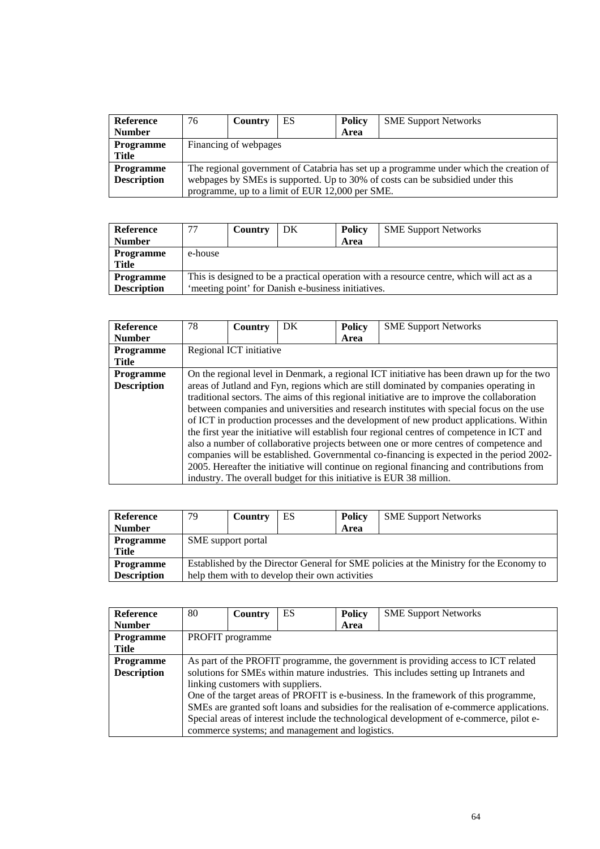| <b>Reference</b>   | 76                                                                                     | Country | ES                                              | <b>Policy</b> | <b>SME Support Networks</b> |  |  |
|--------------------|----------------------------------------------------------------------------------------|---------|-------------------------------------------------|---------------|-----------------------------|--|--|
| <b>Number</b>      |                                                                                        |         |                                                 | Area          |                             |  |  |
| <b>Programme</b>   | Financing of webpages                                                                  |         |                                                 |               |                             |  |  |
| Title              |                                                                                        |         |                                                 |               |                             |  |  |
| <b>Programme</b>   | The regional government of Catabria has set up a programme under which the creation of |         |                                                 |               |                             |  |  |
| <b>Description</b> | webpages by SMEs is supported. Up to 30% of costs can be subsidied under this          |         |                                                 |               |                             |  |  |
|                    |                                                                                        |         | programme, up to a limit of EUR 12,000 per SME. |               |                             |  |  |

| Reference          | 77                                                 | Country                                                                                  | DK | <b>Policy</b> | <b>SME Support Networks</b> |  |  |  |  |  |
|--------------------|----------------------------------------------------|------------------------------------------------------------------------------------------|----|---------------|-----------------------------|--|--|--|--|--|
| <b>Number</b>      |                                                    |                                                                                          |    | Area          |                             |  |  |  |  |  |
| <b>Programme</b>   | e-house                                            |                                                                                          |    |               |                             |  |  |  |  |  |
| <b>Title</b>       |                                                    |                                                                                          |    |               |                             |  |  |  |  |  |
| <b>Programme</b>   |                                                    | This is designed to be a practical operation with a resource centre, which will act as a |    |               |                             |  |  |  |  |  |
| <b>Description</b> | 'meeting point' for Danish e-business initiatives. |                                                                                          |    |               |                             |  |  |  |  |  |

| <b>Reference</b>   | 78                                                                                        | Country                 | DK | <b>Policy</b> | <b>SME Support Networks</b>                                                                 |  |
|--------------------|-------------------------------------------------------------------------------------------|-------------------------|----|---------------|---------------------------------------------------------------------------------------------|--|
| <b>Number</b>      |                                                                                           |                         |    | Area          |                                                                                             |  |
| <b>Programme</b>   |                                                                                           | Regional ICT initiative |    |               |                                                                                             |  |
| <b>Title</b>       |                                                                                           |                         |    |               |                                                                                             |  |
| <b>Programme</b>   | On the regional level in Denmark, a regional ICT initiative has been drawn up for the two |                         |    |               |                                                                                             |  |
| <b>Description</b> | areas of Jutland and Fyn, regions which are still dominated by companies operating in     |                         |    |               |                                                                                             |  |
|                    |                                                                                           |                         |    |               | traditional sectors. The aims of this regional initiative are to improve the collaboration  |  |
|                    |                                                                                           |                         |    |               | between companies and universities and research institutes with special focus on the use    |  |
|                    |                                                                                           |                         |    |               | of ICT in production processes and the development of new product applications. Within      |  |
|                    |                                                                                           |                         |    |               | the first year the initiative will establish four regional centres of competence in ICT and |  |
|                    |                                                                                           |                         |    |               | also a number of collaborative projects between one or more centres of competence and       |  |
|                    |                                                                                           |                         |    |               | companies will be established. Governmental co-financing is expected in the period 2002-    |  |
|                    |                                                                                           |                         |    |               | 2005. Hereafter the initiative will continue on regional financing and contributions from   |  |
|                    |                                                                                           |                         |    |               | industry. The overall budget for this initiative is EUR 38 million.                         |  |

| <b>Reference</b>   | 79                                                                                      | Country | ES                                             | Policy | <b>SME Support Networks</b> |  |  |  |
|--------------------|-----------------------------------------------------------------------------------------|---------|------------------------------------------------|--------|-----------------------------|--|--|--|
| <b>Number</b>      |                                                                                         |         |                                                | Area   |                             |  |  |  |
| <b>Programme</b>   | SME support portal                                                                      |         |                                                |        |                             |  |  |  |
| Title              |                                                                                         |         |                                                |        |                             |  |  |  |
| <b>Programme</b>   | Established by the Director General for SME policies at the Ministry for the Economy to |         |                                                |        |                             |  |  |  |
| <b>Description</b> |                                                                                         |         | help them with to develop their own activities |        |                             |  |  |  |

| <b>Reference</b>   | 80                                                                                 | <b>Country</b>                    | <b>ES</b>                                       | <b>Policy</b> | <b>SME Support Networks</b>                                                               |  |  |
|--------------------|------------------------------------------------------------------------------------|-----------------------------------|-------------------------------------------------|---------------|-------------------------------------------------------------------------------------------|--|--|
| <b>Number</b>      |                                                                                    |                                   |                                                 | Area          |                                                                                           |  |  |
| Programme          | PROFIT programme                                                                   |                                   |                                                 |               |                                                                                           |  |  |
| <b>Title</b>       |                                                                                    |                                   |                                                 |               |                                                                                           |  |  |
| <b>Programme</b>   | As part of the PROFIT programme, the government is providing access to ICT related |                                   |                                                 |               |                                                                                           |  |  |
| <b>Description</b> |                                                                                    |                                   |                                                 |               | solutions for SMEs within mature industries. This includes setting up Intranets and       |  |  |
|                    |                                                                                    | linking customers with suppliers. |                                                 |               |                                                                                           |  |  |
|                    |                                                                                    |                                   |                                                 |               | One of the target areas of PROFIT is e-business. In the framework of this programme,      |  |  |
|                    |                                                                                    |                                   |                                                 |               | SMEs are granted soft loans and subsidies for the realisation of e-commerce applications. |  |  |
|                    |                                                                                    |                                   |                                                 |               | Special areas of interest include the technological development of e-commerce, pilot e-   |  |  |
|                    |                                                                                    |                                   | commerce systems; and management and logistics. |               |                                                                                           |  |  |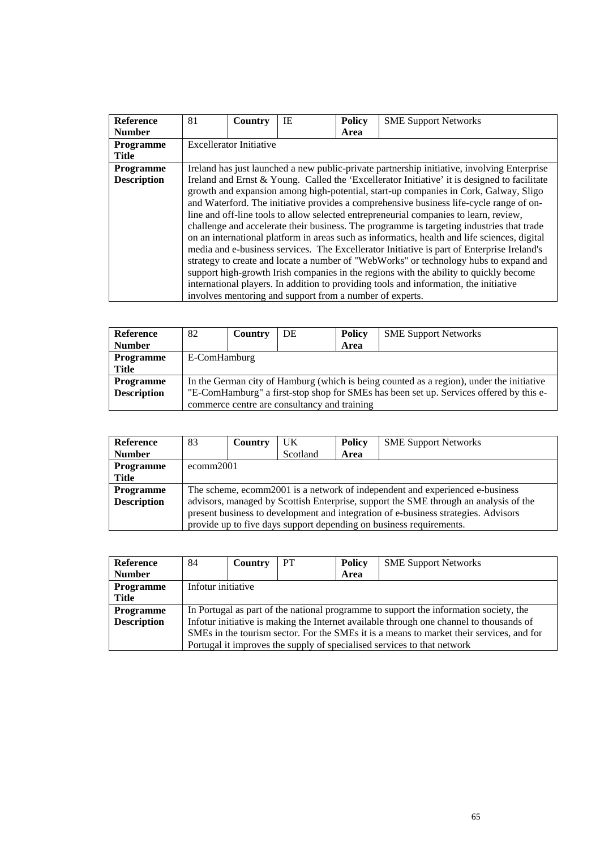| <b>Reference</b>   | 81                                                                                           | Country                        | IE                                                       | <b>Policy</b> | <b>SME Support Networks</b>                                                                  |  |  |  |
|--------------------|----------------------------------------------------------------------------------------------|--------------------------------|----------------------------------------------------------|---------------|----------------------------------------------------------------------------------------------|--|--|--|
| <b>Number</b>      |                                                                                              |                                |                                                          | Area          |                                                                                              |  |  |  |
| <b>Programme</b>   |                                                                                              | <b>Excellerator Initiative</b> |                                                          |               |                                                                                              |  |  |  |
| Title              |                                                                                              |                                |                                                          |               |                                                                                              |  |  |  |
| Programme          | Ireland has just launched a new public-private partnership initiative, involving Enterprise  |                                |                                                          |               |                                                                                              |  |  |  |
| <b>Description</b> | Ireland and Ernst & Young. Called the 'Excellerator Initiative' it is designed to facilitate |                                |                                                          |               |                                                                                              |  |  |  |
|                    | growth and expansion among high-potential, start-up companies in Cork, Galway, Sligo         |                                |                                                          |               |                                                                                              |  |  |  |
|                    |                                                                                              |                                |                                                          |               | and Waterford. The initiative provides a comprehensive business life-cycle range of on-      |  |  |  |
|                    |                                                                                              |                                |                                                          |               | line and off-line tools to allow selected entrepreneurial companies to learn, review,        |  |  |  |
|                    |                                                                                              |                                |                                                          |               | challenge and accelerate their business. The programme is targeting industries that trade    |  |  |  |
|                    |                                                                                              |                                |                                                          |               | on an international platform in areas such as informatics, health and life sciences, digital |  |  |  |
|                    |                                                                                              |                                |                                                          |               | media and e-business services. The Excellerator Initiative is part of Enterprise Ireland's   |  |  |  |
|                    |                                                                                              |                                |                                                          |               | strategy to create and locate a number of "WebWorks" or technology hubs to expand and        |  |  |  |
|                    |                                                                                              |                                |                                                          |               | support high-growth Irish companies in the regions with the ability to quickly become        |  |  |  |
|                    |                                                                                              |                                |                                                          |               | international players. In addition to providing tools and information, the initiative        |  |  |  |
|                    |                                                                                              |                                | involves mentoring and support from a number of experts. |               |                                                                                              |  |  |  |

| Reference          | 82                                                                                     | Country                                                                                  | DE | <b>Policy</b> | <b>SME Support Networks</b> |  |  |  |  |
|--------------------|----------------------------------------------------------------------------------------|------------------------------------------------------------------------------------------|----|---------------|-----------------------------|--|--|--|--|
| <b>Number</b>      |                                                                                        |                                                                                          |    | Area          |                             |  |  |  |  |
| <b>Programme</b>   |                                                                                        | E-ComHamburg                                                                             |    |               |                             |  |  |  |  |
| Title              |                                                                                        |                                                                                          |    |               |                             |  |  |  |  |
| <b>Programme</b>   |                                                                                        | In the German city of Hamburg (which is being counted as a region), under the initiative |    |               |                             |  |  |  |  |
| <b>Description</b> | "E-ComHamburg" a first-stop shop for SMEs has been set up. Services offered by this e- |                                                                                          |    |               |                             |  |  |  |  |
|                    | commerce centre are consultancy and training                                           |                                                                                          |    |               |                             |  |  |  |  |

| <b>Reference</b>   | 83                                                                                   | <b>Country</b>                                                               | UK       | <b>Policy</b> | <b>SME Support Networks</b>                                         |  |  |  |
|--------------------|--------------------------------------------------------------------------------------|------------------------------------------------------------------------------|----------|---------------|---------------------------------------------------------------------|--|--|--|
| <b>Number</b>      |                                                                                      |                                                                              | Scotland | Area          |                                                                     |  |  |  |
| <b>Programme</b>   |                                                                                      | ecomm2001                                                                    |          |               |                                                                     |  |  |  |
| Title              |                                                                                      |                                                                              |          |               |                                                                     |  |  |  |
| <b>Programme</b>   |                                                                                      | The scheme, ecomm2001 is a network of independent and experienced e-business |          |               |                                                                     |  |  |  |
| <b>Description</b> | advisors, managed by Scottish Enterprise, support the SME through an analysis of the |                                                                              |          |               |                                                                     |  |  |  |
|                    | present business to development and integration of e-business strategies. Advisors   |                                                                              |          |               |                                                                     |  |  |  |
|                    |                                                                                      |                                                                              |          |               | provide up to five days support depending on business requirements. |  |  |  |

| Reference          | 84                                                                                       | <b>Country</b> | PT | <b>Policy</b> | <b>SME Support Networks</b>                                             |  |  |
|--------------------|------------------------------------------------------------------------------------------|----------------|----|---------------|-------------------------------------------------------------------------|--|--|
| <b>Number</b>      |                                                                                          |                |    | Area          |                                                                         |  |  |
| Programme          | Infotur initiative                                                                       |                |    |               |                                                                         |  |  |
| Title              |                                                                                          |                |    |               |                                                                         |  |  |
| <b>Programme</b>   | In Portugal as part of the national programme to support the information society, the    |                |    |               |                                                                         |  |  |
| <b>Description</b> | Infotur initiative is making the Internet available through one channel to thousands of  |                |    |               |                                                                         |  |  |
|                    | SMEs in the tourism sector. For the SMEs it is a means to market their services, and for |                |    |               |                                                                         |  |  |
|                    |                                                                                          |                |    |               | Portugal it improves the supply of specialised services to that network |  |  |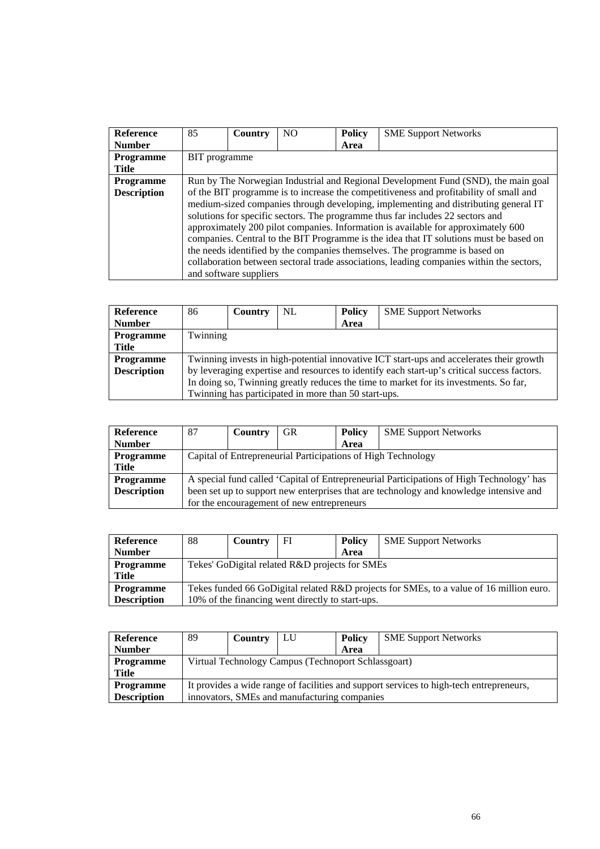| <b>Reference</b>   | 85                                                                                     | Country                | NO. | <b>Policy</b> | <b>SME Support Networks</b>                                                              |  |  |  |
|--------------------|----------------------------------------------------------------------------------------|------------------------|-----|---------------|------------------------------------------------------------------------------------------|--|--|--|
| <b>Number</b>      |                                                                                        |                        |     | Area          |                                                                                          |  |  |  |
| <b>Programme</b>   | BIT programme                                                                          |                        |     |               |                                                                                          |  |  |  |
| Title              |                                                                                        |                        |     |               |                                                                                          |  |  |  |
| <b>Programme</b>   | Run by The Norwegian Industrial and Regional Development Fund (SND), the main goal     |                        |     |               |                                                                                          |  |  |  |
| <b>Description</b> | of the BIT programme is to increase the competitiveness and profitability of small and |                        |     |               |                                                                                          |  |  |  |
|                    |                                                                                        |                        |     |               | medium-sized companies through developing, implementing and distributing general IT      |  |  |  |
|                    |                                                                                        |                        |     |               | solutions for specific sectors. The programme thus far includes 22 sectors and           |  |  |  |
|                    |                                                                                        |                        |     |               | approximately 200 pilot companies. Information is available for approximately 600        |  |  |  |
|                    |                                                                                        |                        |     |               | companies. Central to the BIT Programme is the idea that IT solutions must be based on   |  |  |  |
|                    |                                                                                        |                        |     |               | the needs identified by the companies themselves. The programme is based on              |  |  |  |
|                    |                                                                                        |                        |     |               | collaboration between sectoral trade associations, leading companies within the sectors, |  |  |  |
|                    |                                                                                        | and software suppliers |     |               |                                                                                          |  |  |  |

| <b>Reference</b>   | 86                                                                                    | <b>Country</b>                                                                              | NL                                                   | <b>Policy</b> | <b>SME Support Networks</b> |  |  |  |
|--------------------|---------------------------------------------------------------------------------------|---------------------------------------------------------------------------------------------|------------------------------------------------------|---------------|-----------------------------|--|--|--|
| <b>Number</b>      |                                                                                       |                                                                                             |                                                      | Area          |                             |  |  |  |
| <b>Programme</b>   |                                                                                       | Twinning                                                                                    |                                                      |               |                             |  |  |  |
| Title              |                                                                                       |                                                                                             |                                                      |               |                             |  |  |  |
| <b>Programme</b>   |                                                                                       | Twinning invests in high-potential innovative ICT start-ups and accelerates their growth    |                                                      |               |                             |  |  |  |
| <b>Description</b> |                                                                                       | by leveraging expertise and resources to identify each start-up's critical success factors. |                                                      |               |                             |  |  |  |
|                    | In doing so, Twinning greatly reduces the time to market for its investments. So far, |                                                                                             |                                                      |               |                             |  |  |  |
|                    |                                                                                       |                                                                                             | Twinning has participated in more than 50 start-ups. |               |                             |  |  |  |

| Reference          | 87                                                                                     | Country                                                                                  | GR                                         | <b>Policy</b> | <b>SME Support Networks</b> |  |  |  |  |
|--------------------|----------------------------------------------------------------------------------------|------------------------------------------------------------------------------------------|--------------------------------------------|---------------|-----------------------------|--|--|--|--|
| <b>Number</b>      |                                                                                        |                                                                                          |                                            | Area          |                             |  |  |  |  |
| <b>Programme</b>   | Capital of Entrepreneurial Participations of High Technology                           |                                                                                          |                                            |               |                             |  |  |  |  |
| <b>Title</b>       |                                                                                        |                                                                                          |                                            |               |                             |  |  |  |  |
| <b>Programme</b>   |                                                                                        | A special fund called 'Capital of Entrepreneurial Participations of High Technology' has |                                            |               |                             |  |  |  |  |
| <b>Description</b> | been set up to support new enterprises that are technology and knowledge intensive and |                                                                                          |                                            |               |                             |  |  |  |  |
|                    |                                                                                        |                                                                                          | for the encouragement of new entrepreneurs |               |                             |  |  |  |  |

| Reference          | 88                                                                                      | Country | FI | <b>Policy</b> | <b>SME Support Networks</b> |  |  |  |
|--------------------|-----------------------------------------------------------------------------------------|---------|----|---------------|-----------------------------|--|--|--|
| <b>Number</b>      |                                                                                         |         |    | Area          |                             |  |  |  |
| <b>Programme</b>   | Tekes' GoDigital related R&D projects for SMEs                                          |         |    |               |                             |  |  |  |
| Title              |                                                                                         |         |    |               |                             |  |  |  |
| <b>Programme</b>   | Tekes funded 66 GoDigital related R&D projects for SMEs, to a value of 16 million euro. |         |    |               |                             |  |  |  |
| <b>Description</b> | 10% of the financing went directly to start-ups.                                        |         |    |               |                             |  |  |  |

| <b>Reference</b>   | 89                                                                                      | Country | LU | <b>Policy</b> | <b>SME Support Networks</b> |  |  |
|--------------------|-----------------------------------------------------------------------------------------|---------|----|---------------|-----------------------------|--|--|
| <b>Number</b>      |                                                                                         |         |    | Area          |                             |  |  |
| <b>Programme</b>   | Virtual Technology Campus (Technoport Schlassgoart)                                     |         |    |               |                             |  |  |
| Title              |                                                                                         |         |    |               |                             |  |  |
| <b>Programme</b>   | It provides a wide range of facilities and support services to high-tech entrepreneurs, |         |    |               |                             |  |  |
| <b>Description</b> | innovators, SMEs and manufacturing companies                                            |         |    |               |                             |  |  |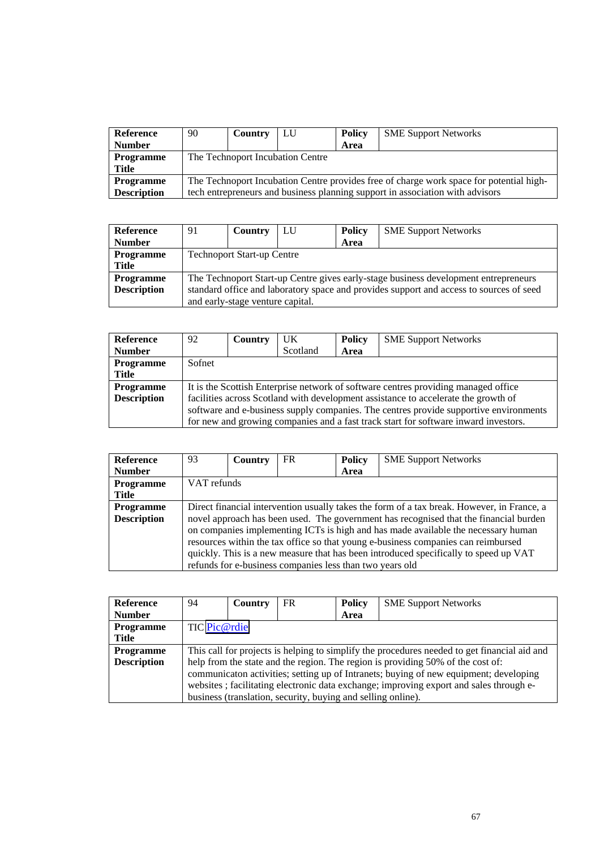| Reference          | 90                                                                                      | Country | LU | <b>Policy</b> | <b>SME Support Networks</b>                                                   |  |  |  |
|--------------------|-----------------------------------------------------------------------------------------|---------|----|---------------|-------------------------------------------------------------------------------|--|--|--|
| <b>Number</b>      |                                                                                         |         |    | Area          |                                                                               |  |  |  |
| <b>Programme</b>   | The Technoport Incubation Centre                                                        |         |    |               |                                                                               |  |  |  |
| Title              |                                                                                         |         |    |               |                                                                               |  |  |  |
| <b>Programme</b>   | The Technoport Incubation Centre provides free of charge work space for potential high- |         |    |               |                                                                               |  |  |  |
| <b>Description</b> |                                                                                         |         |    |               | tech entrepreneurs and business planning support in association with advisors |  |  |  |

| Reference          | 91                                                                                      | Country                           | LU | <b>Policy</b> | <b>SME Support Networks</b> |  |  |  |
|--------------------|-----------------------------------------------------------------------------------------|-----------------------------------|----|---------------|-----------------------------|--|--|--|
| <b>Number</b>      |                                                                                         |                                   |    | Area          |                             |  |  |  |
| <b>Programme</b>   |                                                                                         | <b>Technoport Start-up Centre</b> |    |               |                             |  |  |  |
| <b>Title</b>       |                                                                                         |                                   |    |               |                             |  |  |  |
| <b>Programme</b>   | The Technoport Start-up Centre gives early-stage business development entrepreneurs     |                                   |    |               |                             |  |  |  |
| <b>Description</b> | standard office and laboratory space and provides support and access to sources of seed |                                   |    |               |                             |  |  |  |
|                    | and early-stage venture capital.                                                        |                                   |    |               |                             |  |  |  |

| <b>Reference</b>   | 92     | Country                                                                               | UK       | <b>Policy</b> | <b>SME Support Networks</b>                                                         |  |  |  |  |
|--------------------|--------|---------------------------------------------------------------------------------------|----------|---------------|-------------------------------------------------------------------------------------|--|--|--|--|
| <b>Number</b>      |        |                                                                                       | Scotland | Area          |                                                                                     |  |  |  |  |
| <b>Programme</b>   | Sofnet |                                                                                       |          |               |                                                                                     |  |  |  |  |
| Title              |        |                                                                                       |          |               |                                                                                     |  |  |  |  |
| <b>Programme</b>   |        | It is the Scottish Enterprise network of software centres providing managed office    |          |               |                                                                                     |  |  |  |  |
| <b>Description</b> |        | facilities across Scotland with development assistance to accelerate the growth of    |          |               |                                                                                     |  |  |  |  |
|                    |        | software and e-business supply companies. The centres provide supportive environments |          |               |                                                                                     |  |  |  |  |
|                    |        |                                                                                       |          |               | for new and growing companies and a fast track start for software inward investors. |  |  |  |  |

| <b>Reference</b>   | 93                                                                                         | Country     | <b>FR</b>                                                | <b>Policy</b> | <b>SME Support Networks</b>                                                                                                                                                                                                                                                                                                                             |  |  |  |
|--------------------|--------------------------------------------------------------------------------------------|-------------|----------------------------------------------------------|---------------|---------------------------------------------------------------------------------------------------------------------------------------------------------------------------------------------------------------------------------------------------------------------------------------------------------------------------------------------------------|--|--|--|
| <b>Number</b>      |                                                                                            |             |                                                          | Area          |                                                                                                                                                                                                                                                                                                                                                         |  |  |  |
| Programme          |                                                                                            | VAT refunds |                                                          |               |                                                                                                                                                                                                                                                                                                                                                         |  |  |  |
| Title              |                                                                                            |             |                                                          |               |                                                                                                                                                                                                                                                                                                                                                         |  |  |  |
| <b>Programme</b>   | Direct financial intervention usually takes the form of a tax break. However, in France, a |             |                                                          |               |                                                                                                                                                                                                                                                                                                                                                         |  |  |  |
| <b>Description</b> |                                                                                            |             | refunds for e-business companies less than two years old |               | novel approach has been used. The government has recognised that the financial burden<br>on companies implementing ICTs is high and has made available the necessary human<br>resources within the tax office so that young e-business companies can reimbursed<br>quickly. This is a new measure that has been introduced specifically to speed up VAT |  |  |  |

| <b>Reference</b>   | 94                                                                                           | Country | FR                                                           | <b>Policy</b> | <b>SME Support Networks</b> |  |  |
|--------------------|----------------------------------------------------------------------------------------------|---------|--------------------------------------------------------------|---------------|-----------------------------|--|--|
| <b>Number</b>      |                                                                                              |         |                                                              | Area          |                             |  |  |
| <b>Programme</b>   | TIC Pic@rdie                                                                                 |         |                                                              |               |                             |  |  |
| Title              |                                                                                              |         |                                                              |               |                             |  |  |
| <b>Programme</b>   | This call for projects is helping to simplify the procedures needed to get financial aid and |         |                                                              |               |                             |  |  |
| <b>Description</b> | help from the state and the region. The region is providing 50% of the cost of:              |         |                                                              |               |                             |  |  |
|                    | communicaton activities; setting up of Intranets; buying of new equipment; developing        |         |                                                              |               |                             |  |  |
|                    | websites; facilitating electronic data exchange; improving export and sales through e-       |         |                                                              |               |                             |  |  |
|                    |                                                                                              |         | business (translation, security, buying and selling online). |               |                             |  |  |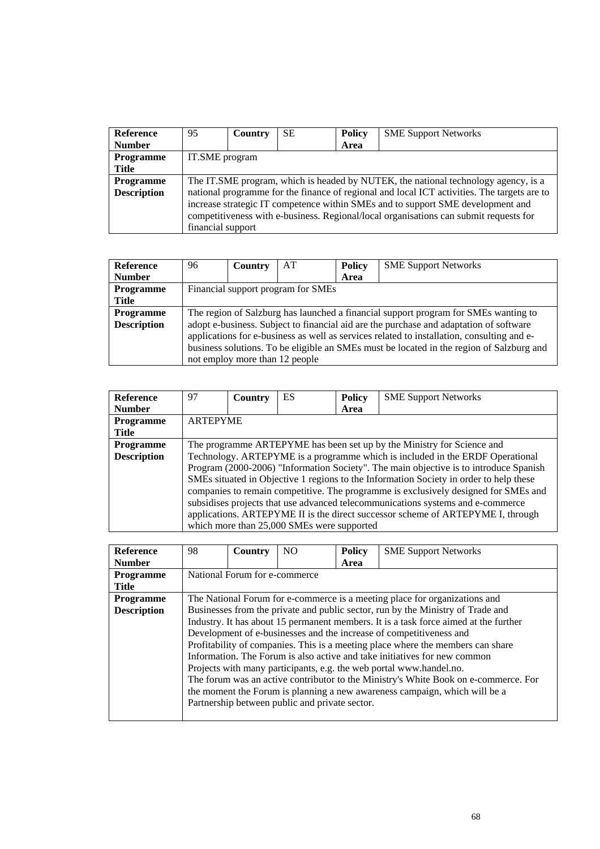| <b>Reference</b>   | 95                                                                                          | Country        | SЕ | <b>Policy</b> | <b>SME Support Networks</b> |  |  |  |
|--------------------|---------------------------------------------------------------------------------------------|----------------|----|---------------|-----------------------------|--|--|--|
| <b>Number</b>      |                                                                                             |                |    | Area          |                             |  |  |  |
| Programme          |                                                                                             | IT.SME program |    |               |                             |  |  |  |
| <b>Title</b>       |                                                                                             |                |    |               |                             |  |  |  |
| <b>Programme</b>   | The IT.SME program, which is headed by NUTEK, the national technology agency, is a          |                |    |               |                             |  |  |  |
| <b>Description</b> | national programme for the finance of regional and local ICT activities. The targets are to |                |    |               |                             |  |  |  |
|                    | increase strategic IT competence within SMEs and to support SME development and             |                |    |               |                             |  |  |  |
|                    | competitiveness with e-business. Regional/local organisations can submit requests for       |                |    |               |                             |  |  |  |
|                    | financial support                                                                           |                |    |               |                             |  |  |  |

| <b>Reference</b>   | 96                                                                                         | <b>Country</b>                 | AT | <b>Policy</b> | <b>SME Support Networks</b> |  |  |
|--------------------|--------------------------------------------------------------------------------------------|--------------------------------|----|---------------|-----------------------------|--|--|
| <b>Number</b>      |                                                                                            |                                |    | Area          |                             |  |  |
| <b>Programme</b>   | Financial support program for SMEs                                                         |                                |    |               |                             |  |  |
| <b>Title</b>       |                                                                                            |                                |    |               |                             |  |  |
| <b>Programme</b>   | The region of Salzburg has launched a financial support program for SMEs wanting to        |                                |    |               |                             |  |  |
| <b>Description</b> | adopt e-business. Subject to financial aid are the purchase and adaptation of software     |                                |    |               |                             |  |  |
|                    | applications for e-business as well as services related to installation, consulting and e- |                                |    |               |                             |  |  |
|                    | business solutions. To be eligible an SMEs must be located in the region of Salzburg and   |                                |    |               |                             |  |  |
|                    |                                                                                            | not employ more than 12 people |    |               |                             |  |  |

| <b>Reference</b>   | 97                                                                                     | <b>Country</b> | ES.                                        | <b>Policy</b> | <b>SME Support Networks</b>                                                     |  |  |
|--------------------|----------------------------------------------------------------------------------------|----------------|--------------------------------------------|---------------|---------------------------------------------------------------------------------|--|--|
| <b>Number</b>      |                                                                                        |                |                                            | Area          |                                                                                 |  |  |
| Programme          | <b>ARTEPYME</b>                                                                        |                |                                            |               |                                                                                 |  |  |
| <b>Title</b>       |                                                                                        |                |                                            |               |                                                                                 |  |  |
| <b>Programme</b>   |                                                                                        |                |                                            |               | The programme ARTEPYME has been set up by the Ministry for Science and          |  |  |
| <b>Description</b> | Technology. ARTEPYME is a programme which is included in the ERDF Operational          |                |                                            |               |                                                                                 |  |  |
|                    | Program (2000-2006) "Information Society". The main objective is to introduce Spanish  |                |                                            |               |                                                                                 |  |  |
|                    | SMEs situated in Objective 1 regions to the Information Society in order to help these |                |                                            |               |                                                                                 |  |  |
|                    | companies to remain competitive. The programme is exclusively designed for SMEs and    |                |                                            |               |                                                                                 |  |  |
|                    |                                                                                        |                |                                            |               | subsidises projects that use advanced telecommunications systems and e-commerce |  |  |
|                    |                                                                                        |                |                                            |               | applications. ARTEPYME II is the direct successor scheme of ARTEPYME I, through |  |  |
|                    |                                                                                        |                | which more than 25,000 SMEs were supported |               |                                                                                 |  |  |

| <b>Reference</b>   | 98                                                                                   | Country                       | NO.                                            | <b>Policy</b> | <b>SME Support Networks</b>                                                         |  |  |  |  |
|--------------------|--------------------------------------------------------------------------------------|-------------------------------|------------------------------------------------|---------------|-------------------------------------------------------------------------------------|--|--|--|--|
| <b>Number</b>      |                                                                                      |                               |                                                | Area          |                                                                                     |  |  |  |  |
| <b>Programme</b>   |                                                                                      | National Forum for e-commerce |                                                |               |                                                                                     |  |  |  |  |
| <b>Title</b>       |                                                                                      |                               |                                                |               |                                                                                     |  |  |  |  |
| <b>Programme</b>   | The National Forum for e-commerce is a meeting place for organizations and           |                               |                                                |               |                                                                                     |  |  |  |  |
| <b>Description</b> | Businesses from the private and public sector, run by the Ministry of Trade and      |                               |                                                |               |                                                                                     |  |  |  |  |
|                    | Industry. It has about 15 permanent members. It is a task force aimed at the further |                               |                                                |               |                                                                                     |  |  |  |  |
|                    |                                                                                      |                               |                                                |               | Development of e-businesses and the increase of competitiveness and                 |  |  |  |  |
|                    | Profitability of companies. This is a meeting place where the members can share      |                               |                                                |               |                                                                                     |  |  |  |  |
|                    | Information. The Forum is also active and take initiatives for new common            |                               |                                                |               |                                                                                     |  |  |  |  |
|                    |                                                                                      |                               |                                                |               | Projects with many participants, e.g. the web portal www.handel.no.                 |  |  |  |  |
|                    |                                                                                      |                               |                                                |               | The forum was an active contributor to the Ministry's White Book on e-commerce. For |  |  |  |  |
|                    |                                                                                      |                               |                                                |               | the moment the Forum is planning a new awareness campaign, which will be a          |  |  |  |  |
|                    |                                                                                      |                               | Partnership between public and private sector. |               |                                                                                     |  |  |  |  |
|                    |                                                                                      |                               |                                                |               |                                                                                     |  |  |  |  |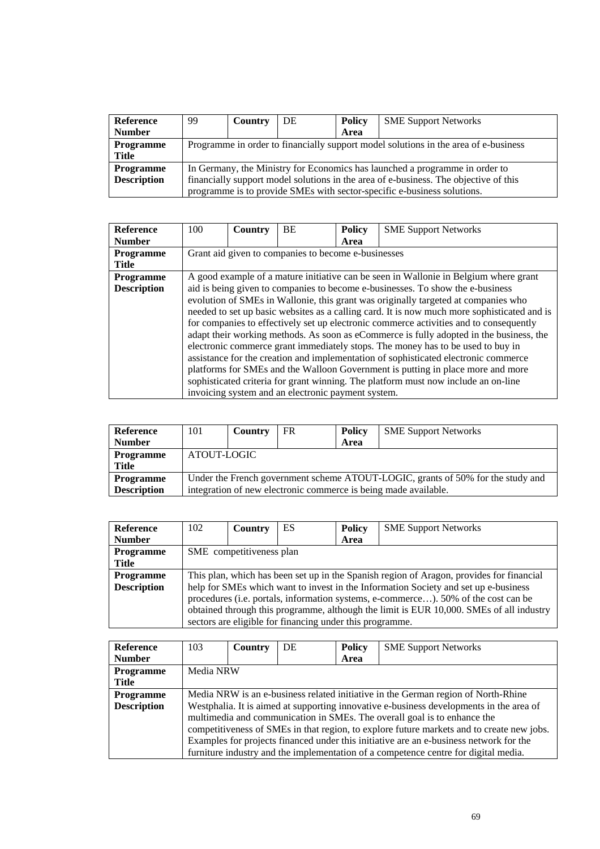| <b>Reference</b>   | 99                                                                                   | Country | DE | <b>Policy</b> | <b>SME Support Networks</b> |  |  |
|--------------------|--------------------------------------------------------------------------------------|---------|----|---------------|-----------------------------|--|--|
| <b>Number</b>      |                                                                                      |         |    | Area          |                             |  |  |
| <b>Programme</b>   | Programme in order to financially support model solutions in the area of e-business  |         |    |               |                             |  |  |
| Title              |                                                                                      |         |    |               |                             |  |  |
| <b>Programme</b>   | In Germany, the Ministry for Economics has launched a programme in order to          |         |    |               |                             |  |  |
| <b>Description</b> | financially support model solutions in the area of e-business. The objective of this |         |    |               |                             |  |  |
|                    | programme is to provide SMEs with sector-specific e-business solutions.              |         |    |               |                             |  |  |

| <b>Reference</b>   | 100                                                                                  | Country | <b>BE</b>                                          | <b>Policy</b> | <b>SME Support Networks</b>                                                                 |  |  |
|--------------------|--------------------------------------------------------------------------------------|---------|----------------------------------------------------|---------------|---------------------------------------------------------------------------------------------|--|--|
| <b>Number</b>      |                                                                                      |         |                                                    | Area          |                                                                                             |  |  |
| <b>Programme</b>   | Grant aid given to companies to become e-businesses                                  |         |                                                    |               |                                                                                             |  |  |
| <b>Title</b>       |                                                                                      |         |                                                    |               |                                                                                             |  |  |
| <b>Programme</b>   | A good example of a mature initiative can be seen in Wallonie in Belgium where grant |         |                                                    |               |                                                                                             |  |  |
| <b>Description</b> | aid is being given to companies to become e-businesses. To show the e-business       |         |                                                    |               |                                                                                             |  |  |
|                    |                                                                                      |         |                                                    |               | evolution of SMEs in Wallonie, this grant was originally targeted at companies who          |  |  |
|                    |                                                                                      |         |                                                    |               | needed to set up basic websites as a calling card. It is now much more sophisticated and is |  |  |
|                    |                                                                                      |         |                                                    |               | for companies to effectively set up electronic commerce activities and to consequently      |  |  |
|                    |                                                                                      |         |                                                    |               | adapt their working methods. As soon as eCommerce is fully adopted in the business, the     |  |  |
|                    |                                                                                      |         |                                                    |               | electronic commerce grant immediately stops. The money has to be used to buy in             |  |  |
|                    |                                                                                      |         |                                                    |               | assistance for the creation and implementation of sophisticated electronic commerce         |  |  |
|                    |                                                                                      |         |                                                    |               | platforms for SMEs and the Walloon Government is putting in place more and more             |  |  |
|                    |                                                                                      |         |                                                    |               | sophisticated criteria for grant winning. The platform must now include an on-line          |  |  |
|                    |                                                                                      |         | invoicing system and an electronic payment system. |               |                                                                                             |  |  |

| <b>Reference</b>   | 101                                                                             | Country | FR | <b>Policy</b> | <b>SME Support Networks</b> |  |  |  |
|--------------------|---------------------------------------------------------------------------------|---------|----|---------------|-----------------------------|--|--|--|
| <b>Number</b>      |                                                                                 |         |    | Area          |                             |  |  |  |
| <b>Programme</b>   | ATOUT-LOGIC                                                                     |         |    |               |                             |  |  |  |
| Title              |                                                                                 |         |    |               |                             |  |  |  |
| <b>Programme</b>   | Under the French government scheme ATOUT-LOGIC, grants of 50% for the study and |         |    |               |                             |  |  |  |
| <b>Description</b> | integration of new electronic commerce is being made available.                 |         |    |               |                             |  |  |  |

| <b>Reference</b>   | 102                                                                                      | Country | ES | <b>Policy</b>                                            | <b>SME Support Networks</b>                                                         |  |  |  |
|--------------------|------------------------------------------------------------------------------------------|---------|----|----------------------------------------------------------|-------------------------------------------------------------------------------------|--|--|--|
| <b>Number</b>      |                                                                                          |         |    | Area                                                     |                                                                                     |  |  |  |
| <b>Programme</b>   | SME competitiveness plan                                                                 |         |    |                                                          |                                                                                     |  |  |  |
| Title              |                                                                                          |         |    |                                                          |                                                                                     |  |  |  |
| <b>Programme</b>   | This plan, which has been set up in the Spanish region of Aragon, provides for financial |         |    |                                                          |                                                                                     |  |  |  |
| <b>Description</b> |                                                                                          |         |    |                                                          | help for SMEs which want to invest in the Information Society and set up e-business |  |  |  |
|                    | procedures (i.e. portals, information systems, e-commerce). 50% of the cost can be       |         |    |                                                          |                                                                                     |  |  |  |
|                    | obtained through this programme, although the limit is EUR 10,000. SMEs of all industry  |         |    |                                                          |                                                                                     |  |  |  |
|                    |                                                                                          |         |    | sectors are eligible for financing under this programme. |                                                                                     |  |  |  |

| <b>Reference</b>   | 103                                                                               | Country   | DE | <b>Policy</b> | <b>SME Support Networks</b>                                                                                                                                                                                                                                                                                                                                                                                                                       |  |  |  |
|--------------------|-----------------------------------------------------------------------------------|-----------|----|---------------|---------------------------------------------------------------------------------------------------------------------------------------------------------------------------------------------------------------------------------------------------------------------------------------------------------------------------------------------------------------------------------------------------------------------------------------------------|--|--|--|
| <b>Number</b>      |                                                                                   |           |    | Area          |                                                                                                                                                                                                                                                                                                                                                                                                                                                   |  |  |  |
| Programme          |                                                                                   | Media NRW |    |               |                                                                                                                                                                                                                                                                                                                                                                                                                                                   |  |  |  |
| Title              |                                                                                   |           |    |               |                                                                                                                                                                                                                                                                                                                                                                                                                                                   |  |  |  |
| <b>Programme</b>   | Media NRW is an e-business related initiative in the German region of North-Rhine |           |    |               |                                                                                                                                                                                                                                                                                                                                                                                                                                                   |  |  |  |
| <b>Description</b> |                                                                                   |           |    |               | Westphalia. It is aimed at supporting innovative e-business developments in the area of<br>multimedia and communication in SMEs. The overall goal is to enhance the<br>competitiveness of SMEs in that region, to explore future markets and to create new jobs.<br>Examples for projects financed under this initiative are an e-business network for the<br>furniture industry and the implementation of a competence centre for digital media. |  |  |  |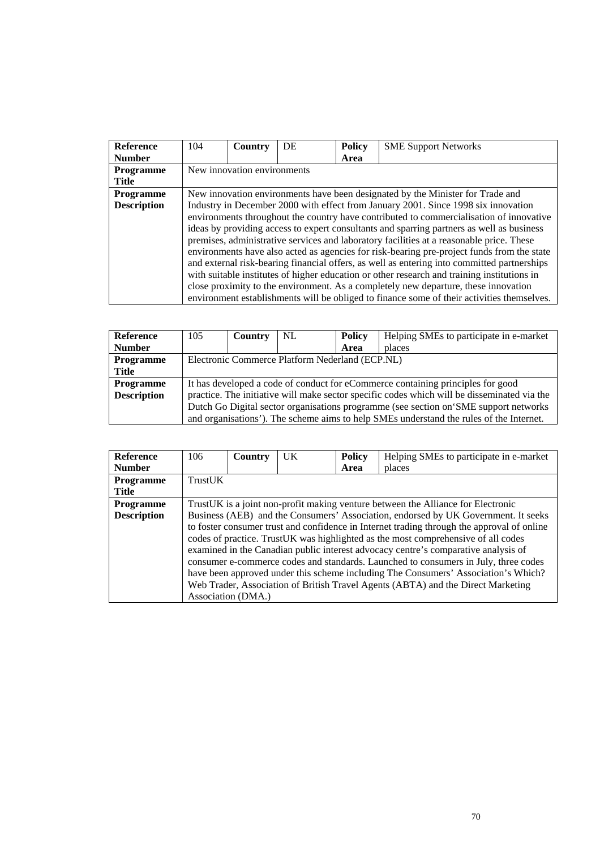| <b>Reference</b>   | 104                         | Country | DE | <b>Policy</b> | <b>SME Support Networks</b>                                                                 |  |  |
|--------------------|-----------------------------|---------|----|---------------|---------------------------------------------------------------------------------------------|--|--|
| <b>Number</b>      |                             |         |    | Area          |                                                                                             |  |  |
| <b>Programme</b>   | New innovation environments |         |    |               |                                                                                             |  |  |
| <b>Title</b>       |                             |         |    |               |                                                                                             |  |  |
| <b>Programme</b>   |                             |         |    |               | New innovation environments have been designated by the Minister for Trade and              |  |  |
| <b>Description</b> |                             |         |    |               | Industry in December 2000 with effect from January 2001. Since 1998 six innovation          |  |  |
|                    |                             |         |    |               | environments throughout the country have contributed to commercialisation of innovative     |  |  |
|                    |                             |         |    |               | ideas by providing access to expert consultants and sparring partners as well as business   |  |  |
|                    |                             |         |    |               | premises, administrative services and laboratory facilities at a reasonable price. These    |  |  |
|                    |                             |         |    |               | environments have also acted as agencies for risk-bearing pre-project funds from the state  |  |  |
|                    |                             |         |    |               | and external risk-bearing financial offers, as well as entering into committed partnerships |  |  |
|                    |                             |         |    |               | with suitable institutes of higher education or other research and training institutions in |  |  |
|                    |                             |         |    |               | close proximity to the environment. As a completely new departure, these innovation         |  |  |
|                    |                             |         |    |               | environment establishments will be obliged to finance some of their activities themselves.  |  |  |

| Reference          | 105                                                                                  | Country | NL. | <b>Policy</b> | Helping SMEs to participate in e-market                                                     |  |  |  |
|--------------------|--------------------------------------------------------------------------------------|---------|-----|---------------|---------------------------------------------------------------------------------------------|--|--|--|
| <b>Number</b>      |                                                                                      |         |     | Area          | places                                                                                      |  |  |  |
| <b>Programme</b>   | Electronic Commerce Platform Nederland (ECP.NL)                                      |         |     |               |                                                                                             |  |  |  |
| <b>Title</b>       |                                                                                      |         |     |               |                                                                                             |  |  |  |
| <b>Programme</b>   |                                                                                      |         |     |               | It has developed a code of conduct for eCommerce containing principles for good             |  |  |  |
| <b>Description</b> |                                                                                      |         |     |               | practice. The initiative will make sector specific codes which will be disseminated via the |  |  |  |
|                    | Dutch Go Digital sector organisations programme (see section on SME support networks |         |     |               |                                                                                             |  |  |  |
|                    |                                                                                      |         |     |               | and organisations'). The scheme aims to help SMEs understand the rules of the Internet.     |  |  |  |

| <b>Reference</b>   | 106     | Country            | <b>UK</b> | <b>Policy</b> | Helping SMEs to participate in e-market                                                    |  |  |
|--------------------|---------|--------------------|-----------|---------------|--------------------------------------------------------------------------------------------|--|--|
| <b>Number</b>      |         |                    |           | Area          | places                                                                                     |  |  |
| <b>Programme</b>   | TrustUK |                    |           |               |                                                                                            |  |  |
| Title              |         |                    |           |               |                                                                                            |  |  |
| Programme          |         |                    |           |               | Trust UK is a joint non-profit making venture between the Alliance for Electronic          |  |  |
| <b>Description</b> |         |                    |           |               | Business (AEB) and the Consumers' Association, endorsed by UK Government. It seeks         |  |  |
|                    |         |                    |           |               | to foster consumer trust and confidence in Internet trading through the approval of online |  |  |
|                    |         |                    |           |               | codes of practice. TrustUK was highlighted as the most comprehensive of all codes          |  |  |
|                    |         |                    |           |               | examined in the Canadian public interest advocacy centre's comparative analysis of         |  |  |
|                    |         |                    |           |               | consumer e-commerce codes and standards. Launched to consumers in July, three codes        |  |  |
|                    |         |                    |           |               | have been approved under this scheme including The Consumers' Association's Which?         |  |  |
|                    |         |                    |           |               | Web Trader, Association of British Travel Agents (ABTA) and the Direct Marketing           |  |  |
|                    |         | Association (DMA.) |           |               |                                                                                            |  |  |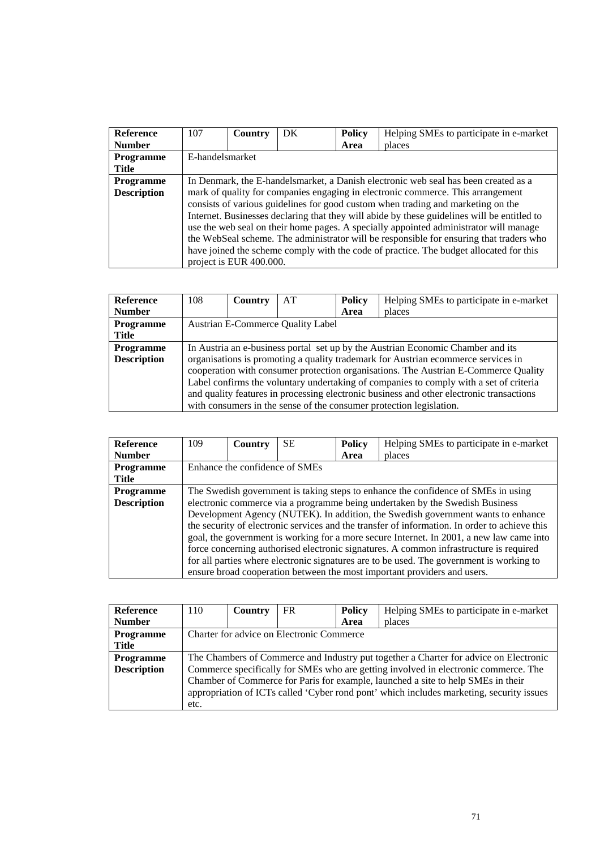| <b>Reference</b>   | 107                                                                                 | Country                 | DK | <b>Policy</b> | Helping SMEs to participate in e-market                                                     |  |  |
|--------------------|-------------------------------------------------------------------------------------|-------------------------|----|---------------|---------------------------------------------------------------------------------------------|--|--|
| <b>Number</b>      |                                                                                     |                         |    | Area          | places                                                                                      |  |  |
| <b>Programme</b>   | E-handelsmarket                                                                     |                         |    |               |                                                                                             |  |  |
| Title              |                                                                                     |                         |    |               |                                                                                             |  |  |
| <b>Programme</b>   | In Denmark, the E-handelsmarket, a Danish electronic web seal has been created as a |                         |    |               |                                                                                             |  |  |
| <b>Description</b> |                                                                                     |                         |    |               | mark of quality for companies engaging in electronic commerce. This arrangement             |  |  |
|                    |                                                                                     |                         |    |               | consists of various guidelines for good custom when trading and marketing on the            |  |  |
|                    |                                                                                     |                         |    |               | Internet. Businesses declaring that they will abide by these guidelines will be entitled to |  |  |
|                    |                                                                                     |                         |    |               | use the web seal on their home pages. A specially appointed administrator will manage       |  |  |
|                    |                                                                                     |                         |    |               | the WebSeal scheme. The administrator will be responsible for ensuring that traders who     |  |  |
|                    |                                                                                     |                         |    |               | have joined the scheme comply with the code of practice. The budget allocated for this      |  |  |
|                    |                                                                                     | project is EUR 400.000. |    |               |                                                                                             |  |  |

| <b>Reference</b>   | 108                                                                                      | Country | AT                                       | <b>Policy</b> | Helping SMEs to participate in e-market                                                |  |
|--------------------|------------------------------------------------------------------------------------------|---------|------------------------------------------|---------------|----------------------------------------------------------------------------------------|--|
| <b>Number</b>      |                                                                                          |         |                                          | Area          | places                                                                                 |  |
| Programme          |                                                                                          |         | <b>Austrian E-Commerce Quality Label</b> |               |                                                                                        |  |
| Title              |                                                                                          |         |                                          |               |                                                                                        |  |
| <b>Programme</b>   | In Austria an e-business portal set up by the Austrian Economic Chamber and its          |         |                                          |               |                                                                                        |  |
| <b>Description</b> |                                                                                          |         |                                          |               | organisations is promoting a quality trademark for Austrian ecommerce services in      |  |
|                    |                                                                                          |         |                                          |               | cooperation with consumer protection organisations. The Austrian E-Commerce Quality    |  |
|                    |                                                                                          |         |                                          |               | Label confirms the voluntary undertaking of companies to comply with a set of criteria |  |
|                    | and quality features in processing electronic business and other electronic transactions |         |                                          |               |                                                                                        |  |
|                    |                                                                                          |         |                                          |               | with consumers in the sense of the consumer protection legislation.                    |  |

| <b>Reference</b>   | 109                                                                                           | Country | <b>SE</b> | <b>Policy</b> | Helping SMEs to participate in e-market                                                  |  |  |
|--------------------|-----------------------------------------------------------------------------------------------|---------|-----------|---------------|------------------------------------------------------------------------------------------|--|--|
| <b>Number</b>      |                                                                                               |         |           | Area          | places                                                                                   |  |  |
| <b>Programme</b>   | Enhance the confidence of SMEs                                                                |         |           |               |                                                                                          |  |  |
| <b>Title</b>       |                                                                                               |         |           |               |                                                                                          |  |  |
| Programme          | The Swedish government is taking steps to enhance the confidence of SMEs in using             |         |           |               |                                                                                          |  |  |
| <b>Description</b> |                                                                                               |         |           |               | electronic commerce via a programme being undertaken by the Swedish Business             |  |  |
|                    | Development Agency (NUTEK). In addition, the Swedish government wants to enhance              |         |           |               |                                                                                          |  |  |
|                    | the security of electronic services and the transfer of information. In order to achieve this |         |           |               |                                                                                          |  |  |
|                    |                                                                                               |         |           |               | goal, the government is working for a more secure Internet. In 2001, a new law came into |  |  |
|                    |                                                                                               |         |           |               | force concerning authorised electronic signatures. A common infrastructure is required   |  |  |
|                    |                                                                                               |         |           |               | for all parties where electronic signatures are to be used. The government is working to |  |  |
|                    |                                                                                               |         |           |               | ensure broad cooperation between the most important providers and users.                 |  |  |

| Reference          | 110                                                                                      | Country | FR | <b>Policy</b> | Helping SMEs to participate in e-market |
|--------------------|------------------------------------------------------------------------------------------|---------|----|---------------|-----------------------------------------|
| <b>Number</b>      |                                                                                          |         |    | Area          | places                                  |
| <b>Programme</b>   | Charter for advice on Electronic Commerce                                                |         |    |               |                                         |
| Title              |                                                                                          |         |    |               |                                         |
| <b>Programme</b>   | The Chambers of Commerce and Industry put together a Charter for advice on Electronic    |         |    |               |                                         |
| <b>Description</b> | Commerce specifically for SMEs who are getting involved in electronic commerce. The      |         |    |               |                                         |
|                    | Chamber of Commerce for Paris for example, launched a site to help SMEs in their         |         |    |               |                                         |
|                    | appropriation of ICTs called 'Cyber rond pont' which includes marketing, security issues |         |    |               |                                         |
|                    | etc.                                                                                     |         |    |               |                                         |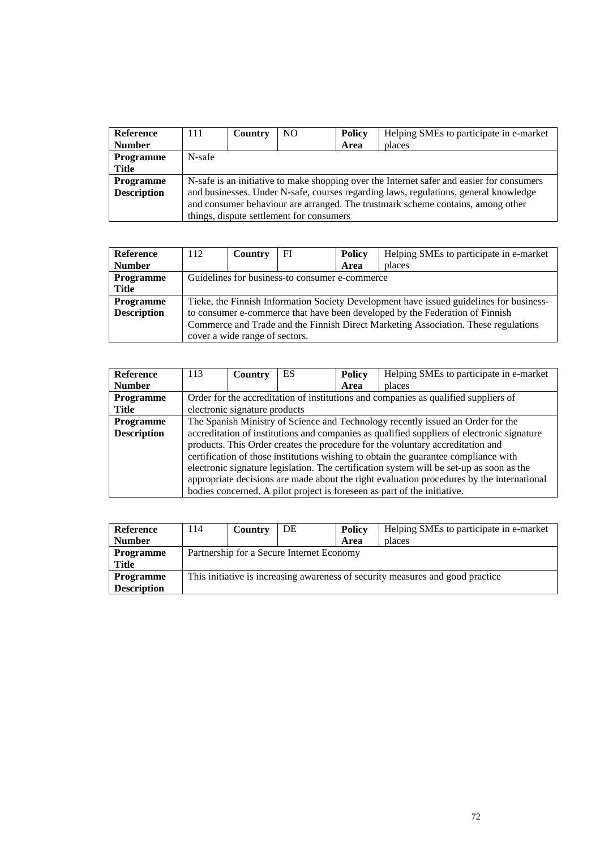| <b>Reference</b>   | 111                                                                             | <b>Country</b>                                                                            | N <sub>O</sub>                           | <b>Policy</b> | Helping SMEs to participate in e-market |  |  |  |
|--------------------|---------------------------------------------------------------------------------|-------------------------------------------------------------------------------------------|------------------------------------------|---------------|-----------------------------------------|--|--|--|
| <b>Number</b>      |                                                                                 |                                                                                           |                                          | Area          | places                                  |  |  |  |
| <b>Programme</b>   | N-safe                                                                          |                                                                                           |                                          |               |                                         |  |  |  |
| Title              |                                                                                 |                                                                                           |                                          |               |                                         |  |  |  |
| <b>Programme</b>   |                                                                                 | N-safe is an initiative to make shopping over the Internet safer and easier for consumers |                                          |               |                                         |  |  |  |
| <b>Description</b> |                                                                                 | and businesses. Under N-safe, courses regarding laws, regulations, general knowledge      |                                          |               |                                         |  |  |  |
|                    | and consumer behaviour are arranged. The trustmark scheme contains, among other |                                                                                           |                                          |               |                                         |  |  |  |
|                    |                                                                                 |                                                                                           | things, dispute settlement for consumers |               |                                         |  |  |  |

| <b>Reference</b>   | 112 | <b>Country</b>                                                                          | FI | <b>Policy</b> | Helping SMEs to participate in e-market |  |  |  |
|--------------------|-----|-----------------------------------------------------------------------------------------|----|---------------|-----------------------------------------|--|--|--|
| <b>Number</b>      |     |                                                                                         |    | Area          | places                                  |  |  |  |
| <b>Programme</b>   |     | Guidelines for business-to consumer e-commerce                                          |    |               |                                         |  |  |  |
| Title              |     |                                                                                         |    |               |                                         |  |  |  |
| <b>Programme</b>   |     | Tieke, the Finnish Information Society Development have issued guidelines for business- |    |               |                                         |  |  |  |
| <b>Description</b> |     | to consumer e-commerce that have been developed by the Federation of Finnish            |    |               |                                         |  |  |  |
|                    |     | Commerce and Trade and the Finnish Direct Marketing Association. These regulations      |    |               |                                         |  |  |  |
|                    |     | cover a wide range of sectors.                                                          |    |               |                                         |  |  |  |

| <b>Reference</b>   | 113                                                                             | Country                                                                             | ES                                                                                        | <b>Policy</b> | Helping SMEs to participate in e-market                                                    |  |  |
|--------------------|---------------------------------------------------------------------------------|-------------------------------------------------------------------------------------|-------------------------------------------------------------------------------------------|---------------|--------------------------------------------------------------------------------------------|--|--|
| <b>Number</b>      |                                                                                 |                                                                                     |                                                                                           | Area          | places                                                                                     |  |  |
| <b>Programme</b>   |                                                                                 | Order for the accreditation of institutions and companies as qualified suppliers of |                                                                                           |               |                                                                                            |  |  |
| <b>Title</b>       |                                                                                 | electronic signature products                                                       |                                                                                           |               |                                                                                            |  |  |
| <b>Programme</b>   | The Spanish Ministry of Science and Technology recently issued an Order for the |                                                                                     |                                                                                           |               |                                                                                            |  |  |
| <b>Description</b> |                                                                                 |                                                                                     |                                                                                           |               | accreditation of institutions and companies as qualified suppliers of electronic signature |  |  |
|                    |                                                                                 |                                                                                     |                                                                                           |               | products. This Order creates the procedure for the voluntary accreditation and             |  |  |
|                    |                                                                                 |                                                                                     |                                                                                           |               | certification of those institutions wishing to obtain the guarantee compliance with        |  |  |
|                    |                                                                                 |                                                                                     |                                                                                           |               | electronic signature legislation. The certification system will be set-up as soon as the   |  |  |
|                    |                                                                                 |                                                                                     | appropriate decisions are made about the right evaluation procedures by the international |               |                                                                                            |  |  |
|                    |                                                                                 |                                                                                     |                                                                                           |               | bodies concerned. A pilot project is foreseen as part of the initiative.                   |  |  |

| Reference          | 114                                                                            | Country | DE | <b>Policy</b> | Helping SMEs to participate in e-market |  |  |
|--------------------|--------------------------------------------------------------------------------|---------|----|---------------|-----------------------------------------|--|--|
| <b>Number</b>      |                                                                                |         |    | Area          | places                                  |  |  |
| <b>Programme</b>   | Partnership for a Secure Internet Economy                                      |         |    |               |                                         |  |  |
| Title              |                                                                                |         |    |               |                                         |  |  |
| <b>Programme</b>   | This initiative is increasing awareness of security measures and good practice |         |    |               |                                         |  |  |
| <b>Description</b> |                                                                                |         |    |               |                                         |  |  |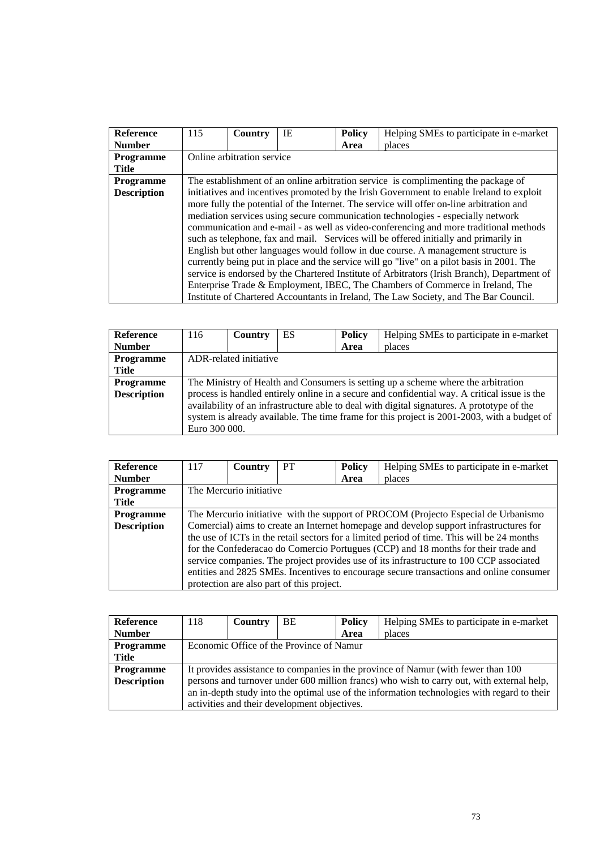| <b>Reference</b>   | 115                                                                                      | Country                    | IE | <b>Policy</b> | Helping SMEs to participate in e-market                                                     |  |  |
|--------------------|------------------------------------------------------------------------------------------|----------------------------|----|---------------|---------------------------------------------------------------------------------------------|--|--|
| <b>Number</b>      |                                                                                          |                            |    | Area          | places                                                                                      |  |  |
| <b>Programme</b>   |                                                                                          | Online arbitration service |    |               |                                                                                             |  |  |
| <b>Title</b>       |                                                                                          |                            |    |               |                                                                                             |  |  |
| <b>Programme</b>   | The establishment of an online arbitration service is complimenting the package of       |                            |    |               |                                                                                             |  |  |
| <b>Description</b> | initiatives and incentives promoted by the Irish Government to enable Ireland to exploit |                            |    |               |                                                                                             |  |  |
|                    |                                                                                          |                            |    |               | more fully the potential of the Internet. The service will offer on-line arbitration and    |  |  |
|                    |                                                                                          |                            |    |               | mediation services using secure communication technologies - especially network             |  |  |
|                    |                                                                                          |                            |    |               | communication and e-mail - as well as video-conferencing and more traditional methods       |  |  |
|                    |                                                                                          |                            |    |               | such as telephone, fax and mail. Services will be offered initially and primarily in        |  |  |
|                    |                                                                                          |                            |    |               | English but other languages would follow in due course. A management structure is           |  |  |
|                    |                                                                                          |                            |    |               | currently being put in place and the service will go "live" on a pilot basis in 2001. The   |  |  |
|                    |                                                                                          |                            |    |               | service is endorsed by the Chartered Institute of Arbitrators (Irish Branch), Department of |  |  |
|                    |                                                                                          |                            |    |               | Enterprise Trade & Employment, IBEC, The Chambers of Commerce in Ireland, The               |  |  |
|                    |                                                                                          |                            |    |               | Institute of Chartered Accountants in Ireland, The Law Society, and The Bar Council.        |  |  |

| <b>Reference</b>   | 116                                                                                         | Country                | ES | <b>Policy</b> | Helping SMEs to participate in e-market                                                      |  |  |
|--------------------|---------------------------------------------------------------------------------------------|------------------------|----|---------------|----------------------------------------------------------------------------------------------|--|--|
| <b>Number</b>      |                                                                                             |                        |    | Area          | places                                                                                       |  |  |
| <b>Programme</b>   |                                                                                             | ADR-related initiative |    |               |                                                                                              |  |  |
| <b>Title</b>       |                                                                                             |                        |    |               |                                                                                              |  |  |
| <b>Programme</b>   | The Ministry of Health and Consumers is setting up a scheme where the arbitration           |                        |    |               |                                                                                              |  |  |
| <b>Description</b> |                                                                                             |                        |    |               | process is handled entirely online in a secure and confidential way. A critical issue is the |  |  |
|                    | availability of an infrastructure able to deal with digital signatures. A prototype of the  |                        |    |               |                                                                                              |  |  |
|                    | system is already available. The time frame for this project is 2001-2003, with a budget of |                        |    |               |                                                                                              |  |  |
|                    | Euro 300 000.                                                                               |                        |    |               |                                                                                              |  |  |

| <b>Reference</b>   | 117                                                                                     | <b>Country</b>          | PT                                        | <b>Policy</b> | Helping SMEs to participate in e-market                                                    |  |
|--------------------|-----------------------------------------------------------------------------------------|-------------------------|-------------------------------------------|---------------|--------------------------------------------------------------------------------------------|--|
| <b>Number</b>      |                                                                                         |                         |                                           | Area          | places                                                                                     |  |
| <b>Programme</b>   |                                                                                         | The Mercurio initiative |                                           |               |                                                                                            |  |
| Title              |                                                                                         |                         |                                           |               |                                                                                            |  |
| <b>Programme</b>   | The Mercurio initiative with the support of PROCOM (Projecto Especial de Urbanismo      |                         |                                           |               |                                                                                            |  |
| <b>Description</b> |                                                                                         |                         |                                           |               | Comercial) aims to create an Internet homepage and develop support infrastructures for     |  |
|                    |                                                                                         |                         |                                           |               | the use of ICTs in the retail sectors for a limited period of time. This will be 24 months |  |
|                    |                                                                                         |                         |                                           |               | for the Confederacao do Comercio Portugues (CCP) and 18 months for their trade and         |  |
|                    |                                                                                         |                         |                                           |               | service companies. The project provides use of its infrastructure to 100 CCP associated    |  |
|                    | entities and 2825 SMEs. Incentives to encourage secure transactions and online consumer |                         |                                           |               |                                                                                            |  |
|                    |                                                                                         |                         | protection are also part of this project. |               |                                                                                            |  |

| <b>Reference</b>   | 118                                                                                         | Country                                                                                   | <b>BE</b> | <b>Policy</b> | Helping SMEs to participate in e-market |  |  |  |
|--------------------|---------------------------------------------------------------------------------------------|-------------------------------------------------------------------------------------------|-----------|---------------|-----------------------------------------|--|--|--|
| <b>Number</b>      |                                                                                             |                                                                                           |           | Area          | places                                  |  |  |  |
| <b>Programme</b>   |                                                                                             | Economic Office of the Province of Namur                                                  |           |               |                                         |  |  |  |
| Title              |                                                                                             |                                                                                           |           |               |                                         |  |  |  |
| <b>Programme</b>   |                                                                                             | It provides assistance to companies in the province of Namur (with fewer than 100         |           |               |                                         |  |  |  |
| <b>Description</b> |                                                                                             | persons and turnover under 600 million francs) who wish to carry out, with external help, |           |               |                                         |  |  |  |
|                    | an in-depth study into the optimal use of the information technologies with regard to their |                                                                                           |           |               |                                         |  |  |  |
|                    | activities and their development objectives.                                                |                                                                                           |           |               |                                         |  |  |  |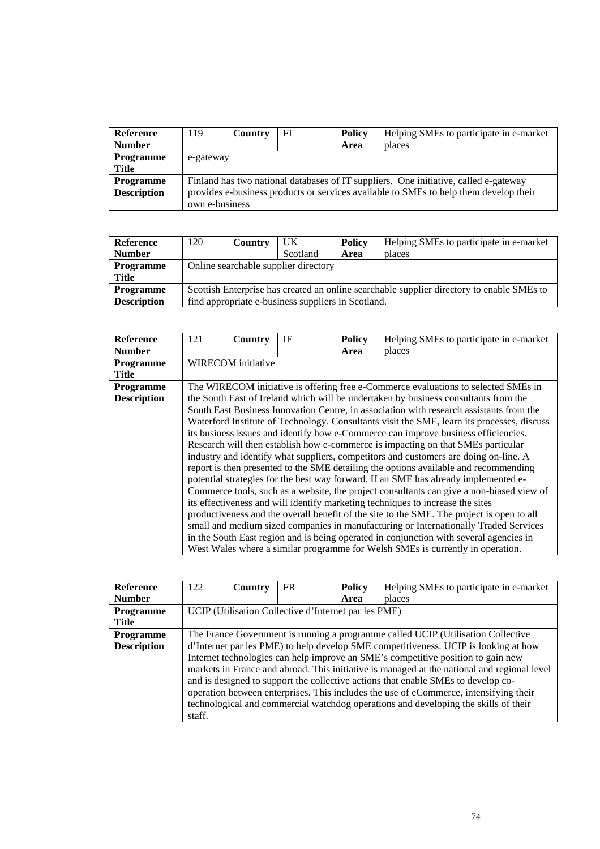| Reference          | 119            | Country                                                                               | FI | <b>Policy</b> | Helping SMEs to participate in e-market |  |  |  |
|--------------------|----------------|---------------------------------------------------------------------------------------|----|---------------|-----------------------------------------|--|--|--|
| <b>Number</b>      |                |                                                                                       |    | Area          | places                                  |  |  |  |
| <b>Programme</b>   | e-gateway      |                                                                                       |    |               |                                         |  |  |  |
| <b>Title</b>       |                |                                                                                       |    |               |                                         |  |  |  |
| <b>Programme</b>   |                | Finland has two national databases of IT suppliers. One initiative, called e-gateway  |    |               |                                         |  |  |  |
| <b>Description</b> |                | provides e-business products or services available to SMEs to help them develop their |    |               |                                         |  |  |  |
|                    | own e-business |                                                                                       |    |               |                                         |  |  |  |

| Reference          | 120                                                                                       | Country | UK       | Policy | Helping SMEs to participate in e-market |  |  |
|--------------------|-------------------------------------------------------------------------------------------|---------|----------|--------|-----------------------------------------|--|--|
| <b>Number</b>      |                                                                                           |         | Scotland | Area   | places                                  |  |  |
| <b>Programme</b>   | Online searchable supplier directory                                                      |         |          |        |                                         |  |  |
| <b>Title</b>       |                                                                                           |         |          |        |                                         |  |  |
| <b>Programme</b>   | Scottish Enterprise has created an online searchable supplier directory to enable SMEs to |         |          |        |                                         |  |  |
| <b>Description</b> | find appropriate e-business suppliers in Scotland.                                        |         |          |        |                                         |  |  |

| <b>Reference</b>   | 121 | Country            | IE | <b>Policy</b> | Helping SMEs to participate in e-market                                                    |  |  |  |
|--------------------|-----|--------------------|----|---------------|--------------------------------------------------------------------------------------------|--|--|--|
| <b>Number</b>      |     |                    |    | Area          | places                                                                                     |  |  |  |
| Programme          |     | WIRECOM initiative |    |               |                                                                                            |  |  |  |
| <b>Title</b>       |     |                    |    |               |                                                                                            |  |  |  |
| <b>Programme</b>   |     |                    |    |               | The WIRECOM initiative is offering free e-Commerce evaluations to selected SMEs in         |  |  |  |
| <b>Description</b> |     |                    |    |               | the South East of Ireland which will be undertaken by business consultants from the        |  |  |  |
|                    |     |                    |    |               | South East Business Innovation Centre, in association with research assistants from the    |  |  |  |
|                    |     |                    |    |               | Waterford Institute of Technology. Consultants visit the SME, learn its processes, discuss |  |  |  |
|                    |     |                    |    |               | its business issues and identify how e-Commerce can improve business efficiencies.         |  |  |  |
|                    |     |                    |    |               | Research will then establish how e-commerce is impacting on that SMEs particular           |  |  |  |
|                    |     |                    |    |               | industry and identify what suppliers, competitors and customers are doing on-line. A       |  |  |  |
|                    |     |                    |    |               | report is then presented to the SME detailing the options available and recommending       |  |  |  |
|                    |     |                    |    |               | potential strategies for the best way forward. If an SME has already implemented e-        |  |  |  |
|                    |     |                    |    |               | Commerce tools, such as a website, the project consultants can give a non-biased view of   |  |  |  |
|                    |     |                    |    |               | its effectiveness and will identify marketing techniques to increase the sites             |  |  |  |
|                    |     |                    |    |               | productiveness and the overall benefit of the site to the SME. The project is open to all  |  |  |  |
|                    |     |                    |    |               | small and medium sized companies in manufacturing or Internationally Traded Services       |  |  |  |
|                    |     |                    |    |               | in the South East region and is being operated in conjunction with several agencies in     |  |  |  |
|                    |     |                    |    |               | West Wales where a similar programme for Welsh SMEs is currently in operation.             |  |  |  |

| <b>Reference</b>   | 122                                                  | Country | FR. | <b>Policy</b> | Helping SMEs to participate in e-market                                                     |  |
|--------------------|------------------------------------------------------|---------|-----|---------------|---------------------------------------------------------------------------------------------|--|
| <b>Number</b>      |                                                      |         |     | Area          | places                                                                                      |  |
| <b>Programme</b>   | UCIP (Utilisation Collective d'Internet par les PME) |         |     |               |                                                                                             |  |
| <b>Title</b>       |                                                      |         |     |               |                                                                                             |  |
| <b>Programme</b>   |                                                      |         |     |               | The France Government is running a programme called UCIP (Utilisation Collective            |  |
| <b>Description</b> |                                                      |         |     |               | d'Internet par les PME) to help develop SME competitiveness. UCIP is looking at how         |  |
|                    |                                                      |         |     |               | Internet technologies can help improve an SME's competitive position to gain new            |  |
|                    |                                                      |         |     |               | markets in France and abroad. This initiative is managed at the national and regional level |  |
|                    |                                                      |         |     |               | and is designed to support the collective actions that enable SMEs to develop co-           |  |
|                    |                                                      |         |     |               | operation between enterprises. This includes the use of eCommerce, intensifying their       |  |
|                    |                                                      |         |     |               | technological and commercial watchdog operations and developing the skills of their         |  |
|                    | staff.                                               |         |     |               |                                                                                             |  |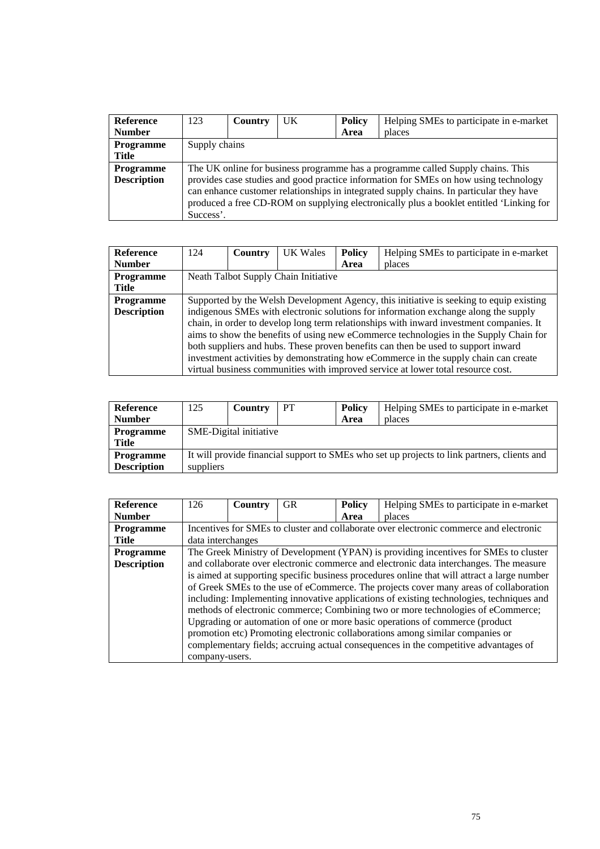| <b>Reference</b>   | 123                                                                                     | Country | <b>UK</b> | <b>Policy</b> | Helping SMEs to participate in e-market                                              |  |  |  |
|--------------------|-----------------------------------------------------------------------------------------|---------|-----------|---------------|--------------------------------------------------------------------------------------|--|--|--|
| <b>Number</b>      |                                                                                         |         |           | Area          | places                                                                               |  |  |  |
| Programme          | Supply chains                                                                           |         |           |               |                                                                                      |  |  |  |
| <b>Title</b>       |                                                                                         |         |           |               |                                                                                      |  |  |  |
| <b>Programme</b>   | The UK online for business programme has a programme called Supply chains. This         |         |           |               |                                                                                      |  |  |  |
| <b>Description</b> |                                                                                         |         |           |               | provides case studies and good practice information for SMEs on how using technology |  |  |  |
|                    | can enhance customer relationships in integrated supply chains. In particular they have |         |           |               |                                                                                      |  |  |  |
|                    | produced a free CD-ROM on supplying electronically plus a booklet entitled 'Linking for |         |           |               |                                                                                      |  |  |  |
|                    | Success'.                                                                               |         |           |               |                                                                                      |  |  |  |

| <b>Reference</b>   | 124                                                                                     | <b>Country</b> | UK Wales                             | <b>Policy</b> | Helping SMEs to participate in e-market                                                 |  |
|--------------------|-----------------------------------------------------------------------------------------|----------------|--------------------------------------|---------------|-----------------------------------------------------------------------------------------|--|
| <b>Number</b>      |                                                                                         |                |                                      | Area          | places                                                                                  |  |
| <b>Programme</b>   |                                                                                         |                | Neath Talbot Supply Chain Initiative |               |                                                                                         |  |
| Title              |                                                                                         |                |                                      |               |                                                                                         |  |
| <b>Programme</b>   | Supported by the Welsh Development Agency, this initiative is seeking to equip existing |                |                                      |               |                                                                                         |  |
| <b>Description</b> |                                                                                         |                |                                      |               | indigenous SMEs with electronic solutions for information exchange along the supply     |  |
|                    |                                                                                         |                |                                      |               | chain, in order to develop long term relationships with inward investment companies. It |  |
|                    |                                                                                         |                |                                      |               | aims to show the benefits of using new eCommerce technologies in the Supply Chain for   |  |
|                    |                                                                                         |                |                                      |               | both suppliers and hubs. These proven benefits can then be used to support inward       |  |
|                    |                                                                                         |                |                                      |               | investment activities by demonstrating how eCommerce in the supply chain can create     |  |
|                    |                                                                                         |                |                                      |               | virtual business communities with improved service at lower total resource cost.        |  |

| Reference          | 125                                                                                         | Country | PT. | Policy | Helping SMEs to participate in e-market |  |  |  |
|--------------------|---------------------------------------------------------------------------------------------|---------|-----|--------|-----------------------------------------|--|--|--|
| <b>Number</b>      |                                                                                             |         |     | Area   | places                                  |  |  |  |
| <b>Programme</b>   | <b>SME-Digital initiative</b>                                                               |         |     |        |                                         |  |  |  |
| Title              |                                                                                             |         |     |        |                                         |  |  |  |
| <b>Programme</b>   | It will provide financial support to SMEs who set up projects to link partners, clients and |         |     |        |                                         |  |  |  |
| <b>Description</b> | suppliers                                                                                   |         |     |        |                                         |  |  |  |

| <b>Reference</b>   | 126               | Country | <b>GR</b> | <b>Policy</b> | Helping SMEs to participate in e-market                                                     |
|--------------------|-------------------|---------|-----------|---------------|---------------------------------------------------------------------------------------------|
| <b>Number</b>      |                   |         |           | Area          | places                                                                                      |
| <b>Programme</b>   |                   |         |           |               | Incentives for SMEs to cluster and collaborate over electronic commerce and electronic      |
| Title              | data interchanges |         |           |               |                                                                                             |
| <b>Programme</b>   |                   |         |           |               | The Greek Ministry of Development (YPAN) is providing incentives for SMEs to cluster        |
| <b>Description</b> |                   |         |           |               | and collaborate over electronic commerce and electronic data interchanges. The measure      |
|                    |                   |         |           |               | is aimed at supporting specific business procedures online that will attract a large number |
|                    |                   |         |           |               | of Greek SMEs to the use of eCommerce. The projects cover many areas of collaboration       |
|                    |                   |         |           |               | including: Implementing innovative applications of existing technologies, techniques and    |
|                    |                   |         |           |               | methods of electronic commerce; Combining two or more technologies of eCommerce;            |
|                    |                   |         |           |               | Upgrading or automation of one or more basic operations of commerce (product                |
|                    |                   |         |           |               | promotion etc) Promoting electronic collaborations among similar companies or               |
|                    |                   |         |           |               | complementary fields; accruing actual consequences in the competitive advantages of         |
|                    | company-users.    |         |           |               |                                                                                             |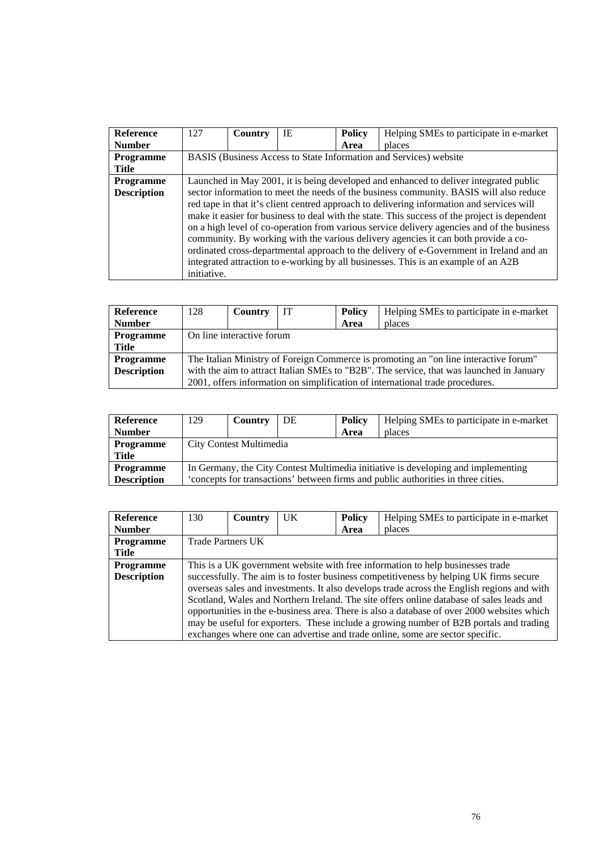| <b>Reference</b>   | 127         | Country | IE | <b>Policy</b> | Helping SMEs to participate in e-market                                                      |
|--------------------|-------------|---------|----|---------------|----------------------------------------------------------------------------------------------|
| <b>Number</b>      |             |         |    | Area          | places                                                                                       |
| <b>Programme</b>   |             |         |    |               | BASIS (Business Access to State Information and Services) website                            |
| <b>Title</b>       |             |         |    |               |                                                                                              |
| <b>Programme</b>   |             |         |    |               | Launched in May 2001, it is being developed and enhanced to deliver integrated public        |
| <b>Description</b> |             |         |    |               | sector information to meet the needs of the business community. BASIS will also reduce       |
|                    |             |         |    |               | red tape in that it's client centred approach to delivering information and services will    |
|                    |             |         |    |               | make it easier for business to deal with the state. This success of the project is dependent |
|                    |             |         |    |               | on a high level of co-operation from various service delivery agencies and of the business   |
|                    |             |         |    |               | community. By working with the various delivery agencies it can both provide a co-           |
|                    |             |         |    |               | ordinated cross-departmental approach to the delivery of e-Government in Ireland and an      |
|                    |             |         |    |               | integrated attraction to e-working by all businesses. This is an example of an A2B           |
|                    | initiative. |         |    |               |                                                                                              |

| <b>Reference</b>   | 128                                                                                      | Country                                                                              | <b>IT</b> | <b>Policy</b> | Helping SMEs to participate in e-market                                       |  |  |  |
|--------------------|------------------------------------------------------------------------------------------|--------------------------------------------------------------------------------------|-----------|---------------|-------------------------------------------------------------------------------|--|--|--|
| <b>Number</b>      |                                                                                          |                                                                                      |           | Area          | places                                                                        |  |  |  |
| <b>Programme</b>   |                                                                                          | On line interactive forum                                                            |           |               |                                                                               |  |  |  |
| Title              |                                                                                          |                                                                                      |           |               |                                                                               |  |  |  |
| <b>Programme</b>   |                                                                                          | The Italian Ministry of Foreign Commerce is promoting an "on line interactive forum" |           |               |                                                                               |  |  |  |
| <b>Description</b> | with the aim to attract Italian SMEs to "B2B". The service, that was launched in January |                                                                                      |           |               |                                                                               |  |  |  |
|                    |                                                                                          |                                                                                      |           |               | 2001, offers information on simplification of international trade procedures. |  |  |  |

| Reference          | 129                                                                               | Country                                                                           | DE | <b>Policy</b> | Helping SMEs to participate in e-market |  |  |  |
|--------------------|-----------------------------------------------------------------------------------|-----------------------------------------------------------------------------------|----|---------------|-----------------------------------------|--|--|--|
| <b>Number</b>      |                                                                                   |                                                                                   |    | Area          | places                                  |  |  |  |
| <b>Programme</b>   | City Contest Multimedia                                                           |                                                                                   |    |               |                                         |  |  |  |
| Title              |                                                                                   |                                                                                   |    |               |                                         |  |  |  |
| <b>Programme</b>   |                                                                                   | In Germany, the City Contest Multimedia initiative is developing and implementing |    |               |                                         |  |  |  |
| <b>Description</b> | "concepts for transactions" between firms and public authorities in three cities. |                                                                                   |    |               |                                         |  |  |  |

| <b>Reference</b>   | 130                                                                            | Country                  | UK | <b>Policy</b> | Helping SMEs to participate in e-market                                                    |  |  |
|--------------------|--------------------------------------------------------------------------------|--------------------------|----|---------------|--------------------------------------------------------------------------------------------|--|--|
| <b>Number</b>      |                                                                                |                          |    | Area          | places                                                                                     |  |  |
| <b>Programme</b>   |                                                                                | <b>Trade Partners UK</b> |    |               |                                                                                            |  |  |
| Title              |                                                                                |                          |    |               |                                                                                            |  |  |
| <b>Programme</b>   | This is a UK government website with free information to help businesses trade |                          |    |               |                                                                                            |  |  |
| <b>Description</b> |                                                                                |                          |    |               | successfully. The aim is to foster business competitiveness by helping UK firms secure     |  |  |
|                    |                                                                                |                          |    |               | overseas sales and investments. It also develops trade across the English regions and with |  |  |
|                    |                                                                                |                          |    |               | Scotland, Wales and Northern Ireland. The site offers online database of sales leads and   |  |  |
|                    |                                                                                |                          |    |               | opportunities in the e-business area. There is also a database of over 2000 websites which |  |  |
|                    |                                                                                |                          |    |               | may be useful for exporters. These include a growing number of B2B portals and trading     |  |  |
|                    |                                                                                |                          |    |               | exchanges where one can advertise and trade online, some are sector specific.              |  |  |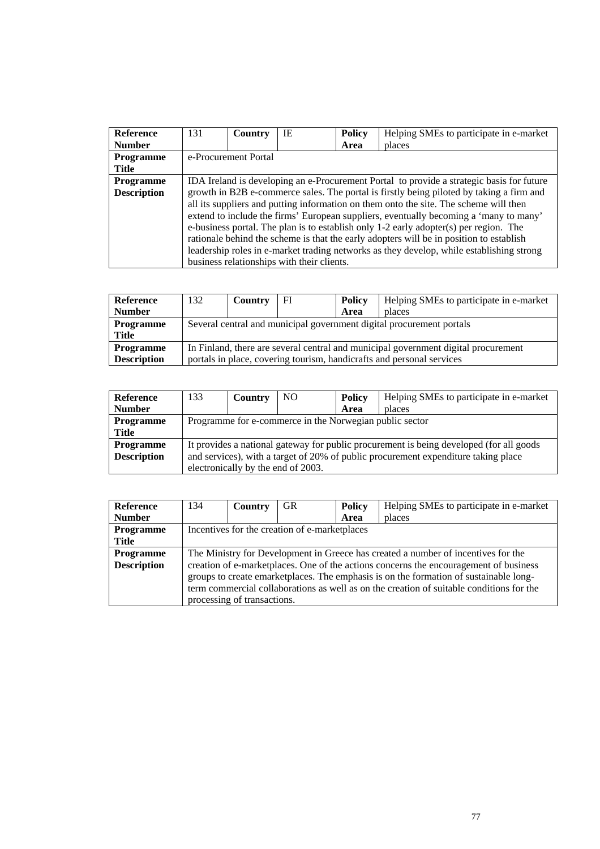| <b>Reference</b>   | 131                                                                                       | Country | IE                                         | <b>Policy</b> | Helping SMEs to participate in e-market                                                  |  |  |
|--------------------|-------------------------------------------------------------------------------------------|---------|--------------------------------------------|---------------|------------------------------------------------------------------------------------------|--|--|
|                    |                                                                                           |         |                                            |               |                                                                                          |  |  |
| <b>Number</b>      |                                                                                           |         |                                            | Area          | places                                                                                   |  |  |
| <b>Programme</b>   | e-Procurement Portal                                                                      |         |                                            |               |                                                                                          |  |  |
| Title              |                                                                                           |         |                                            |               |                                                                                          |  |  |
| <b>Programme</b>   | IDA Ireland is developing an e-Procurement Portal to provide a strategic basis for future |         |                                            |               |                                                                                          |  |  |
| <b>Description</b> |                                                                                           |         |                                            |               | growth in B2B e-commerce sales. The portal is firstly being piloted by taking a firm and |  |  |
|                    | all its suppliers and putting information on them onto the site. The scheme will then     |         |                                            |               |                                                                                          |  |  |
|                    |                                                                                           |         |                                            |               | extend to include the firms' European suppliers, eventually becoming a 'many to many'    |  |  |
|                    |                                                                                           |         |                                            |               | e-business portal. The plan is to establish only $1-2$ early adopter(s) per region. The  |  |  |
|                    | rationale behind the scheme is that the early adopters will be in position to establish   |         |                                            |               |                                                                                          |  |  |
|                    |                                                                                           |         |                                            |               | leadership roles in e-market trading networks as they develop, while establishing strong |  |  |
|                    |                                                                                           |         | business relationships with their clients. |               |                                                                                          |  |  |

| Reference          | 132                                                                                | Country | FI | <b>Policy</b> | Helping SMEs to participate in e-market                               |  |
|--------------------|------------------------------------------------------------------------------------|---------|----|---------------|-----------------------------------------------------------------------|--|
| <b>Number</b>      |                                                                                    |         |    | Area          | places                                                                |  |
| <b>Programme</b>   | Several central and municipal government digital procurement portals               |         |    |               |                                                                       |  |
| <b>Title</b>       |                                                                                    |         |    |               |                                                                       |  |
| <b>Programme</b>   | In Finland, there are several central and municipal government digital procurement |         |    |               |                                                                       |  |
| <b>Description</b> |                                                                                    |         |    |               | portals in place, covering tourism, handicrafts and personal services |  |

| Reference          | 133                                                                                | Country                                                                                 | NO. | <b>Policy</b> | Helping SMEs to participate in e-market |  |  |  |
|--------------------|------------------------------------------------------------------------------------|-----------------------------------------------------------------------------------------|-----|---------------|-----------------------------------------|--|--|--|
| <b>Number</b>      |                                                                                    |                                                                                         |     | Area          | places                                  |  |  |  |
| <b>Programme</b>   | Programme for e-commerce in the Norwegian public sector                            |                                                                                         |     |               |                                         |  |  |  |
| <b>Title</b>       |                                                                                    |                                                                                         |     |               |                                         |  |  |  |
| <b>Programme</b>   |                                                                                    | It provides a national gateway for public procurement is being developed (for all goods |     |               |                                         |  |  |  |
| <b>Description</b> | and services), with a target of 20% of public procurement expenditure taking place |                                                                                         |     |               |                                         |  |  |  |
|                    |                                                                                    | electronically by the end of 2003.                                                      |     |               |                                         |  |  |  |

| <b>Reference</b>   | 134                                                                                      | Country                                       | <b>GR</b> | Policy | Helping SMEs to participate in e-market                                               |  |  |
|--------------------|------------------------------------------------------------------------------------------|-----------------------------------------------|-----------|--------|---------------------------------------------------------------------------------------|--|--|
| <b>Number</b>      |                                                                                          |                                               |           | Area   | places                                                                                |  |  |
| Programme          |                                                                                          | Incentives for the creation of e-marketplaces |           |        |                                                                                       |  |  |
| Title              |                                                                                          |                                               |           |        |                                                                                       |  |  |
| <b>Programme</b>   |                                                                                          |                                               |           |        | The Ministry for Development in Greece has created a number of incentives for the     |  |  |
| <b>Description</b> |                                                                                          |                                               |           |        | creation of e-marketplaces. One of the actions concerns the encouragement of business |  |  |
|                    | groups to create emarketplaces. The emphasis is on the formation of sustainable long-    |                                               |           |        |                                                                                       |  |  |
|                    | term commercial collaborations as well as on the creation of suitable conditions for the |                                               |           |        |                                                                                       |  |  |
|                    |                                                                                          | processing of transactions.                   |           |        |                                                                                       |  |  |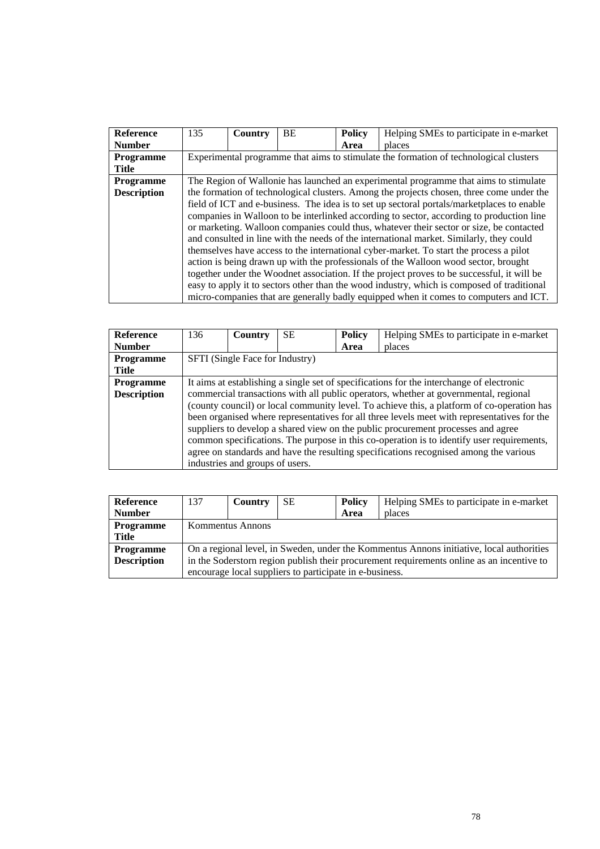| Reference          | 135                                                                                      | Country | <b>BE</b> | <b>Policy</b> | Helping SMEs to participate in e-market                                                    |  |  |
|--------------------|------------------------------------------------------------------------------------------|---------|-----------|---------------|--------------------------------------------------------------------------------------------|--|--|
| <b>Number</b>      |                                                                                          |         |           | Area          | places                                                                                     |  |  |
| <b>Programme</b>   |                                                                                          |         |           |               | Experimental programme that aims to stimulate the formation of technological clusters      |  |  |
| Title              |                                                                                          |         |           |               |                                                                                            |  |  |
| <b>Programme</b>   | The Region of Wallonie has launched an experimental programme that aims to stimulate     |         |           |               |                                                                                            |  |  |
| <b>Description</b> | the formation of technological clusters. Among the projects chosen, three come under the |         |           |               |                                                                                            |  |  |
|                    |                                                                                          |         |           |               | field of ICT and e-business. The idea is to set up sectoral portals/marketplaces to enable |  |  |
|                    |                                                                                          |         |           |               | companies in Walloon to be interlinked according to sector, according to production line   |  |  |
|                    |                                                                                          |         |           |               | or marketing. Walloon companies could thus, whatever their sector or size, be contacted    |  |  |
|                    | and consulted in line with the needs of the international market. Similarly, they could  |         |           |               |                                                                                            |  |  |
|                    |                                                                                          |         |           |               | themselves have access to the international cyber-market. To start the process a pilot     |  |  |
|                    |                                                                                          |         |           |               | action is being drawn up with the professionals of the Walloon wood sector, brought        |  |  |
|                    |                                                                                          |         |           |               | together under the Woodnet association. If the project proves to be successful, it will be |  |  |
|                    |                                                                                          |         |           |               | easy to apply it to sectors other than the wood industry, which is composed of traditional |  |  |
|                    |                                                                                          |         |           |               | micro-companies that are generally badly equipped when it comes to computers and ICT.      |  |  |

| <b>Reference</b>   | 136                                                                                         | Country                         | SE. | <b>Policy</b> | Helping SMEs to participate in e-market                                               |  |  |
|--------------------|---------------------------------------------------------------------------------------------|---------------------------------|-----|---------------|---------------------------------------------------------------------------------------|--|--|
| <b>Number</b>      |                                                                                             |                                 |     | Area          | places                                                                                |  |  |
| <b>Programme</b>   | SFTI (Single Face for Industry)                                                             |                                 |     |               |                                                                                       |  |  |
| <b>Title</b>       |                                                                                             |                                 |     |               |                                                                                       |  |  |
| <b>Programme</b>   | It aims at establishing a single set of specifications for the interchange of electronic    |                                 |     |               |                                                                                       |  |  |
| <b>Description</b> |                                                                                             |                                 |     |               | commercial transactions with all public operators, whether at governmental, regional  |  |  |
|                    | (county council) or local community level. To achieve this, a platform of co-operation has  |                                 |     |               |                                                                                       |  |  |
|                    | been organised where representatives for all three levels meet with representatives for the |                                 |     |               |                                                                                       |  |  |
|                    | suppliers to develop a shared view on the public procurement processes and agree            |                                 |     |               |                                                                                       |  |  |
|                    | common specifications. The purpose in this co-operation is to identify user requirements,   |                                 |     |               |                                                                                       |  |  |
|                    |                                                                                             |                                 |     |               | agree on standards and have the resulting specifications recognised among the various |  |  |
|                    |                                                                                             | industries and groups of users. |     |               |                                                                                       |  |  |

| Reference          | 137                                                                                       | Country | <b>SE</b> | <b>Policy</b> | Helping SMEs to participate in e-market |  |
|--------------------|-------------------------------------------------------------------------------------------|---------|-----------|---------------|-----------------------------------------|--|
| <b>Number</b>      |                                                                                           |         |           | Area          | places                                  |  |
| <b>Programme</b>   | Kommentus Annons                                                                          |         |           |               |                                         |  |
| Title              |                                                                                           |         |           |               |                                         |  |
| <b>Programme</b>   | On a regional level, in Sweden, under the Kommentus Annons initiative, local authorities  |         |           |               |                                         |  |
| <b>Description</b> | in the Soderstorn region publish their procurement requirements online as an incentive to |         |           |               |                                         |  |
|                    | encourage local suppliers to participate in e-business.                                   |         |           |               |                                         |  |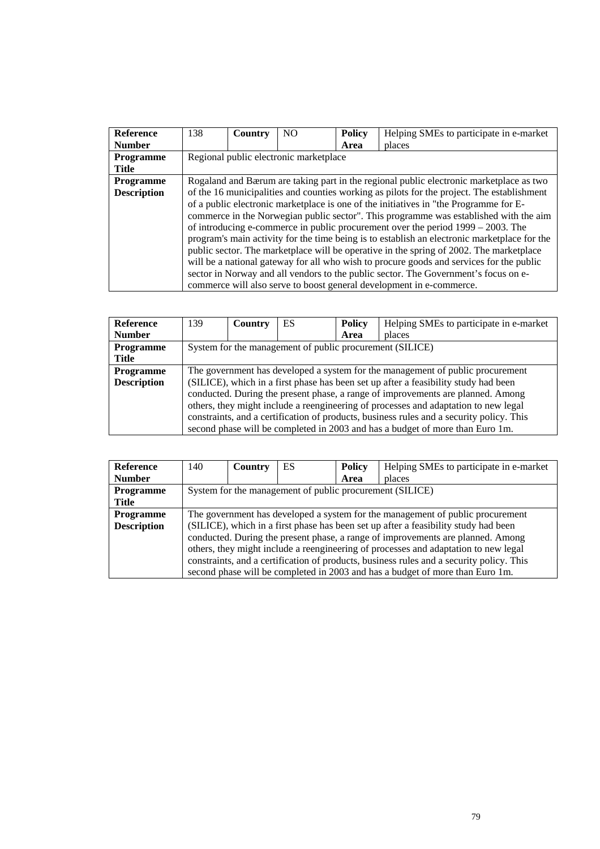| <b>Reference</b>   | 138                                                                                          | Country | NO.                                    | <b>Policy</b> | Helping SMEs to participate in e-market                                                  |  |
|--------------------|----------------------------------------------------------------------------------------------|---------|----------------------------------------|---------------|------------------------------------------------------------------------------------------|--|
| <b>Number</b>      |                                                                                              |         |                                        | Area          | places                                                                                   |  |
| <b>Programme</b>   |                                                                                              |         | Regional public electronic marketplace |               |                                                                                          |  |
| <b>Title</b>       |                                                                                              |         |                                        |               |                                                                                          |  |
| <b>Programme</b>   | Rogaland and Bærum are taking part in the regional public electronic marketplace as two      |         |                                        |               |                                                                                          |  |
| <b>Description</b> | of the 16 municipalities and counties working as pilots for the project. The establishment   |         |                                        |               |                                                                                          |  |
|                    |                                                                                              |         |                                        |               | of a public electronic marketplace is one of the initiatives in "the Programme for E-    |  |
|                    |                                                                                              |         |                                        |               | commerce in the Norwegian public sector". This programme was established with the aim    |  |
|                    | of introducing e-commerce in public procurement over the period $1999 - 2003$ . The          |         |                                        |               |                                                                                          |  |
|                    | program's main activity for the time being is to establish an electronic marketplace for the |         |                                        |               |                                                                                          |  |
|                    |                                                                                              |         |                                        |               | public sector. The marketplace will be operative in the spring of 2002. The marketplace  |  |
|                    |                                                                                              |         |                                        |               | will be a national gateway for all who wish to procure goods and services for the public |  |
|                    |                                                                                              |         |                                        |               | sector in Norway and all vendors to the public sector. The Government's focus on e-      |  |
|                    |                                                                                              |         |                                        |               | commerce will also serve to boost general development in e-commerce.                     |  |

| <b>Reference</b>   | 139                                                                                      | Country | ES | <b>Policy</b> | Helping SMEs to participate in e-market                                             |  |
|--------------------|------------------------------------------------------------------------------------------|---------|----|---------------|-------------------------------------------------------------------------------------|--|
| <b>Number</b>      |                                                                                          |         |    | Area          | places                                                                              |  |
| <b>Programme</b>   | System for the management of public procurement (SILICE)                                 |         |    |               |                                                                                     |  |
| Title              |                                                                                          |         |    |               |                                                                                     |  |
| <b>Programme</b>   | The government has developed a system for the management of public procurement           |         |    |               |                                                                                     |  |
| <b>Description</b> |                                                                                          |         |    |               | (SILICE), which in a first phase has been set up after a feasibility study had been |  |
|                    | conducted. During the present phase, a range of improvements are planned. Among          |         |    |               |                                                                                     |  |
|                    | others, they might include a reengineering of processes and adaptation to new legal      |         |    |               |                                                                                     |  |
|                    | constraints, and a certification of products, business rules and a security policy. This |         |    |               |                                                                                     |  |
|                    |                                                                                          |         |    |               | second phase will be completed in 2003 and has a budget of more than Euro 1m.       |  |

| <b>Reference</b>   | 140                                                                                      | <b>Country</b> | ES | <b>Policy</b> | Helping SMEs to participate in e-market                                             |  |
|--------------------|------------------------------------------------------------------------------------------|----------------|----|---------------|-------------------------------------------------------------------------------------|--|
| <b>Number</b>      |                                                                                          |                |    | Area          | places                                                                              |  |
| Programme          | System for the management of public procurement (SILICE)                                 |                |    |               |                                                                                     |  |
| Title              |                                                                                          |                |    |               |                                                                                     |  |
| <b>Programme</b>   | The government has developed a system for the management of public procurement           |                |    |               |                                                                                     |  |
| <b>Description</b> |                                                                                          |                |    |               | (SILICE), which in a first phase has been set up after a feasibility study had been |  |
|                    | conducted. During the present phase, a range of improvements are planned. Among          |                |    |               |                                                                                     |  |
|                    | others, they might include a reengineering of processes and adaptation to new legal      |                |    |               |                                                                                     |  |
|                    | constraints, and a certification of products, business rules and a security policy. This |                |    |               |                                                                                     |  |
|                    |                                                                                          |                |    |               | second phase will be completed in 2003 and has a budget of more than Euro 1m.       |  |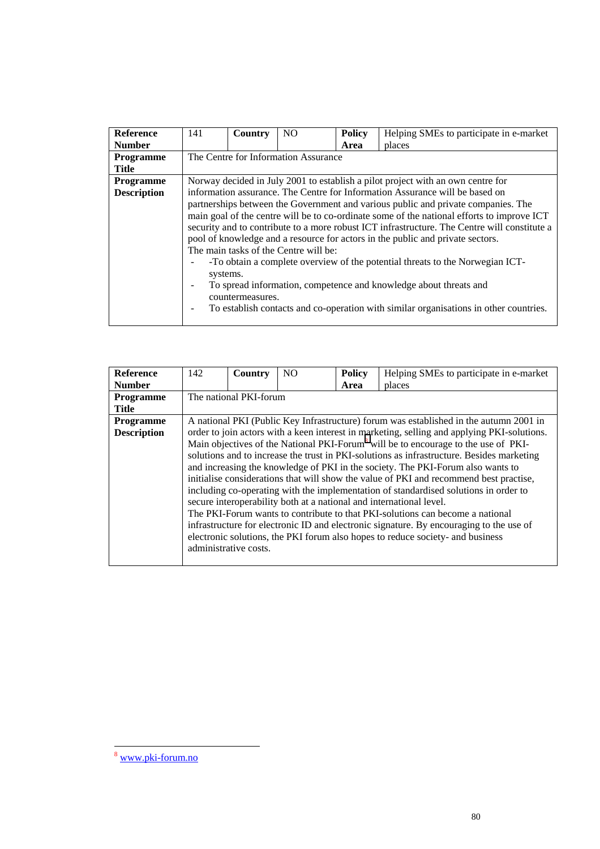| <b>Reference</b>   | 141                                                                                        | Country                                                                           | N <sub>O</sub>                        | <b>Policy</b> | Helping SMEs to participate in e-market                                                      |  |  |  |
|--------------------|--------------------------------------------------------------------------------------------|-----------------------------------------------------------------------------------|---------------------------------------|---------------|----------------------------------------------------------------------------------------------|--|--|--|
| <b>Number</b>      |                                                                                            |                                                                                   |                                       | Area          | places                                                                                       |  |  |  |
| Programme          |                                                                                            |                                                                                   | The Centre for Information Assurance  |               |                                                                                              |  |  |  |
| <b>Title</b>       |                                                                                            |                                                                                   |                                       |               |                                                                                              |  |  |  |
| <b>Programme</b>   |                                                                                            |                                                                                   |                                       |               | Norway decided in July 2001 to establish a pilot project with an own centre for              |  |  |  |
| <b>Description</b> |                                                                                            |                                                                                   |                                       |               | information assurance. The Centre for Information Assurance will be based on                 |  |  |  |
|                    |                                                                                            | partnerships between the Government and various public and private companies. The |                                       |               |                                                                                              |  |  |  |
|                    | main goal of the centre will be to co-ordinate some of the national efforts to improve ICT |                                                                                   |                                       |               |                                                                                              |  |  |  |
|                    |                                                                                            |                                                                                   |                                       |               | security and to contribute to a more robust ICT infrastructure. The Centre will constitute a |  |  |  |
|                    |                                                                                            |                                                                                   |                                       |               | pool of knowledge and a resource for actors in the public and private sectors.               |  |  |  |
|                    |                                                                                            |                                                                                   | The main tasks of the Centre will be: |               |                                                                                              |  |  |  |
|                    |                                                                                            |                                                                                   |                                       |               | -To obtain a complete overview of the potential threats to the Norwegian ICT-                |  |  |  |
|                    | systems.                                                                                   |                                                                                   |                                       |               |                                                                                              |  |  |  |
|                    |                                                                                            |                                                                                   |                                       |               | To spread information, competence and knowledge about threats and                            |  |  |  |
|                    |                                                                                            | countermeasures.                                                                  |                                       |               |                                                                                              |  |  |  |
|                    |                                                                                            |                                                                                   |                                       |               | To establish contacts and co-operation with similar organisations in other countries.        |  |  |  |
|                    |                                                                                            |                                                                                   |                                       |               |                                                                                              |  |  |  |

| Reference          | 142                                                                                                                                                                       | Country                | N <sub>O</sub> | <b>Policy</b> | Helping SMEs to participate in e-market                                                        |  |  |
|--------------------|---------------------------------------------------------------------------------------------------------------------------------------------------------------------------|------------------------|----------------|---------------|------------------------------------------------------------------------------------------------|--|--|
| <b>Number</b>      |                                                                                                                                                                           |                        |                | Area          | places                                                                                         |  |  |
| <b>Programme</b>   |                                                                                                                                                                           | The national PKI-forum |                |               |                                                                                                |  |  |
| <b>Title</b>       |                                                                                                                                                                           |                        |                |               |                                                                                                |  |  |
| <b>Programme</b>   |                                                                                                                                                                           |                        |                |               | A national PKI (Public Key Infrastructure) forum was established in the autumn 2001 in         |  |  |
| <b>Description</b> |                                                                                                                                                                           |                        |                |               | order to join actors with a keen interest in marketing, selling and applying PKI-solutions.    |  |  |
|                    |                                                                                                                                                                           |                        |                |               | Main objectives of the National PKI-Forum <sup>8</sup> will be to encourage to the use of PKI- |  |  |
|                    |                                                                                                                                                                           |                        |                |               | solutions and to increase the trust in PKI-solutions as infrastructure. Besides marketing      |  |  |
|                    |                                                                                                                                                                           |                        |                |               | and increasing the knowledge of PKI in the society. The PKI-Forum also wants to                |  |  |
|                    |                                                                                                                                                                           |                        |                |               | initialise considerations that will show the value of PKI and recommend best practise,         |  |  |
|                    |                                                                                                                                                                           |                        |                |               | including co-operating with the implementation of standardised solutions in order to           |  |  |
|                    |                                                                                                                                                                           |                        |                |               | secure interoperability both at a national and international level.                            |  |  |
|                    |                                                                                                                                                                           |                        |                |               | The PKI-Forum wants to contribute to that PKI-solutions can become a national                  |  |  |
|                    |                                                                                                                                                                           |                        |                |               |                                                                                                |  |  |
|                    | infrastructure for electronic ID and electronic signature. By encouraging to the use of<br>electronic solutions, the PKI forum also hopes to reduce society- and business |                        |                |               |                                                                                                |  |  |
|                    | administrative costs.                                                                                                                                                     |                        |                |               |                                                                                                |  |  |
|                    |                                                                                                                                                                           |                        |                |               |                                                                                                |  |  |
|                    |                                                                                                                                                                           |                        |                |               |                                                                                                |  |  |

l

<sup>8</sup> www.pki-forum.no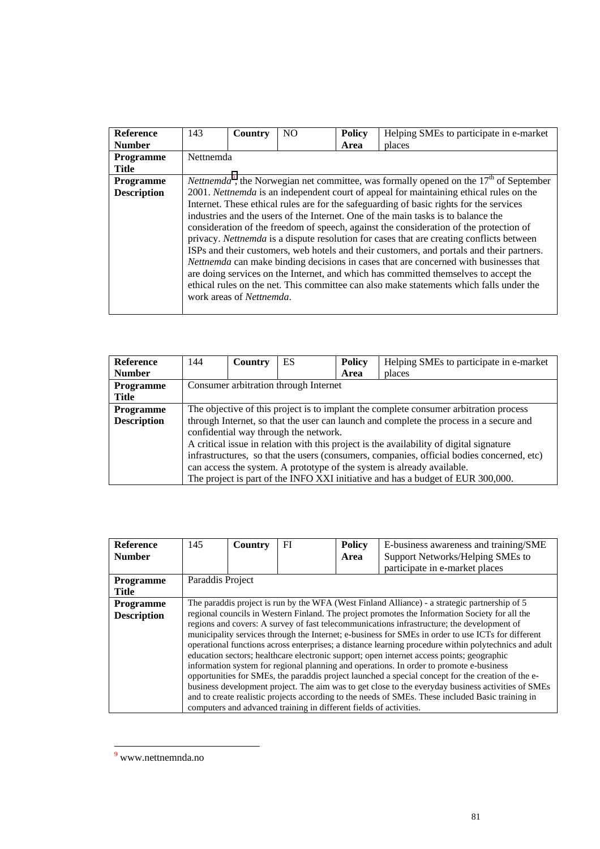| Helping SMEs to participate in e-market                                                                                                                                         |  |  |  |  |  |  |  |
|---------------------------------------------------------------------------------------------------------------------------------------------------------------------------------|--|--|--|--|--|--|--|
| places                                                                                                                                                                          |  |  |  |  |  |  |  |
|                                                                                                                                                                                 |  |  |  |  |  |  |  |
|                                                                                                                                                                                 |  |  |  |  |  |  |  |
| <i>Nettnemda</i> <sup>9</sup> , the Norwegian net committee, was formally opened on the $17th$ of September                                                                     |  |  |  |  |  |  |  |
| 2001. Netthemda is an independent court of appeal for maintaining ethical rules on the                                                                                          |  |  |  |  |  |  |  |
| Internet. These ethical rules are for the safeguarding of basic rights for the services                                                                                         |  |  |  |  |  |  |  |
| industries and the users of the Internet. One of the main tasks is to balance the                                                                                               |  |  |  |  |  |  |  |
| consideration of the freedom of speech, against the consideration of the protection of                                                                                          |  |  |  |  |  |  |  |
| privacy. Nettnemda is a dispute resolution for cases that are creating conflicts between                                                                                        |  |  |  |  |  |  |  |
| ISPs and their customers, web hotels and their customers, and portals and their partners.                                                                                       |  |  |  |  |  |  |  |
| Nettnemda can make binding decisions in cases that are concerned with businesses that                                                                                           |  |  |  |  |  |  |  |
|                                                                                                                                                                                 |  |  |  |  |  |  |  |
| are doing services on the Internet, and which has committed themselves to accept the<br>ethical rules on the net. This committee can also make statements which falls under the |  |  |  |  |  |  |  |
|                                                                                                                                                                                 |  |  |  |  |  |  |  |
|                                                                                                                                                                                 |  |  |  |  |  |  |  |
|                                                                                                                                                                                 |  |  |  |  |  |  |  |

| <b>Reference</b>   | 144                                                                                       | Country | ES | <b>Policy</b> | Helping SMEs to participate in e-market                                                |  |
|--------------------|-------------------------------------------------------------------------------------------|---------|----|---------------|----------------------------------------------------------------------------------------|--|
| <b>Number</b>      |                                                                                           |         |    | Area          | places                                                                                 |  |
| Programme          | Consumer arbitration through Internet                                                     |         |    |               |                                                                                        |  |
| Title              |                                                                                           |         |    |               |                                                                                        |  |
| <b>Programme</b>   | The objective of this project is to implant the complete consumer arbitration process     |         |    |               |                                                                                        |  |
| <b>Description</b> |                                                                                           |         |    |               | through Internet, so that the user can launch and complete the process in a secure and |  |
|                    | confidential way through the network.                                                     |         |    |               |                                                                                        |  |
|                    | A critical issue in relation with this project is the availability of digital signature   |         |    |               |                                                                                        |  |
|                    | infrastructures, so that the users (consumers, companies, official bodies concerned, etc) |         |    |               |                                                                                        |  |
|                    | can access the system. A prototype of the system is already available.                    |         |    |               |                                                                                        |  |
|                    |                                                                                           |         |    |               | The project is part of the INFO XXI initiative and has a budget of EUR 300,000.        |  |

| <b>Reference</b><br><b>Number</b> | 145                                                                                            | Country | FI                                                                 | <b>Policy</b><br>Area | E-business awareness and training/SME<br>Support Networks/Helping SMEs to<br>participate in e-market places                                                                                                                                                                                                                                                                                                                                                                                                                                                                                                                                                                                                                                                                                                        |  |  |
|-----------------------------------|------------------------------------------------------------------------------------------------|---------|--------------------------------------------------------------------|-----------------------|--------------------------------------------------------------------------------------------------------------------------------------------------------------------------------------------------------------------------------------------------------------------------------------------------------------------------------------------------------------------------------------------------------------------------------------------------------------------------------------------------------------------------------------------------------------------------------------------------------------------------------------------------------------------------------------------------------------------------------------------------------------------------------------------------------------------|--|--|
| <b>Programme</b>                  | Paraddis Project                                                                               |         |                                                                    |                       |                                                                                                                                                                                                                                                                                                                                                                                                                                                                                                                                                                                                                                                                                                                                                                                                                    |  |  |
| <b>Title</b>                      |                                                                                                |         |                                                                    |                       |                                                                                                                                                                                                                                                                                                                                                                                                                                                                                                                                                                                                                                                                                                                                                                                                                    |  |  |
| <b>Programme</b>                  | The paraddis project is run by the WFA (West Finland Alliance) - a strategic partnership of 5  |         |                                                                    |                       |                                                                                                                                                                                                                                                                                                                                                                                                                                                                                                                                                                                                                                                                                                                                                                                                                    |  |  |
| <b>Description</b>                | regional councils in Western Finland. The project promotes the Information Society for all the |         |                                                                    |                       |                                                                                                                                                                                                                                                                                                                                                                                                                                                                                                                                                                                                                                                                                                                                                                                                                    |  |  |
|                                   |                                                                                                |         | computers and advanced training in different fields of activities. |                       | regions and covers: A survey of fast telecommunications infrastructure; the development of<br>municipality services through the Internet; e-business for SMEs in order to use ICTs for different<br>operational functions across enterprises; a distance learning procedure within polytechnics and adult<br>education sectors; healthcare electronic support; open internet access points; geographic<br>information system for regional planning and operations. In order to promote e-business<br>opportunities for SMEs, the paraddis project launched a special concept for the creation of the e-<br>business development project. The aim was to get close to the everyday business activities of SMEs<br>and to create realistic projects according to the needs of SMEs. These included Basic training in |  |  |

<sup>&</sup>lt;sup>9</sup> www.nettnemnda.no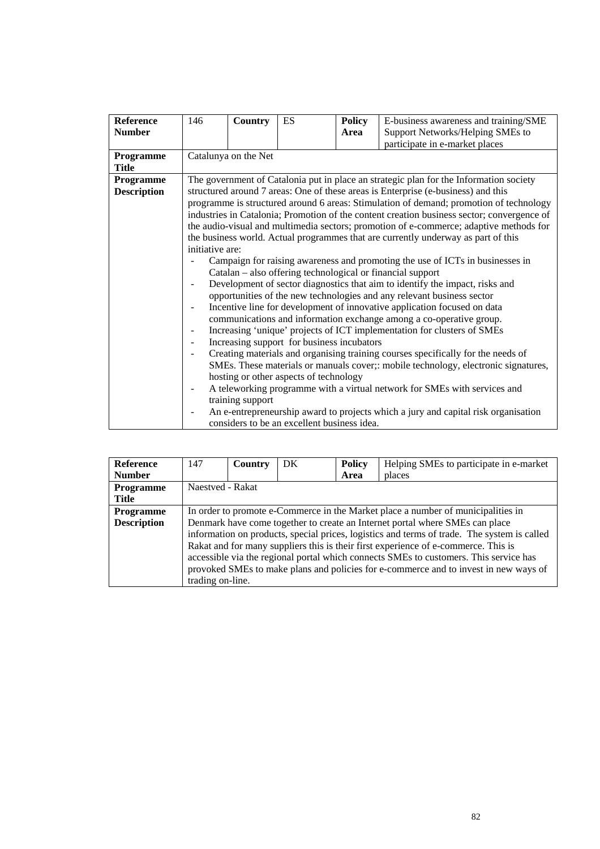| <b>Reference</b>   | 146                                                                               | <b>Country</b>                         | ES                                          | <b>Policy</b> | E-business awareness and training/SME                                                      |  |  |  |
|--------------------|-----------------------------------------------------------------------------------|----------------------------------------|---------------------------------------------|---------------|--------------------------------------------------------------------------------------------|--|--|--|
| <b>Number</b>      |                                                                                   |                                        |                                             | Area          | Support Networks/Helping SMEs to                                                           |  |  |  |
|                    |                                                                                   |                                        |                                             |               | participate in e-market places                                                             |  |  |  |
| Programme          |                                                                                   | Catalunya on the Net                   |                                             |               |                                                                                            |  |  |  |
| <b>Title</b>       |                                                                                   |                                        |                                             |               |                                                                                            |  |  |  |
| Programme          |                                                                                   |                                        |                                             |               | The government of Catalonia put in place an strategic plan for the Information society     |  |  |  |
| <b>Description</b> |                                                                                   |                                        |                                             |               | structured around 7 areas: One of these areas is Enterprise (e-business) and this          |  |  |  |
|                    |                                                                                   |                                        |                                             |               | programme is structured around 6 areas: Stimulation of demand; promotion of technology     |  |  |  |
|                    |                                                                                   |                                        |                                             |               | industries in Catalonia; Promotion of the content creation business sector; convergence of |  |  |  |
|                    |                                                                                   |                                        |                                             |               | the audio-visual and multimedia sectors; promotion of e-commerce; adaptive methods for     |  |  |  |
|                    | the business world. Actual programmes that are currently underway as part of this |                                        |                                             |               |                                                                                            |  |  |  |
|                    | initiative are:                                                                   |                                        |                                             |               |                                                                                            |  |  |  |
|                    | Campaign for raising awareness and promoting the use of ICTs in businesses in     |                                        |                                             |               |                                                                                            |  |  |  |
|                    |                                                                                   |                                        |                                             |               | Catalan – also offering technological or financial support                                 |  |  |  |
|                    |                                                                                   |                                        |                                             |               | Development of sector diagnostics that aim to identify the impact, risks and               |  |  |  |
|                    |                                                                                   |                                        |                                             |               | opportunities of the new technologies and any relevant business sector                     |  |  |  |
|                    |                                                                                   |                                        |                                             |               |                                                                                            |  |  |  |
|                    |                                                                                   |                                        |                                             |               | Incentive line for development of innovative application focused on data                   |  |  |  |
|                    |                                                                                   |                                        |                                             |               | communications and information exchange among a co-operative group.                        |  |  |  |
|                    |                                                                                   |                                        |                                             |               | Increasing 'unique' projects of ICT implementation for clusters of SMEs                    |  |  |  |
|                    | $\overline{\phantom{a}}$                                                          |                                        | Increasing support for business incubators  |               |                                                                                            |  |  |  |
|                    |                                                                                   |                                        |                                             |               | Creating materials and organising training courses specifically for the needs of           |  |  |  |
|                    |                                                                                   |                                        |                                             |               | SMEs. These materials or manuals cover;: mobile technology, electronic signatures,         |  |  |  |
|                    |                                                                                   | hosting or other aspects of technology |                                             |               |                                                                                            |  |  |  |
|                    |                                                                                   |                                        |                                             |               | A teleworking programme with a virtual network for SMEs with services and                  |  |  |  |
|                    |                                                                                   | training support                       |                                             |               |                                                                                            |  |  |  |
|                    |                                                                                   |                                        |                                             |               | An e-entrepreneurship award to projects which a jury and capital risk organisation         |  |  |  |
|                    |                                                                                   |                                        | considers to be an excellent business idea. |               |                                                                                            |  |  |  |

| <b>Reference</b>   | 147                                                                                         | Country | DK | <b>Policy</b> | Helping SMEs to participate in e-market |
|--------------------|---------------------------------------------------------------------------------------------|---------|----|---------------|-----------------------------------------|
| <b>Number</b>      |                                                                                             |         |    | Area          | places                                  |
| <b>Programme</b>   | Naestved - Rakat                                                                            |         |    |               |                                         |
| Title              |                                                                                             |         |    |               |                                         |
| <b>Programme</b>   | In order to promote e-Commerce in the Market place a number of municipalities in            |         |    |               |                                         |
| <b>Description</b> | Denmark have come together to create an Internet portal where SMEs can place                |         |    |               |                                         |
|                    | information on products, special prices, logistics and terms of trade. The system is called |         |    |               |                                         |
|                    | Rakat and for many suppliers this is their first experience of e-commerce. This is          |         |    |               |                                         |
|                    | accessible via the regional portal which connects SMEs to customers. This service has       |         |    |               |                                         |
|                    | provoked SMEs to make plans and policies for e-commerce and to invest in new ways of        |         |    |               |                                         |
|                    | trading on-line.                                                                            |         |    |               |                                         |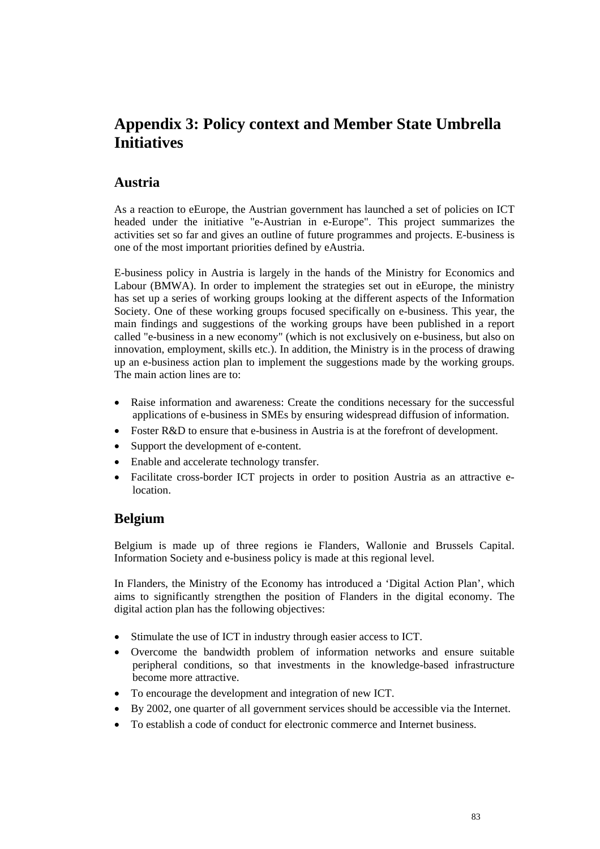# **Appendix 3: Policy context and Member State Umbrella Initiatives**

### **Austria**

As a reaction to eEurope, the Austrian government has launched a set of policies on ICT headed under the initiative "e-Austrian in e-Europe". This project summarizes the activities set so far and gives an outline of future programmes and projects. E-business is one of the most important priorities defined by eAustria.

E-business policy in Austria is largely in the hands of the Ministry for Economics and Labour (BMWA). In order to implement the strategies set out in eEurope, the ministry has set up a series of working groups looking at the different aspects of the Information Society. One of these working groups focused specifically on e-business. This year, the main findings and suggestions of the working groups have been published in a report called "e-business in a new economy" (which is not exclusively on e-business, but also on innovation, employment, skills etc.). In addition, the Ministry is in the process of drawing up an e-business action plan to implement the suggestions made by the working groups. The main action lines are to:

- Raise information and awareness: Create the conditions necessary for the successful applications of e-business in SMEs by ensuring widespread diffusion of information.
- Foster R&D to ensure that e-business in Austria is at the forefront of development.
- Support the development of e-content.
- Enable and accelerate technology transfer.
- Facilitate cross-border ICT projects in order to position Austria as an attractive elocation.

### **Belgium**

Belgium is made up of three regions ie Flanders, Wallonie and Brussels Capital. Information Society and e-business policy is made at this regional level.

In Flanders, the Ministry of the Economy has introduced a 'Digital Action Plan', which aims to significantly strengthen the position of Flanders in the digital economy. The digital action plan has the following objectives:

- Stimulate the use of ICT in industry through easier access to ICT.
- Overcome the bandwidth problem of information networks and ensure suitable peripheral conditions, so that investments in the knowledge-based infrastructure become more attractive.
- To encourage the development and integration of new ICT.
- By 2002, one quarter of all government services should be accessible via the Internet.
- To establish a code of conduct for electronic commerce and Internet business.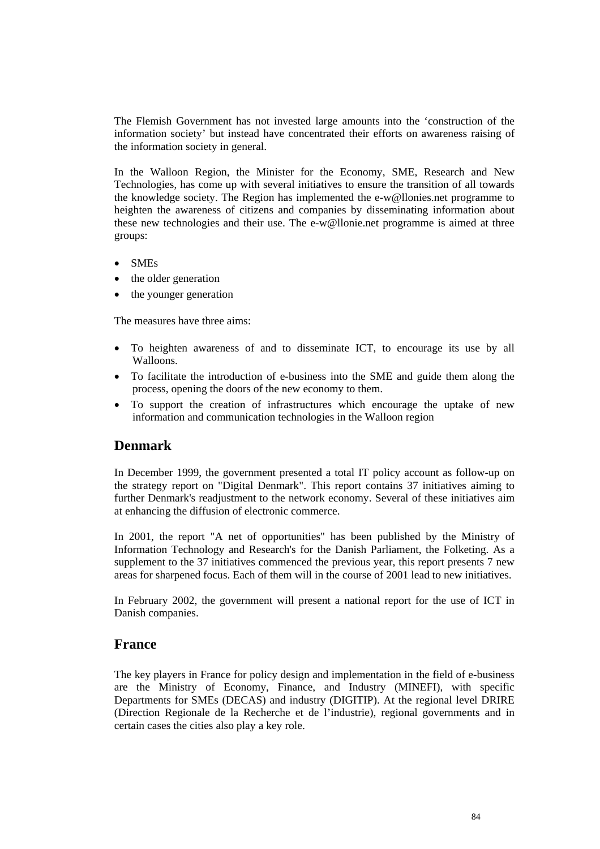The Flemish Government has not invested large amounts into the 'construction of the information society' but instead have concentrated their efforts on awareness raising of the information society in general.

In the Walloon Region, the Minister for the Economy, SME, Research and New Technologies, has come up with several initiatives to ensure the transition of all towards the knowledge society. The Region has implemented the e-w@llonies.net programme to heighten the awareness of citizens and companies by disseminating information about these new technologies and their use. The e-w@llonie.net programme is aimed at three groups:

- SMEs
- the older generation
- the younger generation

The measures have three aims:

- To heighten awareness of and to disseminate ICT, to encourage its use by all Walloons.
- To facilitate the introduction of e-business into the SME and guide them along the process, opening the doors of the new economy to them.
- To support the creation of infrastructures which encourage the uptake of new information and communication technologies in the Walloon region

## **Denmark**

In December 1999, the government presented a total IT policy account as follow-up on the strategy report on "Digital Denmark". This report contains 37 initiatives aiming to further Denmark's readjustment to the network economy. Several of these initiatives aim at enhancing the diffusion of electronic commerce.

In 2001, the report "A net of opportunities" has been published by the Ministry of Information Technology and Research's for the Danish Parliament, the Folketing. As a supplement to the 37 initiatives commenced the previous year, this report presents 7 new areas for sharpened focus. Each of them will in the course of 2001 lead to new initiatives.

In February 2002, the government will present a national report for the use of ICT in Danish companies.

### **France**

The key players in France for policy design and implementation in the field of e-business are the Ministry of Economy, Finance, and Industry (MINEFI), with specific Departments for SMEs (DECAS) and industry (DIGITIP). At the regional level DRIRE (Direction Regionale de la Recherche et de l'industrie), regional governments and in certain cases the cities also play a key role.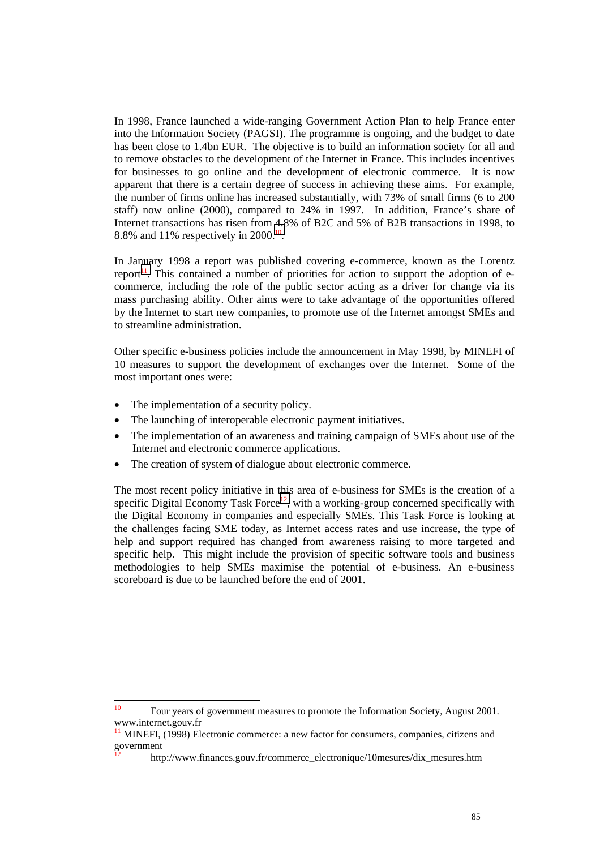In 1998, France launched a wide-ranging Government Action Plan to help France enter into the Information Society (PAGSI). The programme is ongoing, and the budget to date has been close to 1.4bn EUR. The objective is to build an information society for all and to remove obstacles to the development of the Internet in France. This includes incentives for businesses to go online and the development of electronic commerce. It is now apparent that there is a certain degree of success in achieving these aims. For example, the number of firms online has increased substantially, with 73% of small firms (6 to 200 staff) now online (2000), compared to 24% in 1997. In addition, France's share of Internet transactions has risen from 4.8% of B2C and 5% of B2B transactions in 1998, to 8.8% and 11% respectively in 2000.<sup>10</sup>.

In January 1998 a report was published covering e-commerce, known as the Lorentz report<sup>11</sup>. This contained a number of priorities for action to support the adoption of ecommerce, including the role of the public sector acting as a driver for change via its mass purchasing ability. Other aims were to take advantage of the opportunities offered by the Internet to start new companies, to promote use of the Internet amongst SMEs and to streamline administration.

Other specific e-business policies include the announcement in May 1998, by MINEFI of 10 measures to support the development of exchanges over the Internet. Some of the most important ones were:

- The implementation of a security policy.
- The launching of interoperable electronic payment initiatives.
- The implementation of an awareness and training campaign of SMEs about use of the Internet and electronic commerce applications.
- The creation of system of dialogue about electronic commerce.

The most recent policy initiative in this area of e-business for SMEs is the creation of a specific Digital Economy Task Force<sup>12</sup>, with a working-group concerned specifically with the Digital Economy in companies and especially SMEs. This Task Force is looking at the challenges facing SME today, as Internet access rates and use increase, the type of help and support required has changed from awareness raising to more targeted and specific help. This might include the provision of specific software tools and business methodologies to help SMEs maximise the potential of e-business. An e-business scoreboard is due to be launched before the end of 2001.

 $10$ 10 Four years of government measures to promote the Information Society, August 2001. www.internet.gouv.fr

MINEFI, (1998) Electronic commerce: a new factor for consumers, companies, citizens and government

<sup>12</sup> http://www.finances.gouv.fr/commerce\_electronique/10mesures/dix\_mesures.htm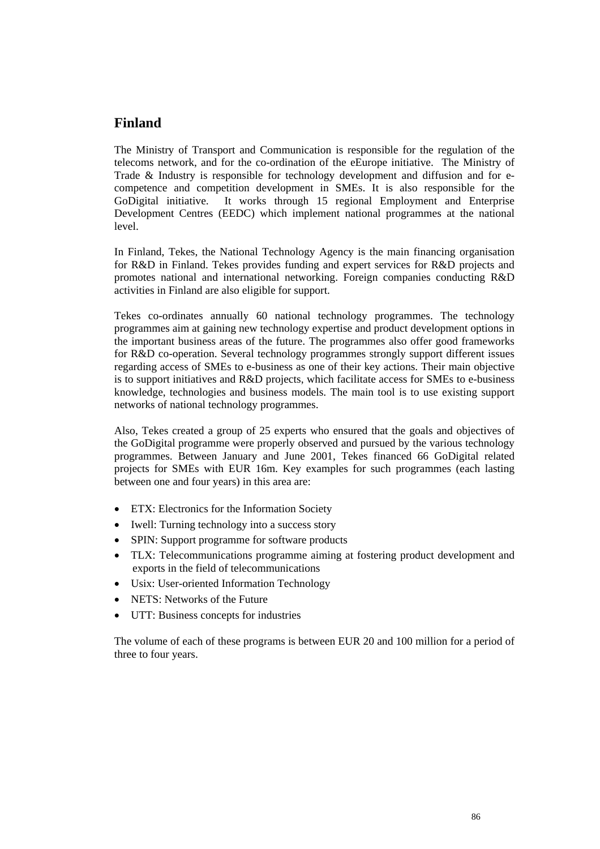## **Finland**

The Ministry of Transport and Communication is responsible for the regulation of the telecoms network, and for the co-ordination of the eEurope initiative. The Ministry of Trade & Industry is responsible for technology development and diffusion and for ecompetence and competition development in SMEs. It is also responsible for the GoDigital initiative. It works through 15 regional Employment and Enterprise Development Centres (EEDC) which implement national programmes at the national level.

In Finland, Tekes, the National Technology Agency is the main financing organisation for R&D in Finland. Tekes provides funding and expert services for R&D projects and promotes national and international networking. Foreign companies conducting R&D activities in Finland are also eligible for support.

Tekes co-ordinates annually 60 national technology programmes. The technology programmes aim at gaining new technology expertise and product development options in the important business areas of the future. The programmes also offer good frameworks for R&D co-operation. Several technology programmes strongly support different issues regarding access of SMEs to e-business as one of their key actions. Their main objective is to support initiatives and R&D projects, which facilitate access for SMEs to e-business knowledge, technologies and business models. The main tool is to use existing support networks of national technology programmes.

Also, Tekes created a group of 25 experts who ensured that the goals and objectives of the GoDigital programme were properly observed and pursued by the various technology programmes. Between January and June 2001, Tekes financed 66 GoDigital related projects for SMEs with EUR 16m. Key examples for such programmes (each lasting between one and four years) in this area are:

- ETX: Electronics for the Information Society
- Iwell: Turning technology into a success story
- SPIN: Support programme for software products
- TLX: Telecommunications programme aiming at fostering product development and exports in the field of telecommunications
- Usix: User-oriented Information Technology
- NETS: Networks of the Future
- UTT: Business concepts for industries

The volume of each of these programs is between EUR 20 and 100 million for a period of three to four years.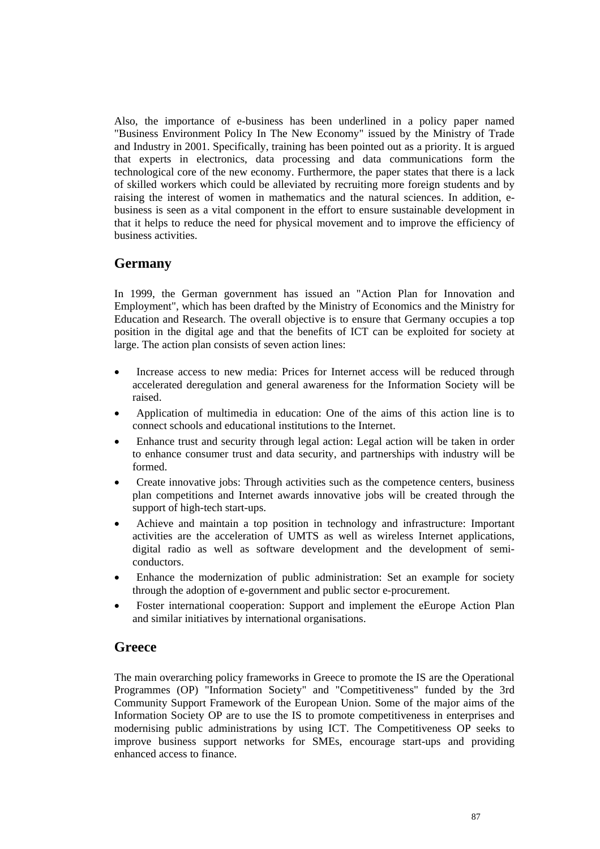Also, the importance of e-business has been underlined in a policy paper named "Business Environment Policy In The New Economy" issued by the Ministry of Trade and Industry in 2001. Specifically, training has been pointed out as a priority. It is argued that experts in electronics, data processing and data communications form the technological core of the new economy. Furthermore, the paper states that there is a lack of skilled workers which could be alleviated by recruiting more foreign students and by raising the interest of women in mathematics and the natural sciences. In addition, ebusiness is seen as a vital component in the effort to ensure sustainable development in that it helps to reduce the need for physical movement and to improve the efficiency of business activities.

## **Germany**

In 1999, the German government has issued an "Action Plan for Innovation and Employment", which has been drafted by the Ministry of Economics and the Ministry for Education and Research. The overall objective is to ensure that Germany occupies a top position in the digital age and that the benefits of ICT can be exploited for society at large. The action plan consists of seven action lines:

- Increase access to new media: Prices for Internet access will be reduced through accelerated deregulation and general awareness for the Information Society will be raised.
- Application of multimedia in education: One of the aims of this action line is to connect schools and educational institutions to the Internet.
- Enhance trust and security through legal action: Legal action will be taken in order to enhance consumer trust and data security, and partnerships with industry will be formed.
- Create innovative jobs: Through activities such as the competence centers, business plan competitions and Internet awards innovative jobs will be created through the support of high-tech start-ups.
- Achieve and maintain a top position in technology and infrastructure: Important activities are the acceleration of UMTS as well as wireless Internet applications, digital radio as well as software development and the development of semiconductors.
- Enhance the modernization of public administration: Set an example for society through the adoption of e-government and public sector e-procurement.
- Foster international cooperation: Support and implement the eEurope Action Plan and similar initiatives by international organisations.

### **Greece**

The main overarching policy frameworks in Greece to promote the IS are the Operational Programmes (OP) "Information Society" and "Competitiveness" funded by the 3rd Community Support Framework of the European Union. Some of the major aims of the Information Society OP are to use the IS to promote competitiveness in enterprises and modernising public administrations by using ICT. The Competitiveness OP seeks to improve business support networks for SMEs, encourage start-ups and providing enhanced access to finance.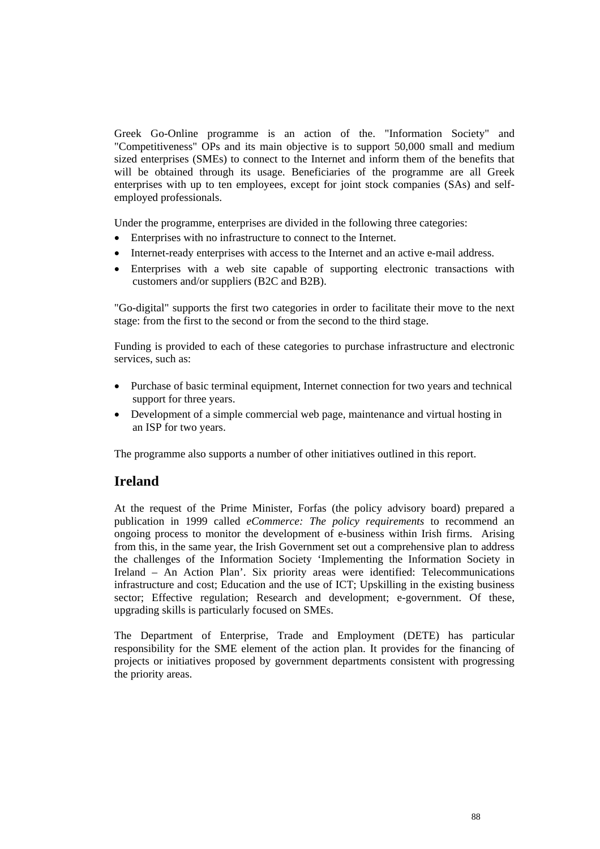Greek Go-Online programme is an action of the. "Information Society" and "Competitiveness" OPs and its main objective is to support 50,000 small and medium sized enterprises (SMEs) to connect to the Internet and inform them of the benefits that will be obtained through its usage. Beneficiaries of the programme are all Greek enterprises with up to ten employees, except for joint stock companies (SAs) and selfemployed professionals.

Under the programme, enterprises are divided in the following three categories:

- Enterprises with no infrastructure to connect to the Internet.
- Internet-ready enterprises with access to the Internet and an active e-mail address.
- Enterprises with a web site capable of supporting electronic transactions with customers and/or suppliers (B2C and B2B).

"Go-digital" supports the first two categories in order to facilitate their move to the next stage: from the first to the second or from the second to the third stage.

Funding is provided to each of these categories to purchase infrastructure and electronic services, such as:

- Purchase of basic terminal equipment, Internet connection for two years and technical support for three years.
- Development of a simple commercial web page, maintenance and virtual hosting in an ISP for two years.

The programme also supports a number of other initiatives outlined in this report.

## **Ireland**

At the request of the Prime Minister, Forfas (the policy advisory board) prepared a publication in 1999 called *eCommerce: The policy requirements* to recommend an ongoing process to monitor the development of e-business within Irish firms. Arising from this, in the same year, the Irish Government set out a comprehensive plan to address the challenges of the Information Society 'Implementing the Information Society in Ireland – An Action Plan'. Six priority areas were identified: Telecommunications infrastructure and cost; Education and the use of ICT; Upskilling in the existing business sector; Effective regulation; Research and development; e-government. Of these, upgrading skills is particularly focused on SMEs.

The Department of Enterprise, Trade and Employment (DETE) has particular responsibility for the SME element of the action plan. It provides for the financing of projects or initiatives proposed by government departments consistent with progressing the priority areas.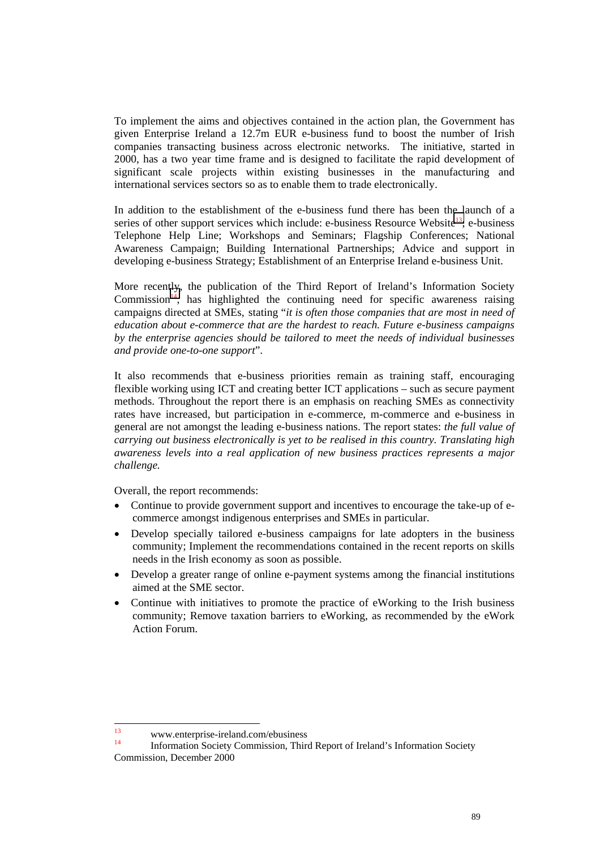To implement the aims and objectives contained in the action plan, the Government has given Enterprise Ireland a 12.7m EUR e-business fund to boost the number of Irish companies transacting business across electronic networks. The initiative, started in 2000, has a two year time frame and is designed to facilitate the rapid development of significant scale projects within existing businesses in the manufacturing and international services sectors so as to enable them to trade electronically.

In addition to the establishment of the e-business fund there has been the launch of a series of other support services which include: e-business Resource Website<sup>13</sup>; e-business Telephone Help Line; Workshops and Seminars; Flagship Conferences; National Awareness Campaign; Building International Partnerships; Advice and support in developing e-business Strategy; Establishment of an Enterprise Ireland e-business Unit.

More recently, the publication of the Third Report of Ireland's Information Society Commission<sup>14</sup>, has highlighted the continuing need for specific awareness raising campaigns directed at SMEs, stating "*it is often those companies that are most in need of education about e-commerce that are the hardest to reach. Future e-business campaigns by the enterprise agencies should be tailored to meet the needs of individual businesses and provide one-to-one support*".

It also recommends that e-business priorities remain as training staff, encouraging flexible working using ICT and creating better ICT applications – such as secure payment methods. Throughout the report there is an emphasis on reaching SMEs as connectivity rates have increased, but participation in e-commerce, m-commerce and e-business in general are not amongst the leading e-business nations. The report states: *the full value of carrying out business electronically is yet to be realised in this country. Translating high awareness levels into a real application of new business practices represents a major challenge.*

Overall, the report recommends:

- Continue to provide government support and incentives to encourage the take-up of ecommerce amongst indigenous enterprises and SMEs in particular.
- Develop specially tailored e-business campaigns for late adopters in the business community; Implement the recommendations contained in the recent reports on skills needs in the Irish economy as soon as possible.
- Develop a greater range of online e-payment systems among the financial institutions aimed at the SME sector.
- Continue with initiatives to promote the practice of eWorking to the Irish business community; Remove taxation barriers to eWorking, as recommended by the eWork Action Forum.

 $13$  $13$  www.enterprise-ireland.com/ebusiness

<sup>14</sup> Information Society Commission, Third Report of Ireland's Information Society Commission, December 2000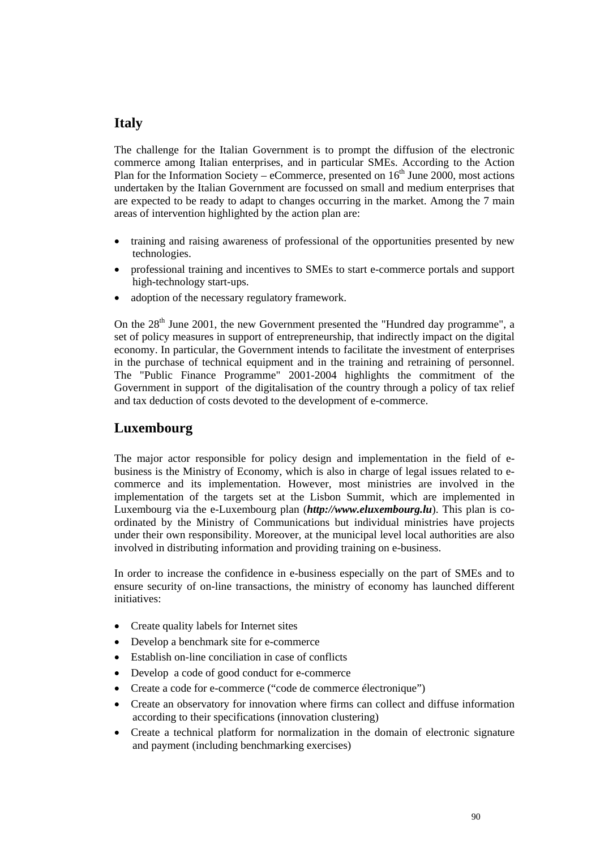## **Italy**

The challenge for the Italian Government is to prompt the diffusion of the electronic commerce among Italian enterprises, and in particular SMEs. According to the Action Plan for the Information Society – eCommerce, presented on  $16<sup>th</sup>$  June 2000, most actions undertaken by the Italian Government are focussed on small and medium enterprises that are expected to be ready to adapt to changes occurring in the market. Among the 7 main areas of intervention highlighted by the action plan are:

- training and raising awareness of professional of the opportunities presented by new technologies.
- professional training and incentives to SMEs to start e-commerce portals and support high-technology start-ups.
- adoption of the necessary regulatory framework.

On the 28<sup>th</sup> June 2001, the new Government presented the "Hundred day programme", a set of policy measures in support of entrepreneurship, that indirectly impact on the digital economy. In particular, the Government intends to facilitate the investment of enterprises in the purchase of technical equipment and in the training and retraining of personnel. The "Public Finance Programme" 2001-2004 highlights the commitment of the Government in support of the digitalisation of the country through a policy of tax relief and tax deduction of costs devoted to the development of e-commerce.

## **Luxembourg**

The major actor responsible for policy design and implementation in the field of ebusiness is the Ministry of Economy, which is also in charge of legal issues related to ecommerce and its implementation. However, most ministries are involved in the implementation of the targets set at the Lisbon Summit, which are implemented in Luxembourg via the e-Luxembourg plan (*http://www.eluxembourg.lu*). This plan is coordinated by the Ministry of Communications but individual ministries have projects under their own responsibility. Moreover, at the municipal level local authorities are also involved in distributing information and providing training on e-business.

In order to increase the confidence in e-business especially on the part of SMEs and to ensure security of on-line transactions, the ministry of economy has launched different initiatives:

- Create quality labels for Internet sites
- Develop a benchmark site for e-commerce
- Establish on-line conciliation in case of conflicts
- Develop a code of good conduct for e-commerce
- Create a code for e-commerce ("code de commerce électronique")
- Create an observatory for innovation where firms can collect and diffuse information according to their specifications (innovation clustering)
- Create a technical platform for normalization in the domain of electronic signature and payment (including benchmarking exercises)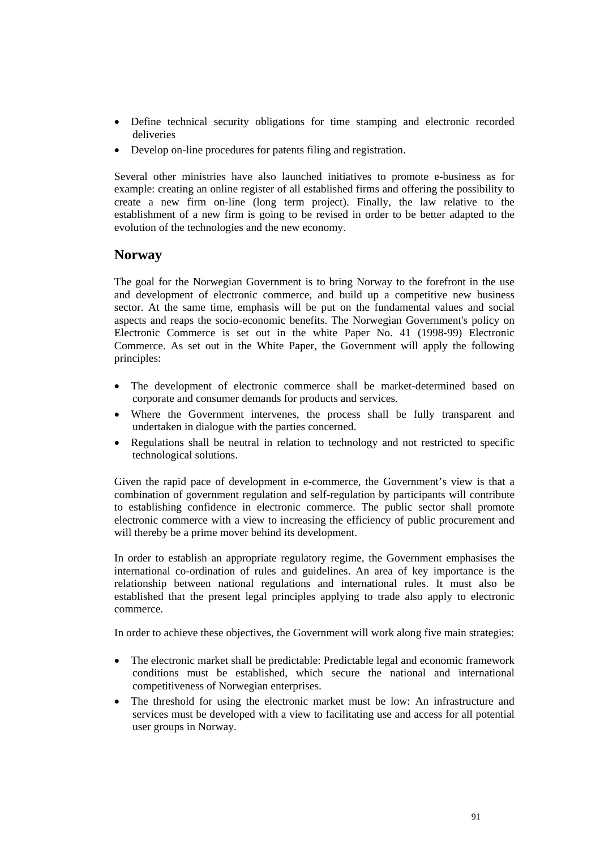- Define technical security obligations for time stamping and electronic recorded deliveries
- Develop on-line procedures for patents filing and registration.

Several other ministries have also launched initiatives to promote e-business as for example: creating an online register of all established firms and offering the possibility to create a new firm on-line (long term project). Finally, the law relative to the establishment of a new firm is going to be revised in order to be better adapted to the evolution of the technologies and the new economy.

#### **Norway**

The goal for the Norwegian Government is to bring Norway to the forefront in the use and development of electronic commerce, and build up a competitive new business sector. At the same time, emphasis will be put on the fundamental values and social aspects and reaps the socio-economic benefits. The Norwegian Government's policy on Electronic Commerce is set out in the white Paper No. 41 (1998-99) Electronic Commerce. As set out in the White Paper, the Government will apply the following principles:

- The development of electronic commerce shall be market-determined based on corporate and consumer demands for products and services.
- Where the Government intervenes, the process shall be fully transparent and undertaken in dialogue with the parties concerned.
- Regulations shall be neutral in relation to technology and not restricted to specific technological solutions.

Given the rapid pace of development in e-commerce, the Government's view is that a combination of government regulation and self-regulation by participants will contribute to establishing confidence in electronic commerce. The public sector shall promote electronic commerce with a view to increasing the efficiency of public procurement and will thereby be a prime mover behind its development.

In order to establish an appropriate regulatory regime, the Government emphasises the international co-ordination of rules and guidelines. An area of key importance is the relationship between national regulations and international rules. It must also be established that the present legal principles applying to trade also apply to electronic commerce.

In order to achieve these objectives, the Government will work along five main strategies:

- The electronic market shall be predictable: Predictable legal and economic framework conditions must be established, which secure the national and international competitiveness of Norwegian enterprises.
- The threshold for using the electronic market must be low: An infrastructure and services must be developed with a view to facilitating use and access for all potential user groups in Norway.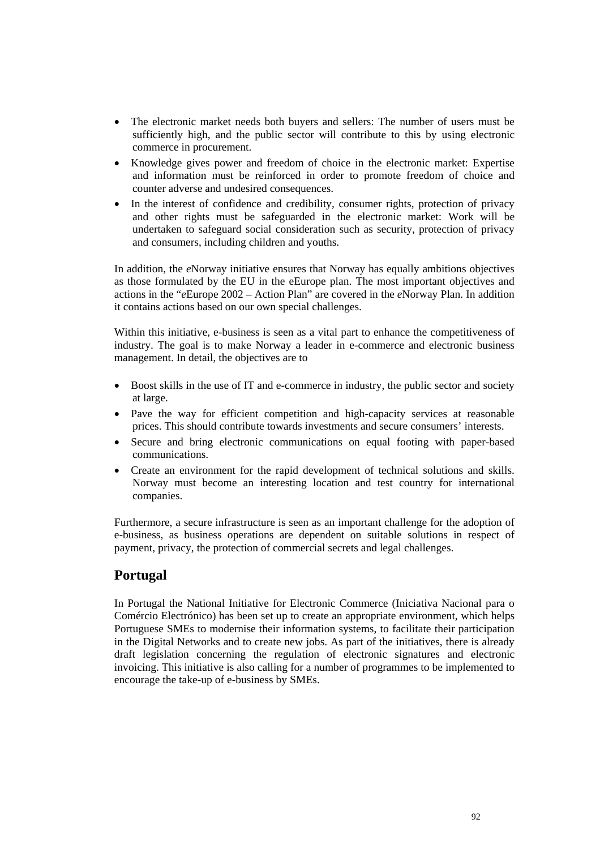- The electronic market needs both buyers and sellers: The number of users must be sufficiently high, and the public sector will contribute to this by using electronic commerce in procurement.
- Knowledge gives power and freedom of choice in the electronic market: Expertise and information must be reinforced in order to promote freedom of choice and counter adverse and undesired consequences.
- In the interest of confidence and credibility, consumer rights, protection of privacy and other rights must be safeguarded in the electronic market: Work will be undertaken to safeguard social consideration such as security, protection of privacy and consumers, including children and youths.

In addition, the *e*Norway initiative ensures that Norway has equally ambitions objectives as those formulated by the EU in the eEurope plan. The most important objectives and actions in the "*e*Europe 2002 – Action Plan" are covered in the *e*Norway Plan. In addition it contains actions based on our own special challenges.

Within this initiative, e-business is seen as a vital part to enhance the competitiveness of industry. The goal is to make Norway a leader in e-commerce and electronic business management. In detail, the objectives are to

- Boost skills in the use of IT and e-commerce in industry, the public sector and society at large.
- Pave the way for efficient competition and high-capacity services at reasonable prices. This should contribute towards investments and secure consumers' interests.
- Secure and bring electronic communications on equal footing with paper-based communications.
- Create an environment for the rapid development of technical solutions and skills. Norway must become an interesting location and test country for international companies.

Furthermore, a secure infrastructure is seen as an important challenge for the adoption of e-business, as business operations are dependent on suitable solutions in respect of payment, privacy, the protection of commercial secrets and legal challenges.

## **Portugal**

In Portugal the National Initiative for Electronic Commerce (Iniciativa Nacional para o Comércio Electrónico) has been set up to create an appropriate environment, which helps Portuguese SMEs to modernise their information systems, to facilitate their participation in the Digital Networks and to create new jobs. As part of the initiatives, there is already draft legislation concerning the regulation of electronic signatures and electronic invoicing. This initiative is also calling for a number of programmes to be implemented to encourage the take-up of e-business by SMEs.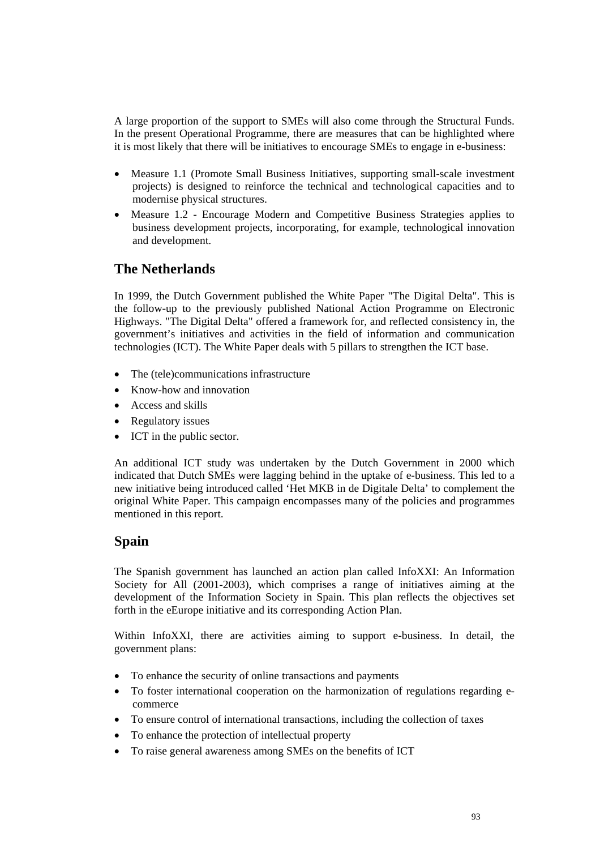A large proportion of the support to SMEs will also come through the Structural Funds. In the present Operational Programme, there are measures that can be highlighted where it is most likely that there will be initiatives to encourage SMEs to engage in e-business:

- Measure 1.1 (Promote Small Business Initiatives, supporting small-scale investment projects) is designed to reinforce the technical and technological capacities and to modernise physical structures.
- Measure 1.2 Encourage Modern and Competitive Business Strategies applies to business development projects, incorporating, for example, technological innovation and development.

## **The Netherlands**

In 1999, the Dutch Government published the White Paper "The Digital Delta". This is the follow-up to the previously published National Action Programme on Electronic Highways. "The Digital Delta" offered a framework for, and reflected consistency in, the government's initiatives and activities in the field of information and communication technologies (ICT). The White Paper deals with 5 pillars to strengthen the ICT base.

- The (tele)communications infrastructure
- Know-how and innovation
- Access and skills
- Regulatory issues
- ICT in the public sector.

An additional ICT study was undertaken by the Dutch Government in 2000 which indicated that Dutch SMEs were lagging behind in the uptake of e-business. This led to a new initiative being introduced called 'Het MKB in de Digitale Delta' to complement the original White Paper. This campaign encompasses many of the policies and programmes mentioned in this report.

## **Spain**

The Spanish government has launched an action plan called InfoXXI: An Information Society for All (2001-2003), which comprises a range of initiatives aiming at the development of the Information Society in Spain. This plan reflects the objectives set forth in the eEurope initiative and its corresponding Action Plan.

Within InfoXXI, there are activities aiming to support e-business. In detail, the government plans:

- To enhance the security of online transactions and payments
- To foster international cooperation on the harmonization of regulations regarding ecommerce
- To ensure control of international transactions, including the collection of taxes
- To enhance the protection of intellectual property
- To raise general awareness among SMEs on the benefits of ICT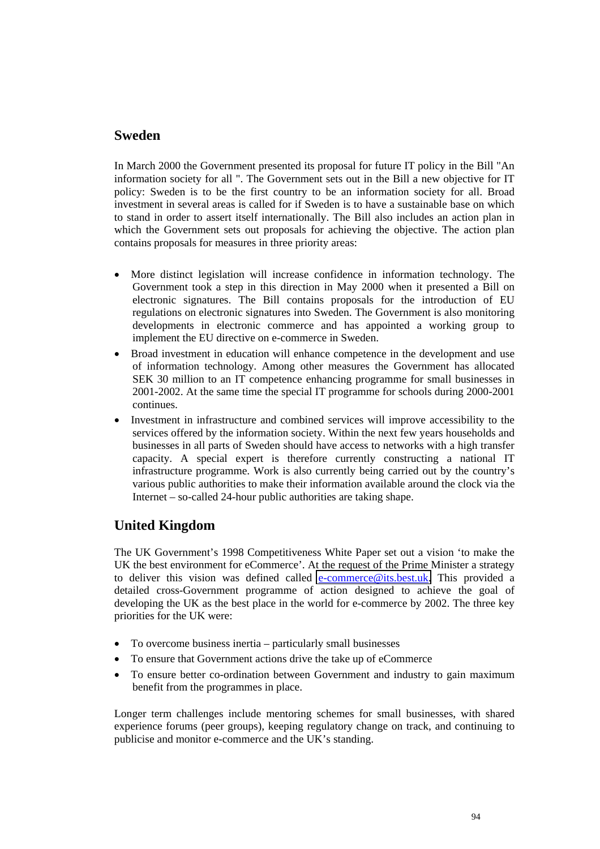## **Sweden**

In March 2000 the Government presented its proposal for future IT policy in the Bill "An information society for all ". The Government sets out in the Bill a new objective for IT policy: Sweden is to be the first country to be an information society for all. Broad investment in several areas is called for if Sweden is to have a sustainable base on which to stand in order to assert itself internationally. The Bill also includes an action plan in which the Government sets out proposals for achieving the objective. The action plan contains proposals for measures in three priority areas:

- More distinct legislation will increase confidence in information technology. The Government took a step in this direction in May 2000 when it presented a Bill on electronic signatures. The Bill contains proposals for the introduction of EU regulations on electronic signatures into Sweden. The Government is also monitoring developments in electronic commerce and has appointed a working group to implement the EU directive on e-commerce in Sweden.
- Broad investment in education will enhance competence in the development and use of information technology. Among other measures the Government has allocated SEK 30 million to an IT competence enhancing programme for small businesses in 2001-2002. At the same time the special IT programme for schools during 2000-2001 continues.
- Investment in infrastructure and combined services will improve accessibility to the services offered by the information society. Within the next few years households and businesses in all parts of Sweden should have access to networks with a high transfer capacity. A special expert is therefore currently constructing a national IT infrastructure programme. Work is also currently being carried out by the country's various public authorities to make their information available around the clock via the Internet – so-called 24-hour public authorities are taking shape.

## **United Kingdom**

The UK Government's 1998 Competitiveness White Paper set out a vision 'to make the UK the best environment for eCommerce'. At the request of the Prime Minister a strategy to deliver this vision was defined called [e-commerce@its.best.uk.](mailto:e-commerce@its.best.uk) This provided a detailed cross-Government programme of action designed to achieve the goal of developing the UK as the best place in the world for e-commerce by 2002. The three key priorities for the UK were:

- To overcome business inertia particularly small businesses
- To ensure that Government actions drive the take up of eCommerce
- To ensure better co-ordination between Government and industry to gain maximum benefit from the programmes in place.

Longer term challenges include mentoring schemes for small businesses, with shared experience forums (peer groups), keeping regulatory change on track, and continuing to publicise and monitor e-commerce and the UK's standing.